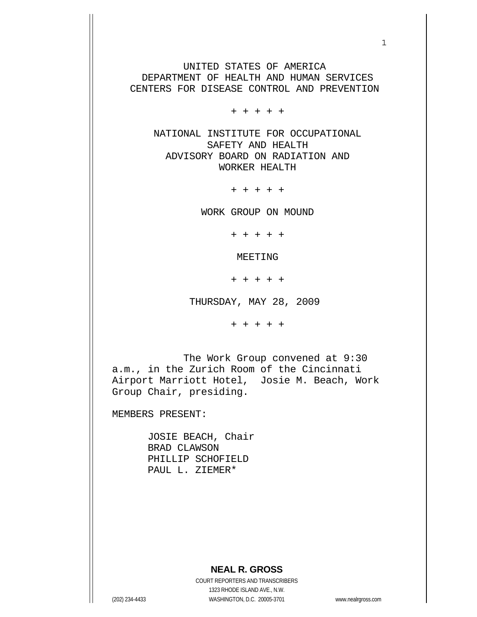UNITED STATES OF AMERICA DEPARTMENT OF HEALTH AND HUMAN SERVICES CENTERS FOR DISEASE CONTROL AND PREVENTION

 $1$ 

+ + + + +

 NATIONAL INSTITUTE FOR OCCUPATIONAL SAFETY AND HEALTH ADVISORY BOARD ON RADIATION AND WORKER HEALTH

+ + + + +

WORK GROUP ON MOUND

+ + + + +

MEETING

+ + + + +

THURSDAY, MAY 28, 2009

+ + + + +

 The Work Group convened at 9:30 a.m., in the Zurich Room of the Cincinnati Airport Marriott Hotel, Josie M. Beach, Work Group Chair, presiding.

MEMBERS PRESENT:

 JOSIE BEACH, Chair BRAD CLAWSON PHILLIP SCHOFIELD PAUL L. ZIEMER\*

## **NEAL R. GROSS**

COURT REPORTERS AND TRANSCRIBERS 1323 RHODE ISLAND AVE., N.W. (202) 234-4433 WASHINGTON, D.C. 20005-3701 www.nealrgross.com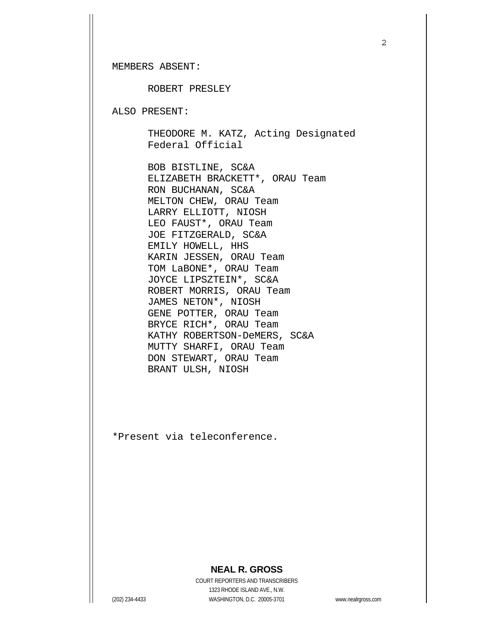MEMBERS ABSENT:

ROBERT PRESLEY

ALSO PRESENT:

 THEODORE M. KATZ, Acting Designated Federal Official

 BOB BISTLINE, SC&A ELIZABETH BRACKETT\*, ORAU Team RON BUCHANAN, SC&A MELTON CHEW, ORAU Team LARRY ELLIOTT, NIOSH LEO FAUST\*, ORAU Team JOE FITZGERALD, SC&A EMILY HOWELL, HHS KARIN JESSEN, ORAU Team TOM LaBONE\*, ORAU Team JOYCE LIPSZTEIN\*, SC&A ROBERT MORRIS, ORAU Team JAMES NETON\*, NIOSH GENE POTTER, ORAU Team BRYCE RICH\*, ORAU Team KATHY ROBERTSON-DeMERS, SC&A MUTTY SHARFI, ORAU Team DON STEWART, ORAU Team BRANT ULSH, NIOSH

\*Present via teleconference.

## **NEAL R. GROSS**

COURT REPORTERS AND TRANSCRIBERS 1323 RHODE ISLAND AVE., N.W. (202) 234-4433 WASHINGTON, D.C. 20005-3701 www.nealrgross.com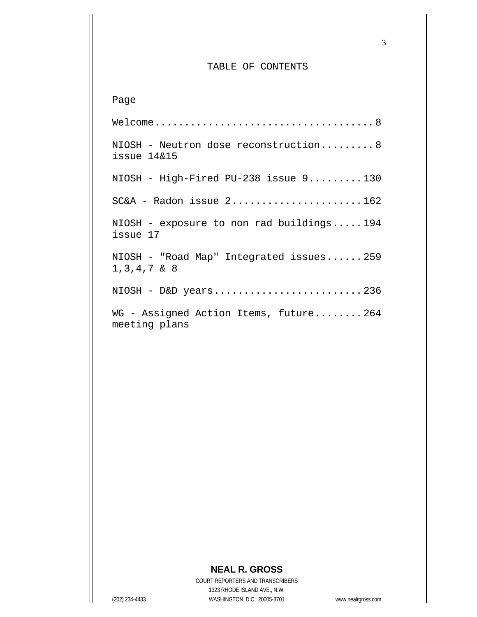## TABLE OF CONTENTS

Page Welcome..................................... 8 NIOSH - Neutron dose reconstruction......... 8 issue 14&15 NIOSH - High-Fired PU-238 issue 9......... 130  $SC&A$  - Radon issue  $2$ ..........................162 NIOSH - exposure to non rad buildings..... 194 issue 17 NIOSH - "Road Map" Integrated issues...... 259 1,3,4,7 & 8 NIOSH - D&D years......................... 236 WG - Assigned Action Items, future........ 264 meeting plans

## **NEAL R. GROSS**

COURT REPORTERS AND TRANSCRIBERS 1323 RHODE ISLAND AVE., N.W. (202) 234-4433 WASHINGTON, D.C. 20005-3701 www.nealrgross.com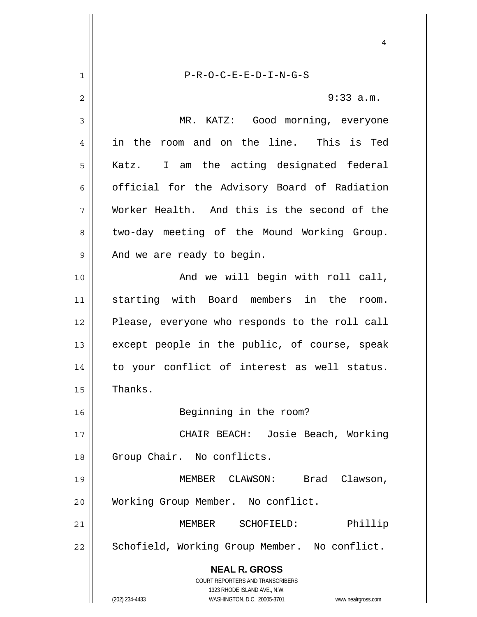**NEAL R. GROSS** COURT REPORTERS AND TRANSCRIBERS 1323 RHODE ISLAND AVE., N.W. (202) 234-4433 WASHINGTON, D.C. 20005-3701 www.nealrgross.com 4 1 2 3 4 5 6 7 8 9 10 11 12 13 14 15 16 17 18 19 20 21 22 P-R-O-C-E-E-D-I-N-G-S 9:33 a.m. MR. KATZ: Good morning, everyone in the room and on the line. This is Ted Katz. I am the acting designated federal official for the Advisory Board of Radiation Worker Health. And this is the second of the two-day meeting of the Mound Working Group. And we are ready to begin. And we will begin with roll call, starting with Board members in the room. Please, everyone who responds to the roll call except people in the public, of course, speak to your conflict of interest as well status. Thanks. Beginning in the room? CHAIR BEACH: Josie Beach, Working Group Chair. No conflicts. MEMBER CLAWSON: Brad Clawson, Working Group Member. No conflict. MEMBER SCHOFIELD: Phillip Schofield, Working Group Member. No conflict.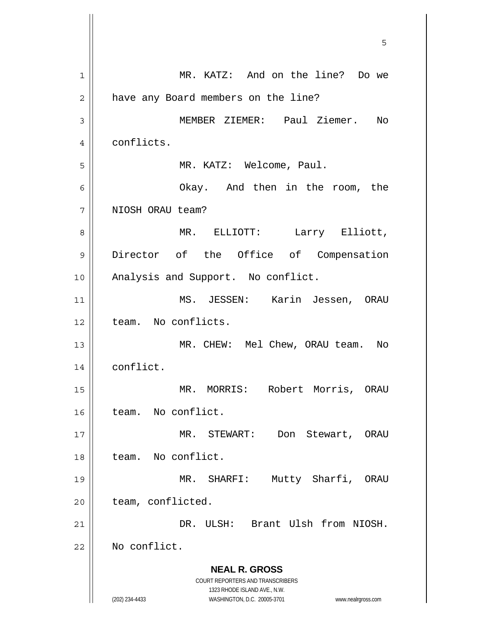**NEAL R. GROSS** COURT REPORTERS AND TRANSCRIBERS 1323 RHODE ISLAND AVE., N.W. (202) 234-4433 WASHINGTON, D.C. 20005-3701 www.nealrgross.com  $\sim$  5  $\sim$  5  $\sim$  5  $\sim$  5  $\sim$  5  $\sim$  5  $\sim$  5  $\sim$  5  $\sim$  5  $\sim$  5  $\sim$  5  $\sim$  5  $\sim$  5  $\sim$  5  $\sim$  5  $\sim$  5  $\sim$  5  $\sim$  5  $\sim$  5  $\sim$  5  $\sim$  5  $\sim$  5  $\sim$  5  $\sim$  5  $\sim$  5  $\sim$  5  $\sim$  5  $\sim$  5  $\sim$  5  $\sim$  5  $\sim$  5  $\sim$ 1 2 3 4 5 6 7 8 9 10 11 12 13 14 15 16 17 18 19 20 21 22 MR. KATZ: And on the line? Do we have any Board members on the line? MEMBER ZIEMER: Paul Ziemer. No conflicts. MR. KATZ: Welcome, Paul. Okay. And then in the room, the NIOSH ORAU team? MR. ELLIOTT: Larry Elliott, Director of the Office of Compensation Analysis and Support. No conflict. MS. JESSEN: Karin Jessen, ORAU team. No conflicts. MR. CHEW: Mel Chew, ORAU team. No conflict. MR. MORRIS: Robert Morris, ORAU team. No conflict. MR. STEWART: Don Stewart, ORAU team. No conflict. MR. SHARFI: Mutty Sharfi, ORAU team, conflicted. DR. ULSH: Brant Ulsh from NIOSH. No conflict.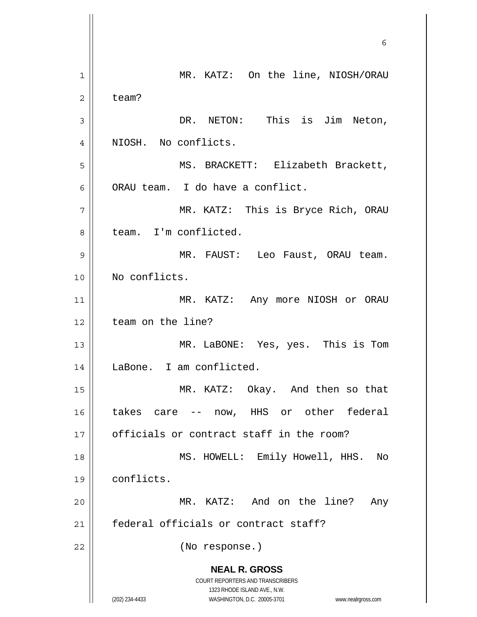**NEAL R. GROSS** COURT REPORTERS AND TRANSCRIBERS 1323 RHODE ISLAND AVE., N.W. (202) 234-4433 WASHINGTON, D.C. 20005-3701 www.nealrgross.com  $\sim$  6 1 2 3 4 5 6 7 8 9 10 11 12 13 14 15 16 17 18 19 20 21 22 MR. KATZ: On the line, NIOSH/ORAU team? DR. NETON: This is Jim Neton, NIOSH. No conflicts. MS. BRACKETT: Elizabeth Brackett, ORAU team. I do have a conflict. MR. KATZ: This is Bryce Rich, ORAU team. I'm conflicted. MR. FAUST: Leo Faust, ORAU team. No conflicts. MR. KATZ: Any more NIOSH or ORAU team on the line? MR. LaBONE: Yes, yes. This is Tom LaBone. I am conflicted. MR. KATZ: Okay. And then so that takes care -- now, HHS or other federal officials or contract staff in the room? MS. HOWELL: Emily Howell, HHS. No conflicts. MR. KATZ: And on the line? Any federal officials or contract staff? (No response.)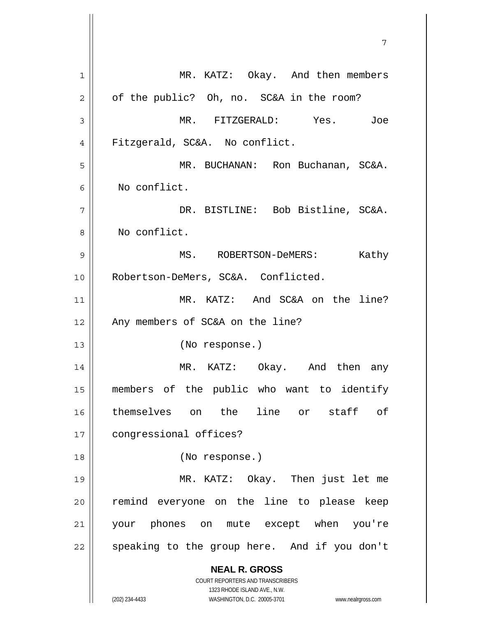**NEAL R. GROSS** COURT REPORTERS AND TRANSCRIBERS 1323 RHODE ISLAND AVE., N.W. (202) 234-4433 WASHINGTON, D.C. 20005-3701 www.nealrgross.com 1 2 3 4 5 6 7 8 9 10 11 12 13 14 15 16 17 18 19 20 21 22 MR. KATZ: Okay. And then members of the public? Oh, no. SC&A in the room? MR. FITZGERALD: Yes. Joe Fitzgerald, SC&A. No conflict. MR. BUCHANAN: Ron Buchanan, SC&A. No conflict. DR. BISTLINE: Bob Bistline, SC&A. No conflict. MS. ROBERTSON-DeMERS: Kathy Robertson-DeMers, SC&A. Conflicted. MR. KATZ: And SC&A on the line? Any members of SC&A on the line? (No response.) MR. KATZ: Okay. And then any members of the public who want to identify themselves on the line or staff of congressional offices? (No response.) MR. KATZ: Okay. Then just let me remind everyone on the line to please keep your phones on mute except when you're speaking to the group here. And if you don't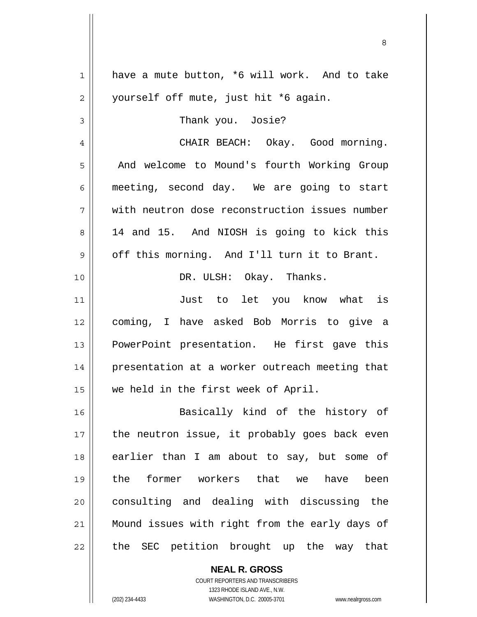| 1  | have a mute button, *6 will work. And to take  |
|----|------------------------------------------------|
| 2  | yourself off mute, just hit *6 again.          |
| 3  | Thank you. Josie?                              |
| 4  | CHAIR BEACH: Okay. Good morning.               |
| 5  | And welcome to Mound's fourth Working Group    |
| 6  | meeting, second day. We are going to start     |
| 7  | with neutron dose reconstruction issues number |
| 8  | 14 and 15. And NIOSH is going to kick this     |
| 9  | off this morning. And I'll turn it to Brant.   |
| 10 | DR. ULSH: Okay. Thanks.                        |
| 11 | Just to let you know what is                   |
| 12 | coming, I have asked Bob Morris to give a      |
| 13 | PowerPoint presentation. He first gave this    |
| 14 | presentation at a worker outreach meeting that |
| 15 | we held in the first week of April.            |
|    |                                                |
| 16 | Basically kind of the history of               |
| 17 | the neutron issue, it probably goes back even  |
| 18 | earlier than I am about to say, but some of    |
| 19 | the former workers that we<br>have<br>been     |
| 20 | consulting and dealing with discussing the     |
| 21 | Mound issues with right from the early days of |
| 22 | the SEC petition brought up the way that       |
|    |                                                |

<u>83 - Santa Carlos de Santa Carlos de Santa Carlos de Santa Carlos de Santa Carlos de Santa Carlos de Santa Ca</u>

**NEAL R. GROSS** COURT REPORTERS AND TRANSCRIBERS

1323 RHODE ISLAND AVE., N.W.

(202) 234-4433 WASHINGTON, D.C. 20005-3701 www.nealrgross.com

 $\mathbf{I}$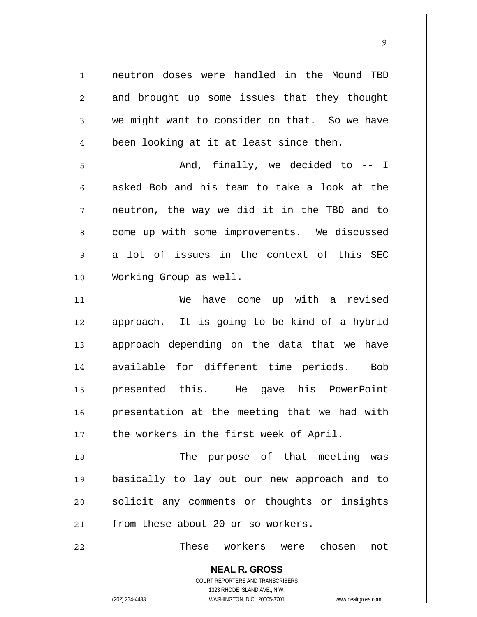1 neutron doses were handled in the Mound TBD and brought up some issues that they thought we might want to consider on that. So we have been looking at it at least since then.

9

5 6 7 8 9 10 And, finally, we decided to -- I asked Bob and his team to take a look at the neutron, the way we did it in the TBD and to come up with some improvements. We discussed a lot of issues in the context of this SEC Working Group as well.

11 12 13 14 15 16 17 We have come up with a revised approach. It is going to be kind of a hybrid approach depending on the data that we have available for different time periods. Bob presented this. He gave his PowerPoint presentation at the meeting that we had with the workers in the first week of April.

18 19 20 21 The purpose of that meeting was basically to lay out our new approach and to solicit any comments or thoughts or insights from these about 20 or so workers.

These workers were chosen not

**NEAL R. GROSS** COURT REPORTERS AND TRANSCRIBERS 1323 RHODE ISLAND AVE., N.W. (202) 234-4433 WASHINGTON, D.C. 20005-3701 www.nealrgross.com

22

2

3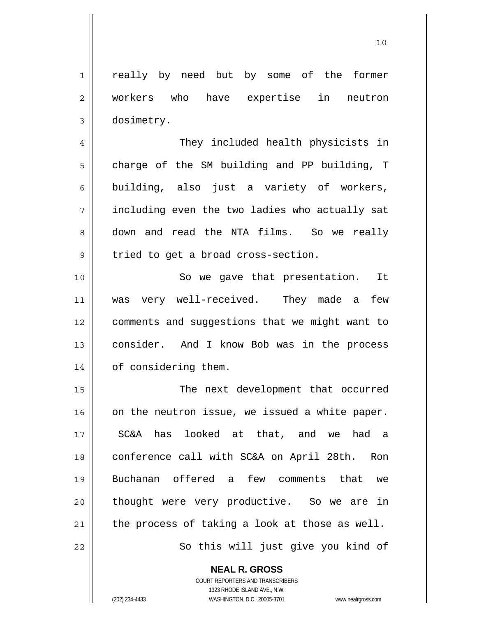1 2 3 really by need but by some of the former workers who have expertise in neutron dosimetry.

 They included health physicists in charge of the SM building and PP building, T building, also just a variety of workers, including even the two ladies who actually sat down and read the NTA films. So we really tried to get a broad cross-section.

10 11 12 13 14 So we gave that presentation. It was very well-received. They made a few comments and suggestions that we might want to consider. And I know Bob was in the process of considering them.

15 16 17 18 19 20 21 22 The next development that occurred on the neutron issue, we issued a white paper. SC&A has looked at that, and we had a conference call with SC&A on April 28th. Ron Buchanan offered a few comments that we thought were very productive. So we are in the process of taking a look at those as well. So this will just give you kind of

> **NEAL R. GROSS** COURT REPORTERS AND TRANSCRIBERS

> > 1323 RHODE ISLAND AVE., N.W.

4

5

6

7

8

9

(202) 234-4433 WASHINGTON, D.C. 20005-3701 www.nealrgross.com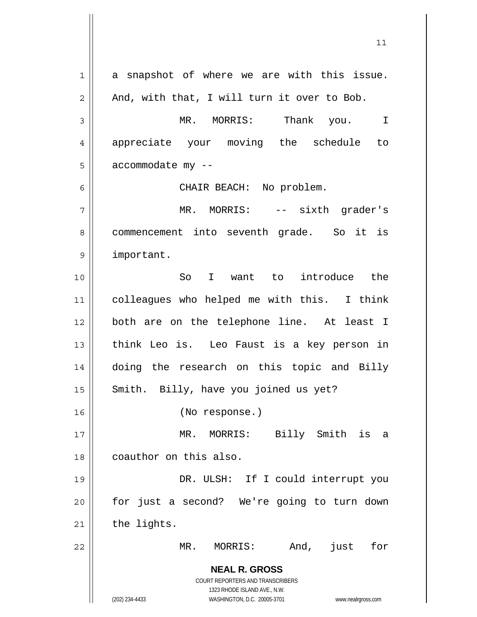**NEAL R. GROSS** COURT REPORTERS AND TRANSCRIBERS 1323 RHODE ISLAND AVE., N.W. (202) 234-4433 WASHINGTON, D.C. 20005-3701 www.nealrgross.com 1 2 3 4 5 6 7 8 9 10 11 12 13 14 15 16 17 18 19 20 21 22 a snapshot of where we are with this issue. And, with that, I will turn it over to Bob. MR. MORRIS: Thank you. I appreciate your moving the schedule to accommodate my -- CHAIR BEACH: No problem. MR. MORRIS: -- sixth grader's commencement into seventh grade. So it is important. So I want to introduce the colleagues who helped me with this. I think both are on the telephone line. At least I think Leo is. Leo Faust is a key person in doing the research on this topic and Billy Smith. Billy, have you joined us yet? (No response.) MR. MORRIS: Billy Smith is a coauthor on this also. DR. ULSH: If I could interrupt you for just a second? We're going to turn down the lights. MR. MORRIS: And, just for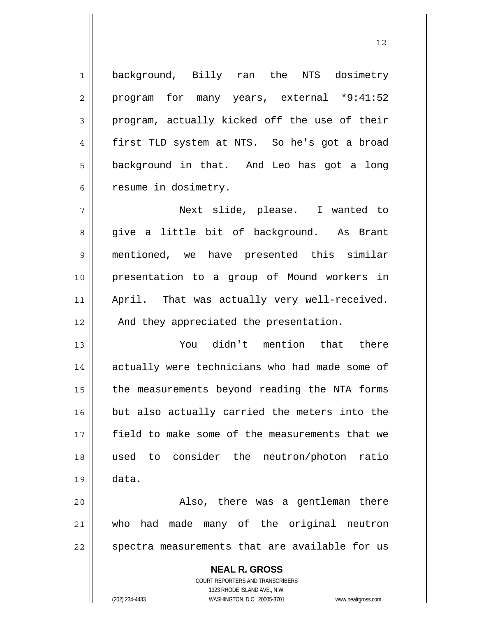background, Billy ran the NTS dosimetry program for many years, external \*9:41:52 program, actually kicked off the use of their first TLD system at NTS. So he's got a broad background in that. And Leo has got a long resume in dosimetry.

12

7 8 9 10 11 12 Next slide, please. I wanted to give a little bit of background. As Brant mentioned, we have presented this similar presentation to a group of Mound workers in April. That was actually very well-received. And they appreciated the presentation.

13 14 15 16 17 18 19 You didn't mention that there actually were technicians who had made some of the measurements beyond reading the NTA forms but also actually carried the meters into the field to make some of the measurements that we used to consider the neutron/photon ratio data.

20 21 22 Also, there was a gentleman there who had made many of the original neutron spectra measurements that are available for us

> **NEAL R. GROSS** COURT REPORTERS AND TRANSCRIBERS 1323 RHODE ISLAND AVE., N.W. (202) 234-4433 WASHINGTON, D.C. 20005-3701 www.nealrgross.com

1

2

3

4

5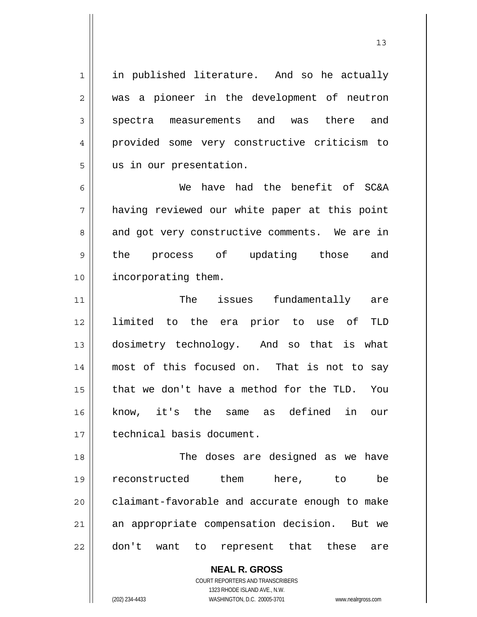1 2 3 4 5 6 7 8 9 10 11 12 13 14 15 16 17 18 19 20 21 22 in published literature. And so he actually was a pioneer in the development of neutron spectra measurements and was there and provided some very constructive criticism to us in our presentation. We have had the benefit of SC&A having reviewed our white paper at this point and got very constructive comments. We are in the process of updating those and incorporating them. The issues fundamentally are limited to the era prior to use of TLD dosimetry technology. And so that is what most of this focused on. That is not to say that we don't have a method for the TLD. You know, it's the same as defined in our technical basis document. The doses are designed as we have reconstructed them here, to be claimant-favorable and accurate enough to make an appropriate compensation decision. But we don't want to represent that these are

13

**NEAL R. GROSS** COURT REPORTERS AND TRANSCRIBERS 1323 RHODE ISLAND AVE., N.W. (202) 234-4433 WASHINGTON, D.C. 20005-3701 www.nealrgross.com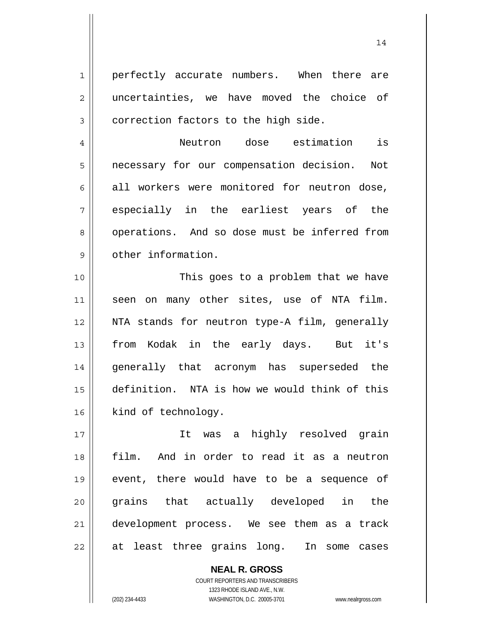perfectly accurate numbers. When there are uncertainties, we have moved the choice of correction factors to the high side.

7 Neutron dose estimation is necessary for our compensation decision. Not all workers were monitored for neutron dose, especially in the earliest years of the operations. And so dose must be inferred from other information.

10 11 12 13 14 15 16 This goes to a problem that we have seen on many other sites, use of NTA film. NTA stands for neutron type-A film, generally from Kodak in the early days. But it's generally that acronym has superseded the definition. NTA is how we would think of this kind of technology.

17 18 19 20 21 22 It was a highly resolved grain film. And in order to read it as a neutron event, there would have to be a sequence of grains that actually developed in the development process. We see them as a track at least three grains long. In some cases

> **NEAL R. GROSS** COURT REPORTERS AND TRANSCRIBERS 1323 RHODE ISLAND AVE., N.W. (202) 234-4433 WASHINGTON, D.C. 20005-3701 www.nealrgross.com

1

2

3

4

5

6

8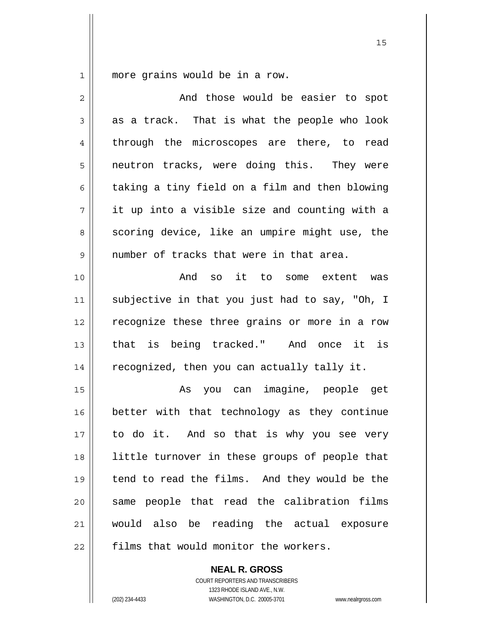1 more grains would be in a row.

| $\overline{2}$ | And those would be easier to spot              |
|----------------|------------------------------------------------|
| 3              | as a track. That is what the people who look   |
| 4              | through the microscopes are there, to read     |
| 5              | neutron tracks, were doing this. They were     |
| 6              | taking a tiny field on a film and then blowing |
| 7              | it up into a visible size and counting with a  |
| 8              | scoring device, like an umpire might use, the  |
| 9              | number of tracks that were in that area.       |
| 10             | And so it to some extent was                   |
| 11             | subjective in that you just had to say, "Oh, I |
| 12             | recognize these three grains or more in a row  |
| 13             | that is being tracked." And once it is         |
| 14             | recognized, then you can actually tally it.    |
| 15             | As you can imagine, people get                 |
| 16             | better with that technology as they continue   |
| 17             | to do it. And so that is why you see very      |
| 18             | little turnover in these groups of people that |
| 19             | tend to read the films. And they would be the  |
| 20             | same people that read the calibration films    |
| 21             | would also be reading the actual exposure      |
| 22             | films that would monitor the workers.          |

**NEAL R. GROSS** COURT REPORTERS AND TRANSCRIBERS

1323 RHODE ISLAND AVE., N.W.

(202) 234-4433 WASHINGTON, D.C. 20005-3701 www.nealrgross.com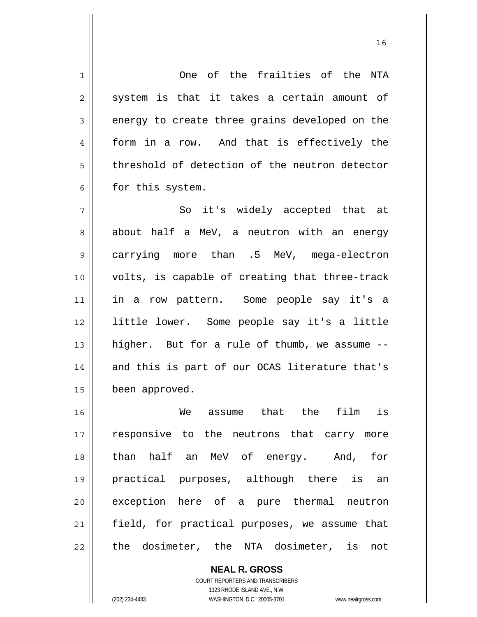1 2 3 4 5 6 7 8 9 One of the frailties of the NTA system is that it takes a certain amount of energy to create three grains developed on the form in a row. And that is effectively the threshold of detection of the neutron detector for this system. So it's widely accepted that at about half a MeV, a neutron with an energy carrying more than .5 MeV, mega-electron

10 11 12 13 14 15 volts, is capable of creating that three-track in a row pattern. Some people say it's a little lower. Some people say it's a little higher. But for a rule of thumb, we assume - and this is part of our OCAS literature that's been approved.

16 17 18 19 20 21 22 We assume that the film is responsive to the neutrons that carry more than half an MeV of energy. And, for practical purposes, although there is an exception here of a pure thermal neutron field, for practical purposes, we assume that the dosimeter, the NTA dosimeter, is not

> **NEAL R. GROSS** COURT REPORTERS AND TRANSCRIBERS 1323 RHODE ISLAND AVE., N.W. (202) 234-4433 WASHINGTON, D.C. 20005-3701 www.nealrgross.com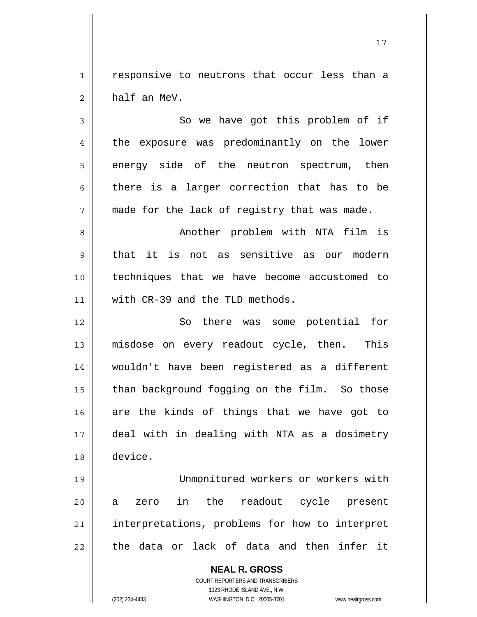1 2 responsive to neutrons that occur less than a half an MeV.

3 4 5 6 7 8 9 10 11 12 13 14 So we have got this problem of if the exposure was predominantly on the lower energy side of the neutron spectrum, then there is a larger correction that has to be made for the lack of registry that was made. Another problem with NTA film is that it is not as sensitive as our modern techniques that we have become accustomed to with CR-39 and the TLD methods. So there was some potential for misdose on every readout cycle, then. This wouldn't have been registered as a different

18 19 20 21 22 deal with in dealing with NTA as a dosimetry device. Unmonitored workers or workers with a zero in the readout cycle present interpretations, problems for how to interpret the data or lack of data and then infer it

than background fogging on the film. So those

are the kinds of things that we have got to

**NEAL R. GROSS** COURT REPORTERS AND TRANSCRIBERS 1323 RHODE ISLAND AVE., N.W. (202) 234-4433 WASHINGTON, D.C. 20005-3701 www.nealrgross.com

15

16

17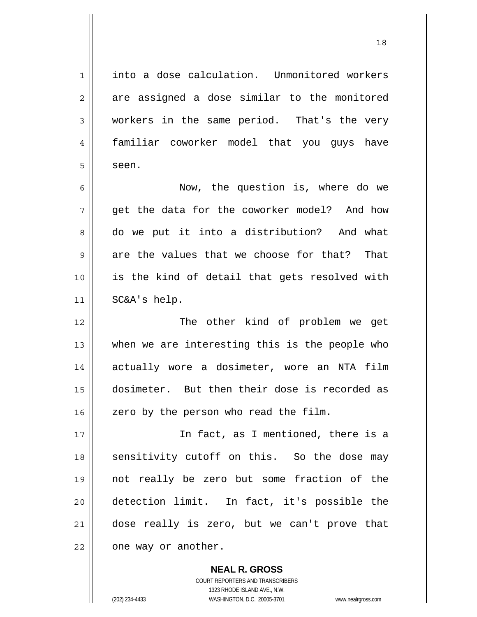1 2 3 4 5 6 7 8 9 10 11 12 13 14 15 16 17 18 19 20 21 22 into a dose calculation. Unmonitored workers are assigned a dose similar to the monitored workers in the same period. That's the very familiar coworker model that you guys have seen. Now, the question is, where do we get the data for the coworker model? And how do we put it into a distribution? And what are the values that we choose for that? That is the kind of detail that gets resolved with SC&A's help. The other kind of problem we get when we are interesting this is the people who actually wore a dosimeter, wore an NTA film dosimeter. But then their dose is recorded as zero by the person who read the film. In fact, as I mentioned, there is a sensitivity cutoff on this. So the dose may not really be zero but some fraction of the detection limit. In fact, it's possible the dose really is zero, but we can't prove that one way or another.

18

**NEAL R. GROSS** COURT REPORTERS AND TRANSCRIBERS 1323 RHODE ISLAND AVE., N.W. (202) 234-4433 WASHINGTON, D.C. 20005-3701 www.nealrgross.com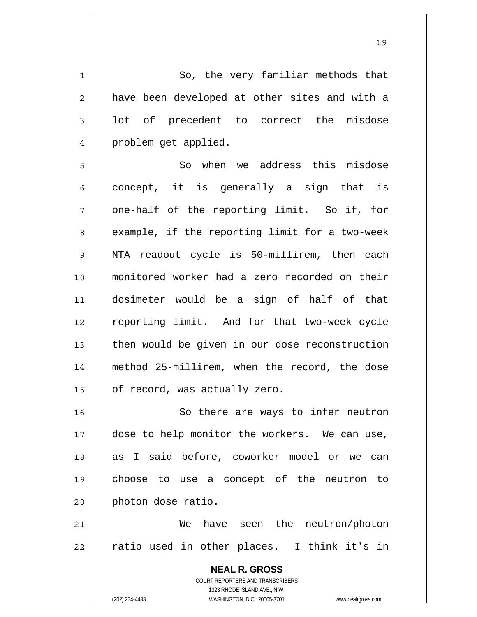**NEAL R. GROSS** COURT REPORTERS AND TRANSCRIBERS 1323 RHODE ISLAND AVE., N.W. 1 2 3 4 5 6 7 8 9 10 11 12 13 14 15 16 17 18 19 20 21 22 So, the very familiar methods that have been developed at other sites and with a lot of precedent to correct the misdose problem get applied. So when we address this misdose concept, it is generally a sign that is one-half of the reporting limit. So if, for example, if the reporting limit for a two-week NTA readout cycle is 50-millirem, then each monitored worker had a zero recorded on their dosimeter would be a sign of half of that reporting limit. And for that two-week cycle then would be given in our dose reconstruction method 25-millirem, when the record, the dose of record, was actually zero. So there are ways to infer neutron dose to help monitor the workers. We can use, as I said before, coworker model or we can choose to use a concept of the neutron to photon dose ratio. We have seen the neutron/photon ratio used in other places. I think it's in

19

(202) 234-4433 WASHINGTON, D.C. 20005-3701 www.nealrgross.com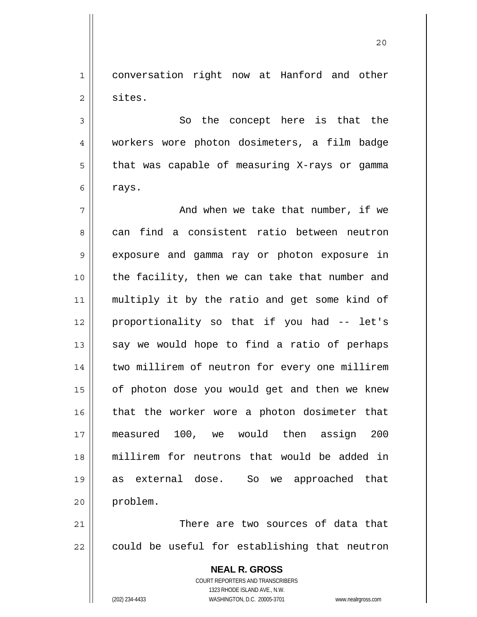1 2 conversation right now at Hanford and other sites.

 So the concept here is that the workers wore photon dosimeters, a film badge that was capable of measuring X-rays or gamma rays.

7 8 9 10 11 12 13 14 15 16 17 18 19 20 And when we take that number, if we can find a consistent ratio between neutron exposure and gamma ray or photon exposure in the facility, then we can take that number and multiply it by the ratio and get some kind of proportionality so that if you had -- let's say we would hope to find a ratio of perhaps two millirem of neutron for every one millirem of photon dose you would get and then we knew that the worker wore a photon dosimeter that measured 100, we would then assign 200 millirem for neutrons that would be added in as external dose. So we approached that problem.

21 22 There are two sources of data that could be useful for establishing that neutron

> **NEAL R. GROSS** COURT REPORTERS AND TRANSCRIBERS 1323 RHODE ISLAND AVE., N.W. (202) 234-4433 WASHINGTON, D.C. 20005-3701 www.nealrgross.com

3

4

5

6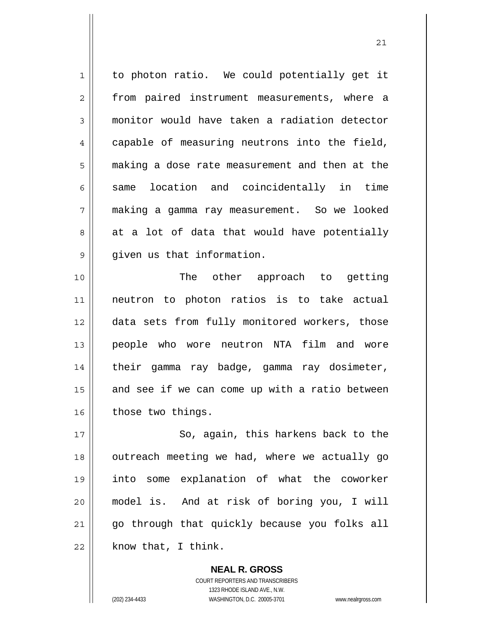1 2 3 4 5 6 7 8 9 10 11 12 13 14 15 16 17 to photon ratio. We could potentially get it from paired instrument measurements, where a monitor would have taken a radiation detector capable of measuring neutrons into the field, making a dose rate measurement and then at the same location and coincidentally in time making a gamma ray measurement. So we looked at a lot of data that would have potentially given us that information. The other approach to getting neutron to photon ratios is to take actual data sets from fully monitored workers, those people who wore neutron NTA film and wore their gamma ray badge, gamma ray dosimeter, and see if we can come up with a ratio between those two things. So, again, this harkens back to the

21

18 19 20 21 22 outreach meeting we had, where we actually go into some explanation of what the coworker model is. And at risk of boring you, I will go through that quickly because you folks all know that, I think.

> **NEAL R. GROSS** COURT REPORTERS AND TRANSCRIBERS 1323 RHODE ISLAND AVE., N.W. (202) 234-4433 WASHINGTON, D.C. 20005-3701 www.nealrgross.com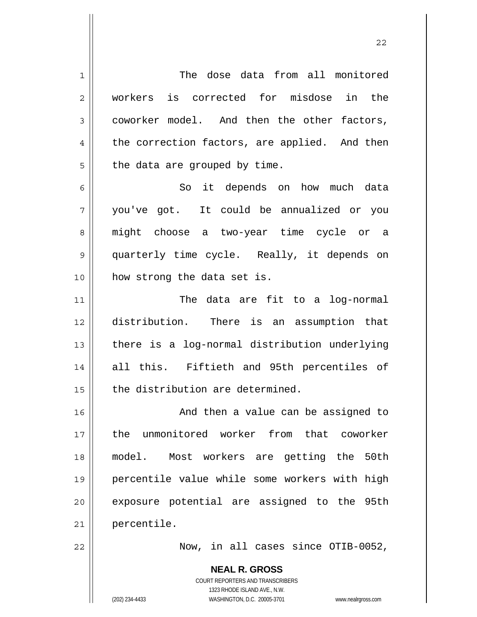**NEAL R. GROSS** 1 2 3 4 5 6 7 8 9 10 11 12 13 14 15 16 17 18 19 20 21 22 The dose data from all monitored workers is corrected for misdose in the coworker model. And then the other factors, the correction factors, are applied. And then the data are grouped by time. So it depends on how much data you've got. It could be annualized or you might choose a two-year time cycle or a quarterly time cycle. Really, it depends on how strong the data set is. The data are fit to a log-normal distribution. There is an assumption that there is a log-normal distribution underlying all this. Fiftieth and 95th percentiles of the distribution are determined. And then a value can be assigned to the unmonitored worker from that coworker model. Most workers are getting the 50th percentile value while some workers with high exposure potential are assigned to the 95th percentile. Now, in all cases since OTIB-0052,

22

COURT REPORTERS AND TRANSCRIBERS 1323 RHODE ISLAND AVE., N.W.

(202) 234-4433 WASHINGTON, D.C. 20005-3701 www.nealrgross.com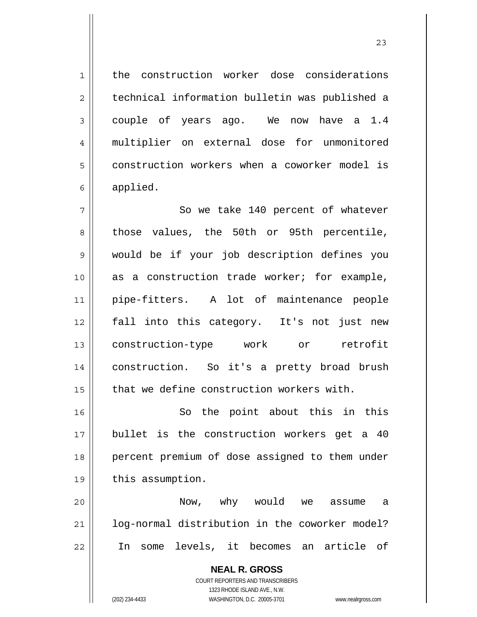the construction worker dose considerations technical information bulletin was published a couple of years ago. We now have a 1.4 multiplier on external dose for unmonitored construction workers when a coworker model is applied.

7 8 9 10 11 12 13 14 15 So we take 140 percent of whatever those values, the 50th or 95th percentile, would be if your job description defines you as a construction trade worker; for example, pipe-fitters. A lot of maintenance people fall into this category. It's not just new construction-type work or retrofit construction. So it's a pretty broad brush that we define construction workers with.

16 17 18 19 So the point about this in this bullet is the construction workers get a 40 percent premium of dose assigned to them under this assumption.

20 21 22 Now, why would we assume a log-normal distribution in the coworker model? In some levels, it becomes an article of

> **NEAL R. GROSS** COURT REPORTERS AND TRANSCRIBERS 1323 RHODE ISLAND AVE., N.W. (202) 234-4433 WASHINGTON, D.C. 20005-3701 www.nealrgross.com

1

2

3

4

5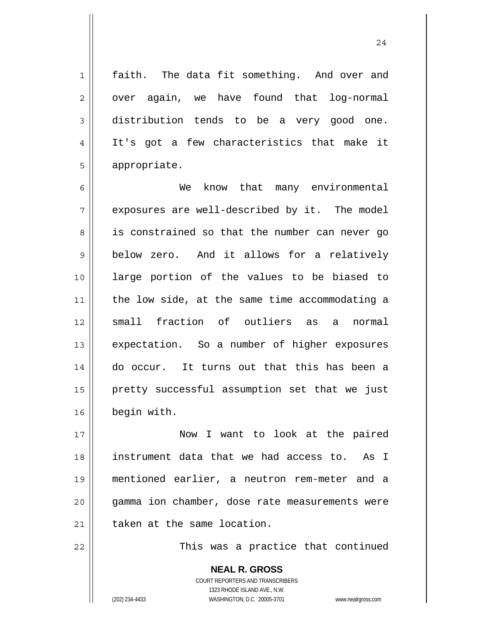24

faith. The data fit something. And over and over again, we have found that log-normal distribution tends to be a very good one. It's got a few characteristics that make it appropriate.

6 7 8 9 10 11 12 13 14 15 16 We know that many environmental exposures are well-described by it. The model is constrained so that the number can never go below zero. And it allows for a relatively large portion of the values to be biased to the low side, at the same time accommodating a small fraction of outliers as a normal expectation. So a number of higher exposures do occur. It turns out that this has been a pretty successful assumption set that we just begin with.

17 18 19 20 21 Now I want to look at the paired instrument data that we had access to. As I mentioned earlier, a neutron rem-meter and a gamma ion chamber, dose rate measurements were taken at the same location.

22

1

2

3

4

5

This was a practice that continued

**NEAL R. GROSS** COURT REPORTERS AND TRANSCRIBERS 1323 RHODE ISLAND AVE., N.W. (202) 234-4433 WASHINGTON, D.C. 20005-3701 www.nealrgross.com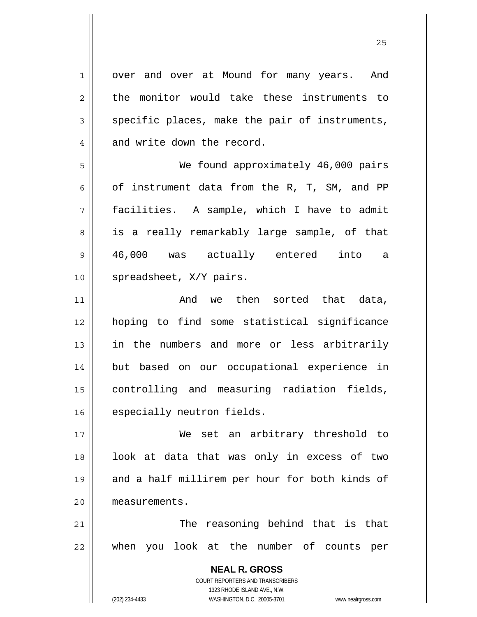**NEAL R. GROSS** COURT REPORTERS AND TRANSCRIBERS 1323 RHODE ISLAND AVE., N.W. 1 2 3 4 5 6 7 8 9 10 11 12 13 14 15 16 17 18 19 20 21 22 over and over at Mound for many years. And the monitor would take these instruments to specific places, make the pair of instruments, and write down the record. We found approximately 46,000 pairs of instrument data from the R, T, SM, and PP facilities. A sample, which I have to admit is a really remarkably large sample, of that 46,000 was actually entered into a spreadsheet, X/Y pairs. And we then sorted that data, hoping to find some statistical significance in the numbers and more or less arbitrarily but based on our occupational experience in controlling and measuring radiation fields, especially neutron fields. We set an arbitrary threshold to look at data that was only in excess of two and a half millirem per hour for both kinds of measurements. The reasoning behind that is that when you look at the number of counts per

<u>25</u>

(202) 234-4433 WASHINGTON, D.C. 20005-3701 www.nealrgross.com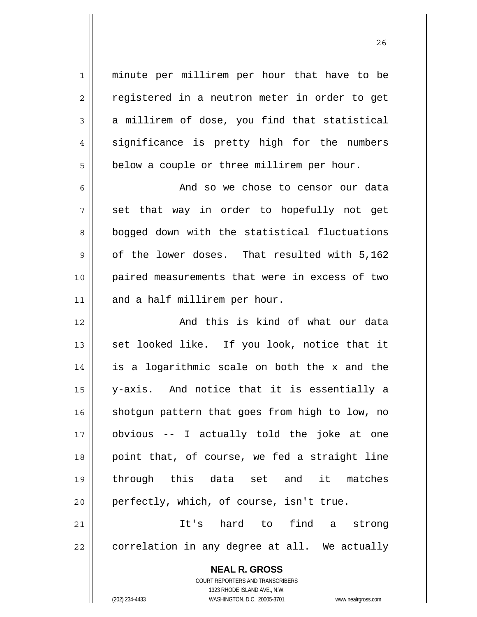minute per millirem per hour that have to be registered in a neutron meter in order to get a millirem of dose, you find that statistical significance is pretty high for the numbers below a couple or three millirem per hour.

6 7 8 9 10 11 And so we chose to censor our data set that way in order to hopefully not get bogged down with the statistical fluctuations of the lower doses. That resulted with 5,162 paired measurements that were in excess of two and a half millirem per hour.

12 13 14 15 16 17 18 19 20 And this is kind of what our data set looked like. If you look, notice that it is a logarithmic scale on both the x and the y-axis. And notice that it is essentially a shotgun pattern that goes from high to low, no obvious -- I actually told the joke at one point that, of course, we fed a straight line through this data set and it matches perfectly, which, of course, isn't true.

21 22 It's hard to find a strong correlation in any degree at all. We actually

> **NEAL R. GROSS** COURT REPORTERS AND TRANSCRIBERS

1

2

3

4

5

1323 RHODE ISLAND AVE., N.W. (202) 234-4433 WASHINGTON, D.C. 20005-3701 www.nealrgross.com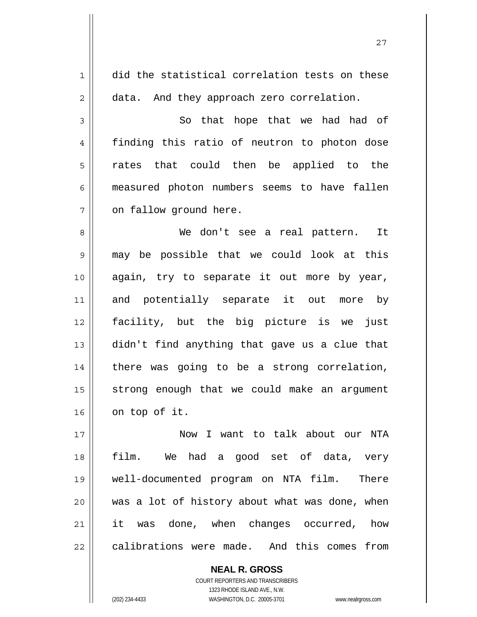| $\mathbf{1}$   | did the statistical correlation tests on these |
|----------------|------------------------------------------------|
| $\overline{2}$ | data. And they approach zero correlation.      |
| 3              | So that hope that we had had of                |
| $\overline{4}$ | finding this ratio of neutron to photon dose   |
| 5              | rates that could then be applied to the        |
| 6              | measured photon numbers seems to have fallen   |
| 7              | on fallow ground here.                         |
| 8              | We don't see a real pattern. It                |
| 9              | may be possible that we could look at this     |
| 10             | again, try to separate it out more by year,    |
| 11             | and potentially separate it out more by        |
| 12             | facility, but the big picture is we just       |
| 13             | didn't find anything that gave us a clue that  |
| 14             | there was going to be a strong correlation,    |
| 15             | strong enough that we could make an argument   |
| 16             | on top of it.                                  |
| 17             | Now I want to talk about our NTA               |
| 18             | film. We had a good set of data, very          |
| 19             | well-documented program on NTA film. There     |
| 20             | was a lot of history about what was done, when |
| 21             | it was done, when changes occurred, how        |
| 22             | calibrations were made. And this comes from    |

**NEAL R. GROSS** COURT REPORTERS AND TRANSCRIBERS

1323 RHODE ISLAND AVE., N.W.

(202) 234-4433 WASHINGTON, D.C. 20005-3701 www.nealrgross.com

 $\mathsf{II}$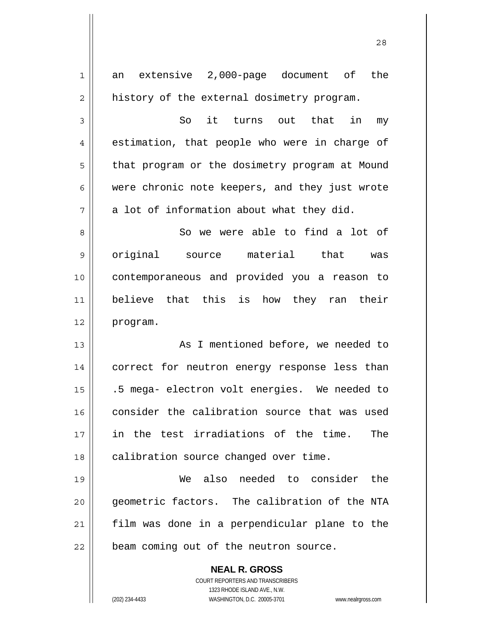| 1  | extensive 2,000-page document of the<br>an                          |
|----|---------------------------------------------------------------------|
| 2  | history of the external dosimetry program.                          |
| 3  | it turns out<br>So<br>that<br>in<br>my                              |
| 4  | estimation, that people who were in charge of                       |
| 5  | that program or the dosimetry program at Mound                      |
| 6  | were chronic note keepers, and they just wrote                      |
| 7  | a lot of information about what they did.                           |
| 8  | So we were able to find a lot of                                    |
| 9  | original source material that was                                   |
| 10 | contemporaneous and provided you a reason to                        |
| 11 | believe that this is how they ran their                             |
| 12 | program.                                                            |
| 13 | As I mentioned before, we needed to                                 |
| 14 | correct for neutron energy response less than                       |
| 15 | .5 mega- electron volt energies. We needed to                       |
| 16 | consider the calibration source that was used                       |
| 17 | in the test irradiations of the time.<br>The                        |
| 18 | calibration source changed over time.                               |
| 19 | We also needed to consider the                                      |
| 20 | geometric factors. The calibration of the NTA                       |
| 21 | film was done in a perpendicular plane to the                       |
| 22 | beam coming out of the neutron source.                              |
|    | <b>NEAL R. GROSS</b>                                                |
|    | COURT REPORTERS AND TRANSCRIBERS                                    |
|    | 1323 RHODE ISLAND AVE., N.W.                                        |
|    | (202) 234-4433<br>WASHINGTON, D.C. 20005-3701<br>www.nealrgross.com |

28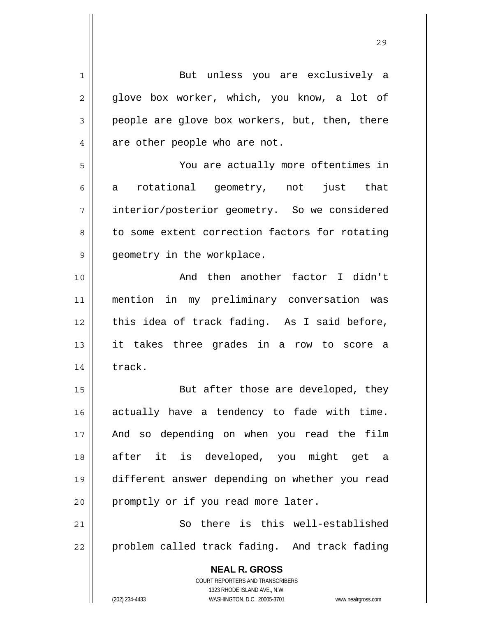| $\mathbf 1$ | But unless you are exclusively a                                    |
|-------------|---------------------------------------------------------------------|
| 2           | glove box worker, which, you know, a lot of                         |
| 3           | people are glove box workers, but, then, there                      |
| 4           | are other people who are not.                                       |
| 5           | You are actually more oftentimes in                                 |
| 6           | rotational geometry, not just that<br>a                             |
| 7           | interior/posterior geometry. So we considered                       |
| 8           | to some extent correction factors for rotating                      |
| 9           | geometry in the workplace.                                          |
| 10          | And then another factor I didn't                                    |
| 11          | mention in my preliminary conversation was                          |
| 12          | this idea of track fading. As I said before,                        |
| 13          | it takes three grades in a row to score a                           |
| 14          | track.                                                              |
| 15          | But after those are developed, they                                 |
| 16          | actually have a tendency to fade with time.                         |
| 17          | And so depending on when you read the film                          |
| 18          | after it is developed, you might get a                              |
| 19          | different answer depending on whether you read                      |
| 20          | promptly or if you read more later.                                 |
| 21          | So there is this well-established                                   |
| 22          | problem called track fading. And track fading                       |
|             | <b>NEAL R. GROSS</b>                                                |
|             | <b>COURT REPORTERS AND TRANSCRIBERS</b>                             |
|             | 1323 RHODE ISLAND AVE., N.W.                                        |
|             | (202) 234-4433<br>WASHINGTON, D.C. 20005-3701<br>www.nealrgross.com |

<u>29</u>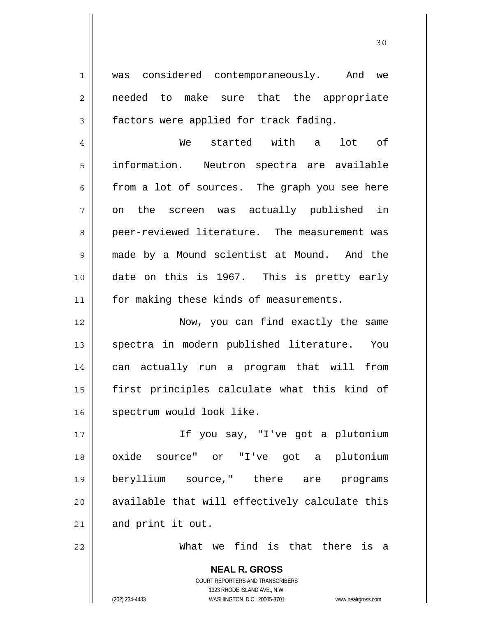was considered contemporaneously. And we needed to make sure that the appropriate factors were applied for track fading.

30

4 5 6 7 8 9 10 11 We started with a lot of information. Neutron spectra are available from a lot of sources. The graph you see here on the screen was actually published in peer-reviewed literature. The measurement was made by a Mound scientist at Mound. And the date on this is 1967. This is pretty early for making these kinds of measurements.

12 13 14 15 16 Now, you can find exactly the same spectra in modern published literature. You can actually run a program that will from first principles calculate what this kind of spectrum would look like.

17 18 19 20 21 If you say, "I've got a plutonium oxide source" or "I've got a plutonium beryllium source," there are programs available that will effectively calculate this and print it out.

What we find is that there is a

**NEAL R. GROSS** COURT REPORTERS AND TRANSCRIBERS 1323 RHODE ISLAND AVE., N.W. (202) 234-4433 WASHINGTON, D.C. 20005-3701 www.nealrgross.com

22

1

2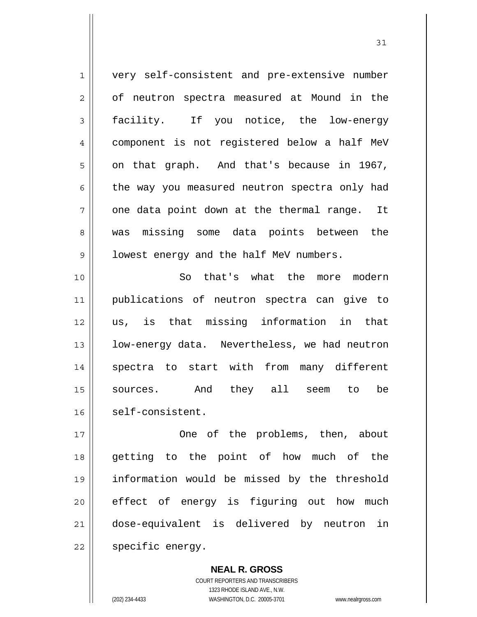1 2 3 4 5 6 7 8 9 10 11 12 13 very self-consistent and pre-extensive number of neutron spectra measured at Mound in the facility. If you notice, the low-energy component is not registered below a half MeV on that graph. And that's because in 1967, the way you measured neutron spectra only had one data point down at the thermal range. It was missing some data points between the lowest energy and the half MeV numbers. So that's what the more modern publications of neutron spectra can give to us, is that missing information in that low-energy data. Nevertheless, we had neutron

14 15 16 spectra to start with from many different sources. And they all seem to be self-consistent.

17 18 19 20 21 22 One of the problems, then, about getting to the point of how much of the information would be missed by the threshold effect of energy is figuring out how much dose-equivalent is delivered by neutron in specific energy.

> **NEAL R. GROSS** COURT REPORTERS AND TRANSCRIBERS 1323 RHODE ISLAND AVE., N.W. (202) 234-4433 WASHINGTON, D.C. 20005-3701 www.nealrgross.com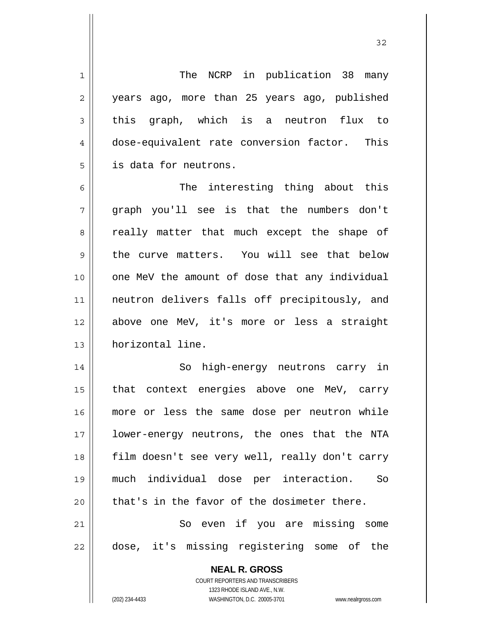**NEAL R. GROSS** 1 2 3 4 5 6 7 8 9 10 11 12 13 14 15 16 17 18 19 20 21 22 The NCRP in publication 38 many years ago, more than 25 years ago, published this graph, which is a neutron flux to dose-equivalent rate conversion factor. This is data for neutrons. The interesting thing about this graph you'll see is that the numbers don't really matter that much except the shape of the curve matters. You will see that below one MeV the amount of dose that any individual neutron delivers falls off precipitously, and above one MeV, it's more or less a straight horizontal line. So high-energy neutrons carry in that context energies above one MeV, carry more or less the same dose per neutron while lower-energy neutrons, the ones that the NTA film doesn't see very well, really don't carry much individual dose per interaction. So that's in the favor of the dosimeter there. So even if you are missing some dose, it's missing registering some of the

> COURT REPORTERS AND TRANSCRIBERS 1323 RHODE ISLAND AVE., N.W.

(202) 234-4433 WASHINGTON, D.C. 20005-3701 www.nealrgross.com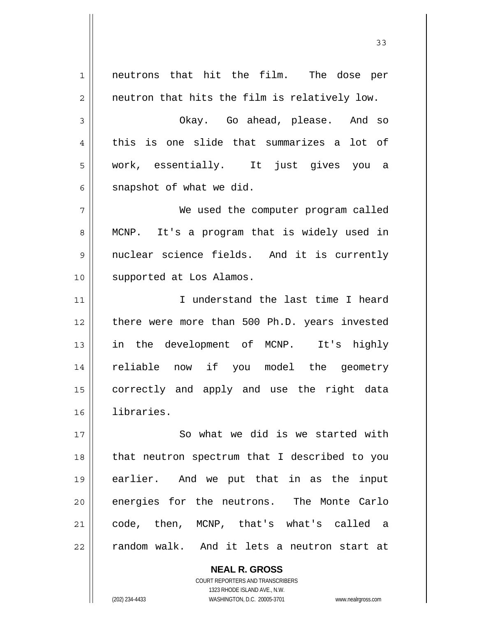1 2 3 4 5 6 7 8 9 10 11 12 13 14 15 16 17 18 19 20 21 22 neutrons that hit the film. The dose per neutron that hits the film is relatively low. Okay. Go ahead, please. And so this is one slide that summarizes a lot of work, essentially. It just gives you a snapshot of what we did. We used the computer program called MCNP. It's a program that is widely used in nuclear science fields. And it is currently supported at Los Alamos. I understand the last time I heard there were more than 500 Ph.D. years invested in the development of MCNP. It's highly reliable now if you model the geometry correctly and apply and use the right data libraries. So what we did is we started with that neutron spectrum that I described to you earlier. And we put that in as the input energies for the neutrons. The Monte Carlo code, then, MCNP, that's what's called a random walk. And it lets a neutron start at

33

COURT REPORTERS AND TRANSCRIBERS 1323 RHODE ISLAND AVE., N.W. (202) 234-4433 WASHINGTON, D.C. 20005-3701 www.nealrgross.com

**NEAL R. GROSS**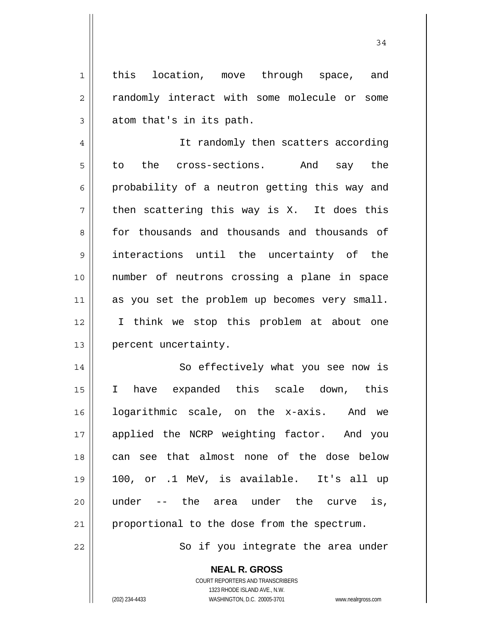this location, move through space, and randomly interact with some molecule or some atom that's in its path.

34

4 5 6 7 8 9 10 11 12 13 It randomly then scatters according to the cross-sections. And say the probability of a neutron getting this way and then scattering this way is X. It does this for thousands and thousands and thousands of interactions until the uncertainty of the number of neutrons crossing a plane in space as you set the problem up becomes very small. I think we stop this problem at about one percent uncertainty.

14 15 16 17 18 19 20 21 So effectively what you see now is I have expanded this scale down, this logarithmic scale, on the x-axis. And we applied the NCRP weighting factor. And you can see that almost none of the dose below 100, or .1 MeV, is available. It's all up under -- the area under the curve is, proportional to the dose from the spectrum.

So if you integrate the area under

**NEAL R. GROSS** COURT REPORTERS AND TRANSCRIBERS

22

1

2

3

1323 RHODE ISLAND AVE., N.W. (202) 234-4433 WASHINGTON, D.C. 20005-3701 www.nealrgross.com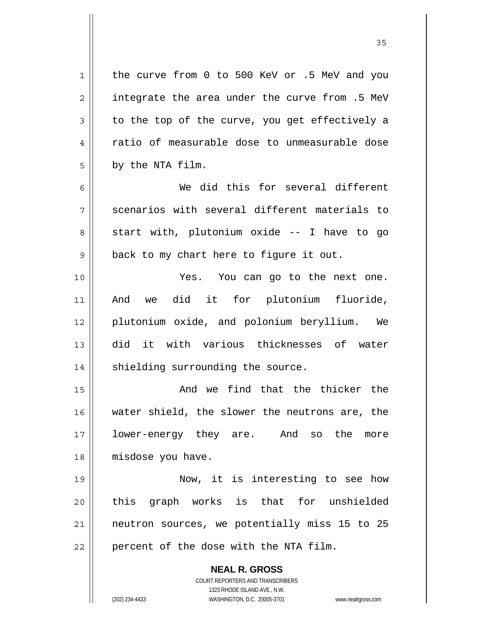**NEAL R. GROSS** 1 2 3 4 5 6 7 8 9 10 11 12 13 14 15 16 17 18 19 20 21 22 the curve from 0 to 500 KeV or .5 MeV and you integrate the area under the curve from .5 MeV to the top of the curve, you get effectively a ratio of measurable dose to unmeasurable dose by the NTA film. We did this for several different scenarios with several different materials to start with, plutonium oxide -- I have to go back to my chart here to figure it out. Yes. You can go to the next one. And we did it for plutonium fluoride, plutonium oxide, and polonium beryllium. We did it with various thicknesses of water shielding surrounding the source. And we find that the thicker the water shield, the slower the neutrons are, the lower-energy they are. And so the more misdose you have. Now, it is interesting to see how this graph works is that for unshielded neutron sources, we potentially miss 15 to 25 percent of the dose with the NTA film.

<u>35 and 2012</u>

COURT REPORTERS AND TRANSCRIBERS 1323 RHODE ISLAND AVE., N.W.

(202) 234-4433 WASHINGTON, D.C. 20005-3701 www.nealrgross.com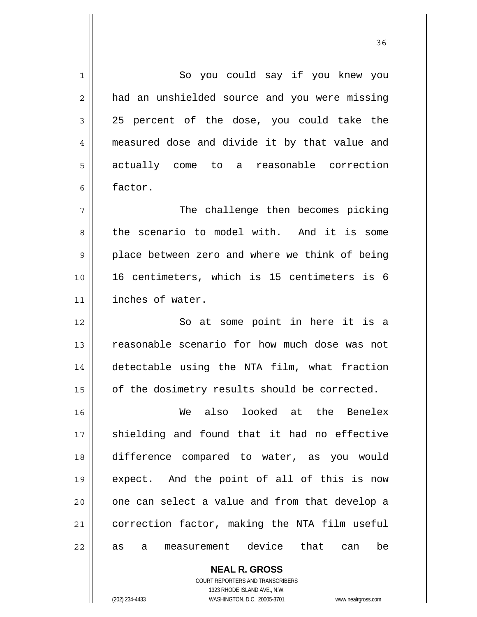1 2 3 4 5 6 7 8 9 10 11 12 13 14 15 16 17 18 19 20 21 22 So you could say if you knew you had an unshielded source and you were missing 25 percent of the dose, you could take the measured dose and divide it by that value and actually come to a reasonable correction factor. The challenge then becomes picking the scenario to model with. And it is some place between zero and where we think of being 16 centimeters, which is 15 centimeters is 6 inches of water. So at some point in here it is a reasonable scenario for how much dose was not detectable using the NTA film, what fraction of the dosimetry results should be corrected. We also looked at the Benelex shielding and found that it had no effective difference compared to water, as you would expect. And the point of all of this is now one can select a value and from that develop a correction factor, making the NTA film useful as a measurement device that can be

> **NEAL R. GROSS** COURT REPORTERS AND TRANSCRIBERS

> > 1323 RHODE ISLAND AVE., N.W.

(202) 234-4433 WASHINGTON, D.C. 20005-3701 www.nealrgross.com

<u>36 and 36</u>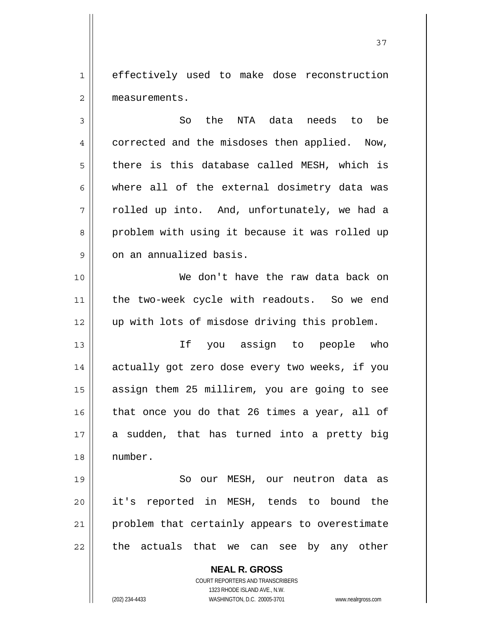1 2 effectively used to make dose reconstruction measurements.

3 4 5 6 7 8 9 So the NTA data needs to be corrected and the misdoses then applied. Now, there is this database called MESH, which is where all of the external dosimetry data was rolled up into. And, unfortunately, we had a problem with using it because it was rolled up on an annualized basis.

 We don't have the raw data back on the two-week cycle with readouts. So we end up with lots of misdose driving this problem.

13 14 15 16 17 18 If you assign to people who actually got zero dose every two weeks, if you assign them 25 millirem, you are going to see that once you do that 26 times a year, all of a sudden, that has turned into a pretty big number.

19 20 21 22 So our MESH, our neutron data as it's reported in MESH, tends to bound the problem that certainly appears to overestimate the actuals that we can see by any other

> **NEAL R. GROSS** COURT REPORTERS AND TRANSCRIBERS 1323 RHODE ISLAND AVE., N.W. (202) 234-4433 WASHINGTON, D.C. 20005-3701 www.nealrgross.com

10

11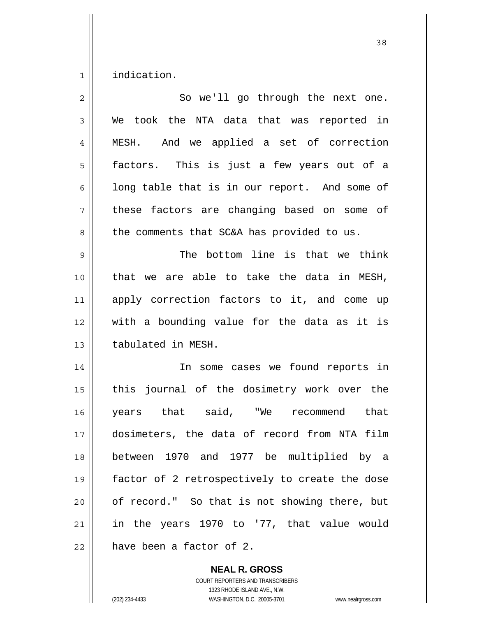1 indication.

| $\overline{c}$ | So we'll go through the next one.              |
|----------------|------------------------------------------------|
| 3              | We took the NTA data that was reported in      |
| 4              | And we applied a set of correction<br>MESH.    |
| 5              | factors. This is just a few years out of a     |
| 6              | long table that is in our report. And some of  |
| 7              | these factors are changing based on some of    |
| 8              | the comments that SC&A has provided to us.     |
| 9              | The bottom line is that we think               |
| 10             | that we are able to take the data in MESH,     |
| 11             | apply correction factors to it, and come up    |
| 12             | with a bounding value for the data as it is    |
| 13             | tabulated in MESH.                             |
| 14             | In some cases we found reports in              |
| 15             | this journal of the dosimetry work over the    |
| 16             | years that said, "We recommend<br>that         |
| 17             | dosimeters, the data of record from NTA film   |
| 18             | between 1970 and 1977 be multiplied by a       |
| 19             | factor of 2 retrospectively to create the dose |
| 20             | of record." So that is not showing there, but  |
| 21             | in the years 1970 to '77, that value would     |
| 22             | have been a factor of 2.                       |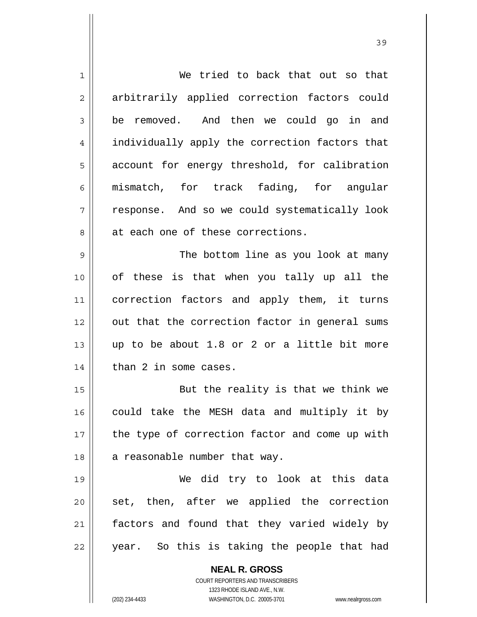| $\mathbf{1}$   | We tried to back that out so that                                   |
|----------------|---------------------------------------------------------------------|
| $\overline{2}$ | arbitrarily applied correction factors could                        |
| 3              | be removed. And then we could go in and                             |
| 4              | individually apply the correction factors that                      |
| 5              | account for energy threshold, for calibration                       |
| 6              | mismatch, for track fading, for angular                             |
| 7              | response. And so we could systematically look                       |
| 8              | at each one of these corrections.                                   |
| $\mathsf 9$    | The bottom line as you look at many                                 |
| 10             | of these is that when you tally up all the                          |
| 11             | correction factors and apply them, it turns                         |
| 12             | out that the correction factor in general sums                      |
| 13             | up to be about 1.8 or 2 or a little bit more                        |
| 14             | than 2 in some cases.                                               |
| 15             | But the reality is that we think we                                 |
| 16             | could take the MESH data and multiply it by                         |
| 17             | the type of correction factor and come up with                      |
| 18             | a reasonable number that way.                                       |
| 19             | We did try to look at this data                                     |
| 20             | set, then, after we applied the correction                          |
| 21             | factors and found that they varied widely by                        |
| 22             | year. So this is taking the people that had                         |
|                | <b>NEAL R. GROSS</b>                                                |
|                | <b>COURT REPORTERS AND TRANSCRIBERS</b>                             |
|                | 1323 RHODE ISLAND AVE., N.W.                                        |
|                | (202) 234-4433<br>WASHINGTON, D.C. 20005-3701<br>www.nealrgross.com |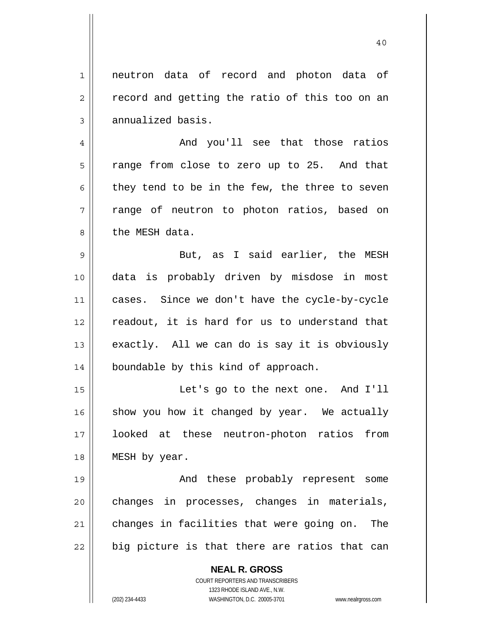1 2 3 neutron data of record and photon data of record and getting the ratio of this too on an annualized basis.

40

4 5 6 7 8 And you'll see that those ratios range from close to zero up to 25. And that they tend to be in the few, the three to seven range of neutron to photon ratios, based on the MESH data.

9 10 11 12 13 14 But, as I said earlier, the MESH data is probably driven by misdose in most cases. Since we don't have the cycle-by-cycle readout, it is hard for us to understand that exactly. All we can do is say it is obviously boundable by this kind of approach.

15 16 17 18 Let's go to the next one. And I'll show you how it changed by year. We actually looked at these neutron-photon ratios from MESH by year.

19 20 21 22 And these probably represent some changes in processes, changes in materials, changes in facilities that were going on. The big picture is that there are ratios that can

> **NEAL R. GROSS** COURT REPORTERS AND TRANSCRIBERS 1323 RHODE ISLAND AVE., N.W.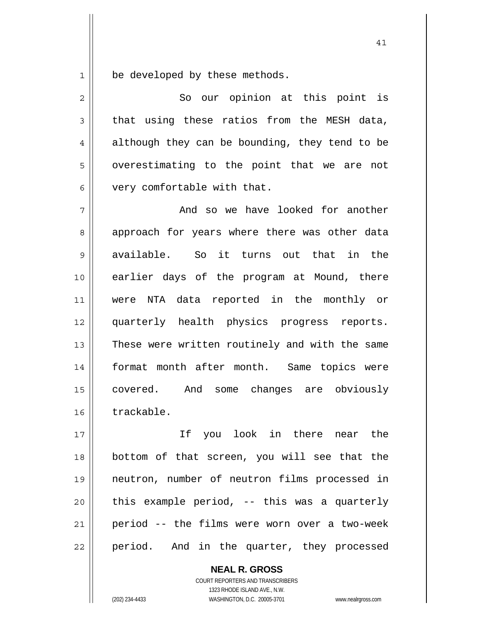1 be developed by these methods.

| $\overline{2}$ | So our opinion at this point is                |
|----------------|------------------------------------------------|
| 3              | that using these ratios from the MESH data,    |
| 4              | although they can be bounding, they tend to be |
| 5              | overestimating to the point that we are not    |
| 6              | very comfortable with that.                    |
| 7              | And so we have looked for another              |
| 8              | approach for years where there was other data  |
| 9              | available.<br>So it turns out that in<br>the   |
| 10             | earlier days of the program at Mound, there    |
| 11             | were NTA data reported in the monthly or       |
| 12             | quarterly health physics progress reports.     |
| 13             | These were written routinely and with the same |
| 14             | format month after month. Same topics were     |
| 15             | covered. And some changes are obviously        |
| 16             | trackable.                                     |
| 17             | look in there<br>Ιf<br>near the<br>you         |
| 18             | bottom of that screen, you will see that the   |
| 19             | neutron, number of neutron films processed in  |

41

20 21 22 this example period, -- this was a quarterly period -- the films were worn over a two-week period. And in the quarter, they processed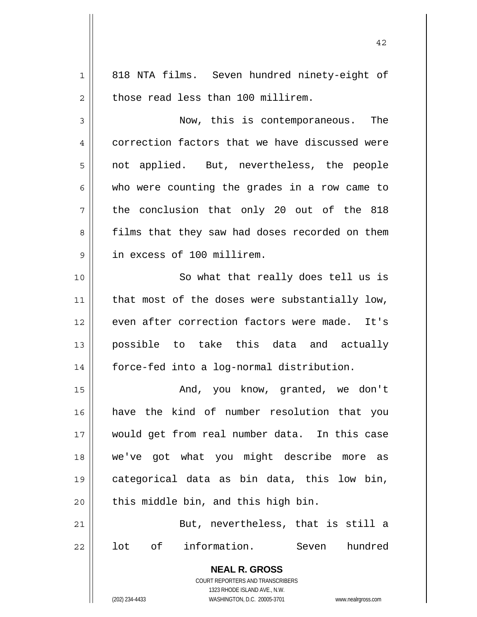1 2 3 4 5 6 7 8 9 10 11 12 13 14 15 16 17 18 19 20 21 22 818 NTA films. Seven hundred ninety-eight of those read less than 100 millirem. Now, this is contemporaneous. The correction factors that we have discussed were not applied. But, nevertheless, the people who were counting the grades in a row came to the conclusion that only 20 out of the 818 films that they saw had doses recorded on them in excess of 100 millirem. So what that really does tell us is that most of the doses were substantially low, even after correction factors were made. It's possible to take this data and actually force-fed into a log-normal distribution. And, you know, granted, we don't have the kind of number resolution that you would get from real number data. In this case we've got what you might describe more as categorical data as bin data, this low bin, this middle bin, and this high bin. But, nevertheless, that is still a lot of information. Seven hundred

42

**NEAL R. GROSS** COURT REPORTERS AND TRANSCRIBERS 1323 RHODE ISLAND AVE., N.W.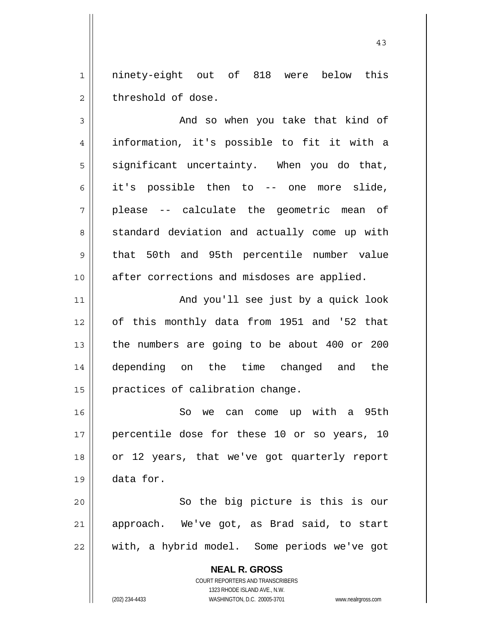1 2 ninety-eight out of 818 were below this threshold of dose.

3 4 5 6 7 8 9 10 11 12 13 14 15 And so when you take that kind of information, it's possible to fit it with a significant uncertainty. When you do that, it's possible then to -- one more slide, please -- calculate the geometric mean of standard deviation and actually come up with that 50th and 95th percentile number value after corrections and misdoses are applied. And you'll see just by a quick look of this monthly data from 1951 and '52 that the numbers are going to be about 400 or 200 depending on the time changed and the practices of calibration change.

16 17 18 19 So we can come up with a 95th percentile dose for these 10 or so years, 10 or 12 years, that we've got quarterly report data for.

20 21 22 So the big picture is this is our approach. We've got, as Brad said, to start with, a hybrid model. Some periods we've got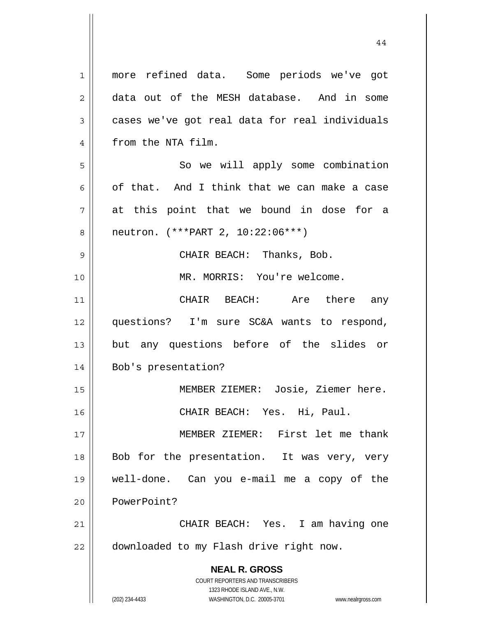**NEAL R. GROSS** COURT REPORTERS AND TRANSCRIBERS 1323 RHODE ISLAND AVE., N.W. 1 2 3 4 5 6 7 8 9 10 11 12 13 14 15 16 17 18 19 20 21 22 more refined data. Some periods we've got data out of the MESH database. And in some cases we've got real data for real individuals from the NTA film. So we will apply some combination of that. And I think that we can make a case at this point that we bound in dose for a neutron. (\*\*\*PART 2, 10:22:06\*\*\*) CHAIR BEACH: Thanks, Bob. MR. MORRIS: You're welcome. CHAIR BEACH: Are there any questions? I'm sure SC&A wants to respond, but any questions before of the slides or Bob's presentation? MEMBER ZIEMER: Josie, Ziemer here. CHAIR BEACH: Yes. Hi, Paul. MEMBER ZIEMER: First let me thank Bob for the presentation. It was very, very well-done. Can you e-mail me a copy of the PowerPoint? CHAIR BEACH: Yes. I am having one downloaded to my Flash drive right now.

(202) 234-4433 WASHINGTON, D.C. 20005-3701 www.nealrgross.com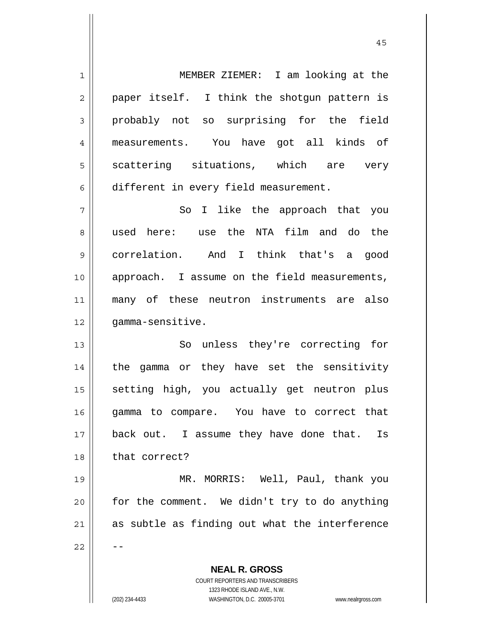**NEAL R. GROSS** COURT REPORTERS AND TRANSCRIBERS 1 2 3 4 5 6 7 8 9 10 11 12 13 14 15 16 17 18 19 20 21 22 MEMBER ZIEMER: I am looking at the paper itself. I think the shotgun pattern is probably not so surprising for the field measurements. You have got all kinds of scattering situations, which are very different in every field measurement. So I like the approach that you used here: use the NTA film and do the correlation. And I think that's a good approach. I assume on the field measurements, many of these neutron instruments are also gamma-sensitive. So unless they're correcting for the gamma or they have set the sensitivity setting high, you actually get neutron plus gamma to compare. You have to correct that back out. I assume they have done that. Is that correct? MR. MORRIS: Well, Paul, thank you for the comment. We didn't try to do anything as subtle as finding out what the interference --

1323 RHODE ISLAND AVE., N.W.

(202) 234-4433 WASHINGTON, D.C. 20005-3701 www.nealrgross.com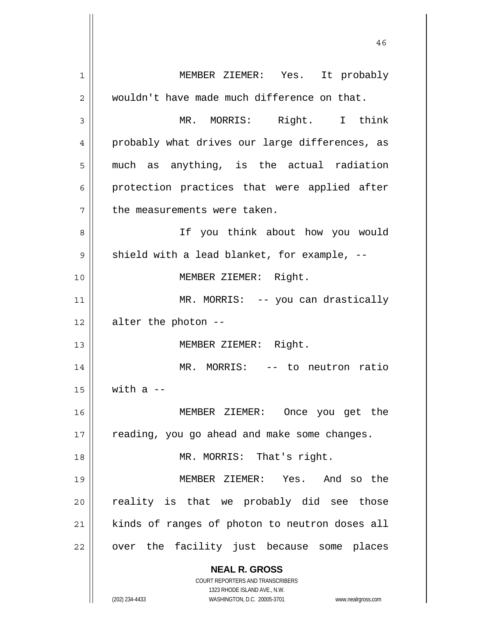**NEAL R. GROSS** COURT REPORTERS AND TRANSCRIBERS 1323 RHODE ISLAND AVE., N.W. (202) 234-4433 WASHINGTON, D.C. 20005-3701 www.nealrgross.com 1 2 3 4 5 6 7 8 9 10 11 12 13 14 15 16 17 18 19 20 21 22 MEMBER ZIEMER: Yes. It probably wouldn't have made much difference on that. MR. MORRIS: Right. I think probably what drives our large differences, as much as anything, is the actual radiation protection practices that were applied after the measurements were taken. If you think about how you would shield with a lead blanket, for example, -- MEMBER ZIEMER: Right. MR. MORRIS: -- you can drastically alter the photon -- MEMBER ZIEMER: Right. MR. MORRIS: -- to neutron ratio with  $a$   $-$  MEMBER ZIEMER: Once you get the reading, you go ahead and make some changes. MR. MORRIS: That's right. MEMBER ZIEMER: Yes. And so the reality is that we probably did see those kinds of ranges of photon to neutron doses all over the facility just because some places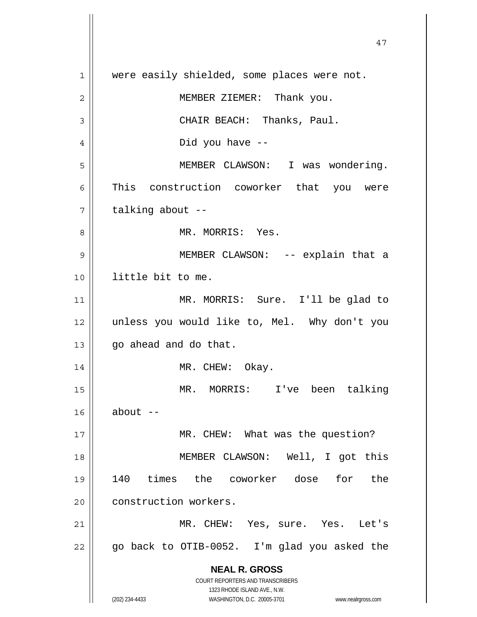**NEAL R. GROSS** COURT REPORTERS AND TRANSCRIBERS 1323 RHODE ISLAND AVE., N.W. (202) 234-4433 WASHINGTON, D.C. 20005-3701 www.nealrgross.com 47 1 2 3 4 5 6 7 8 9 10 11 12 13 14 15 16 17 18 19 20 21 22 were easily shielded, some places were not. MEMBER ZIEMER: Thank you. CHAIR BEACH: Thanks, Paul. Did you have -- MEMBER CLAWSON: I was wondering. This construction coworker that you were talking about -- MR. MORRIS: Yes. MEMBER CLAWSON: -- explain that a little bit to me. MR. MORRIS: Sure. I'll be glad to unless you would like to, Mel. Why don't you go ahead and do that. MR. CHEW: Okay. MR. MORRIS: I've been talking about -- MR. CHEW: What was the question? MEMBER CLAWSON: Well, I got this 140 times the coworker dose for the construction workers. MR. CHEW: Yes, sure. Yes. Let's go back to OTIB-0052. I'm glad you asked the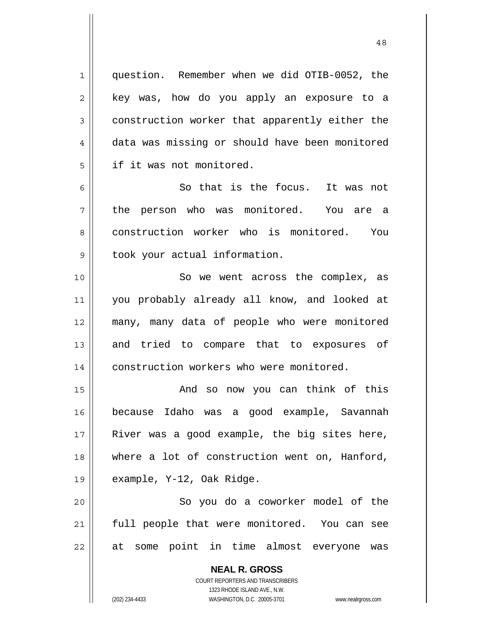question. Remember when we did OTIB-0052, the key was, how do you apply an exposure to a construction worker that apparently either the data was missing or should have been monitored if it was not monitored.

6 7 8 9 So that is the focus. It was not the person who was monitored. You are a construction worker who is monitored. You took your actual information.

10 11 12 13 14 So we went across the complex, as you probably already all know, and looked at many, many data of people who were monitored and tried to compare that to exposures of construction workers who were monitored.

15 16 17 18 19 And so now you can think of this because Idaho was a good example, Savannah River was a good example, the big sites here, where a lot of construction went on, Hanford, example, Y-12, Oak Ridge.

20 21 22 So you do a coworker model of the full people that were monitored. You can see at some point in time almost everyone was

> **NEAL R. GROSS** COURT REPORTERS AND TRANSCRIBERS 1323 RHODE ISLAND AVE., N.W. (202) 234-4433 WASHINGTON, D.C. 20005-3701 www.nealrgross.com

1

2

3

4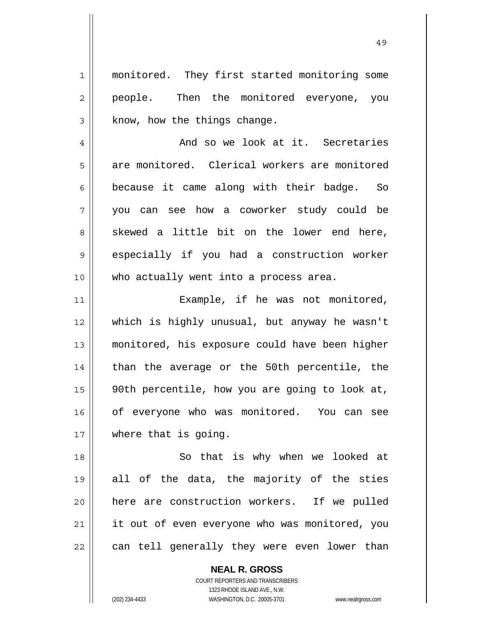1 2 3 4 5 6 7 8 9 10 11 12 13 14 15 16 17 18 19 20 21 monitored. They first started monitoring some people. Then the monitored everyone, you know, how the things change. And so we look at it. Secretaries are monitored. Clerical workers are monitored because it came along with their badge. So you can see how a coworker study could be skewed a little bit on the lower end here, especially if you had a construction worker who actually went into a process area. Example, if he was not monitored, which is highly unusual, but anyway he wasn't monitored, his exposure could have been higher than the average or the 50th percentile, the 90th percentile, how you are going to look at, of everyone who was monitored. You can see where that is going. So that is why when we looked at all of the data, the majority of the sties here are construction workers. If we pulled it out of even everyone who was monitored, you

22 can tell generally they were even lower than

**NEAL R. GROSS**

COURT REPORTERS AND TRANSCRIBERS 1323 RHODE ISLAND AVE., N.W. (202) 234-4433 WASHINGTON, D.C. 20005-3701 www.nealrgross.com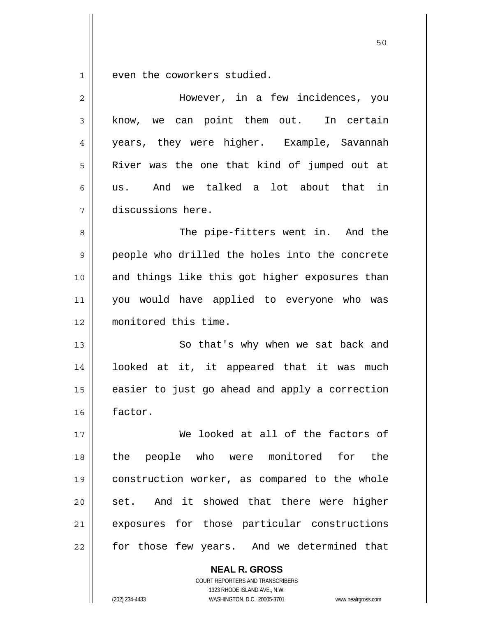1 even the coworkers studied.

| $\overline{2}$ | However, in a few incidences, you              |
|----------------|------------------------------------------------|
| 3              | know, we can point them out. In certain        |
| 4              | years, they were higher. Example, Savannah     |
| 5              | River was the one that kind of jumped out at   |
| 6              | And we talked a lot about that in<br>us.       |
| 7              | discussions here.                              |
| 8              | The pipe-fitters went in. And the              |
| 9              | people who drilled the holes into the concrete |
| 10             | and things like this got higher exposures than |
| 11             | you would have applied to everyone who was     |
| 12             | monitored this time.                           |
| 13             | So that's why when we sat back and             |
| 14             | looked at it, it appeared that it was much     |
| 15             | easier to just go ahead and apply a correction |
| 16             | factor.                                        |
| 17             | We looked at all of the factors of             |
| 18             | the people who were monitored for the          |
| 19             | construction worker, as compared to the whole  |
| 20             | set. And it showed that there were higher      |
| 21             | exposures for those particular constructions   |
| 22             | for those few years. And we determined that    |
|                | <b>NEAL R. GROSS</b>                           |

COURT REPORTERS AND TRANSCRIBERS 1323 RHODE ISLAND AVE., N.W.

(202) 234-4433 WASHINGTON, D.C. 20005-3701 www.nealrgross.com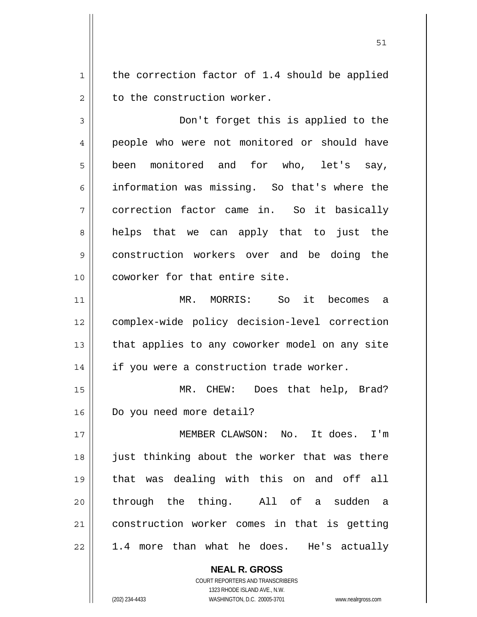1 2 the correction factor of 1.4 should be applied to the construction worker.

3 4 5 6 7 8 9 10 Don't forget this is applied to the people who were not monitored or should have been monitored and for who, let's say, information was missing. So that's where the correction factor came in. So it basically helps that we can apply that to just the construction workers over and be doing the coworker for that entire site.

11 12 13 14 MR. MORRIS: So it becomes a complex-wide policy decision-level correction that applies to any coworker model on any site if you were a construction trade worker.

15 16 MR. CHEW: Does that help, Brad? Do you need more detail?

17 18 19 20 21 22 MEMBER CLAWSON: No. It does. I'm just thinking about the worker that was there that was dealing with this on and off all through the thing. All of a sudden a construction worker comes in that is getting 1.4 more than what he does. He's actually

> **NEAL R. GROSS** COURT REPORTERS AND TRANSCRIBERS 1323 RHODE ISLAND AVE., N.W. (202) 234-4433 WASHINGTON, D.C. 20005-3701 www.nealrgross.com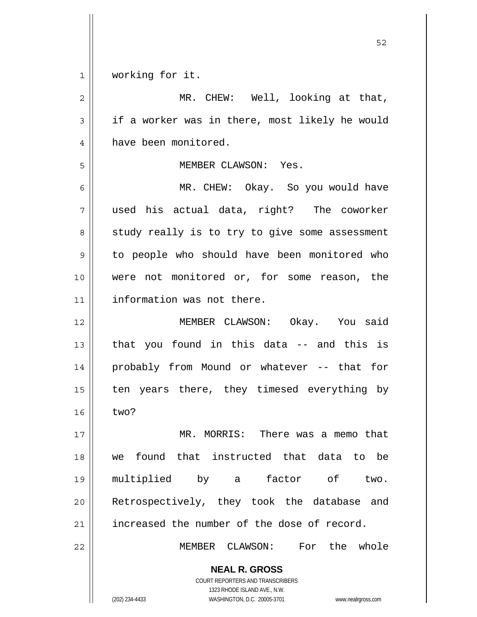1 working for it.

**NEAL R. GROSS** COURT REPORTERS AND TRANSCRIBERS 1323 RHODE ISLAND AVE., N.W. 2 3 4 5 6 7 8 9 10 11 12 13 14 15 16 17 18 19 20 21 22 MR. CHEW: Well, looking at that, if a worker was in there, most likely he would have been monitored. MEMBER CLAWSON: Yes. MR. CHEW: Okay. So you would have used his actual data, right? The coworker study really is to try to give some assessment to people who should have been monitored who were not monitored or, for some reason, the information was not there. MEMBER CLAWSON: Okay. You said that you found in this data -- and this is probably from Mound or whatever -- that for ten years there, they timesed everything by two? MR. MORRIS: There was a memo that we found that instructed that data to be multiplied by a factor of two. Retrospectively, they took the database and increased the number of the dose of record. MEMBER CLAWSON: For the whole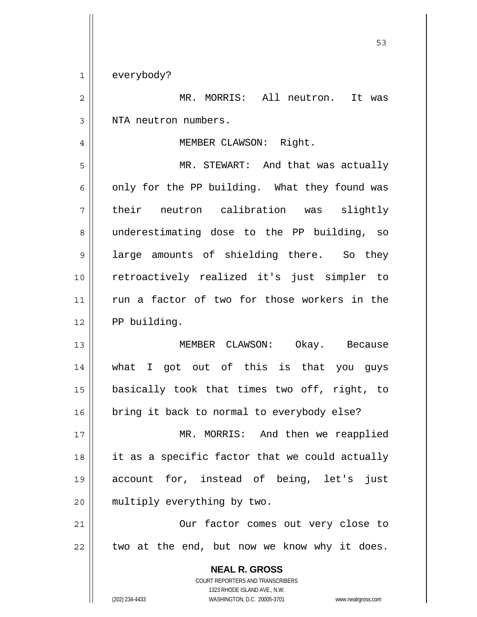**NEAL R. GROSS**  $\sim$  53 1 2 3 4 5 6 7 8 9 10 11 12 13 14 15 16 17 18 19 20 21 22 everybody? MR. MORRIS: All neutron. It was NTA neutron numbers. MEMBER CLAWSON: Right. MR. STEWART: And that was actually only for the PP building. What they found was their neutron calibration was slightly underestimating dose to the PP building, so large amounts of shielding there. So they retroactively realized it's just simpler to run a factor of two for those workers in the PP building. MEMBER CLAWSON: Okay. Because what I got out of this is that you guys basically took that times two off, right, to bring it back to normal to everybody else? MR. MORRIS: And then we reapplied it as a specific factor that we could actually account for, instead of being, let's just multiply everything by two. Our factor comes out very close to two at the end, but now we know why it does.

> COURT REPORTERS AND TRANSCRIBERS 1323 RHODE ISLAND AVE., N.W.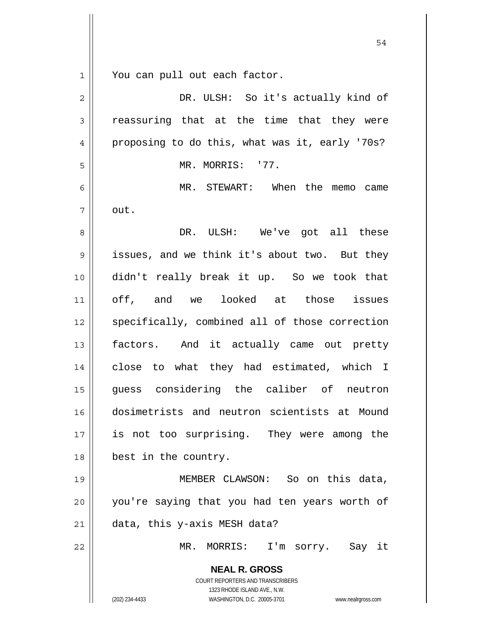1 You can pull out each factor.

| $\overline{2}$ | DR. ULSH: So it's actually kind of                                                                                                                              |
|----------------|-----------------------------------------------------------------------------------------------------------------------------------------------------------------|
| 3              | reassuring that at the time that they were                                                                                                                      |
| 4              | proposing to do this, what was it, early '70s?                                                                                                                  |
| 5              | MR. MORRIS: '77.                                                                                                                                                |
| 6              | MR. STEWART: When the memo came                                                                                                                                 |
| 7              | out.                                                                                                                                                            |
| 8              | DR. ULSH: We've got all these                                                                                                                                   |
| $\mathsf 9$    | issues, and we think it's about two. But they                                                                                                                   |
| 10             | didn't really break it up. So we took that                                                                                                                      |
| 11             | off, and we looked at those issues                                                                                                                              |
| 12             | specifically, combined all of those correction                                                                                                                  |
| 13             | factors. And it actually came out pretty                                                                                                                        |
| 14             | close to what they had estimated, which I                                                                                                                       |
| 15             | guess considering the caliber of neutron                                                                                                                        |
| 16             | dosimetrists and neutron scientists at Mound                                                                                                                    |
| 17             | is not too surprising. They were among the                                                                                                                      |
| 18             | best in the country.                                                                                                                                            |
| 19             | MEMBER CLAWSON: So on this data,                                                                                                                                |
| 20             | you're saying that you had ten years worth of                                                                                                                   |
| 21             | data, this y-axis MESH data?                                                                                                                                    |
| 22             | MR. MORRIS: I'm sorry. Say it                                                                                                                                   |
|                | <b>NEAL R. GROSS</b><br>COURT REPORTERS AND TRANSCRIBERS<br>1323 RHODE ISLAND AVE., N.W.<br>(202) 234-4433<br>WASHINGTON, D.C. 20005-3701<br>www.nealrgross.com |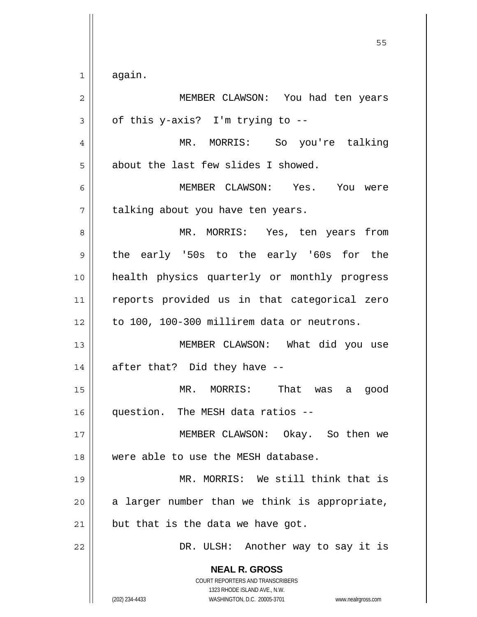1 again.

| $\mathbf{2}$ | MEMBER CLAWSON: You had ten years                                                                                                                                      |
|--------------|------------------------------------------------------------------------------------------------------------------------------------------------------------------------|
| 3            | of this y-axis? I'm trying to --                                                                                                                                       |
| 4            | MR. MORRIS: So you're talking                                                                                                                                          |
| 5            | about the last few slides I showed.                                                                                                                                    |
| 6            | MEMBER CLAWSON: Yes. You were                                                                                                                                          |
| 7            | talking about you have ten years.                                                                                                                                      |
| 8            | MR. MORRIS: Yes, ten years from                                                                                                                                        |
| $\mathsf 9$  | the early '50s to the early '60s for the                                                                                                                               |
| 10           | health physics quarterly or monthly progress                                                                                                                           |
| 11           | reports provided us in that categorical zero                                                                                                                           |
| 12           | to 100, 100-300 millirem data or neutrons.                                                                                                                             |
| 13           | MEMBER CLAWSON: What did you use                                                                                                                                       |
| 14           | after that? Did they have --                                                                                                                                           |
| 15           | MR. MORRIS: That was a good                                                                                                                                            |
| 16           | question. The MESH data ratios --                                                                                                                                      |
| 17           | MEMBER CLAWSON: Okay. So then we                                                                                                                                       |
| 18           | were able to use the MESH database.                                                                                                                                    |
| 19           | MR. MORRIS: We still think that is                                                                                                                                     |
| 20           | a larger number than we think is appropriate,                                                                                                                          |
| 21           | but that is the data we have got.                                                                                                                                      |
| 22           | DR. ULSH: Another way to say it is                                                                                                                                     |
|              | <b>NEAL R. GROSS</b><br><b>COURT REPORTERS AND TRANSCRIBERS</b><br>1323 RHODE ISLAND AVE., N.W.<br>(202) 234-4433<br>WASHINGTON, D.C. 20005-3701<br>www.nealrgross.com |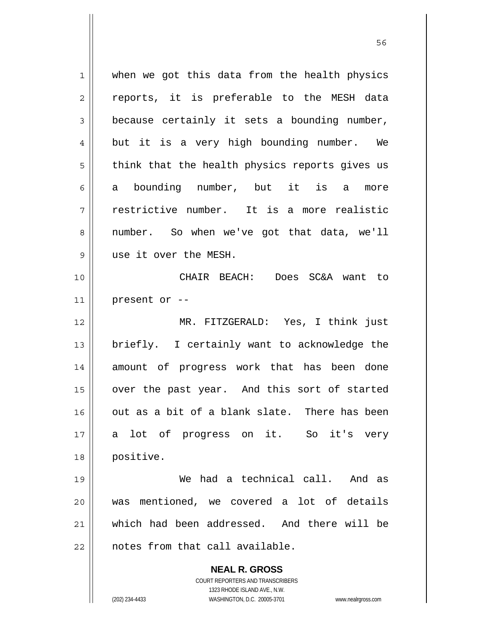**NEAL R. GROSS** COURT REPORTERS AND TRANSCRIBERS 1323 RHODE ISLAND AVE., N.W. 1 2 3 4 5 6 7 8 9 10 11 12 13 14 15 16 17 18 19 20 21 22 when we got this data from the health physics reports, it is preferable to the MESH data because certainly it sets a bounding number, but it is a very high bounding number. We think that the health physics reports gives us a bounding number, but it is a more restrictive number. It is a more realistic number. So when we've got that data, we'll use it over the MESH. CHAIR BEACH: Does SC&A want to present or -- MR. FITZGERALD: Yes, I think just briefly. I certainly want to acknowledge the amount of progress work that has been done over the past year. And this sort of started out as a bit of a blank slate. There has been a lot of progress on it. So it's very positive. We had a technical call. And as was mentioned, we covered a lot of details which had been addressed. And there will be notes from that call available.

(202) 234-4433 WASHINGTON, D.C. 20005-3701 www.nealrgross.com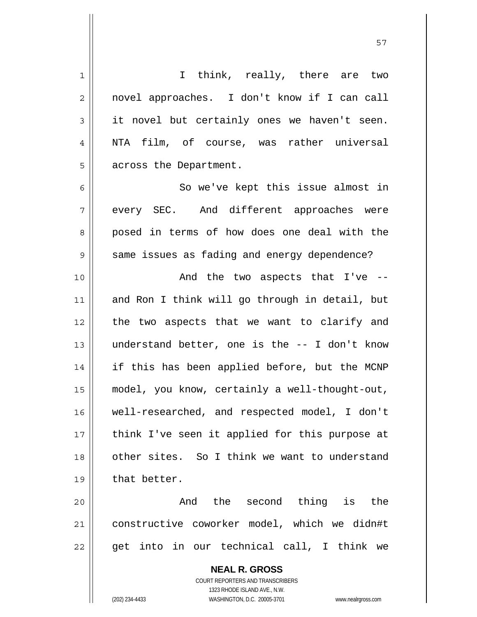| 1              | I think, really, there are two                                                                      |
|----------------|-----------------------------------------------------------------------------------------------------|
| $\overline{2}$ | novel approaches. I don't know if I can call                                                        |
| 3              | it novel but certainly ones we haven't seen.                                                        |
| 4              | NTA film, of course, was rather universal                                                           |
| 5              | across the Department.                                                                              |
| 6              | So we've kept this issue almost in                                                                  |
| 7              | every SEC. And different approaches were                                                            |
| 8              | posed in terms of how does one deal with the                                                        |
| 9              | same issues as fading and energy dependence?                                                        |
| 10             | And the two aspects that I've --                                                                    |
| 11             | and Ron I think will go through in detail, but                                                      |
| 12             | the two aspects that we want to clarify and                                                         |
| 13             | understand better, one is the -- I don't know                                                       |
| 14             | if this has been applied before, but the MCNP                                                       |
| 15             | model, you know, certainly a well-thought-out,                                                      |
| 16             | well-researched, and respected model, I don't                                                       |
| 17             | think I've seen it applied for this purpose at                                                      |
| 18             | other sites. So I think we want to understand                                                       |
| 19             | that better.                                                                                        |
| 20             | And the second thing is the                                                                         |
| 21             | constructive coworker model, which we didn#t                                                        |
| 22             | get into in our technical call, I think we                                                          |
|                | <b>NEAL R. GROSS</b>                                                                                |
|                | <b>COURT REPORTERS AND TRANSCRIBERS</b>                                                             |
|                | 1323 RHODE ISLAND AVE., N.W.<br>(202) 234-4433<br>WASHINGTON, D.C. 20005-3701<br>www.nealrgross.com |
|                |                                                                                                     |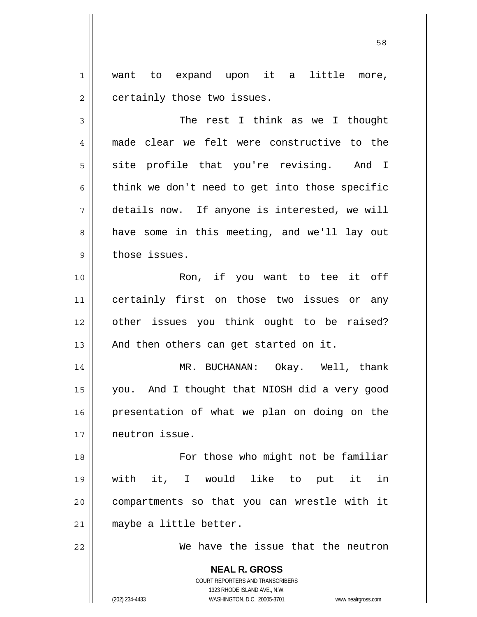1 2 want to expand upon it a little more, certainly those two issues.

3 4 5 6 7 8 9 The rest I think as we I thought made clear we felt were constructive to the site profile that you're revising. And I think we don't need to get into those specific details now. If anyone is interested, we will have some in this meeting, and we'll lay out those issues.

10 11 12 13 Ron, if you want to tee it off certainly first on those two issues or any other issues you think ought to be raised? And then others can get started on it.

14 15 16 17 MR. BUCHANAN: Okay. Well, thank you. And I thought that NIOSH did a very good presentation of what we plan on doing on the neutron issue.

18 19 20 21 For those who might not be familiar with it, I would like to put it in compartments so that you can wrestle with it maybe a little better.

We have the issue that the neutron

**NEAL R. GROSS** COURT REPORTERS AND TRANSCRIBERS 1323 RHODE ISLAND AVE., N.W. (202) 234-4433 WASHINGTON, D.C. 20005-3701 www.nealrgross.com

22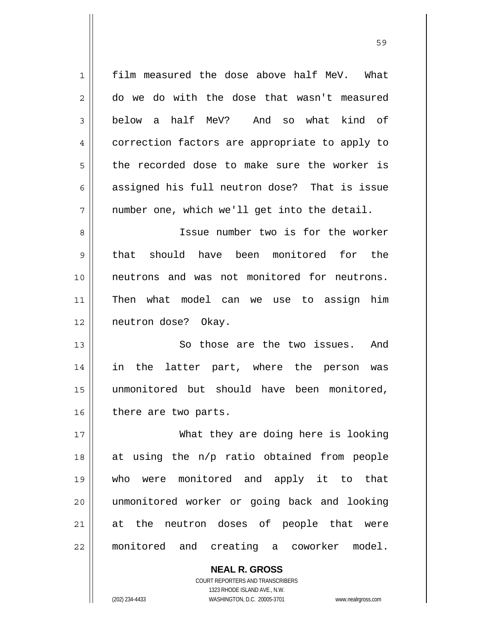| $\mathbf 1$    | film measured the dose above half MeV. What    |
|----------------|------------------------------------------------|
| $\overline{2}$ | do we do with the dose that wasn't measured    |
| 3              | below a half MeV? And so what kind of          |
| 4              | correction factors are appropriate to apply to |
| 5              | the recorded dose to make sure the worker is   |
| 6              | assigned his full neutron dose? That is issue  |
| 7              | number one, which we'll get into the detail.   |
| 8              | Issue number two is for the worker             |
| 9              | should have been monitored for the<br>that     |
| 10             | neutrons and was not monitored for neutrons.   |
| 11             | Then what model can we use to assign him       |
| 12             | neutron dose? Okay.                            |
| 13             | So those are the two issues.<br>And            |
| 14             | in<br>the<br>latter part, where the person was |
| 15             | unmonitored but should have been monitored,    |
| 16             | there are two parts.                           |
| 17             | What they are doing here is looking            |
| 18             | at using the n/p ratio obtained from people    |
| 19             | who were monitored and apply it to that        |
| 20             | unmonitored worker or going back and looking   |
| 21             | at the neutron doses of people that were       |
| 22             | monitored and creating a coworker model.       |

<u>59 September 2005 September 2005 September 2005 September 2005 September 2005 September 2005 September 2005 S</u>

COURT REPORTERS AND TRANSCRIBERS 1323 RHODE ISLAND AVE., N.W. (202) 234-4433 WASHINGTON, D.C. 20005-3701 www.nealrgross.com

**NEAL R. GROSS**

 $\mathsf{II}$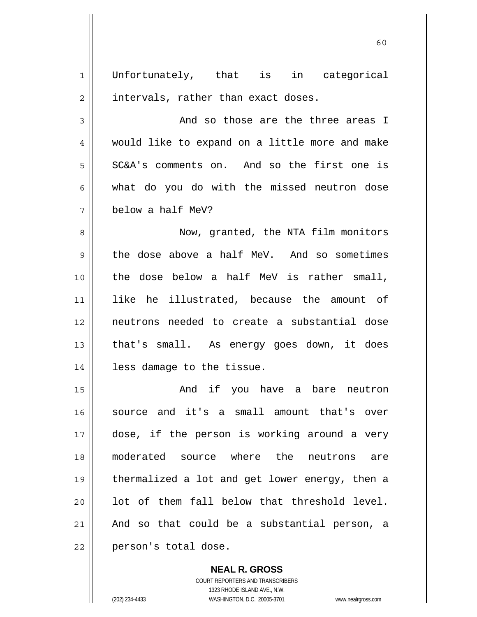| 1  | Unfortunately, that is in categorical          |
|----|------------------------------------------------|
| 2  | intervals, rather than exact doses.            |
| 3  | And so those are the three areas I             |
| 4  | would like to expand on a little more and make |
| 5  | SC&A's comments on. And so the first one is    |
| 6  | what do you do with the missed neutron dose    |
| 7  | below a half MeV?                              |
| 8  | Now, granted, the NTA film monitors            |
| 9  | the dose above a half MeV. And so sometimes    |
| 10 | the dose below a half MeV is rather small,     |
| 11 | like he illustrated, because the amount of     |
| 12 | neutrons needed to create a substantial dose   |
| 13 | that's small. As energy goes down, it does     |
| 14 | less damage to the tissue.                     |
| 15 | And if you have a bare neutron                 |
| 16 | source and it's a small amount that's over     |
| 17 | dose, if the person is working around a very   |
| 18 | moderated source where the neutrons are        |
| 19 | thermalized a lot and get lower energy, then a |
| 20 | lot of them fall below that threshold level.   |
| 21 | And so that could be a substantial person, a   |
| 22 | person's total dose.                           |

 $\sim$  60

**NEAL R. GROSS** COURT REPORTERS AND TRANSCRIBERS

1323 RHODE ISLAND AVE., N.W.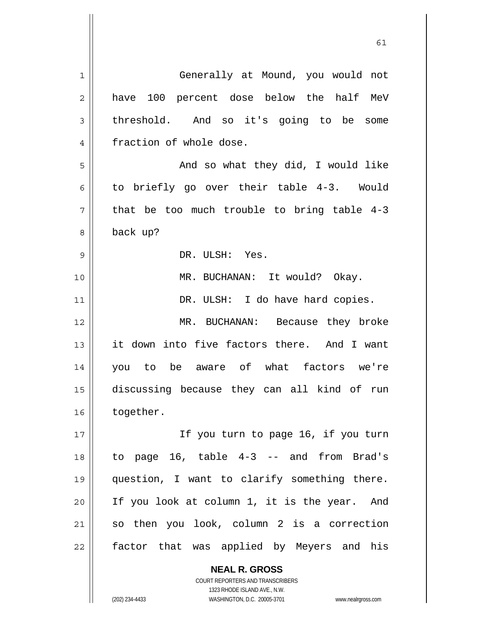| 1  | Generally at Mound, you would not                        |
|----|----------------------------------------------------------|
| 2  | have 100 percent dose below the half MeV                 |
| 3  | threshold. And so it's going to be<br>some               |
| 4  | fraction of whole dose.                                  |
| 5  | And so what they did, I would like                       |
| 6  | to briefly go over their table 4-3. Would                |
| 7  | that be too much trouble to bring table 4-3              |
| 8  | back up?                                                 |
| 9  | DR. ULSH: Yes.                                           |
| 10 | MR. BUCHANAN: It would? Okay.                            |
| 11 | DR. ULSH: I do have hard copies.                         |
| 12 | MR. BUCHANAN: Because they broke                         |
| 13 | it down into five factors there. And I want              |
| 14 | you to be aware of what factors we're                    |
| 15 | discussing because they can all kind of run              |
| 16 | together.                                                |
| 17 | If you turn to page 16, if you turn                      |
| 18 | to page 16, table 4-3 -- and from Brad's                 |
| 19 | question, I want to clarify something there.             |
| 20 | If you look at column 1, it is the year. And             |
| 21 | so then you look, column 2 is a correction               |
| 22 | factor that was applied by Meyers and his                |
|    |                                                          |
|    | <b>NEAL R. GROSS</b><br>COURT REPORTERS AND TRANSCRIBERS |

1323 RHODE ISLAND AVE., N.W.

 $\prod$ 

(202) 234-4433 WASHINGTON, D.C. 20005-3701 www.nealrgross.com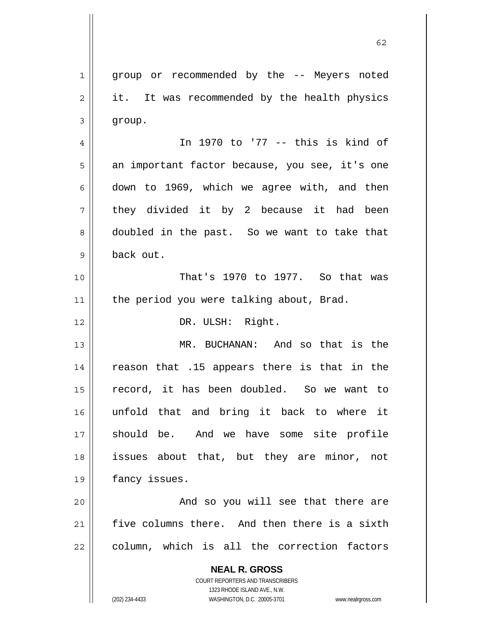**NEAL R. GROSS** COURT REPORTERS AND TRANSCRIBERS 1323 RHODE ISLAND AVE., N.W. 1 2 3 4 5 6 7 8 9 10 11 12 13 14 15 16 17 18 19 20 21 22 group or recommended by the -- Meyers noted it. It was recommended by the health physics group. In 1970 to '77 -- this is kind of an important factor because, you see, it's one down to 1969, which we agree with, and then they divided it by 2 because it had been doubled in the past. So we want to take that back out. That's 1970 to 1977. So that was the period you were talking about, Brad. DR. ULSH: Right. MR. BUCHANAN: And so that is the reason that .15 appears there is that in the record, it has been doubled. So we want to unfold that and bring it back to where it should be. And we have some site profile issues about that, but they are minor, not fancy issues. And so you will see that there are five columns there. And then there is a sixth column, which is all the correction factors

 $\sim$  62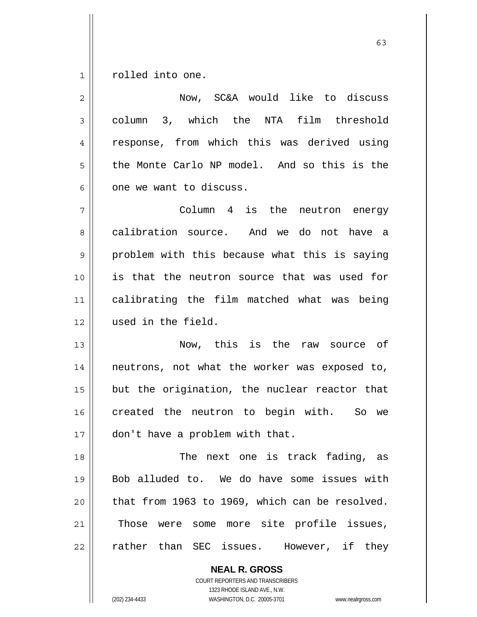1 rolled into one.

| $\overline{2}$ | Now, SC&A would like to discuss                |
|----------------|------------------------------------------------|
| 3              | column 3, which the NTA film threshold         |
| 4              | response, from which this was derived using    |
| 5              | the Monte Carlo NP model. And so this is the   |
| 6              | one we want to discuss.                        |
| 7              | Column 4 is the neutron energy                 |
| 8              | calibration source. And we do not have a       |
| 9              | problem with this because what this is saying  |
| 10             | is that the neutron source that was used for   |
| 11             | calibrating the film matched what was being    |
| 12             | used in the field.                             |
| 13             | Now, this is the raw source of                 |
| 14             | neutrons, not what the worker was exposed to,  |
| 15             | but the origination, the nuclear reactor that  |
| 16             | created the neutron to begin with. So we       |
| 17             | don't have a problem with that.                |
| 18             | The next one is track fading, as               |
| 19             | Bob alluded to. We do have some issues with    |
| 20             | that from 1963 to 1969, which can be resolved. |
| 21             | Those were some more site profile issues,      |
| 22             | rather than SEC issues. However, if they       |
|                |                                                |

**NEAL R. GROSS** COURT REPORTERS AND TRANSCRIBERS 1323 RHODE ISLAND AVE., N.W.

(202) 234-4433 WASHINGTON, D.C. 20005-3701 www.nealrgross.com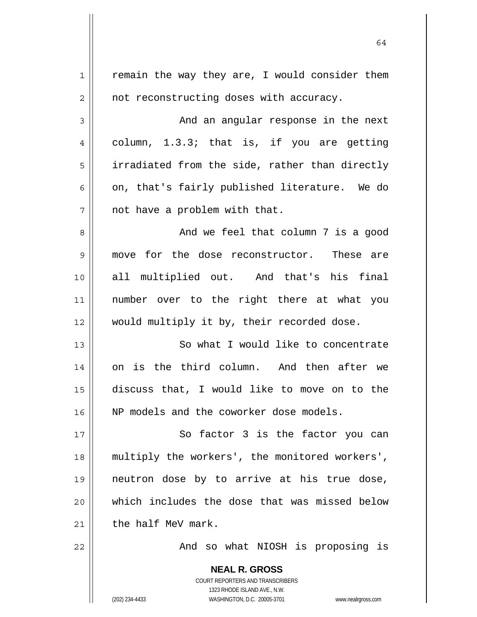| $\mathbf 1$  | remain the way they are, I would consider them           |
|--------------|----------------------------------------------------------|
| $\mathbf{2}$ | not reconstructing doses with accuracy.                  |
| 3            | And an angular response in the next                      |
| 4            | column, 1.3.3; that is, if you are getting               |
| 5            | irradiated from the side, rather than directly           |
| 6            | on, that's fairly published literature. We do            |
| 7            | not have a problem with that.                            |
| 8            | And we feel that column 7 is a good                      |
| 9            | move for the dose reconstructor. These are               |
| 10           | all multiplied out. And that's his final                 |
| 11           | number over to the right there at what you               |
| 12           | would multiply it by, their recorded dose.               |
| 13           | So what I would like to concentrate                      |
| 14           | on is the third column. And then after we                |
| 15           | discuss that, I would like to move on to the             |
| 16           | NP models and the coworker dose models.                  |
| 17           | So factor 3 is the factor you can                        |
| 18           | multiply the workers', the monitored workers',           |
| 19           | neutron dose by to arrive at his true dose,              |
| 20           | which includes the dose that was missed below            |
| 21           | the half MeV mark.                                       |
| 22           | And so what NIOSH is proposing is                        |
|              |                                                          |
|              | <b>NEAL R. GROSS</b><br>COURT REPORTERS AND TRANSCRIBERS |
|              | 1323 DHODE ISLAND AVE N.W.                               |

64

1323 RHODE ISLAND AVE., N.W.

 $\prod_{i=1}^{n}$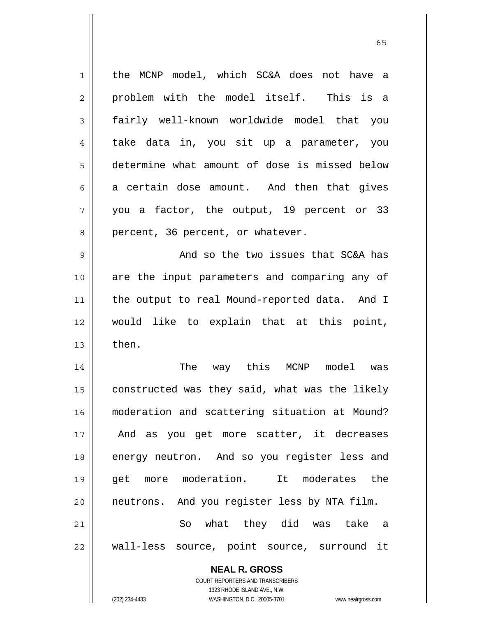| $\mathbf 1$ | the MCNP model, which SC&A does not have a     |
|-------------|------------------------------------------------|
| 2           | problem with the model itself. This is a       |
| 3           | fairly well-known worldwide model that you     |
| 4           | take data in, you sit up a parameter, you      |
| 5           | determine what amount of dose is missed below  |
| 6           | a certain dose amount. And then that gives     |
| 7           | you a factor, the output, 19 percent or 33     |
| 8           | percent, 36 percent, or whatever.              |
| 9           | And so the two issues that SC&A has            |
| 10          | are the input parameters and comparing any of  |
| 11          | the output to real Mound-reported data. And I  |
| 12          | would like to explain that at this point,      |
| 13          | then.                                          |
| 14          | The way this MCNP model was                    |
| 15          | constructed was they said, what was the likely |
| 16          | moderation and scattering situation at Mound?  |
| 17          | And as you get more scatter, it decreases      |
| 18          | energy neutron. And so you register less and   |
| 19          | get more moderation. It moderates the          |
| 20          | neutrons. And you register less by NTA film.   |
| 21          | So what they did was take a                    |
| 22          | wall-less source, point source, surround it    |
|             | <b>NEAL R. GROSS</b>                           |

COURT REPORTERS AND TRANSCRIBERS 1323 RHODE ISLAND AVE., N.W.

 $\mathop{\text{||}}$ 

(202) 234-4433 WASHINGTON, D.C. 20005-3701 www.nealrgross.com

 $\sim$  65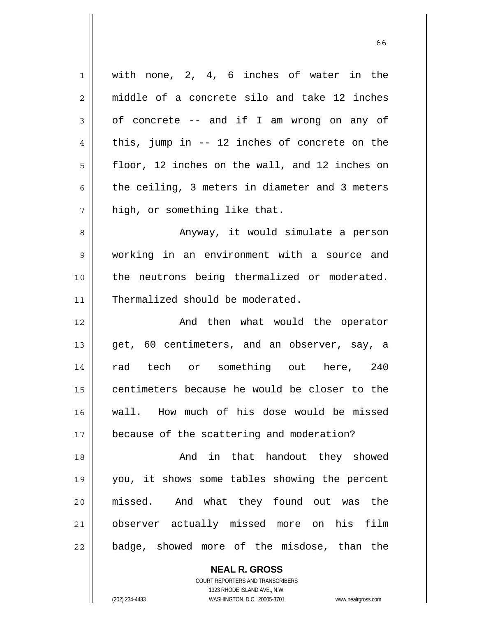| $\mathbf 1$    | with none, 2, 4, 6 inches of water in the      |
|----------------|------------------------------------------------|
| $\overline{2}$ | middle of a concrete silo and take 12 inches   |
| $\mathfrak{Z}$ | of concrete -- and if I am wrong on any of     |
| 4              | this, jump in $-$ 12 inches of concrete on the |
| 5              | floor, 12 inches on the wall, and 12 inches on |
| 6              | the ceiling, 3 meters in diameter and 3 meters |
| 7              | high, or something like that.                  |
| 8              | Anyway, it would simulate a person             |
| 9              | working in an environment with a source and    |
| 10             | the neutrons being thermalized or moderated.   |
| 11             | Thermalized should be moderated.               |
|                |                                                |
| 12             | And then what would the operator               |
| 13             | get, 60 centimeters, and an observer, say, a   |
| 14             | rad tech or something out here, 240            |
| 15             | centimeters because he would be closer to the  |
|                | wall. How much of his dose would be missed     |
| $17$           | because of the scattering and moderation?      |
| 16<br>18       | And in that handout they showed                |
| 19             | you, it shows some tables showing the percent  |
| 20             | missed. And what they found out was the        |
| 21             | observer actually missed more on his film      |

**NEAL R. GROSS** COURT REPORTERS AND TRANSCRIBERS 1323 RHODE ISLAND AVE., N.W.

 $\mathsf{II}$ 

(202) 234-4433 WASHINGTON, D.C. 20005-3701 www.nealrgross.com

 $\sim$  66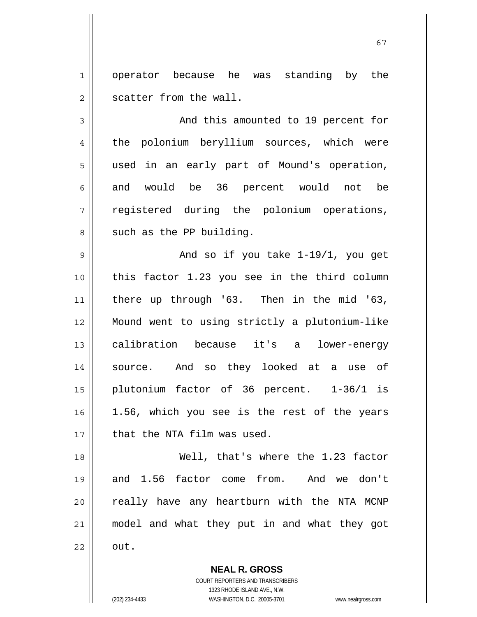1 2 operator because he was standing by the scatter from the wall.

3 4 5 6 7 8 And this amounted to 19 percent for the polonium beryllium sources, which were used in an early part of Mound's operation, and would be 36 percent would not be registered during the polonium operations, such as the PP building.

9 10 11 12 13 14 15 16 17 And so if you take 1-19/1, you get this factor 1.23 you see in the third column there up through '63. Then in the mid '63, Mound went to using strictly a plutonium-like calibration because it's a lower-energy source. And so they looked at a use of plutonium factor of 36 percent. 1-36/1 is 1.56, which you see is the rest of the years that the NTA film was used.

 Well, that's where the 1.23 factor and 1.56 factor come from. And we don't really have any heartburn with the NTA MCNP model and what they put in and what they got out.

> **NEAL R. GROSS** COURT REPORTERS AND TRANSCRIBERS 1323 RHODE ISLAND AVE., N.W.

18

19

20

21

22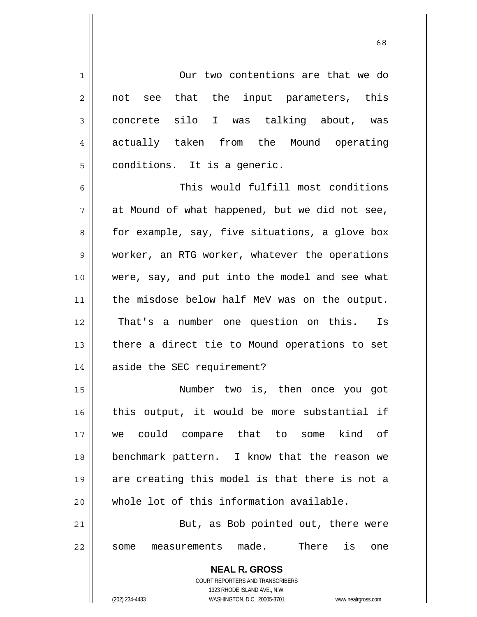1 2 3 4 5 6 7 8 9 10 11 12 13 14 Our two contentions are that we do not see that the input parameters, this concrete silo I was talking about, was actually taken from the Mound operating conditions. It is a generic. This would fulfill most conditions at Mound of what happened, but we did not see, for example, say, five situations, a glove box worker, an RTG worker, whatever the operations were, say, and put into the model and see what the misdose below half MeV was on the output. That's a number one question on this. Is there a direct tie to Mound operations to set aside the SEC requirement?

15 16 17 18 19 20 Number two is, then once you got this output, it would be more substantial if we could compare that to some kind of benchmark pattern. I know that the reason we are creating this model is that there is not a whole lot of this information available.

21 22 But, as Bob pointed out, there were some measurements made. There is one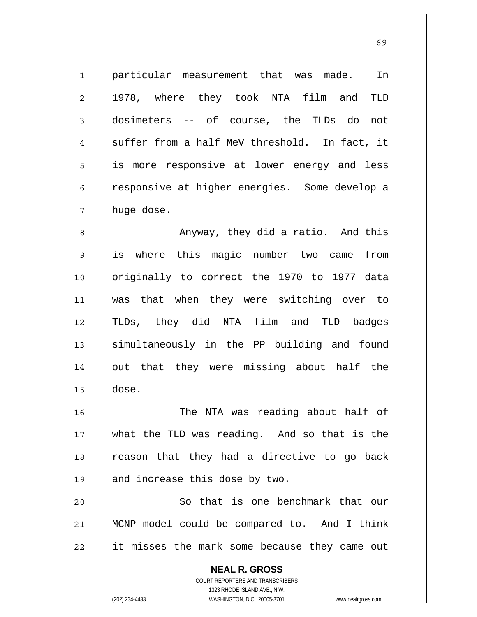1 2 3 4 5 6 7 particular measurement that was made. In 1978, where they took NTA film and TLD dosimeters -- of course, the TLDs do not suffer from a half MeV threshold. In fact, it is more responsive at lower energy and less responsive at higher energies. Some develop a huge dose.

8 9 10 11 12 13 14 15 Anyway, they did a ratio. And this is where this magic number two came from originally to correct the 1970 to 1977 data was that when they were switching over to TLDs, they did NTA film and TLD badges simultaneously in the PP building and found out that they were missing about half the dose.

16 17 18 19 The NTA was reading about half of what the TLD was reading. And so that is the reason that they had a directive to go back and increase this dose by two.

20 21 22 So that is one benchmark that our MCNP model could be compared to. And I think it misses the mark some because they came out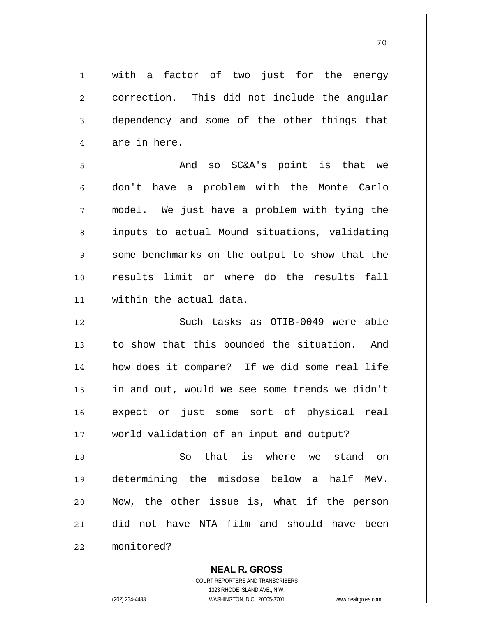1 2 3 4 5 6 7 8 9 10 11 12 13 14 15 16 17 18 19 20 21 22 with a factor of two just for the energy correction. This did not include the angular dependency and some of the other things that are in here. And so SC&A's point is that we don't have a problem with the Monte Carlo model. We just have a problem with tying the inputs to actual Mound situations, validating some benchmarks on the output to show that the results limit or where do the results fall within the actual data. Such tasks as OTIB-0049 were able to show that this bounded the situation. And how does it compare? If we did some real life in and out, would we see some trends we didn't expect or just some sort of physical real world validation of an input and output? So that is where we stand on determining the misdose below a half MeV. Now, the other issue is, what if the person did not have NTA film and should have been monitored?

70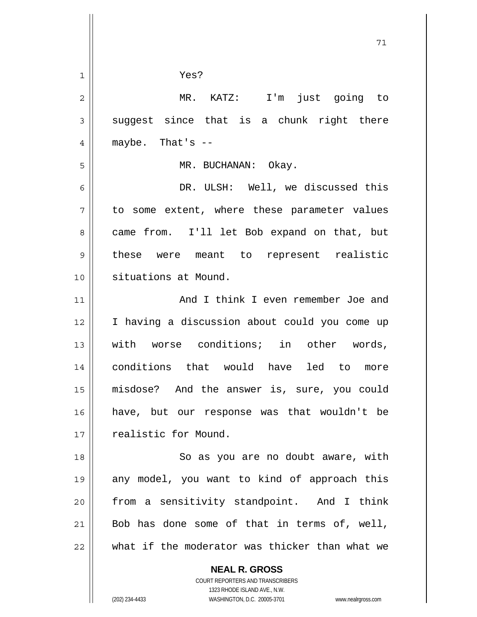| 1              | Yes?                                                     |
|----------------|----------------------------------------------------------|
| $\overline{2}$ | MR. KATZ: I'm just going to                              |
| 3              | suggest since that is a chunk right there                |
| 4              | maybe. That's --                                         |
| 5              | MR. BUCHANAN: Okay.                                      |
| 6              | DR. ULSH: Well, we discussed this                        |
| 7              | to some extent, where these parameter values             |
| 8              | came from. I'll let Bob expand on that, but              |
| $\mathsf 9$    | these were meant to represent realistic                  |
| 10             | situations at Mound.                                     |
| 11             | And I think I even remember Joe and                      |
| 12             | I having a discussion about could you come up            |
| 13             | with worse conditions; in other words,                   |
| 14             | conditions that would have led to more                   |
| 15             | misdose? And the answer is, sure, you could              |
| 16             | have, but our response was that wouldn't be              |
| 17             | realistic for Mound.                                     |
| 18             | So as you are no doubt aware, with                       |
| 19             | any model, you want to kind of approach this             |
| 20             | from a sensitivity standpoint. And I think               |
| 21             | Bob has done some of that in terms of, well,             |
| 22             | what if the moderator was thicker than what we           |
|                | <b>NEAL R. GROSS</b><br>COURT REPORTERS AND TRANSCRIBERS |

71

1323 RHODE ISLAND AVE., N.W.

 $\prod$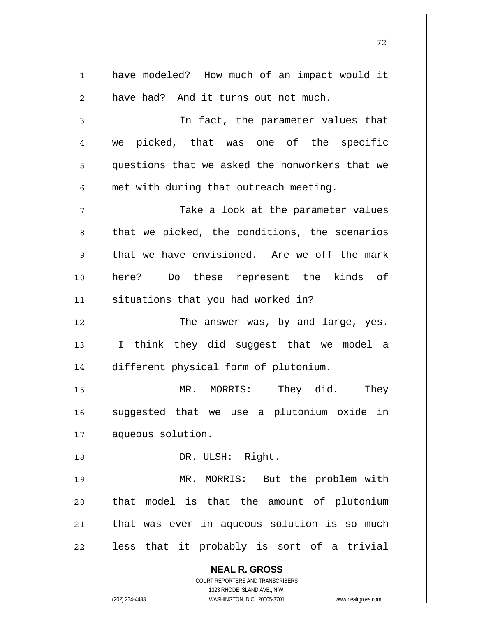**NEAL R. GROSS** COURT REPORTERS AND TRANSCRIBERS 1323 RHODE ISLAND AVE., N.W. (202) 234-4433 WASHINGTON, D.C. 20005-3701 www.nealrgross.com 1 2 3 4 5 6 7 8 9 10 11 12 13 14 15 16 17 18 19 20 21 22 have modeled? How much of an impact would it have had? And it turns out not much. In fact, the parameter values that we picked, that was one of the specific questions that we asked the nonworkers that we met with during that outreach meeting. Take a look at the parameter values that we picked, the conditions, the scenarios that we have envisioned. Are we off the mark here? Do these represent the kinds of situations that you had worked in? The answer was, by and large, yes. I think they did suggest that we model a different physical form of plutonium. MR. MORRIS: They did. They suggested that we use a plutonium oxide in aqueous solution. DR. ULSH: Right. MR. MORRIS: But the problem with that model is that the amount of plutonium that was ever in aqueous solution is so much less that it probably is sort of a trivial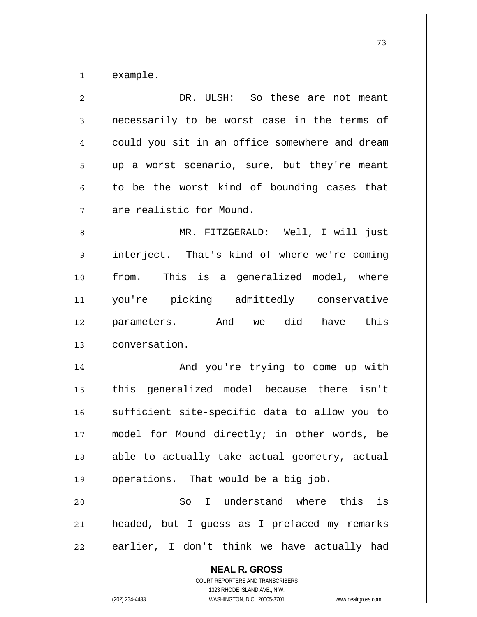1 example.

| $\overline{2}$ | DR. ULSH: So these are not meant                         |
|----------------|----------------------------------------------------------|
| $\mathfrak{Z}$ | necessarily to be worst case in the terms of             |
| $\overline{4}$ | could you sit in an office somewhere and dream           |
| 5              | up a worst scenario, sure, but they're meant             |
| 6              | to be the worst kind of bounding cases that              |
| 7              | are realistic for Mound.                                 |
| 8              | MR. FITZGERALD: Well, I will just                        |
| $\mathsf 9$    | interject. That's kind of where we're coming             |
| 10             | from. This is a generalized model, where                 |
| 11             | you're picking admittedly conservative                   |
| 12             | parameters. And we did have this                         |
| 13             | conversation.                                            |
| 14             | And you're trying to come up with                        |
| 15             | this generalized model because there isn't               |
| 16             | sufficient site-specific data to allow you to            |
| 17             | model for Mound directly; in other words, be             |
| 18             | able to actually take actual geometry, actual            |
| 19             | operations. That would be a big job.                     |
| 20             | So I understand where this is                            |
| 21             | headed, but I guess as I prefaced my remarks             |
| 22             | earlier, I don't think we have actually had              |
|                | <b>NEAL R. GROSS</b><br>COURT REPORTERS AND TRANSCRIBERS |

73

 $\mathop{\text{||}}$ 

1323 RHODE ISLAND AVE., N.W. (202) 234-4433 WASHINGTON, D.C. 20005-3701 www.nealrgross.com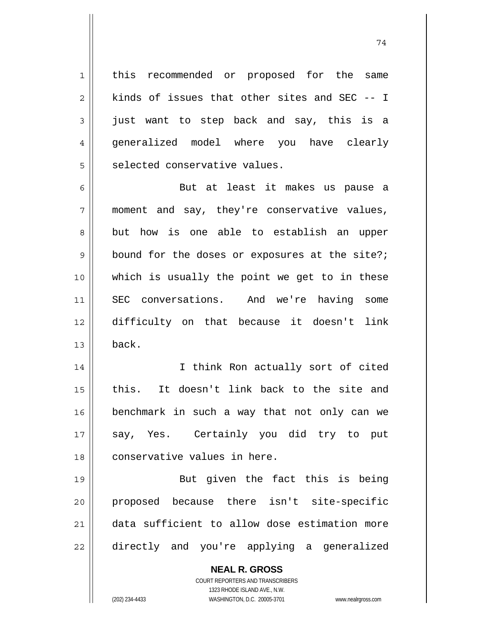this recommended or proposed for the same kinds of issues that other sites and SEC -- I just want to step back and say, this is a generalized model where you have clearly selected conservative values.

1

2

3

4

5

6 7 8 9 10 11 12 13 But at least it makes us pause a moment and say, they're conservative values, but how is one able to establish an upper bound for the doses or exposures at the site?; which is usually the point we get to in these SEC conversations. And we're having some difficulty on that because it doesn't link back.

14 15 16 17 18 I think Ron actually sort of cited this. It doesn't link back to the site and benchmark in such a way that not only can we say, Yes. Certainly you did try to put conservative values in here.

19 20 21 22 But given the fact this is being proposed because there isn't site-specific data sufficient to allow dose estimation more directly and you're applying a generalized

> **NEAL R. GROSS** COURT REPORTERS AND TRANSCRIBERS 1323 RHODE ISLAND AVE., N.W. (202) 234-4433 WASHINGTON, D.C. 20005-3701 www.nealrgross.com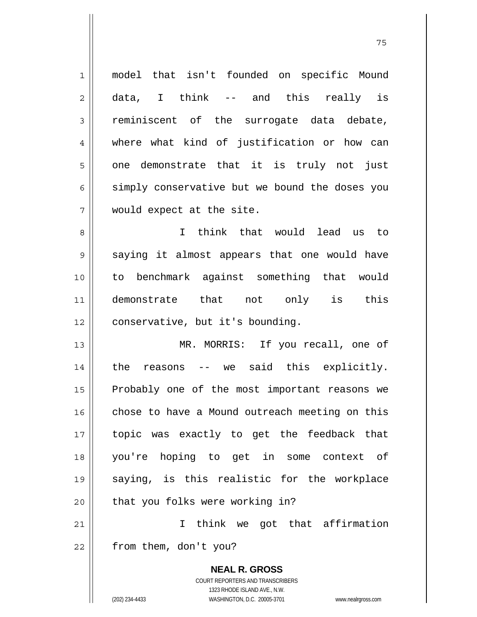1 2 3 4 5 6 7 8 9 10 11 12 13 14 15 16 17 18 19 20 21 model that isn't founded on specific Mound data, I think -- and this really is reminiscent of the surrogate data debate, where what kind of justification or how can one demonstrate that it is truly not just simply conservative but we bound the doses you would expect at the site. I think that would lead us to saying it almost appears that one would have to benchmark against something that would demonstrate that not only is this conservative, but it's bounding. MR. MORRIS: If you recall, one of the reasons -- we said this explicitly. Probably one of the most important reasons we chose to have a Mound outreach meeting on this topic was exactly to get the feedback that you're hoping to get in some context of saying, is this realistic for the workplace that you folks were working in? I think we got that affirmation

75

22 from them, don't you?

> **NEAL R. GROSS** COURT REPORTERS AND TRANSCRIBERS 1323 RHODE ISLAND AVE., N.W. (202) 234-4433 WASHINGTON, D.C. 20005-3701 www.nealrgross.com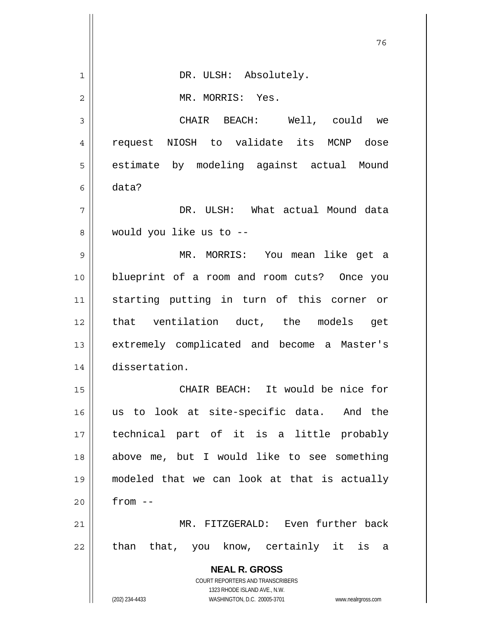|    | 76                                                                  |
|----|---------------------------------------------------------------------|
| 1  | DR. ULSH: Absolutely.                                               |
| 2  | MR. MORRIS: Yes.                                                    |
| 3  | CHAIR BEACH: Well, could we                                         |
| 4  | request NIOSH to validate its MCNP dose                             |
| 5  | estimate by modeling against actual Mound                           |
| 6  | data?                                                               |
| 7  | DR. ULSH: What actual Mound data                                    |
| 8  | would you like us to --                                             |
| 9  | MR. MORRIS: You mean like get a                                     |
| 10 | blueprint of a room and room cuts? Once you                         |
| 11 | starting putting in turn of this corner or                          |
| 12 | that ventilation duct, the models get                               |
| 13 | extremely complicated and become a Master's                         |
| 14 | dissertation.                                                       |
| 15 | CHAIR BEACH: It would be nice for                                   |
| 16 | us to look at site-specific data. And the                           |
| 17 | technical part of it is a little probably                           |
| 18 | above me, but I would like to see something                         |
| 19 | modeled that we can look at that is actually                        |
| 20 | $from --$                                                           |
| 21 | MR. FITZGERALD: Even further back                                   |
| 22 | than that, you know, certainly it is a                              |
|    | <b>NEAL R. GROSS</b>                                                |
|    | COURT REPORTERS AND TRANSCRIBERS<br>1323 RHODE ISLAND AVE., N.W.    |
|    | (202) 234-4433<br>WASHINGTON, D.C. 20005-3701<br>www.nealrgross.com |

 $\mathsf{I}$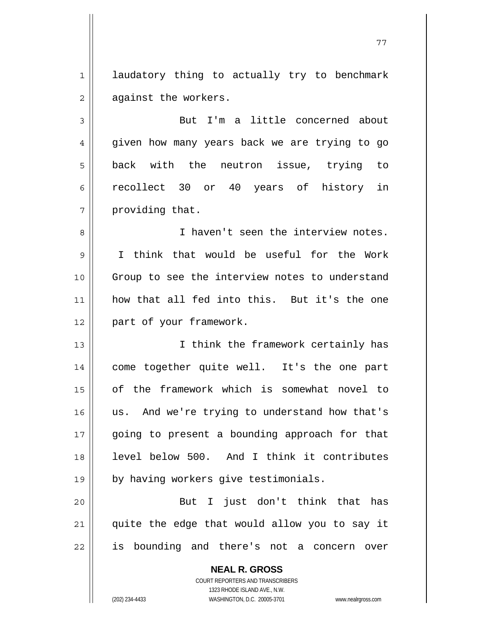1 2 laudatory thing to actually try to benchmark against the workers.

3 4 5 6 7 But I'm a little concerned about given how many years back we are trying to go back with the neutron issue, trying to recollect 30 or 40 years of history in providing that.

8 9 10 11 12 I haven't seen the interview notes. I think that would be useful for the Work Group to see the interview notes to understand how that all fed into this. But it's the one part of your framework.

13 14 15 16 17 18 19 I think the framework certainly has come together quite well. It's the one part of the framework which is somewhat novel to us. And we're trying to understand how that's going to present a bounding approach for that level below 500. And I think it contributes by having workers give testimonials.

20 21 22 But I just don't think that has quite the edge that would allow you to say it is bounding and there's not a concern over

> **NEAL R. GROSS** COURT REPORTERS AND TRANSCRIBERS 1323 RHODE ISLAND AVE., N.W.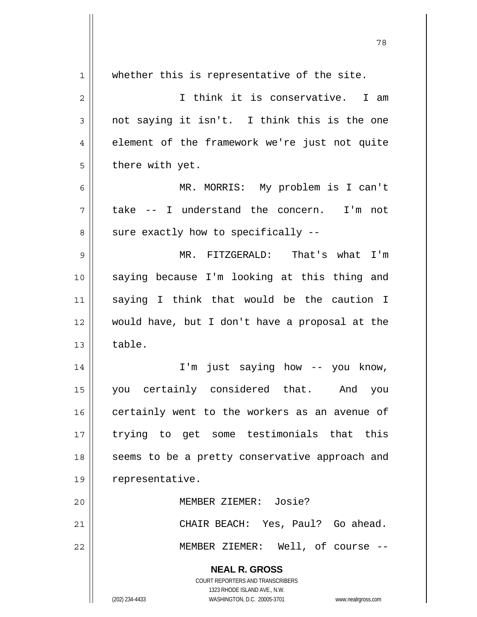| 1  | whether this is representative of the site.                         |
|----|---------------------------------------------------------------------|
| 2  | I think it is conservative. I am                                    |
| 3  | not saying it isn't. I think this is the one                        |
| 4  | element of the framework we're just not quite                       |
| 5  | there with yet.                                                     |
| 6  | MR. MORRIS: My problem is I can't                                   |
| 7  | take -- I understand the concern. I'm not                           |
| 8  | sure exactly how to specifically --                                 |
| 9  | MR. FITZGERALD: That's what I'm                                     |
| 10 | saying because I'm looking at this thing and                        |
| 11 | saying I think that would be the caution I                          |
| 12 | would have, but I don't have a proposal at the                      |
| 13 | table.                                                              |
| 14 | I'm just saying how -- you know,                                    |
| 15 | you certainly considered that. And<br>you                           |
| 16 | certainly went to the workers as an avenue of                       |
| 17 | trying to get some testimonials that this                           |
| 18 | seems to be a pretty conservative approach and                      |
| 19 | representative.                                                     |
| 20 | MEMBER ZIEMER: Josie?                                               |
| 21 | CHAIR BEACH: Yes, Paul? Go ahead.                                   |
| 22 | MEMBER ZIEMER: Well, of course --                                   |
|    | <b>NEAL R. GROSS</b>                                                |
|    | COURT REPORTERS AND TRANSCRIBERS                                    |
|    | 1323 RHODE ISLAND AVE., N.W.                                        |
|    | (202) 234-4433<br>WASHINGTON, D.C. 20005-3701<br>www.nealrgross.com |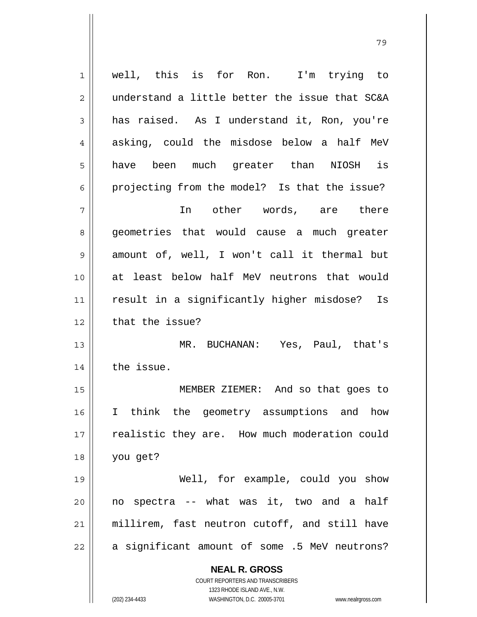| 1              | well, this is for Ron. I'm trying to                                |
|----------------|---------------------------------------------------------------------|
| $\overline{2}$ | understand a little better the issue that SC&A                      |
| 3              | has raised. As I understand it, Ron, you're                         |
| $\overline{4}$ | asking, could the misdose below a half MeV                          |
| 5              | have been much greater than NIOSH<br>is                             |
| 6              | projecting from the model? Is that the issue?                       |
| 7              | In other words, are there                                           |
| 8              | geometries that would cause a much greater                          |
| $\mathsf 9$    | amount of, well, I won't call it thermal but                        |
| 10             | at least below half MeV neutrons that would                         |
| 11             | result in a significantly higher misdose? Is                        |
| 12             | that the issue?                                                     |
| 13             | MR. BUCHANAN: Yes, Paul, that's                                     |
| 14             | the issue.                                                          |
| 15             | MEMBER ZIEMER: And so that goes to                                  |
| 16             | I think the geometry assumptions and how                            |
| 17             | realistic they are. How much moderation could                       |
| 18             | you get?                                                            |
| 19             | Well, for example, could you show                                   |
| 20             | no spectra -- what was it, two and a half                           |
| 21             | millirem, fast neutron cutoff, and still have                       |
| 22             | a significant amount of some .5 MeV neutrons?                       |
|                | <b>NEAL R. GROSS</b>                                                |
|                | COURT REPORTERS AND TRANSCRIBERS<br>1323 RHODE ISLAND AVE., N.W.    |
|                | (202) 234-4433<br>WASHINGTON, D.C. 20005-3701<br>www.nealrgross.com |

79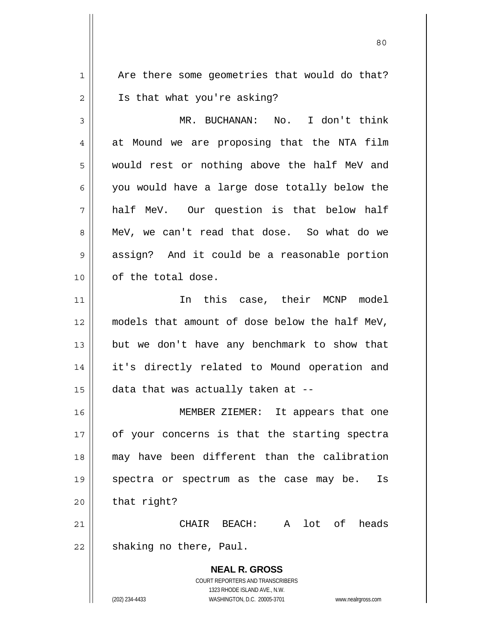1 2 Are there some geometries that would do that? Is that what you're asking?

80

3 4 5 6 7 8 9 10 MR. BUCHANAN: No. I don't think at Mound we are proposing that the NTA film would rest or nothing above the half MeV and you would have a large dose totally below the half MeV. Our question is that below half MeV, we can't read that dose. So what do we assign? And it could be a reasonable portion of the total dose.

11 12 13 14 15 In this case, their MCNP model models that amount of dose below the half MeV, but we don't have any benchmark to show that it's directly related to Mound operation and data that was actually taken at --

16 17 18 19 20 MEMBER ZIEMER: It appears that one of your concerns is that the starting spectra may have been different than the calibration spectra or spectrum as the case may be. Is that right?

21 22 CHAIR BEACH: A lot of heads shaking no there, Paul.

> **NEAL R. GROSS** COURT REPORTERS AND TRANSCRIBERS 1323 RHODE ISLAND AVE., N.W. (202) 234-4433 WASHINGTON, D.C. 20005-3701 www.nealrgross.com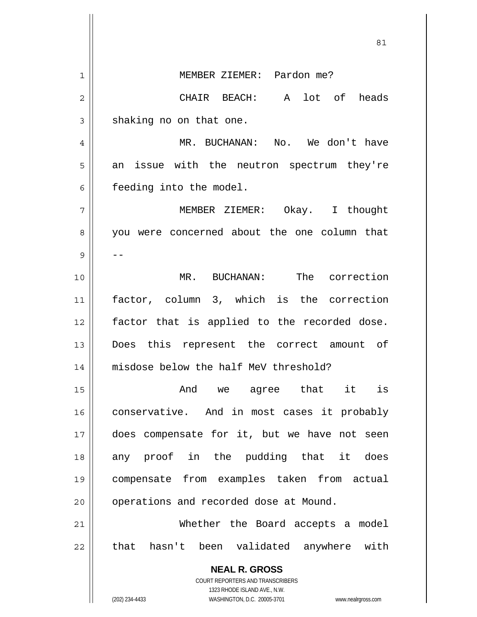**NEAL R. GROSS** COURT REPORTERS AND TRANSCRIBERS 1323 RHODE ISLAND AVE., N.W. (202) 234-4433 WASHINGTON, D.C. 20005-3701 www.nealrgross.com <u>81</u> 1 2 3 4 5 6 7 8 9 10 11 12 13 14 15 16 17 18 19 20 21 22 MEMBER ZIEMER: Pardon me? CHAIR BEACH: A lot of heads shaking no on that one. MR. BUCHANAN: No. We don't have an issue with the neutron spectrum they're feeding into the model. MEMBER ZIEMER: Okay. I thought you were concerned about the one column that -- MR. BUCHANAN: The correction factor, column 3, which is the correction factor that is applied to the recorded dose. Does this represent the correct amount of misdose below the half MeV threshold? And we agree that it is conservative. And in most cases it probably does compensate for it, but we have not seen any proof in the pudding that it does compensate from examples taken from actual operations and recorded dose at Mound. Whether the Board accepts a model that hasn't been validated anywhere with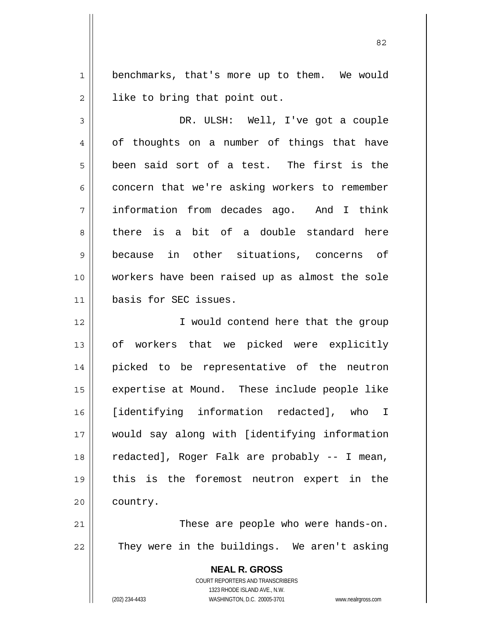1 2 benchmarks, that's more up to them. We would like to bring that point out.

3 4 5 6 7 8 9 10 11 DR. ULSH: Well, I've got a couple of thoughts on a number of things that have been said sort of a test. The first is the concern that we're asking workers to remember information from decades ago. And I think there is a bit of a double standard here because in other situations, concerns of workers have been raised up as almost the sole basis for SEC issues.

12 13 14 15 16 17 18 19 20 I would contend here that the group of workers that we picked were explicitly picked to be representative of the neutron expertise at Mound. These include people like [identifying information redacted], who I would say along with [identifying information redacted], Roger Falk are probably -- I mean, this is the foremost neutron expert in the country.

21 22 These are people who were hands-on. They were in the buildings. We aren't asking

> **NEAL R. GROSS** COURT REPORTERS AND TRANSCRIBERS 1323 RHODE ISLAND AVE., N.W. (202) 234-4433 WASHINGTON, D.C. 20005-3701 www.nealrgross.com

<u>82</u>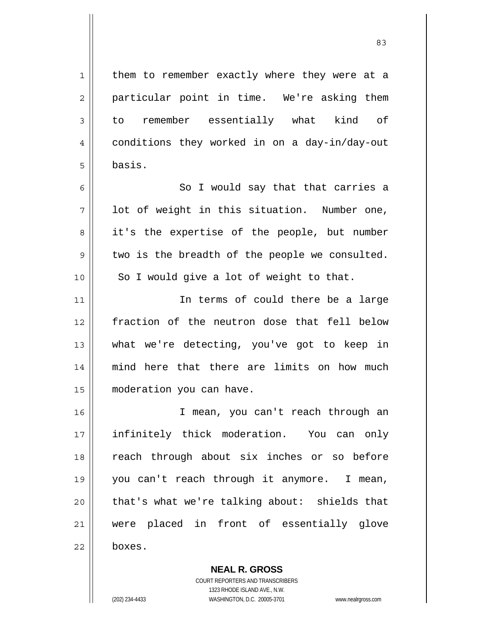| $\mathbf 1$    | them to remember exactly where they were at a  |
|----------------|------------------------------------------------|
| $\overline{c}$ | particular point in time. We're asking them    |
| $\mathfrak{Z}$ | to remember essentially what kind of           |
| 4              | conditions they worked in on a day-in/day-out  |
| 5              | basis.                                         |
| 6              | So I would say that that carries a             |
| 7              | lot of weight in this situation. Number one,   |
| 8              | it's the expertise of the people, but number   |
| 9              | two is the breadth of the people we consulted. |
| 10             | So I would give a lot of weight to that.       |
| 11             | In terms of could there be a large             |
| 12             | fraction of the neutron dose that fell below   |
| 13             | what we're detecting, you've got to keep in    |
| 14             | mind here that there are limits on how much    |
| 15             | moderation you can have.                       |
| 16             | I mean, you can't reach through an             |
| 17             | infinitely thick moderation. You can only      |
| 18             | reach through about six inches or so before    |
| 19             | you can't reach through it anymore. I mean,    |
| 20             | that's what we're talking about: shields that  |
| 21             | were placed in front of essentially glove      |
|                |                                                |

<u>83</u>

**NEAL R. GROSS** COURT REPORTERS AND TRANSCRIBERS 1323 RHODE ISLAND AVE., N.W. (202) 234-4433 WASHINGTON, D.C. 20005-3701 www.nealrgross.com

 $\mathsf{II}$ 

Ш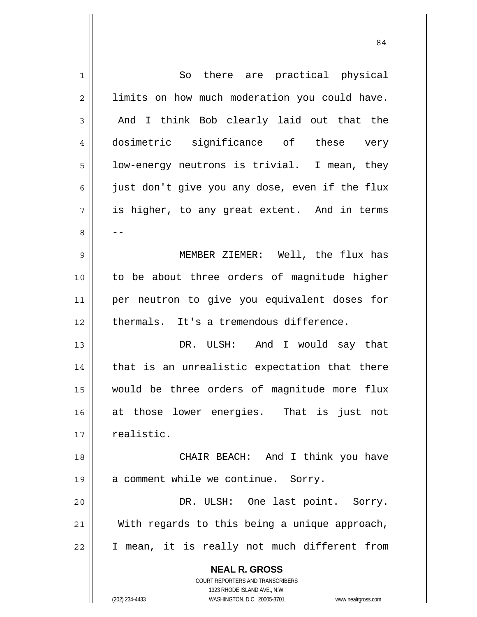| $\mathbf{1}$   | So there are practical physical                                                                     |
|----------------|-----------------------------------------------------------------------------------------------------|
| $\overline{2}$ | limits on how much moderation you could have.                                                       |
| 3              | And I think Bob clearly laid out that the                                                           |
| $\overline{4}$ | dosimetric significance of these very                                                               |
| 5              | low-energy neutrons is trivial. I mean, they                                                        |
| 6              | just don't give you any dose, even if the flux                                                      |
| 7              | is higher, to any great extent. And in terms                                                        |
| 8              |                                                                                                     |
| 9              | MEMBER ZIEMER: Well, the flux has                                                                   |
| 10             | to be about three orders of magnitude higher                                                        |
| 11             | per neutron to give you equivalent doses for                                                        |
| 12             | thermals. It's a tremendous difference.                                                             |
| 13             | DR. ULSH: And I would say that                                                                      |
| 14             | that is an unrealistic expectation that there                                                       |
| 15             | would be three orders of magnitude more flux                                                        |
| 16             | at those lower energies. That is just not                                                           |
| 17             | realistic.                                                                                          |
| 18             | CHAIR BEACH: And I think you have                                                                   |
| 19             | a comment while we continue. Sorry.                                                                 |
| 20             | DR. ULSH: One last point. Sorry.                                                                    |
| 21             | With regards to this being a unique approach,                                                       |
| 22             | I mean, it is really not much different from                                                        |
|                | <b>NEAL R. GROSS</b>                                                                                |
|                | COURT REPORTERS AND TRANSCRIBERS                                                                    |
|                | 1323 RHODE ISLAND AVE., N.W.<br>(202) 234-4433<br>WASHINGTON, D.C. 20005-3701<br>www.nealrgross.com |
|                |                                                                                                     |

84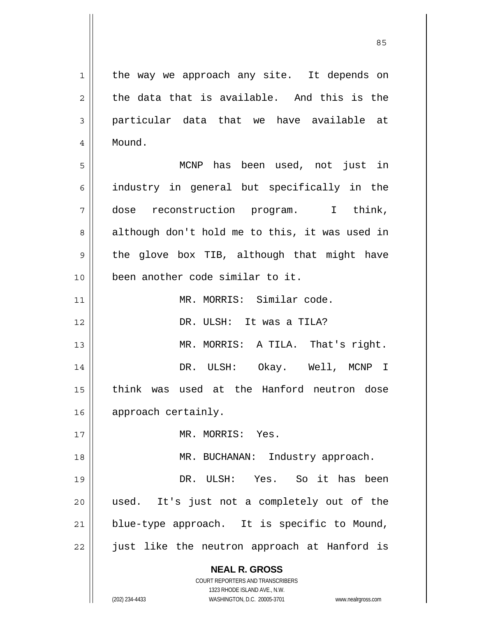**NEAL R. GROSS** COURT REPORTERS AND TRANSCRIBERS 1323 RHODE ISLAND AVE., N.W. (202) 234-4433 WASHINGTON, D.C. 20005-3701 www.nealrgross.com 1 2 3 4 5 6 7 8 9 10 11 12 13 14 15 16 17 18 19 20 21 22 the way we approach any site. It depends on the data that is available. And this is the particular data that we have available at Mound. MCNP has been used, not just in industry in general but specifically in the dose reconstruction program. I think, although don't hold me to this, it was used in the glove box TIB, although that might have been another code similar to it. MR. MORRIS: Similar code. DR. ULSH: It was a TILA? MR. MORRIS: A TILA. That's right. DR. ULSH: Okay. Well, MCNP I think was used at the Hanford neutron dose approach certainly. MR. MORRIS: Yes. MR. BUCHANAN: Industry approach. DR. ULSH: Yes. So it has been used. It's just not a completely out of the blue-type approach. It is specific to Mound, just like the neutron approach at Hanford is

<u>85 and 2001 and 2001 and 2001 and 2001 and 2001 and 2001 and 2001 and 2001 and 2001 and 2001 and 2001 and 200</u>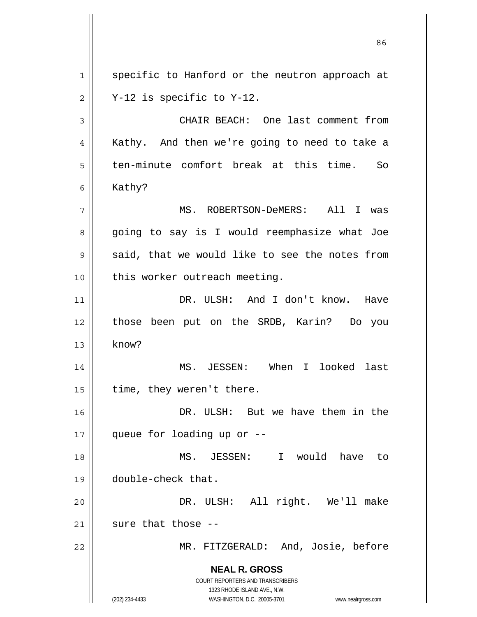**NEAL R. GROSS** COURT REPORTERS AND TRANSCRIBERS 1323 RHODE ISLAND AVE., N.W. (202) 234-4433 WASHINGTON, D.C. 20005-3701 www.nealrgross.com 1 2 3 4 5 6 7 8 9 10 11 12 13 14 15 16 17 18 19 20 21 22 specific to Hanford or the neutron approach at Y-12 is specific to Y-12. CHAIR BEACH: One last comment from Kathy. And then we're going to need to take a ten-minute comfort break at this time. So Kathy? MS. ROBERTSON-DeMERS: All I was going to say is I would reemphasize what Joe said, that we would like to see the notes from this worker outreach meeting. DR. ULSH: And I don't know. Have those been put on the SRDB, Karin? Do you know? MS. JESSEN: When I looked last time, they weren't there. DR. ULSH: But we have them in the queue for loading up or -- MS. JESSEN: I would have to double-check that. DR. ULSH: All right. We'll make sure that those -- MR. FITZGERALD: And, Josie, before

<u>86 and 2001 and 2002 and 2003 and 2003 and 2003 and 2003 and 2003 and 2003 and 2003 and 2003 and 2003 and 200</u>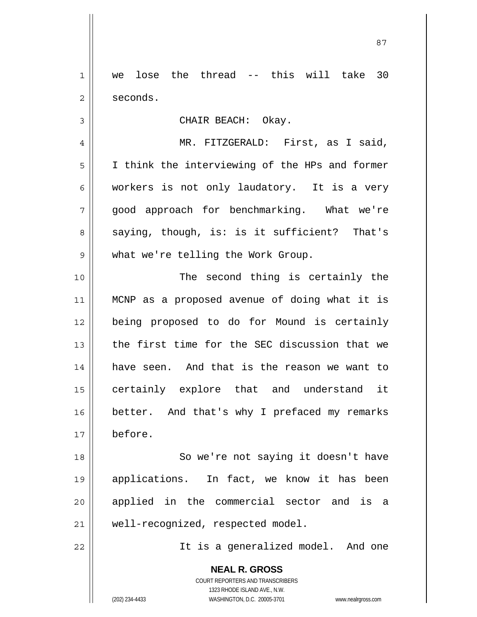1 2 we lose the thread -- this will take 30 seconds.

CHAIR BEACH: Okay.

4 5 6 7 8 9 MR. FITZGERALD: First, as I said, I think the interviewing of the HPs and former workers is not only laudatory. It is a very good approach for benchmarking. What we're saying, though, is: is it sufficient? That's what we're telling the Work Group.

10 11 12 13 14 15 16 17 The second thing is certainly the MCNP as a proposed avenue of doing what it is being proposed to do for Mound is certainly the first time for the SEC discussion that we have seen. And that is the reason we want to certainly explore that and understand it better. And that's why I prefaced my remarks before.

18 19 20 21 So we're not saying it doesn't have applications. In fact, we know it has been applied in the commercial sector and is a well-recognized, respected model.

It is a generalized model. And one

**NEAL R. GROSS** COURT REPORTERS AND TRANSCRIBERS 1323 RHODE ISLAND AVE., N.W. (202) 234-4433 WASHINGTON, D.C. 20005-3701 www.nealrgross.com

22

3

<u>87 and 2014 and 2014 and 2014 and 2014 and 2014 and 2014 and 2014 and 2014 and 2014 and 2014 and 2014 and 201</u>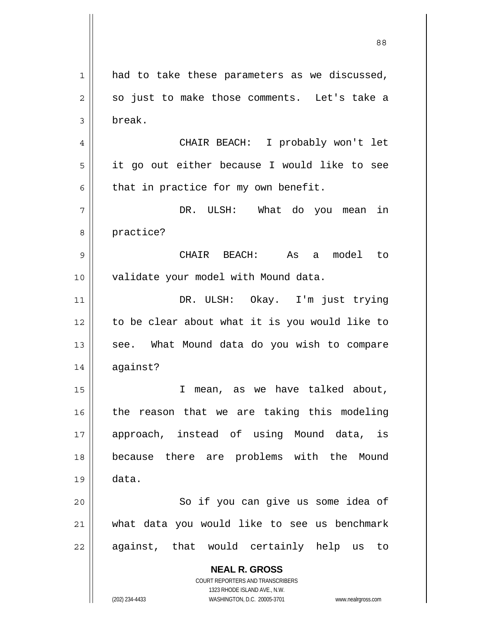**NEAL R. GROSS** COURT REPORTERS AND TRANSCRIBERS 1323 RHODE ISLAND AVE., N.W. 1 2 3 4 5 6 7 8 9 10 11 12 13 14 15 16 17 18 19 20 21 22 had to take these parameters as we discussed, so just to make those comments. Let's take a break. CHAIR BEACH: I probably won't let it go out either because I would like to see that in practice for my own benefit. DR. ULSH: What do you mean in practice? CHAIR BEACH: As a model to validate your model with Mound data. DR. ULSH: Okay. I'm just trying to be clear about what it is you would like to see. What Mound data do you wish to compare against? I mean, as we have talked about, the reason that we are taking this modeling approach, instead of using Mound data, is because there are problems with the Mound data. So if you can give us some idea of what data you would like to see us benchmark against, that would certainly help us to

88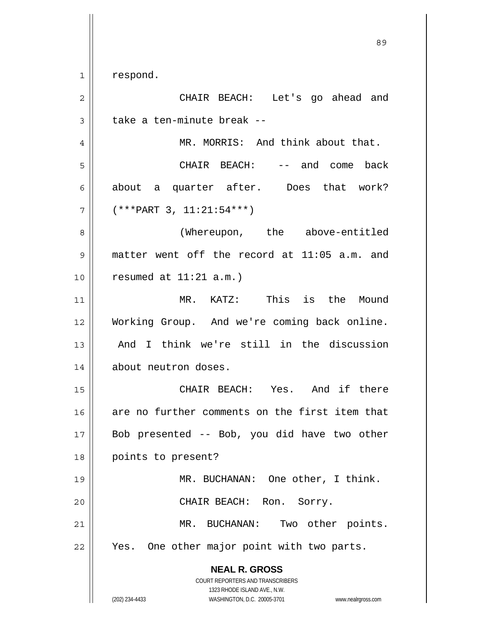1 respond.

**NEAL R. GROSS** COURT REPORTERS AND TRANSCRIBERS 1323 RHODE ISLAND AVE., N.W. (202) 234-4433 WASHINGTON, D.C. 20005-3701 www.nealrgross.com 2 3 4 5 6 7 8 9 10 11 12 13 14 15 16 17 18 19 20 21 22 CHAIR BEACH: Let's go ahead and take a ten-minute break -- MR. MORRIS: And think about that. CHAIR BEACH: -- and come back about a quarter after. Does that work? (\*\*\*PART 3, 11:21:54\*\*\*) (Whereupon, the above-entitled matter went off the record at 11:05 a.m. and resumed at 11:21 a.m.) MR. KATZ: This is the Mound Working Group. And we're coming back online. And I think we're still in the discussion about neutron doses. CHAIR BEACH: Yes. And if there are no further comments on the first item that Bob presented -- Bob, you did have two other points to present? MR. BUCHANAN: One other, I think. CHAIR BEACH: Ron. Sorry. MR. BUCHANAN: Two other points. Yes. One other major point with two parts.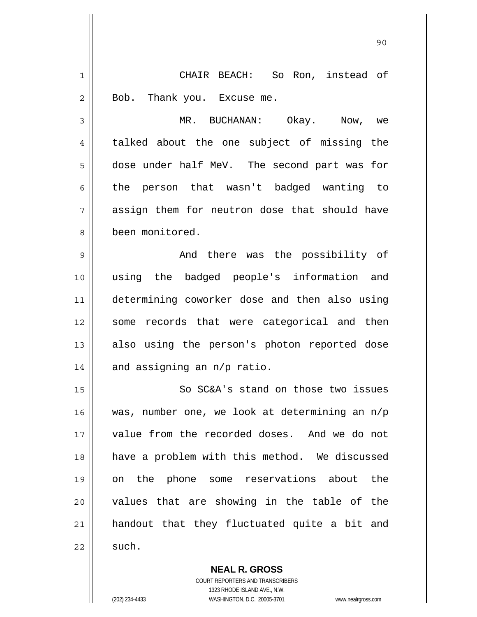1 2 CHAIR BEACH: So Ron, instead of Bob. Thank you. Excuse me.

90

 MR. BUCHANAN: Okay. Now, we talked about the one subject of missing the dose under half MeV. The second part was for the person that wasn't badged wanting to assign them for neutron dose that should have been monitored.

9 10 11 12 13 14 And there was the possibility of using the badged people's information and determining coworker dose and then also using some records that were categorical and then also using the person's photon reported dose and assigning an n/p ratio.

15 16 17 18 19 20 21 22 So SC&A's stand on those two issues was, number one, we look at determining an n/p value from the recorded doses. And we do not have a problem with this method. We discussed on the phone some reservations about the values that are showing in the table of the handout that they fluctuated quite a bit and such.

> **NEAL R. GROSS** COURT REPORTERS AND TRANSCRIBERS 1323 RHODE ISLAND AVE., N.W. (202) 234-4433 WASHINGTON, D.C. 20005-3701 www.nealrgross.com

3

4

5

6

7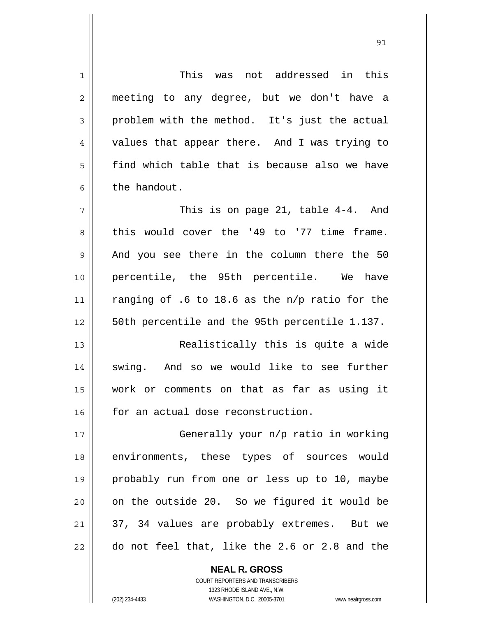1 2 3 4 5 6 7 8 9 10 11 12 13 14 15 16 17 18 19 20 21 22 This was not addressed in this meeting to any degree, but we don't have a problem with the method. It's just the actual values that appear there. And I was trying to find which table that is because also we have the handout. This is on page 21, table 4-4. And this would cover the '49 to '77 time frame. And you see there in the column there the 50 percentile, the 95th percentile. We have ranging of .6 to 18.6 as the n/p ratio for the 50th percentile and the 95th percentile 1.137. Realistically this is quite a wide swing. And so we would like to see further work or comments on that as far as using it for an actual dose reconstruction. Generally your n/p ratio in working environments, these types of sources would probably run from one or less up to 10, maybe on the outside 20. So we figured it would be 37, 34 values are probably extremes. But we do not feel that, like the 2.6 or 2.8 and the

<u>91</u>

COURT REPORTERS AND TRANSCRIBERS 1323 RHODE ISLAND AVE., N.W. (202) 234-4433 WASHINGTON, D.C. 20005-3701 www.nealrgross.com

**NEAL R. GROSS**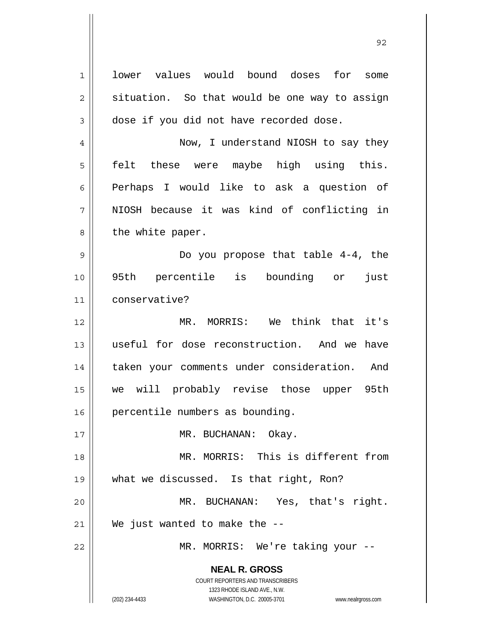**NEAL R. GROSS** COURT REPORTERS AND TRANSCRIBERS 1323 RHODE ISLAND AVE., N.W. 1 2 3 4 5 6 7 8 9 10 11 12 13 14 15 16 17 18 19 20 21 22 lower values would bound doses for some situation. So that would be one way to assign dose if you did not have recorded dose. Now, I understand NIOSH to say they felt these were maybe high using this. Perhaps I would like to ask a question of NIOSH because it was kind of conflicting in the white paper. Do you propose that table 4-4, the 95th percentile is bounding or just conservative? MR. MORRIS: We think that it's useful for dose reconstruction. And we have taken your comments under consideration. And we will probably revise those upper 95th percentile numbers as bounding. MR. BUCHANAN: Okay. MR. MORRIS: This is different from what we discussed. Is that right, Ron? MR. BUCHANAN: Yes, that's right. We just wanted to make the --MR. MORRIS: We're taking your --

<u>92 and 2014 and 2014 and 2014 and 2014 and 2014 and 2014 and 2014 and 2014 and 2014 and 2014 and 2014 and 201</u>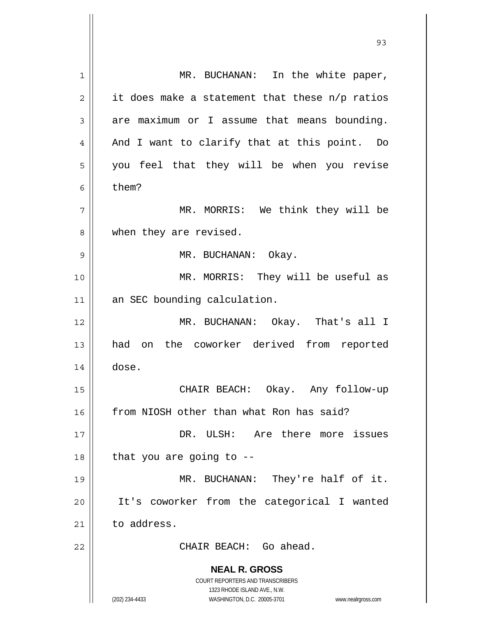| 1              | MR. BUCHANAN: In the white paper,                                                                   |
|----------------|-----------------------------------------------------------------------------------------------------|
| $\overline{2}$ | it does make a statement that these n/p ratios                                                      |
| 3              | are maximum or I assume that means bounding.                                                        |
| 4              | And I want to clarify that at this point. Do                                                        |
| 5              | you feel that they will be when you revise                                                          |
| 6              | them?                                                                                               |
| 7              | MR. MORRIS: We think they will be                                                                   |
| 8              | when they are revised.                                                                              |
| 9              | MR. BUCHANAN: Okay.                                                                                 |
| 10             | MR. MORRIS: They will be useful as                                                                  |
| 11             | an SEC bounding calculation.                                                                        |
| 12             | MR. BUCHANAN: Okay. That's all I                                                                    |
| 13             | the coworker derived from reported<br>had<br>on                                                     |
| 14             | dose.                                                                                               |
| 15             | CHAIR BEACH: Okay. Any follow-up                                                                    |
| 16             | from NIOSH other than what Ron has said?                                                            |
| 17             | DR. ULSH: Are there more issues                                                                     |
| 18             | that you are going to --                                                                            |
| 19             | MR. BUCHANAN: They're half of it.                                                                   |
| 20             | It's coworker from the categorical I wanted                                                         |
| 21             | to address.                                                                                         |
| 22             | CHAIR BEACH: Go ahead.                                                                              |
|                | <b>NEAL R. GROSS</b>                                                                                |
|                | <b>COURT REPORTERS AND TRANSCRIBERS</b>                                                             |
|                | 1323 RHODE ISLAND AVE., N.W.<br>(202) 234-4433<br>WASHINGTON, D.C. 20005-3701<br>www.nealrgross.com |

<u>93 and 200 and 200 and 200 and 200 and 200 and 200 and 200 and 200 and 200 and 200 and 200 and 200 and 200 an</u>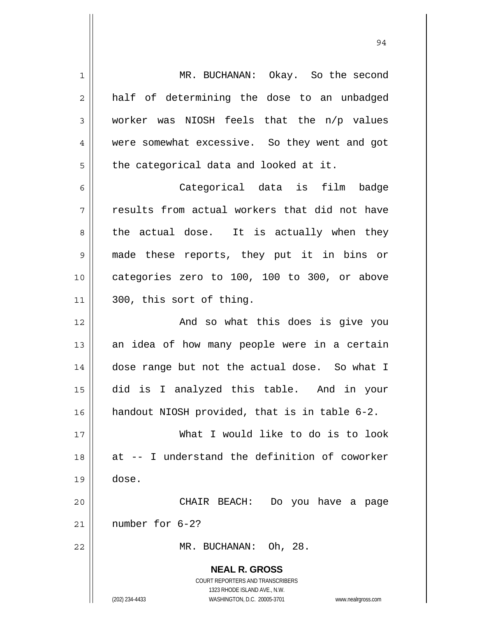**NEAL R. GROSS** COURT REPORTERS AND TRANSCRIBERS 1323 RHODE ISLAND AVE., N.W. (202) 234-4433 WASHINGTON, D.C. 20005-3701 www.nealrgross.com 1 2 3 4 5 6 7 8 9 10 11 12 13 14 15 16 17 18 19 20 21 22 MR. BUCHANAN: Okay. So the second half of determining the dose to an unbadged worker was NIOSH feels that the n/p values were somewhat excessive. So they went and got the categorical data and looked at it. Categorical data is film badge results from actual workers that did not have the actual dose. It is actually when they made these reports, they put it in bins or categories zero to 100, 100 to 300, or above 300, this sort of thing. And so what this does is give you an idea of how many people were in a certain dose range but not the actual dose. So what I did is I analyzed this table. And in your handout NIOSH provided, that is in table 6-2. What I would like to do is to look at -- I understand the definition of coworker dose. CHAIR BEACH: Do you have a page number for 6-2? MR. BUCHANAN: Oh, 28.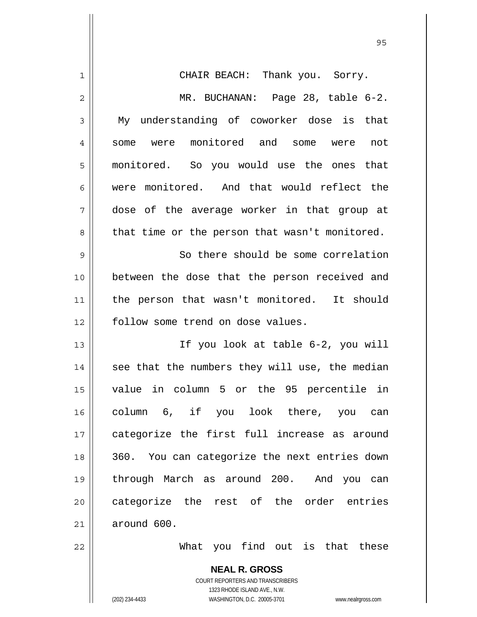| 1  | CHAIR BEACH: Thank you. Sorry.                                      |
|----|---------------------------------------------------------------------|
| 2  | MR. BUCHANAN: Page 28, table 6-2.                                   |
| 3  | My understanding of coworker dose is that                           |
| 4  | some were monitored and some were not                               |
| 5  | monitored. So you would use the ones that                           |
| 6  | were monitored. And that would reflect the                          |
| 7  | dose of the average worker in that group at                         |
| 8  | that time or the person that wasn't monitored.                      |
| 9  | So there should be some correlation                                 |
| 10 | between the dose that the person received and                       |
| 11 | the person that wasn't monitored. It should                         |
| 12 | follow some trend on dose values.                                   |
| 13 | If you look at table 6-2, you will                                  |
| 14 | see that the numbers they will use, the median                      |
| 15 | value in column 5 or the 95 percentile in                           |
| 16 | column 6, if you look there, you can                                |
| 17 | categorize the first full increase as around                        |
| 18 | 360. You can categorize the next entries down                       |
| 19 | through March as around 200. And you can                            |
| 20 | categorize the rest of the order entries                            |
| 21 | around 600.                                                         |
| 22 | What you find out is that these                                     |
|    | <b>NEAL R. GROSS</b>                                                |
|    | COURT REPORTERS AND TRANSCRIBERS                                    |
|    | 1323 RHODE ISLAND AVE., N.W.                                        |
|    | (202) 234-4433<br>WASHINGTON, D.C. 20005-3701<br>www.nealrgross.com |

<u>95 and 2001 and 2001 and 2001 and 2001 and 2001 and 2001 and 2001 and 2001 and 2001 and 2001 and 2001 and 200</u>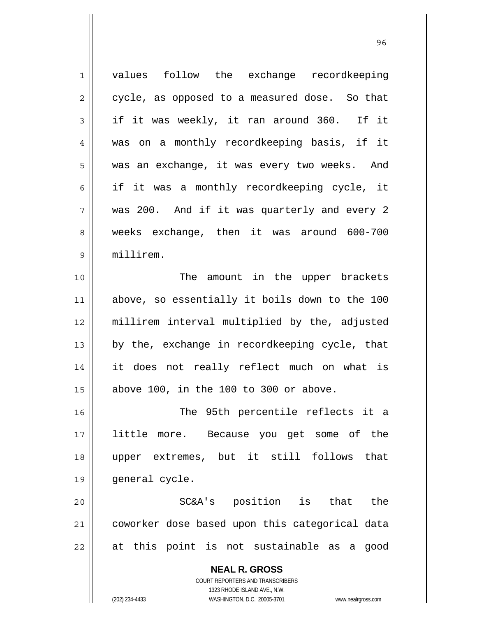| $\mathbf{1}$ | values follow the exchange recordkeeping                            |
|--------------|---------------------------------------------------------------------|
| 2            | cycle, as opposed to a measured dose. So that                       |
| 3            | if it was weekly, it ran around 360. If it                          |
| 4            | was on a monthly recordkeeping basis, if it                         |
| 5            | was an exchange, it was every two weeks. And                        |
| 6            | if it was a monthly recordkeeping cycle, it                         |
| 7            | was 200. And if it was quarterly and every 2                        |
| 8            | weeks exchange, then it was around 600-700                          |
| $\mathsf 9$  | millirem.                                                           |
| 10           | amount in the upper brackets<br>The                                 |
| 11           | above, so essentially it boils down to the 100                      |
| 12           | millirem interval multiplied by the, adjusted                       |
| 13           | by the, exchange in recordkeeping cycle, that                       |
| 14           | it does not really reflect much on what is                          |
| 15           | above 100, in the 100 to 300 or above.                              |
| 16           | The 95th percentile reflects it a                                   |
| 17           | little more. Because you get some of the                            |
| 18           | upper extremes, but it still follows<br>that                        |
| 19           | general cycle.                                                      |
| 20           | SC&A's position is that<br>the                                      |
| 21           | coworker dose based upon this categorical data                      |
| 22           | at this point is not sustainable as a<br>good                       |
|              | <b>NEAL R. GROSS</b>                                                |
|              | <b>COURT REPORTERS AND TRANSCRIBERS</b>                             |
|              | 1323 RHODE ISLAND AVE., N.W.                                        |
|              | (202) 234-4433<br>WASHINGTON, D.C. 20005-3701<br>www.nealrgross.com |

<u>96 and 200 million and 200 million and 200 million and 200 million and 200 million and 200 million and 200 million and 200 million and 200 million and 200 million and 200 million and 200 million and 200 million and 200 mi</u>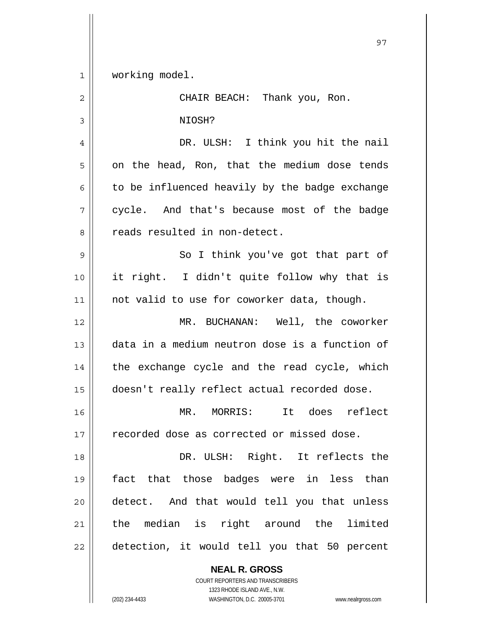working model. CHAIR BEACH: Thank you, Ron. NIOSH?

4 5 6 7 8 DR. ULSH: I think you hit the nail on the head, Ron, that the medium dose tends to be influenced heavily by the badge exchange cycle. And that's because most of the badge reads resulted in non-detect.

9 10 11 So I think you've got that part of it right. I didn't quite follow why that is not valid to use for coworker data, though.

12 13 14 15 MR. BUCHANAN: Well, the coworker data in a medium neutron dose is a function of the exchange cycle and the read cycle, which doesn't really reflect actual recorded dose.

16 17 MR. MORRIS: It does reflect recorded dose as corrected or missed dose.

18 19 20 21 22 DR. ULSH: Right. It reflects the fact that those badges were in less than detect. And that would tell you that unless the median is right around the limited detection, it would tell you that 50 percent

> **NEAL R. GROSS** COURT REPORTERS AND TRANSCRIBERS 1323 RHODE ISLAND AVE., N.W. (202) 234-4433 WASHINGTON, D.C. 20005-3701 www.nealrgross.com

1

2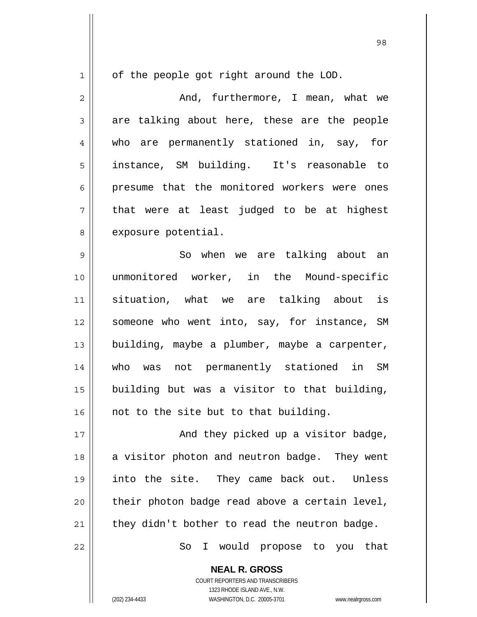1

of the people got right around the LOD.

2 3 4 5 6 7 8 And, furthermore, I mean, what we are talking about here, these are the people who are permanently stationed in, say, for instance, SM building. It's reasonable to presume that the monitored workers were ones that were at least judged to be at highest exposure potential.

9 10 11 12 13 14 15 16 So when we are talking about an unmonitored worker, in the Mound-specific situation, what we are talking about is someone who went into, say, for instance, SM building, maybe a plumber, maybe a carpenter, who was not permanently stationed in SM building but was a visitor to that building, not to the site but to that building.

17 18 19 20 21 And they picked up a visitor badge, a visitor photon and neutron badge. They went into the site. They came back out. Unless their photon badge read above a certain level, they didn't bother to read the neutron badge.

So I would propose to you that

**NEAL R. GROSS** COURT REPORTERS AND TRANSCRIBERS 1323 RHODE ISLAND AVE., N.W. (202) 234-4433 WASHINGTON, D.C. 20005-3701 www.nealrgross.com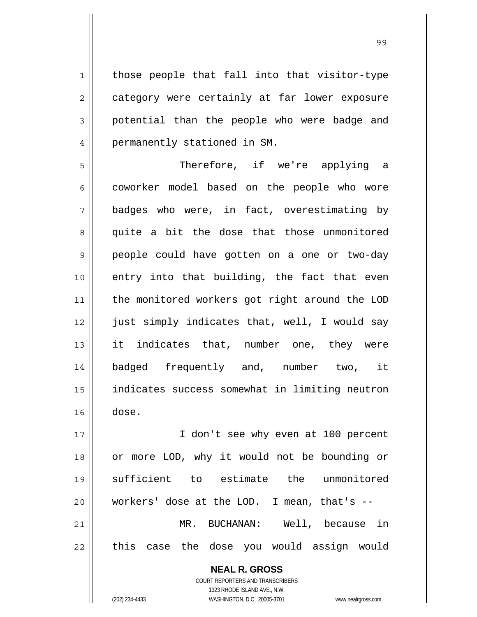those people that fall into that visitor-type category were certainly at far lower exposure potential than the people who were badge and permanently stationed in SM.

5 6 7 8 9 10 11 12 13 14 15 16 Therefore, if we're applying a coworker model based on the people who wore badges who were, in fact, overestimating by quite a bit the dose that those unmonitored people could have gotten on a one or two-day entry into that building, the fact that even the monitored workers got right around the LOD just simply indicates that, well, I would say it indicates that, number one, they were badged frequently and, number two, it indicates success somewhat in limiting neutron dose.

17 18 19 20 21 22 I don't see why even at 100 percent or more LOD, why it would not be bounding or sufficient to estimate the unmonitored workers' dose at the LOD. I mean, that's -- MR. BUCHANAN: Well, because in this case the dose you would assign would

> **NEAL R. GROSS** COURT REPORTERS AND TRANSCRIBERS 1323 RHODE ISLAND AVE., N.W. (202) 234-4433 WASHINGTON, D.C. 20005-3701 www.nealrgross.com

1

2

3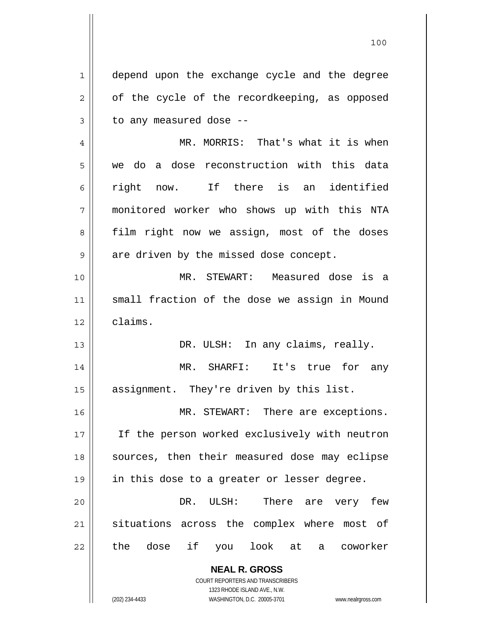**NEAL R. GROSS** 1 2 3 4 5 6 7 8 9 10 11 12 13 14 15 16 17 18 19 20 21 22 depend upon the exchange cycle and the degree of the cycle of the recordkeeping, as opposed to any measured dose -- MR. MORRIS: That's what it is when we do a dose reconstruction with this data right now. If there is an identified monitored worker who shows up with this NTA film right now we assign, most of the doses are driven by the missed dose concept. MR. STEWART: Measured dose is a small fraction of the dose we assign in Mound claims. DR. ULSH: In any claims, really. MR. SHARFI: It's true for any assignment. They're driven by this list. MR. STEWART: There are exceptions. If the person worked exclusively with neutron sources, then their measured dose may eclipse in this dose to a greater or lesser degree. DR. ULSH: There are very few situations across the complex where most of the dose if you look at a coworker

100

COURT REPORTERS AND TRANSCRIBERS 1323 RHODE ISLAND AVE., N.W.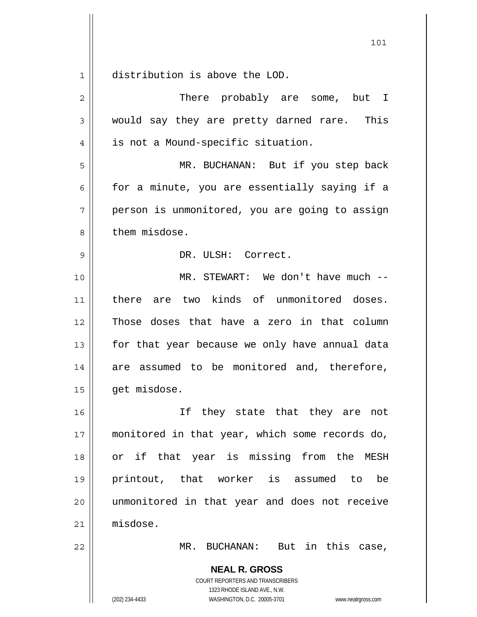$\begin{array}{c|c|c|c} 1 & 1 \end{array}$ distribution is above the LOD.

| $\overline{2}$ | There probably are some, but I                                                                                                                                  |
|----------------|-----------------------------------------------------------------------------------------------------------------------------------------------------------------|
| $\mathfrak{Z}$ | would say they are pretty darned rare. This                                                                                                                     |
| $\overline{4}$ | is not a Mound-specific situation.                                                                                                                              |
| 5              | MR. BUCHANAN: But if you step back                                                                                                                              |
| 6              | for a minute, you are essentially saying if a                                                                                                                   |
| 7              | person is unmonitored, you are going to assign                                                                                                                  |
| 8              | them misdose.                                                                                                                                                   |
| 9              | DR. ULSH: Correct.                                                                                                                                              |
| 10             | MR. STEWART: We don't have much --                                                                                                                              |
| 11             | there are two kinds of unmonitored doses.                                                                                                                       |
| 12             | Those doses that have a zero in that column                                                                                                                     |
| 13             | for that year because we only have annual data                                                                                                                  |
| 14             | are assumed to be monitored and, therefore,                                                                                                                     |
| 15             | get misdose.                                                                                                                                                    |
| 16             | If they state that they are not                                                                                                                                 |
| 17             | monitored in that year, which some records do,                                                                                                                  |
| 18             | or if that year is missing from the MESH                                                                                                                        |
| 19             | printout, that worker is assumed to<br>be                                                                                                                       |
| 20             | unmonitored in that year and does not receive                                                                                                                   |
| 21             | misdose.                                                                                                                                                        |
| 22             | MR. BUCHANAN: But in this case,                                                                                                                                 |
|                | <b>NEAL R. GROSS</b><br>COURT REPORTERS AND TRANSCRIBERS<br>1323 RHODE ISLAND AVE., N.W.<br>(202) 234-4433<br>WASHINGTON, D.C. 20005-3701<br>www.nealrgross.com |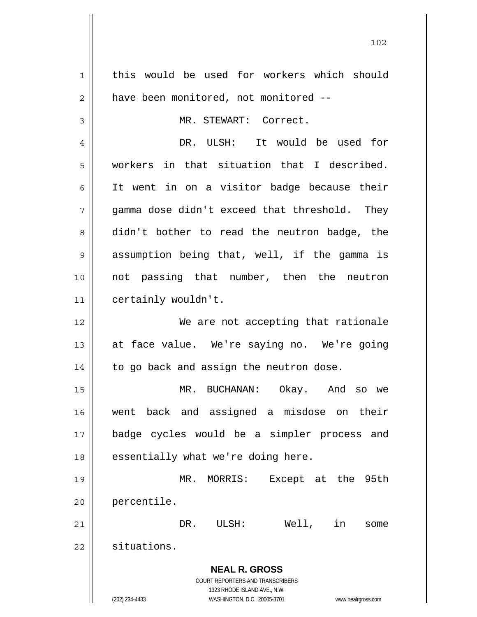**NEAL R. GROSS** COURT REPORTERS AND TRANSCRIBERS 1323 RHODE ISLAND AVE., N.W. (202) 234-4433 WASHINGTON, D.C. 20005-3701 www.nealrgross.com 1 2 3 4 5 6 7 8 9 10 11 12 13 14 15 16 17 18 19 20 21 22 this would be used for workers which should have been monitored, not monitored -- MR. STEWART: Correct. DR. ULSH: It would be used for workers in that situation that I described. It went in on a visitor badge because their gamma dose didn't exceed that threshold. They didn't bother to read the neutron badge, the assumption being that, well, if the gamma is not passing that number, then the neutron certainly wouldn't. We are not accepting that rationale at face value. We're saying no. We're going to go back and assign the neutron dose. MR. BUCHANAN: Okay. And so we went back and assigned a misdose on their badge cycles would be a simpler process and essentially what we're doing here. MR. MORRIS: Except at the 95th percentile. DR. ULSH: Well, in some situations.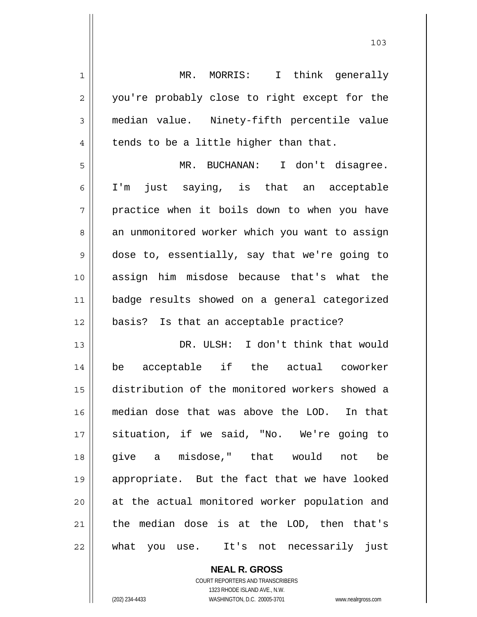| $\mathbf 1$    | MR. MORRIS: I think generally                  |
|----------------|------------------------------------------------|
| $\overline{2}$ | you're probably close to right except for the  |
| 3              | median value. Ninety-fifth percentile value    |
| $\overline{4}$ | tends to be a little higher than that.         |
| 5              | MR. BUCHANAN: I don't disagree.                |
| 6              | just saying, is that an acceptable<br>$I'$ m   |
| 7              | practice when it boils down to when you have   |
| 8              | an unmonitored worker which you want to assign |
| 9              | dose to, essentially, say that we're going to  |
| 10             | assign him misdose because that's what the     |
| 11             | badge results showed on a general categorized  |
|                |                                                |
| 12             | basis? Is that an acceptable practice?         |
| 13             | DR. ULSH: I don't think that would             |
| 14             | be acceptable if the actual coworker           |
| 15             | distribution of the monitored workers showed a |
| 16             | median dose that was above the LOD. In that    |
| 17             | situation, if we said, "No. We're going to     |
| 18             | give a misdose," that would not<br>be          |
| 19             | appropriate. But the fact that we have looked  |
| 20             | at the actual monitored worker population and  |
| 21             | the median dose is at the LOD, then that's     |

**NEAL R. GROSS** COURT REPORTERS AND TRANSCRIBERS 1323 RHODE ISLAND AVE., N.W. (202) 234-4433 WASHINGTON, D.C. 20005-3701 www.nealrgross.com

 $\prod$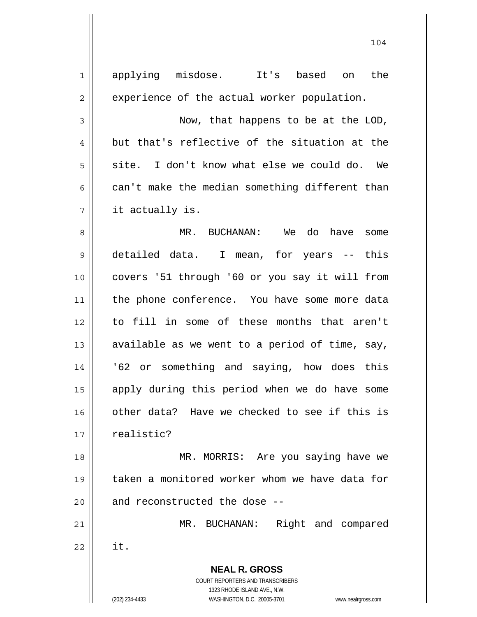| $\mathbf{1}$   | applying misdose. It's based on<br>the                              |
|----------------|---------------------------------------------------------------------|
| $\mathbf{2}$   | experience of the actual worker population.                         |
| 3              | Now, that happens to be at the LOD,                                 |
| $\overline{4}$ | but that's reflective of the situation at the                       |
| 5              | site. I don't know what else we could do. We                        |
| 6              | can't make the median something different than                      |
| 7              | it actually is.                                                     |
| 8              | MR. BUCHANAN: We do have<br>some                                    |
| 9              | detailed data. I mean, for years -- this                            |
| 10             | covers '51 through '60 or you say it will from                      |
| 11             | the phone conference. You have some more data                       |
| 12             | to fill in some of these months that aren't                         |
| 13             | available as we went to a period of time, say,                      |
| 14             | '62 or something and saying, how does this                          |
| 15             | apply during this period when we do have some                       |
| 16             | other data? Have we checked to see if this is                       |
| 17             | realistic?                                                          |
| 18             | MR. MORRIS: Are you saying have we                                  |
| 19             | taken a monitored worker whom we have data for                      |
| 20             | and reconstructed the dose --                                       |
| 21             | Right and compared<br>MR. BUCHANAN:                                 |
| 22             | it.                                                                 |
|                |                                                                     |
|                | <b>NEAL R. GROSS</b><br>COURT REPORTERS AND TRANSCRIBERS            |
|                | 1323 RHODE ISLAND AVE., N.W.                                        |
|                | (202) 234-4433<br>WASHINGTON, D.C. 20005-3701<br>www.nealrgross.com |

 $\mathsf{I}$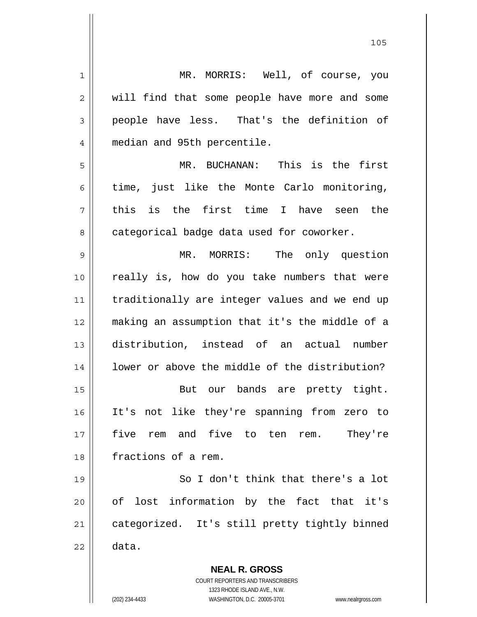| 1              | MR. MORRIS: Well, of course, you                                                                    |
|----------------|-----------------------------------------------------------------------------------------------------|
| 2              | will find that some people have more and some                                                       |
| 3              | people have less. That's the definition of                                                          |
| $\overline{4}$ | median and 95th percentile.                                                                         |
| 5              | MR. BUCHANAN:<br>This is the first                                                                  |
| 6              | time, just like the Monte Carlo monitoring,                                                         |
| 7              | this is the first time I have seen the                                                              |
| 8              | categorical badge data used for coworker.                                                           |
| $\mathsf 9$    | The only question<br>MR. MORRIS:                                                                    |
| 10             | really is, how do you take numbers that were                                                        |
| 11             | traditionally are integer values and we end up                                                      |
| 12             | making an assumption that it's the middle of a                                                      |
| 13             | distribution, instead of an actual number                                                           |
| 14             | lower or above the middle of the distribution?                                                      |
| 15             | But our bands are pretty tight.                                                                     |
| 16             | It's not like they're spanning from zero to                                                         |
| 17             | five to ten rem.<br>five<br>and<br>They're<br>rem                                                   |
| 18             | fractions of a rem.                                                                                 |
| 19             | So I don't think that there's a lot                                                                 |
| 20             | of lost information by the fact that it's                                                           |
| 21             | categorized. It's still pretty tightly binned                                                       |
| 22             | data.                                                                                               |
|                | <b>NEAL R. GROSS</b><br>COURT REPORTERS AND TRANSCRIBERS                                            |
|                | 1323 RHODE ISLAND AVE., N.W.<br>(202) 234-4433<br>WASHINGTON, D.C. 20005-3701<br>www.nealrgross.com |

105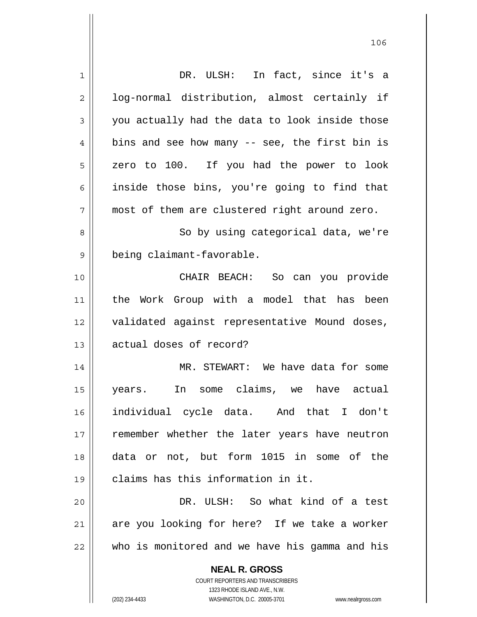| 1              | DR. ULSH: In fact, since it's a                                     |
|----------------|---------------------------------------------------------------------|
| $\overline{c}$ | log-normal distribution, almost certainly if                        |
| 3              | you actually had the data to look inside those                      |
| 4              | bins and see how many -- see, the first bin is                      |
| 5              | zero to 100. If you had the power to look                           |
| 6              | inside those bins, you're going to find that                        |
| 7              | most of them are clustered right around zero.                       |
| 8              | So by using categorical data, we're                                 |
| 9              | being claimant-favorable.                                           |
| 10             | CHAIR BEACH: So can you provide                                     |
| 11             | the Work Group with a model that has been                           |
| 12             | validated against representative Mound doses,                       |
| 13             | actual doses of record?                                             |
| 14             | MR. STEWART: We have data for some                                  |
| 15             | In some claims, we have actual<br>years.                            |
| 16             | individual cycle data. And that I don't                             |
| 17             | remember whether the later years have neutron                       |
| 18             | data or not, but form 1015 in some of the                           |
| 19             | claims has this information in it.                                  |
| 20             | DR. ULSH: So what kind of a test                                    |
| 21             | are you looking for here? If we take a worker                       |
| 22             | who is monitored and we have his gamma and his                      |
|                | <b>NEAL R. GROSS</b>                                                |
|                | <b>COURT REPORTERS AND TRANSCRIBERS</b>                             |
|                | 1323 RHODE ISLAND AVE., N.W.                                        |
|                | (202) 234-4433<br>WASHINGTON, D.C. 20005-3701<br>www.nealrgross.com |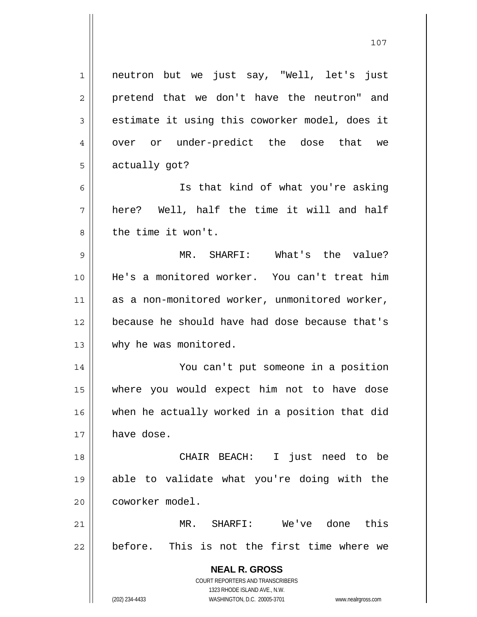**NEAL R. GROSS** COURT REPORTERS AND TRANSCRIBERS 1323 RHODE ISLAND AVE., N.W. 1 2 3 4 5 6 7 8 9 10 11 12 13 14 15 16 17 18 19 20 21 22 neutron but we just say, "Well, let's just pretend that we don't have the neutron" and estimate it using this coworker model, does it over or under-predict the dose that we actually got? Is that kind of what you're asking here? Well, half the time it will and half the time it won't. MR. SHARFI: What's the value? He's a monitored worker. You can't treat him as a non-monitored worker, unmonitored worker, because he should have had dose because that's why he was monitored. You can't put someone in a position where you would expect him not to have dose when he actually worked in a position that did have dose. CHAIR BEACH: I just need to be able to validate what you're doing with the coworker model. MR. SHARFI: We've done this before. This is not the first time where we

107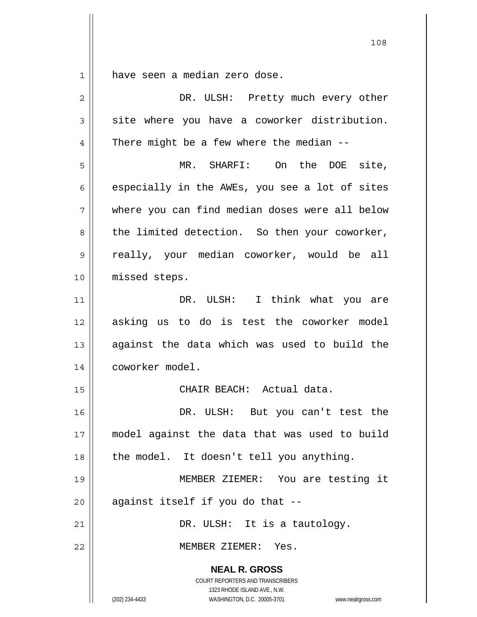1 have seen a median zero dose.

| $\overline{2}$ | DR. ULSH: Pretty much every other                                                                                                                                      |
|----------------|------------------------------------------------------------------------------------------------------------------------------------------------------------------------|
| 3              | site where you have a coworker distribution.                                                                                                                           |
| 4              | There might be a few where the median --                                                                                                                               |
| 5              | MR. SHARFI: On the DOE site,                                                                                                                                           |
| 6              | especially in the AWEs, you see a lot of sites                                                                                                                         |
| 7              | where you can find median doses were all below                                                                                                                         |
| 8              | the limited detection. So then your coworker,                                                                                                                          |
| 9              | really, your median coworker, would be all                                                                                                                             |
| 10             | missed steps.                                                                                                                                                          |
| 11             | DR. ULSH: I think what you are                                                                                                                                         |
| 12             | asking us to do is test the coworker model                                                                                                                             |
| 13             | against the data which was used to build the                                                                                                                           |
| 14             | coworker model.                                                                                                                                                        |
| 15             | CHAIR BEACH: Actual data.                                                                                                                                              |
| 16             | DR. ULSH: But you can't test the                                                                                                                                       |
| 17             | model against the data that was used to build                                                                                                                          |
| 18             | the model. It doesn't tell you anything.                                                                                                                               |
| 19             | MEMBER ZIEMER: You are testing it                                                                                                                                      |
| 20             | against itself if you do that --                                                                                                                                       |
| 21             | DR. ULSH: It is a tautology.                                                                                                                                           |
| 22             | MEMBER ZIEMER: Yes.                                                                                                                                                    |
|                | <b>NEAL R. GROSS</b><br><b>COURT REPORTERS AND TRANSCRIBERS</b><br>1323 RHODE ISLAND AVE., N.W.<br>WASHINGTON, D.C. 20005-3701<br>(202) 234-4433<br>www.nealrgross.com |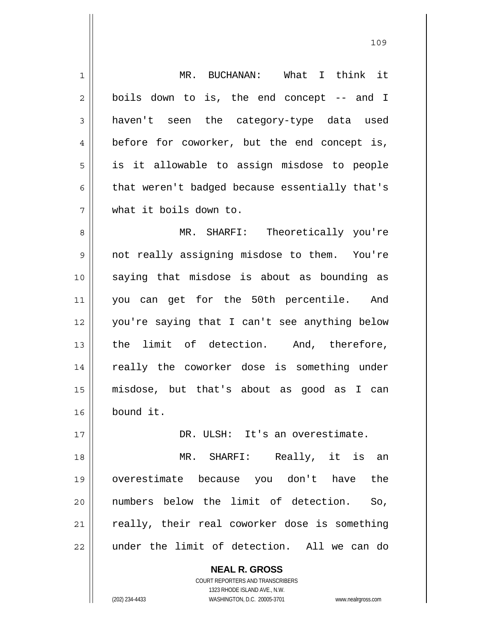| 1              | MR. BUCHANAN: What I think it                  |
|----------------|------------------------------------------------|
| $\overline{2}$ | boils down to is, the end concept -- and I     |
| 3              | haven't seen the category-type data used       |
| 4              | before for coworker, but the end concept is,   |
| 5              | is it allowable to assign misdose to people    |
| 6              | that weren't badged because essentially that's |
| 7              | what it boils down to.                         |
| 8              | MR. SHARFI: Theoretically you're               |
| $\mathsf 9$    | not really assigning misdose to them. You're   |
| 10             | saying that misdose is about as bounding as    |
| 11             | you can get for the 50th percentile. And       |
| 12             | you're saying that I can't see anything below  |
| 13             | the limit of detection. And, therefore,        |
| 14             | really the coworker dose is something under    |
| 15             | misdose, but that's about as good as<br>I can  |
| 16             | bound it.                                      |
| 17             | DR. ULSH: It's an overestimate.                |
| 18             | MR. SHARFI: Really, it is an                   |
| 19             | overestimate because you don't have the        |
| 20             | numbers below the limit of detection.<br>So,   |
| 21             | really, their real coworker dose is something  |
| 22             | under the limit of detection. All we can do    |
|                | <b>NEAL R. GROSS</b>                           |

COURT REPORTERS AND TRANSCRIBERS 1323 RHODE ISLAND AVE., N.W.

 $\mathsf{II}$ 

(202) 234-4433 WASHINGTON, D.C. 20005-3701 www.nealrgross.com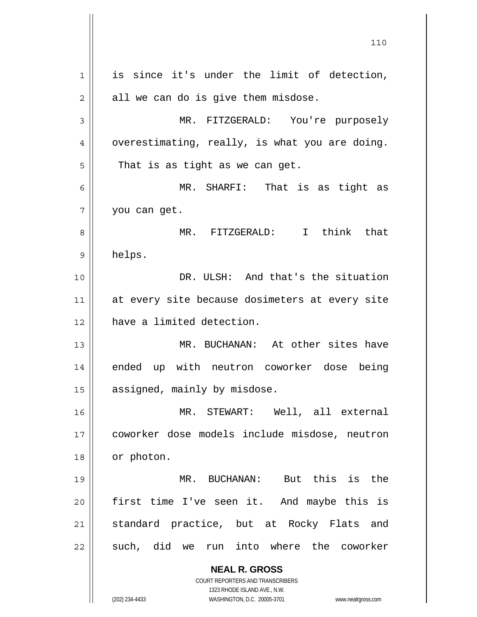**NEAL R. GROSS** COURT REPORTERS AND TRANSCRIBERS 1323 RHODE ISLAND AVE., N.W. (202) 234-4433 WASHINGTON, D.C. 20005-3701 www.nealrgross.com 1 2 3 4 5 6 7 8 9 10 11 12 13 14 15 16 17 18 19 20 21 22 is since it's under the limit of detection, all we can do is give them misdose. MR. FITZGERALD: You're purposely overestimating, really, is what you are doing. That is as tight as we can get. MR. SHARFI: That is as tight as you can get. MR. FITZGERALD: I think that helps. DR. ULSH: And that's the situation at every site because dosimeters at every site have a limited detection. MR. BUCHANAN: At other sites have ended up with neutron coworker dose being assigned, mainly by misdose. MR. STEWART: Well, all external coworker dose models include misdose, neutron or photon. MR. BUCHANAN: But this is the first time I've seen it. And maybe this is standard practice, but at Rocky Flats and such, did we run into where the coworker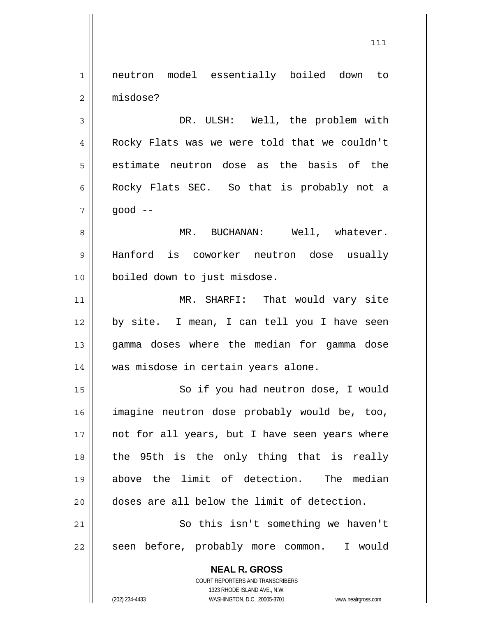1 2 neutron model essentially boiled down to misdose?

3 4 5 6 7 DR. ULSH: Well, the problem with Rocky Flats was we were told that we couldn't estimate neutron dose as the basis of the Rocky Flats SEC. So that is probably not a good --

8 9 10 MR. BUCHANAN: Well, whatever. Hanford is coworker neutron dose usually boiled down to just misdose.

11 12 13 14 MR. SHARFI: That would vary site by site. I mean, I can tell you I have seen gamma doses where the median for gamma dose was misdose in certain years alone.

15 16 17 18 19 20 21 So if you had neutron dose, I would imagine neutron dose probably would be, too, not for all years, but I have seen years where the 95th is the only thing that is really above the limit of detection. The median doses are all below the limit of detection.

22 So this isn't something we haven't seen before, probably more common. I would

> **NEAL R. GROSS** COURT REPORTERS AND TRANSCRIBERS 1323 RHODE ISLAND AVE., N.W. (202) 234-4433 WASHINGTON, D.C. 20005-3701 www.nealrgross.com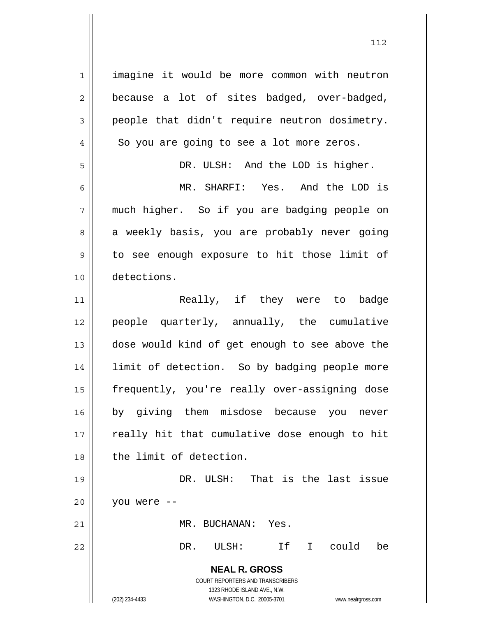**NEAL R. GROSS** COURT REPORTERS AND TRANSCRIBERS 1323 RHODE ISLAND AVE., N.W. (202) 234-4433 WASHINGTON, D.C. 20005-3701 www.nealrgross.com 1 2 3 4 5 6 7 8 9 10 11 12 13 14 15 16 17 18 19 20 21 22 imagine it would be more common with neutron because a lot of sites badged, over-badged, people that didn't require neutron dosimetry. So you are going to see a lot more zeros. DR. ULSH: And the LOD is higher. MR. SHARFI: Yes. And the LOD is much higher. So if you are badging people on a weekly basis, you are probably never going to see enough exposure to hit those limit of detections. Really, if they were to badge people quarterly, annually, the cumulative dose would kind of get enough to see above the limit of detection. So by badging people more frequently, you're really over-assigning dose by giving them misdose because you never really hit that cumulative dose enough to hit the limit of detection. DR. ULSH: That is the last issue you were -- MR. BUCHANAN: Yes. DR. ULSH: If I could be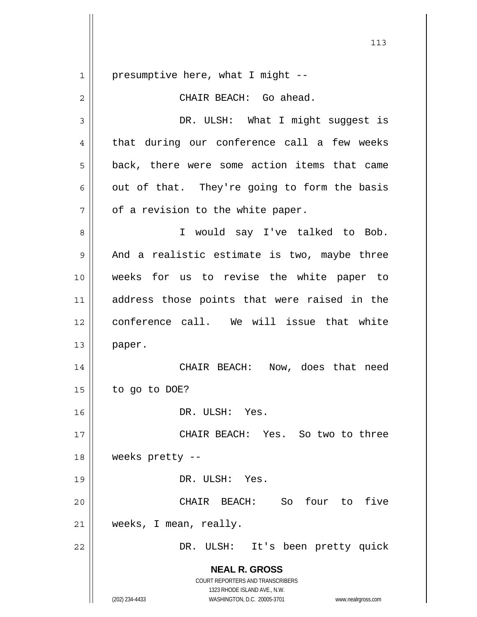**NEAL R. GROSS** COURT REPORTERS AND TRANSCRIBERS 1323 RHODE ISLAND AVE., N.W. (202) 234-4433 WASHINGTON, D.C. 20005-3701 www.nealrgross.com 1 2 3 4 5 6 7 8 9 10 11 12 13 14 15 16 17 18 19 20 21 22 presumptive here, what I might -- CHAIR BEACH: Go ahead. DR. ULSH: What I might suggest is that during our conference call a few weeks back, there were some action items that came out of that. They're going to form the basis of a revision to the white paper. I would say I've talked to Bob. And a realistic estimate is two, maybe three weeks for us to revise the white paper to address those points that were raised in the conference call. We will issue that white paper. CHAIR BEACH: Now, does that need to go to DOE? DR. ULSH: Yes. CHAIR BEACH: Yes. So two to three weeks pretty -- DR. ULSH: Yes. CHAIR BEACH: So four to five weeks, I mean, really. DR. ULSH: It's been pretty quick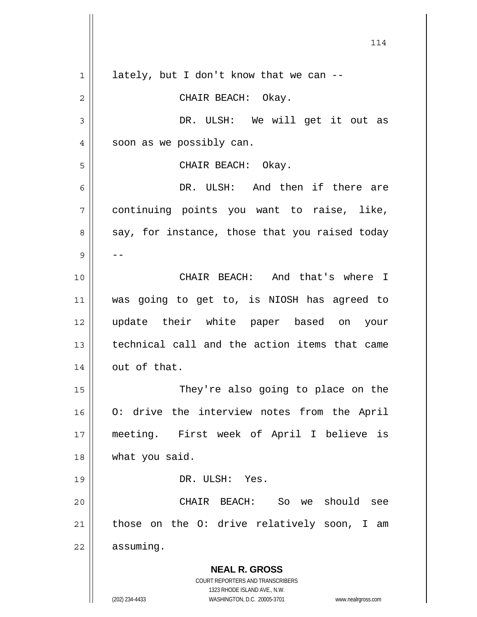**NEAL R. GROSS** COURT REPORTERS AND TRANSCRIBERS 1323 RHODE ISLAND AVE., N.W. (202) 234-4433 WASHINGTON, D.C. 20005-3701 www.nealrgross.com 114 1 2 3 4 5 6 7 8 9 10 11 12 13 14 15 16 17 18 19 20 21 22 lately, but I don't know that we can -- CHAIR BEACH: Okay. DR. ULSH: We will get it out as soon as we possibly can. CHAIR BEACH: Okay. DR. ULSH: And then if there are continuing points you want to raise, like, say, for instance, those that you raised today -- CHAIR BEACH: And that's where I was going to get to, is NIOSH has agreed to update their white paper based on your technical call and the action items that came out of that. They're also going to place on the O: drive the interview notes from the April meeting. First week of April I believe is what you said. DR. ULSH: Yes. CHAIR BEACH: So we should see those on the O: drive relatively soon, I am assuming.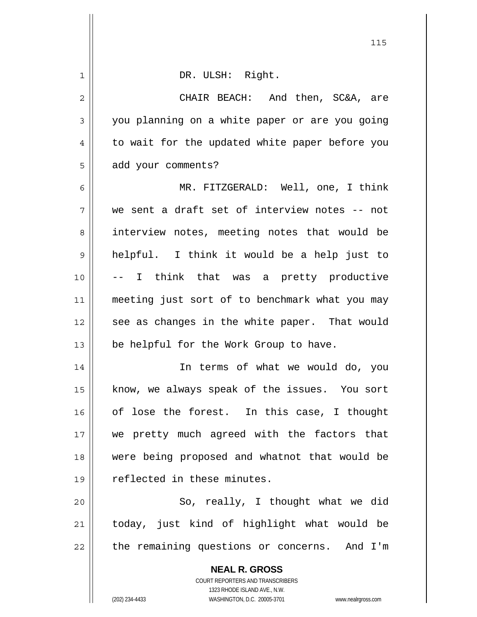| 1              | DR. ULSH: Right.                                                    |
|----------------|---------------------------------------------------------------------|
| $\overline{2}$ | CHAIR BEACH: And then, SC&A, are                                    |
| 3              | you planning on a white paper or are you going                      |
| 4              | to wait for the updated white paper before you                      |
| 5              | add your comments?                                                  |
| 6              | MR. FITZGERALD: Well, one, I think                                  |
| 7              | we sent a draft set of interview notes -- not                       |
| 8              | interview notes, meeting notes that would be                        |
| 9              | helpful. I think it would be a help just to                         |
| 10             | -- I think that was a pretty productive                             |
| 11             | meeting just sort of to benchmark what you may                      |
| 12             | see as changes in the white paper. That would                       |
| 13             | be helpful for the Work Group to have.                              |
| 14             | In terms of what we would do, you                                   |
| 15             | know, we always speak of the issues. You sort                       |
| 16             | of lose the forest. In this case, I thought                         |
| 17             | we pretty much agreed with the factors that                         |
| 18             | were being proposed and whatnot that would be                       |
| 19             | reflected in these minutes.                                         |
| 20             | So, really, I thought what we did                                   |
| 21             | today, just kind of highlight what would be                         |
| 22             | the remaining questions or concerns. And I'm                        |
|                | <b>NEAL R. GROSS</b>                                                |
|                | COURT REPORTERS AND TRANSCRIBERS                                    |
|                | 1323 RHODE ISLAND AVE., N.W.                                        |
|                | (202) 234-4433<br>WASHINGTON, D.C. 20005-3701<br>www.nealrgross.com |

<u>115</u>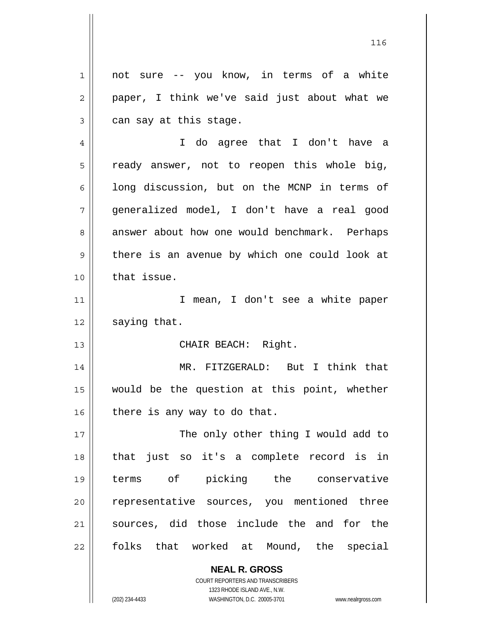1 2 3 not sure -- you know, in terms of a white paper, I think we've said just about what we can say at this stage.

4 5 6 7 8 9 10 I do agree that I don't have a ready answer, not to reopen this whole big, long discussion, but on the MCNP in terms of generalized model, I don't have a real good answer about how one would benchmark. Perhaps there is an avenue by which one could look at that issue.

11 12 I mean, I don't see a white paper saying that.

CHAIR BEACH: Right.

14 15 16 MR. FITZGERALD: But I think that would be the question at this point, whether there is any way to do that.

17 18 19 20 21 22 The only other thing I would add to that just so it's a complete record is in terms of picking the conservative representative sources, you mentioned three sources, did those include the and for the folks that worked at Mound, the special

> **NEAL R. GROSS** COURT REPORTERS AND TRANSCRIBERS 1323 RHODE ISLAND AVE., N.W.

13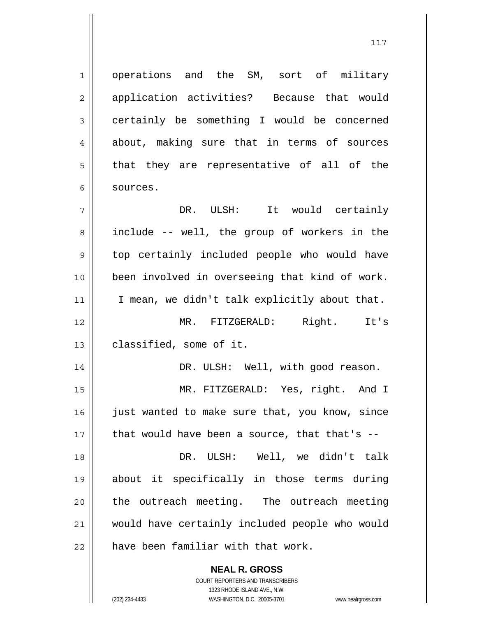operations and the SM, sort of military application activities? Because that would certainly be something I would be concerned about, making sure that in terms of sources that they are representative of all of the sources.

**NEAL R. GROSS** 7 8 9 10 11 12 13 14 15 16 17 18 19 20 21 22 DR. ULSH: It would certainly include -- well, the group of workers in the top certainly included people who would have been involved in overseeing that kind of work. I mean, we didn't talk explicitly about that. MR. FITZGERALD: Right. It's classified, some of it. DR. ULSH: Well, with good reason. MR. FITZGERALD: Yes, right. And I just wanted to make sure that, you know, since that would have been a source, that that's -- DR. ULSH: Well, we didn't talk about it specifically in those terms during the outreach meeting. The outreach meeting would have certainly included people who would have been familiar with that work.

> COURT REPORTERS AND TRANSCRIBERS 1323 RHODE ISLAND AVE., N.W.

1

2

3

4

5

6

(202) 234-4433 WASHINGTON, D.C. 20005-3701 www.nealrgross.com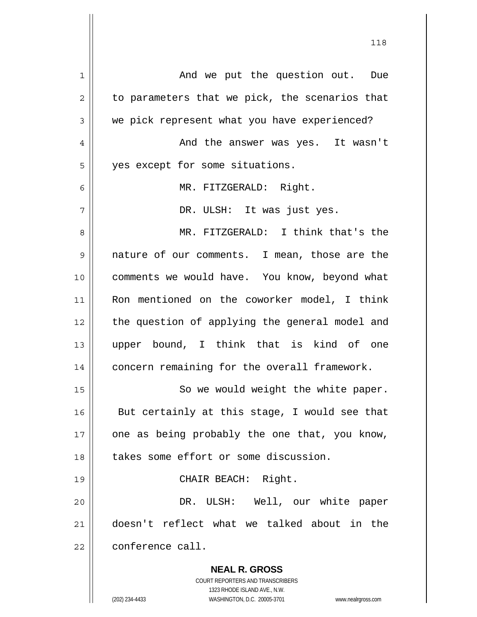| 1  | And we put the question out. Due                                                                    |
|----|-----------------------------------------------------------------------------------------------------|
| 2  | to parameters that we pick, the scenarios that                                                      |
| 3  | we pick represent what you have experienced?                                                        |
| 4  | And the answer was yes. It wasn't                                                                   |
| 5  | yes except for some situations.                                                                     |
| 6  | MR. FITZGERALD: Right.                                                                              |
| 7  | DR. ULSH: It was just yes.                                                                          |
| 8  | MR. FITZGERALD: I think that's the                                                                  |
| 9  | nature of our comments. I mean, those are the                                                       |
| 10 | comments we would have. You know, beyond what                                                       |
| 11 | Ron mentioned on the coworker model, I think                                                        |
| 12 | the question of applying the general model and                                                      |
| 13 | upper bound, I think that is kind of one                                                            |
| 14 | concern remaining for the overall framework.                                                        |
| 15 | So we would weight the white paper.                                                                 |
|    |                                                                                                     |
| 16 | But certainly at this stage, I would see that                                                       |
| 17 | one as being probably the one that, you know,                                                       |
| 18 | takes some effort or some discussion.                                                               |
| 19 | CHAIR BEACH: Right.                                                                                 |
| 20 | DR. ULSH: Well, our white paper                                                                     |
| 21 | doesn't reflect what we talked about in the                                                         |
| 22 | conference call.                                                                                    |
|    | <b>NEAL R. GROSS</b>                                                                                |
|    | <b>COURT REPORTERS AND TRANSCRIBERS</b>                                                             |
|    | 1323 RHODE ISLAND AVE., N.W.<br>(202) 234-4433<br>WASHINGTON, D.C. 20005-3701<br>www.nealrgross.com |
|    |                                                                                                     |

118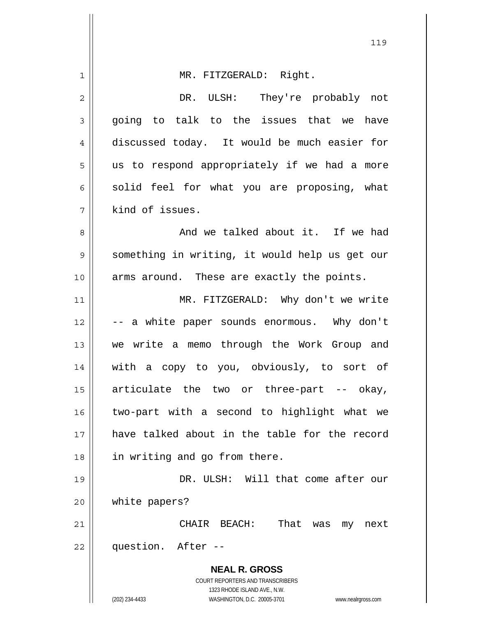| 1  | MR. FITZGERALD: Right.                                                                              |
|----|-----------------------------------------------------------------------------------------------------|
| 2  | DR. ULSH: They're probably not                                                                      |
| 3  | going to talk to the issues that we have                                                            |
| 4  | discussed today. It would be much easier for                                                        |
| 5  | us to respond appropriately if we had a more                                                        |
| 6  | solid feel for what you are proposing, what                                                         |
| 7  | kind of issues.                                                                                     |
| 8  | And we talked about it. If we had                                                                   |
| 9  | something in writing, it would help us get our                                                      |
| 10 | arms around. These are exactly the points.                                                          |
| 11 | MR. FITZGERALD: Why don't we write                                                                  |
| 12 | -- a white paper sounds enormous. Why don't                                                         |
| 13 | we write a memo through the Work Group and                                                          |
| 14 | with a copy to you, obviously, to sort of                                                           |
| 15 | articulate the two or three-part -- okay,                                                           |
| 16 | two-part with a second to highlight what we                                                         |
| 17 | have talked about in the table for the record                                                       |
| 18 | in writing and go from there.                                                                       |
| 19 | DR. ULSH: Will that come after our                                                                  |
| 20 | white papers?                                                                                       |
| 21 | CHAIR BEACH: That was my<br>next                                                                    |
| 22 | question. After --                                                                                  |
|    | <b>NEAL R. GROSS</b>                                                                                |
|    | <b>COURT REPORTERS AND TRANSCRIBERS</b>                                                             |
|    | 1323 RHODE ISLAND AVE., N.W.<br>(202) 234-4433<br>WASHINGTON, D.C. 20005-3701<br>www.nealrgross.com |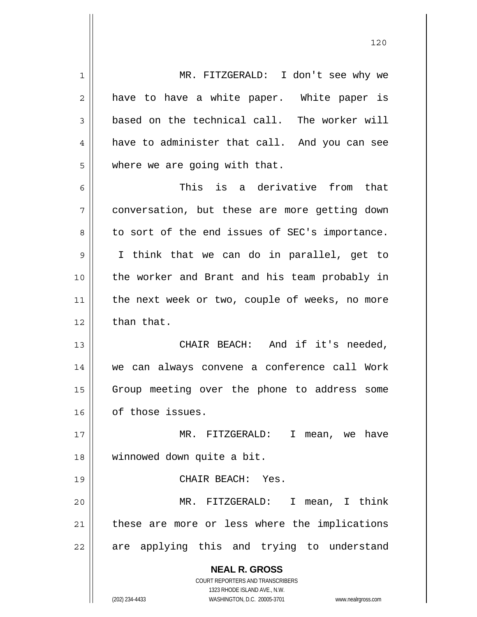**NEAL R. GROSS** COURT REPORTERS AND TRANSCRIBERS 1323 RHODE ISLAND AVE., N.W. 1 2 3 4 5 6 7 8 9 10 11 12 13 14 15 16 17 18 19 20 21 22 MR. FITZGERALD: I don't see why we have to have a white paper. White paper is based on the technical call. The worker will have to administer that call. And you can see where we are going with that. This is a derivative from that conversation, but these are more getting down to sort of the end issues of SEC's importance. I think that we can do in parallel, get to the worker and Brant and his team probably in the next week or two, couple of weeks, no more than that. CHAIR BEACH: And if it's needed, we can always convene a conference call Work Group meeting over the phone to address some of those issues. MR. FITZGERALD: I mean, we have winnowed down quite a bit. CHAIR BEACH: Yes. MR. FITZGERALD: I mean, I think these are more or less where the implications are applying this and trying to understand

120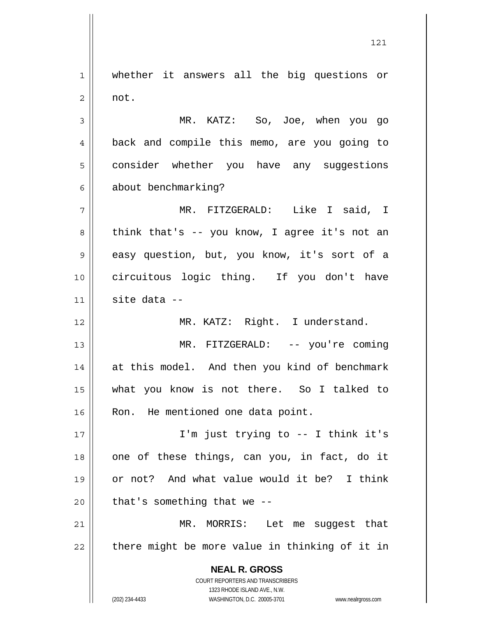1 2 whether it answers all the big questions or not.

3 4 5 6 MR. KATZ: So, Joe, when you go back and compile this memo, are you going to consider whether you have any suggestions about benchmarking?

7 8 9 10 11 MR. FITZGERALD: Like I said, I think that's -- you know, I agree it's not an easy question, but, you know, it's sort of a circuitous logic thing. If you don't have site data --

MR. KATZ: Right. I understand.

13 14 15 16 MR. FITZGERALD: -- you're coming at this model. And then you kind of benchmark what you know is not there. So I talked to Ron. He mentioned one data point.

17 18 19 20 I'm just trying to -- I think it's one of these things, can you, in fact, do it or not? And what value would it be? I think that's something that we --

21 22 MR. MORRIS: Let me suggest that there might be more value in thinking of it in

> **NEAL R. GROSS** COURT REPORTERS AND TRANSCRIBERS 1323 RHODE ISLAND AVE., N.W.

12

(202) 234-4433 WASHINGTON, D.C. 20005-3701 www.nealrgross.com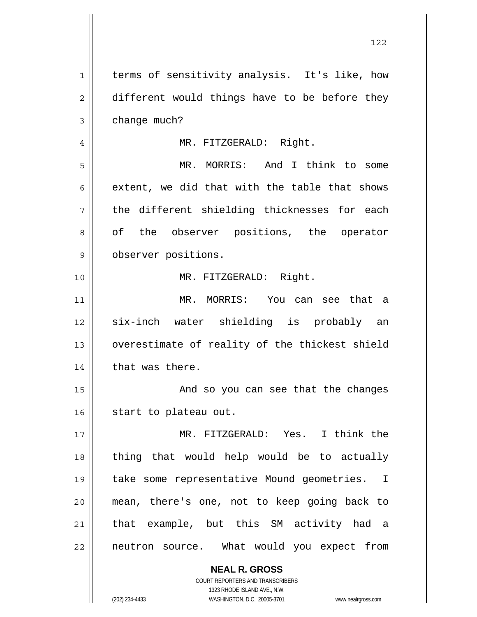**NEAL R. GROSS** COURT REPORTERS AND TRANSCRIBERS 1 2 3 4 5 6 7 8 9 10 11 12 13 14 15 16 17 18 19 20 21 22 terms of sensitivity analysis. It's like, how different would things have to be before they change much? MR. FITZGERALD: Right. MR. MORRIS: And I think to some extent, we did that with the table that shows the different shielding thicknesses for each of the observer positions, the operator observer positions. MR. FITZGERALD: Right. MR. MORRIS: You can see that a six-inch water shielding is probably an overestimate of reality of the thickest shield that was there. And so you can see that the changes start to plateau out. MR. FITZGERALD: Yes. I think the thing that would help would be to actually take some representative Mound geometries. I mean, there's one, not to keep going back to that example, but this SM activity had a neutron source. What would you expect from

1323 RHODE ISLAND AVE., N.W.

(202) 234-4433 WASHINGTON, D.C. 20005-3701 www.nealrgross.com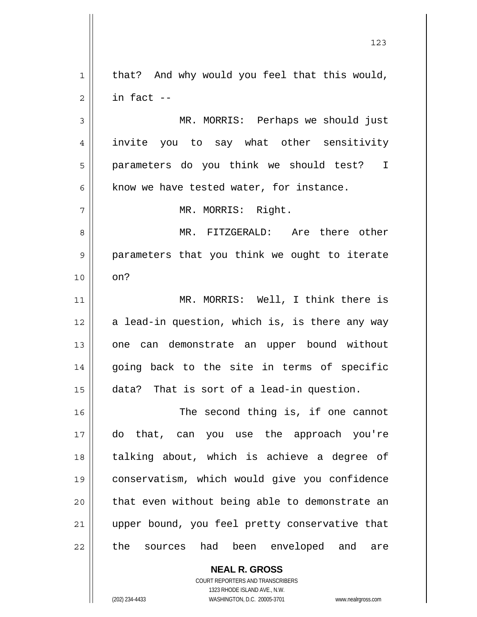**NEAL R. GROSS** 1 2 3 4 5 6 7 8 9 10 11 12 13 14 15 16 17 18 19 20 21 22 that? And why would you feel that this would, in fact -- MR. MORRIS: Perhaps we should just invite you to say what other sensitivity parameters do you think we should test? I know we have tested water, for instance. MR. MORRIS: Right. MR. FITZGERALD: Are there other parameters that you think we ought to iterate on? MR. MORRIS: Well, I think there is a lead-in question, which is, is there any way one can demonstrate an upper bound without going back to the site in terms of specific data? That is sort of a lead-in question. The second thing is, if one cannot do that, can you use the approach you're talking about, which is achieve a degree of conservatism, which would give you confidence that even without being able to demonstrate an upper bound, you feel pretty conservative that the sources had been enveloped and are

123

COURT REPORTERS AND TRANSCRIBERS 1323 RHODE ISLAND AVE., N.W.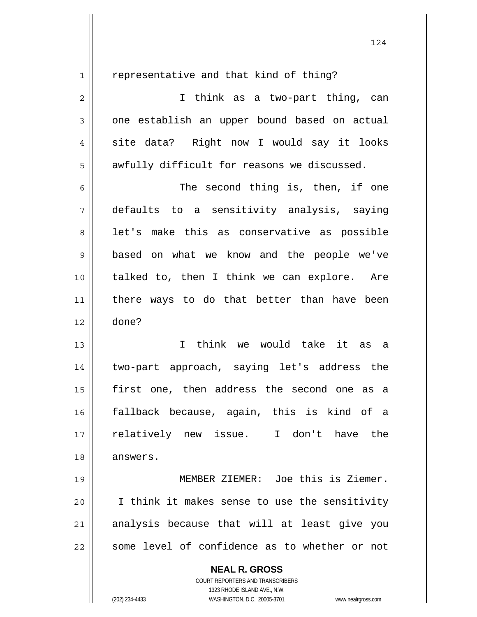1

representative and that kind of thing?

2 3 4 5 I think as a two-part thing, can one establish an upper bound based on actual site data? Right now I would say it looks awfully difficult for reasons we discussed.

6 7 8 9 10 11 12 The second thing is, then, if one defaults to a sensitivity analysis, saying let's make this as conservative as possible based on what we know and the people we've talked to, then I think we can explore. Are there ways to do that better than have been done?

13 14 15 16 17 18 I think we would take it as a two-part approach, saying let's address the first one, then address the second one as a fallback because, again, this is kind of a relatively new issue. I don't have the answers.

19 20 21 22 MEMBER ZIEMER: Joe this is Ziemer. I think it makes sense to use the sensitivity analysis because that will at least give you some level of confidence as to whether or not

> **NEAL R. GROSS** COURT REPORTERS AND TRANSCRIBERS 1323 RHODE ISLAND AVE., N.W.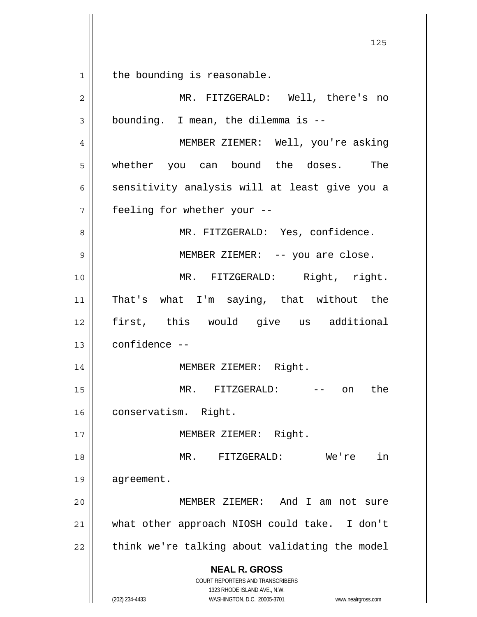**NEAL R. GROSS** COURT REPORTERS AND TRANSCRIBERS <u>125</u> 1 2 3 4 5 6 7 8 9 10 11 12 13 14 15 16 17 18 19 20 21 22 the bounding is reasonable. MR. FITZGERALD: Well, there's no bounding. I mean, the dilemma is -- MEMBER ZIEMER: Well, you're asking whether you can bound the doses. The sensitivity analysis will at least give you a feeling for whether your -- MR. FITZGERALD: Yes, confidence. MEMBER ZIEMER: -- you are close. MR. FITZGERALD: Right, right. That's what I'm saying, that without the first, this would give us additional confidence -- MEMBER ZIEMER: Right. MR. FITZGERALD: -- on the conservatism. Right. MEMBER ZIEMER: Right. MR. FITZGERALD: We're in agreement. MEMBER ZIEMER: And I am not sure what other approach NIOSH could take. I don't think we're talking about validating the model

1323 RHODE ISLAND AVE., N.W. (202) 234-4433 WASHINGTON, D.C. 20005-3701 www.nealrgross.com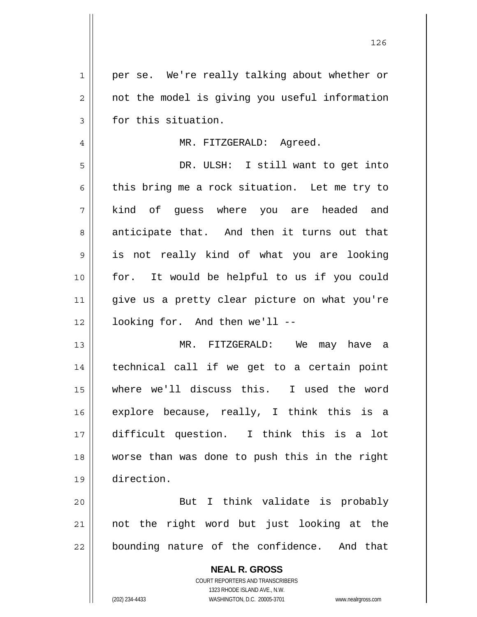| $\mathbf 1$    | per se. We're really talking about whether or            |
|----------------|----------------------------------------------------------|
| $\overline{2}$ | not the model is giving you useful information           |
| 3              | for this situation.                                      |
| 4              | MR. FITZGERALD: Agreed.                                  |
| 5              | DR. ULSH: I still want to get into                       |
| 6              | this bring me a rock situation. Let me try to            |
| 7              | kind of guess where you are headed and                   |
| 8              | anticipate that. And then it turns out that              |
| 9              | is not really kind of what you are looking               |
| 10             | for. It would be helpful to us if you could              |
| 11             | give us a pretty clear picture on what you're            |
| 12             | looking for. And then we'll --                           |
| 13             | MR. FITZGERALD: We may have a                            |
| 14             | technical call if we get to a certain point              |
| 15             | where we'll discuss this. I used the word                |
| 16             | explore because, really, I think this is a               |
| 17             | difficult question. I think this is a lot                |
| 18             | worse than was done to push this in the right            |
| 19             | direction.                                               |
| 20             | But I think validate is probably                         |
| 21             | not the right word but just looking at the               |
| 22             | bounding nature of the confidence. And that              |
|                | <b>NEAL R. GROSS</b><br>COURT REPORTERS AND TRANSCRIBERS |

1323 RHODE ISLAND AVE., N.W.

 $\begin{array}{c} \hline \end{array}$ 

(202) 234-4433 WASHINGTON, D.C. 20005-3701 www.nealrgross.com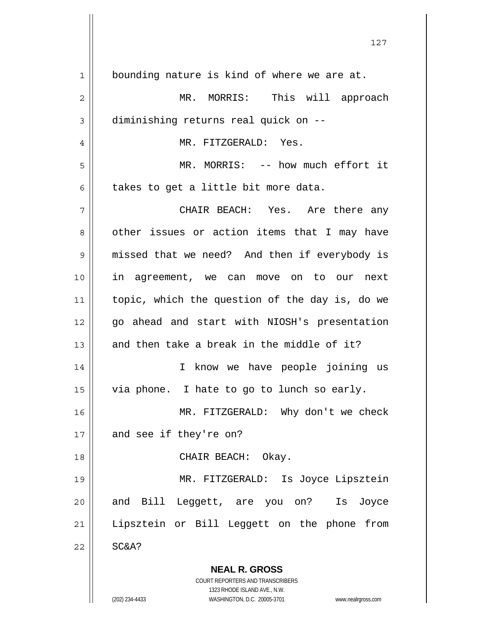| 1  | bounding nature is kind of where we are at.                         |
|----|---------------------------------------------------------------------|
| 2  | MR. MORRIS: This will approach                                      |
| 3  | diminishing returns real quick on --                                |
| 4  | MR. FITZGERALD: Yes.                                                |
| 5  | MR. MORRIS: -- how much effort it                                   |
| 6  | takes to get a little bit more data.                                |
| 7  | CHAIR BEACH: Yes. Are there any                                     |
| 8  | other issues or action items that I may have                        |
| 9  | missed that we need? And then if everybody is                       |
| 10 | in agreement, we can move on to our next                            |
| 11 | topic, which the question of the day is, do we                      |
| 12 | go ahead and start with NIOSH's presentation                        |
| 13 | and then take a break in the middle of it?                          |
| 14 | I know we have people joining us                                    |
| 15 | via phone. I hate to go to lunch so early.                          |
| 16 | MR. FITZGERALD: Why don't we check                                  |
| 17 | and see if they're on?                                              |
| 18 | CHAIR BEACH: Okay.                                                  |
| 19 | MR. FITZGERALD: Is Joyce Lipsztein                                  |
| 20 | and Bill Leggett, are you on? Is Joyce                              |
| 21 | Lipsztein or Bill Leggett on the phone from                         |
| 22 | SC&A?                                                               |
|    | <b>NEAL R. GROSS</b>                                                |
|    | <b>COURT REPORTERS AND TRANSCRIBERS</b>                             |
|    | 1323 RHODE ISLAND AVE., N.W.                                        |
|    | (202) 234-4433<br>WASHINGTON, D.C. 20005-3701<br>www.nealrgross.com |

127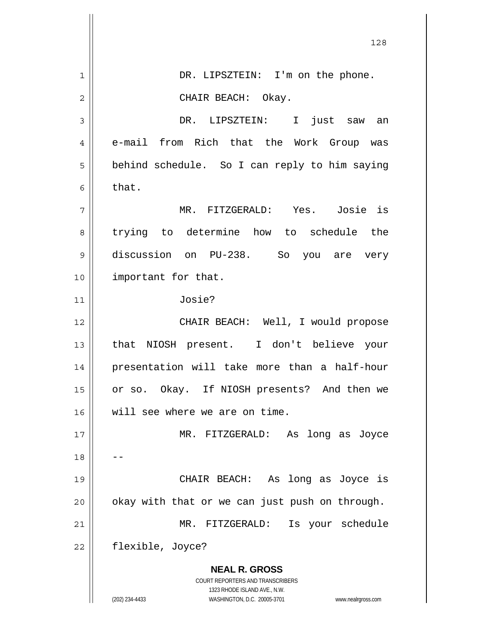|                | 128                                                                                                                                            |
|----------------|------------------------------------------------------------------------------------------------------------------------------------------------|
| 1              | DR. LIPSZTEIN: I'm on the phone.                                                                                                               |
| $\overline{2}$ | CHAIR BEACH: Okay.                                                                                                                             |
| 3              | DR. LIPSZTEIN: I<br>just saw<br>an                                                                                                             |
| 4              | e-mail from Rich that the Work Group was                                                                                                       |
| 5              | behind schedule. So I can reply to him saying                                                                                                  |
| 6              | that.                                                                                                                                          |
| 7              | MR. FITZGERALD: Yes. Josie is                                                                                                                  |
| 8              | trying to determine how to schedule the                                                                                                        |
| 9              | discussion on PU-238. So you are<br>very                                                                                                       |
| 10             | important for that.                                                                                                                            |
| 11             | Josie?                                                                                                                                         |
| 12             | CHAIR BEACH: Well, I would propose                                                                                                             |
| 13             | that NIOSH present. I don't believe your                                                                                                       |
| 14             | presentation will take more than a half-hour                                                                                                   |
| 15             | or so. Okay. If NIOSH presents? And then we                                                                                                    |
| 16             | will see where we are on time.                                                                                                                 |
| 17             | MR. FITZGERALD: As<br>long as Joyce                                                                                                            |
| 18             |                                                                                                                                                |
| 19             | CHAIR BEACH: As<br>long as Joyce is                                                                                                            |
| 20             | okay with that or we can just push on through.                                                                                                 |
| 21             | Is your schedule<br>MR. FITZGERALD:                                                                                                            |
| 22             | flexible, Joyce?                                                                                                                               |
|                | <b>NEAL R. GROSS</b>                                                                                                                           |
|                | <b>COURT REPORTERS AND TRANSCRIBERS</b><br>1323 RHODE ISLAND AVE., N.W.<br>(202) 234-4433<br>WASHINGTON, D.C. 20005-3701<br>www.nealrgross.com |
|                |                                                                                                                                                |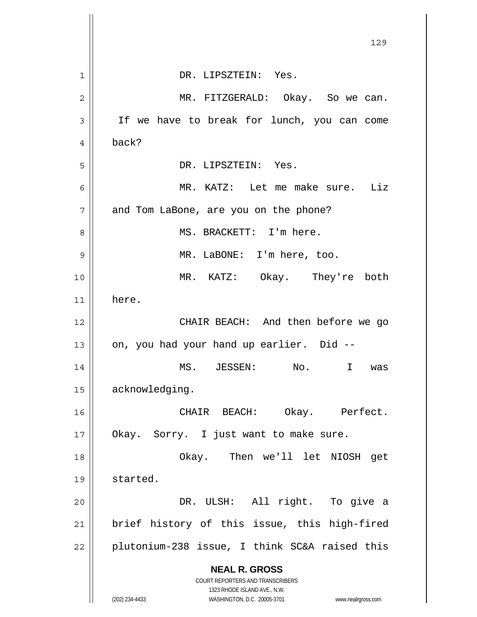|    | 129                                                                                                 |
|----|-----------------------------------------------------------------------------------------------------|
| 1  | DR. LIPSZTEIN: Yes.                                                                                 |
| 2  | MR. FITZGERALD: Okay. So we can.                                                                    |
| 3  | If we have to break for lunch, you can come                                                         |
| 4  | back?                                                                                               |
| 5  | DR. LIPSZTEIN: Yes.                                                                                 |
| 6  | MR. KATZ: Let me make sure. Liz                                                                     |
| 7  | and Tom LaBone, are you on the phone?                                                               |
| 8  | MS. BRACKETT: I'm here.                                                                             |
| 9  | MR. LaBONE: I'm here, too.                                                                          |
| 10 | MR. KATZ: Okay. They're both                                                                        |
| 11 | here.                                                                                               |
| 12 | CHAIR BEACH: And then before we go                                                                  |
| 13 | on, you had your hand up earlier. Did --                                                            |
| 14 | MS. JESSEN:<br>No.<br>$\mathbf{I}$                                                                  |
|    | was                                                                                                 |
| 15 | acknowledging.                                                                                      |
| 16 | Okay. Perfect.<br>CHAIR BEACH:                                                                      |
| 17 | Okay. Sorry. I just want to make sure.                                                              |
| 18 | Okay. Then we'll let NIOSH get                                                                      |
| 19 | started.                                                                                            |
| 20 | DR. ULSH: All right. To give a                                                                      |
| 21 | brief history of this issue, this high-fired                                                        |
| 22 | plutonium-238 issue, I think SC&A raised this                                                       |
|    | <b>NEAL R. GROSS</b>                                                                                |
|    | COURT REPORTERS AND TRANSCRIBERS                                                                    |
|    | 1323 RHODE ISLAND AVE., N.W.<br>(202) 234-4433<br>WASHINGTON, D.C. 20005-3701<br>www.nealrgross.com |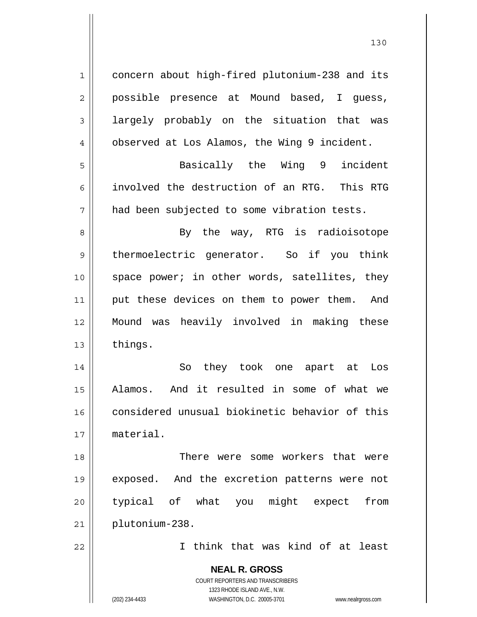**NEAL R. GROSS** COURT REPORTERS AND TRANSCRIBERS 1323 RHODE ISLAND AVE., N.W. 1 2 3 4 5 6 7 8 9 10 11 12 13 14 15 16 17 18 19 20 21 22 concern about high-fired plutonium-238 and its possible presence at Mound based, I guess, largely probably on the situation that was observed at Los Alamos, the Wing 9 incident. Basically the Wing 9 incident involved the destruction of an RTG. This RTG had been subjected to some vibration tests. By the way, RTG is radioisotope thermoelectric generator. So if you think space power; in other words, satellites, they put these devices on them to power them. And Mound was heavily involved in making these things. So they took one apart at Los Alamos. And it resulted in some of what we considered unusual biokinetic behavior of this material. There were some workers that were exposed. And the excretion patterns were not typical of what you might expect from plutonium-238. I think that was kind of at least

(202) 234-4433 WASHINGTON, D.C. 20005-3701 www.nealrgross.com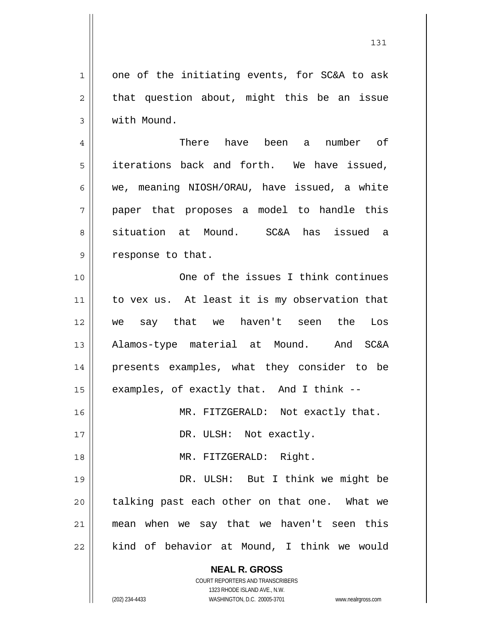1 2 3 one of the initiating events, for SC&A to ask that question about, might this be an issue with Mound.

4 5 6 7 8 9 There have been a number of iterations back and forth. We have issued, we, meaning NIOSH/ORAU, have issued, a white paper that proposes a model to handle this situation at Mound. SC&A has issued a response to that.

10 11 12 13 14 15 16 17 18 One of the issues I think continues to vex us. At least it is my observation that we say that we haven't seen the Los Alamos-type material at Mound. And SC&A presents examples, what they consider to be examples, of exactly that. And I think -- MR. FITZGERALD: Not exactly that. DR. ULSH: Not exactly. MR. FITZGERALD: Right.

19 20 21 22 DR. ULSH: But I think we might be talking past each other on that one. What we mean when we say that we haven't seen this kind of behavior at Mound, I think we would

**NEAL R. GROSS**

COURT REPORTERS AND TRANSCRIBERS 1323 RHODE ISLAND AVE., N.W. (202) 234-4433 WASHINGTON, D.C. 20005-3701 www.nealrgross.com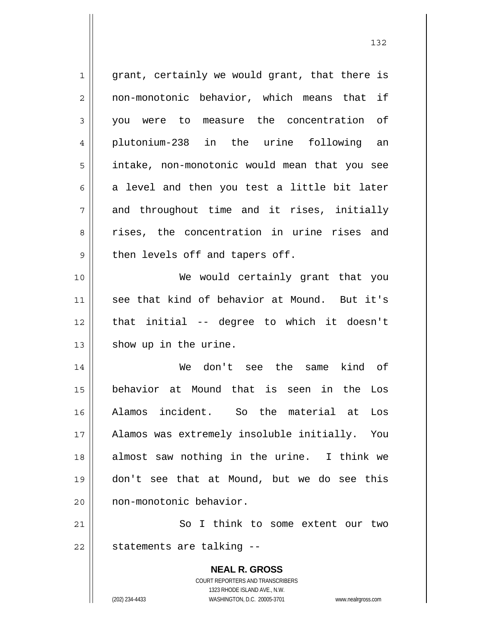**NEAL R. GROSS** COURT REPORTERS AND TRANSCRIBERS 1323 RHODE ISLAND AVE., N.W. 1 2 3 4 5 6 7 8 9 10 11 12 13 14 15 16 17 18 19 20 21 22 grant, certainly we would grant, that there is non-monotonic behavior, which means that if you were to measure the concentration of plutonium-238 in the urine following an intake, non-monotonic would mean that you see a level and then you test a little bit later and throughout time and it rises, initially rises, the concentration in urine rises and then levels off and tapers off. We would certainly grant that you see that kind of behavior at Mound. But it's that initial -- degree to which it doesn't show up in the urine. We don't see the same kind of behavior at Mound that is seen in the Los Alamos incident. So the material at Los Alamos was extremely insoluble initially. You almost saw nothing in the urine. I think we don't see that at Mound, but we do see this non-monotonic behavior. So I think to some extent our two statements are talking --

132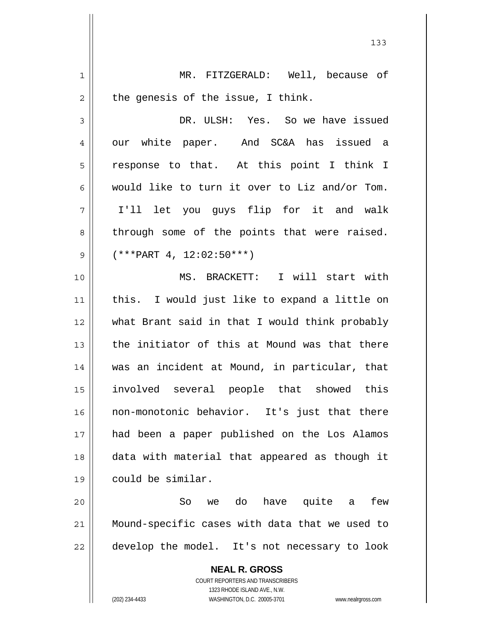**NEAL R. GROSS** COURT REPORTERS AND TRANSCRIBERS 1 2 3 4 5 6 7 8 9 10 11 12 13 14 15 16 17 18 19 20 21 22 MR. FITZGERALD: Well, because of the genesis of the issue, I think. DR. ULSH: Yes. So we have issued our white paper. And SC&A has issued a response to that. At this point I think I would like to turn it over to Liz and/or Tom. I'll let you guys flip for it and walk through some of the points that were raised. (\*\*\*PART 4, 12:02:50\*\*\*) MS. BRACKETT: I will start with this. I would just like to expand a little on what Brant said in that I would think probably the initiator of this at Mound was that there was an incident at Mound, in particular, that involved several people that showed this non-monotonic behavior. It's just that there had been a paper published on the Los Alamos data with material that appeared as though it could be similar. So we do have quite a few Mound-specific cases with data that we used to develop the model. It's not necessary to look

133

1323 RHODE ISLAND AVE., N.W.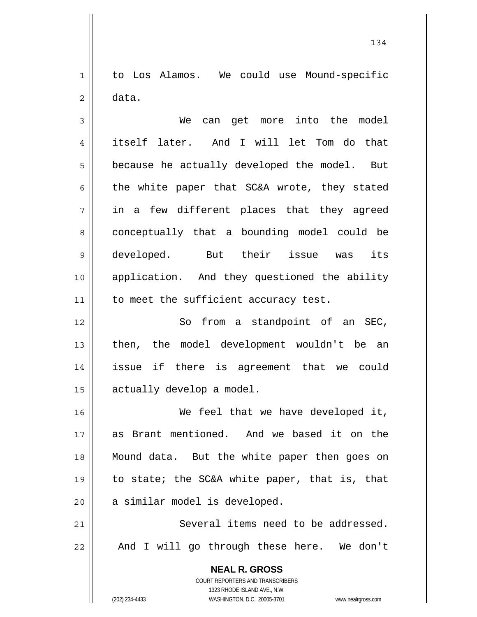1 2 to Los Alamos. We could use Mound-specific data.

3 4 5 6 7 8 9 10 11 We can get more into the model itself later. And I will let Tom do that because he actually developed the model. But the white paper that SC&A wrote, they stated in a few different places that they agreed conceptually that a bounding model could be developed. But their issue was its application. And they questioned the ability to meet the sufficient accuracy test.

12 13 14 15 So from a standpoint of an SEC, then, the model development wouldn't be an issue if there is agreement that we could actually develop a model.

16 17 18 19 20 We feel that we have developed it, as Brant mentioned. And we based it on the Mound data. But the white paper then goes on to state; the SC&A white paper, that is, that a similar model is developed.

21 22 Several items need to be addressed. And I will go through these here. We don't

> **NEAL R. GROSS** COURT REPORTERS AND TRANSCRIBERS 1323 RHODE ISLAND AVE., N.W. (202) 234-4433 WASHINGTON, D.C. 20005-3701 www.nealrgross.com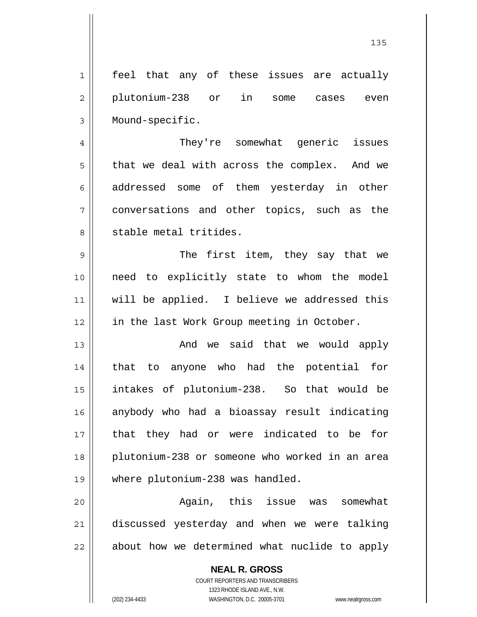1 2 3 4 feel that any of these issues are actually plutonium-238 or in some cases even Mound-specific. They're somewhat generic issues

7 that we deal with across the complex. And we addressed some of them yesterday in other conversations and other topics, such as the stable metal tritides.

9 10 11 12 The first item, they say that we need to explicitly state to whom the model will be applied. I believe we addressed this in the last Work Group meeting in October.

13 14 15 16 17 18 19 And we said that we would apply that to anyone who had the potential for intakes of plutonium-238. So that would be anybody who had a bioassay result indicating that they had or were indicated to be for plutonium-238 or someone who worked in an area where plutonium-238 was handled.

20 21 22 Again, this issue was somewhat discussed yesterday and when we were talking about how we determined what nuclide to apply

> **NEAL R. GROSS** COURT REPORTERS AND TRANSCRIBERS 1323 RHODE ISLAND AVE., N.W. (202) 234-4433 WASHINGTON, D.C. 20005-3701 www.nealrgross.com

5

6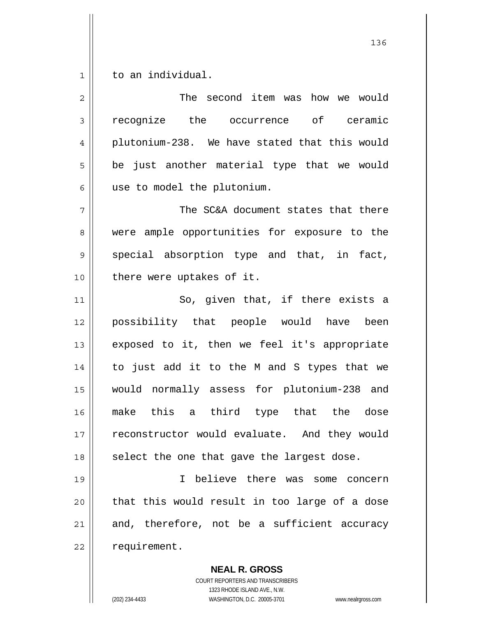1 to an individual.

| $\overline{2}$ | The second item was how we would              |
|----------------|-----------------------------------------------|
| $\mathfrak{Z}$ | recognize the occurrence of ceramic           |
| 4              | plutonium-238. We have stated that this would |
| 5              | be just another material type that we would   |
| 6              | use to model the plutonium.                   |
| 7              | The SC&A document states that there           |
| 8              | were ample opportunities for exposure to the  |
| $\mathsf 9$    | special absorption type and that, in fact,    |
| 10             | there were uptakes of it.                     |
| 11             | So, given that, if there exists a             |
| 12             | possibility that people would have been       |
| 13             | exposed to it, then we feel it's appropriate  |
| 14             | to just add it to the M and S types that we   |
| 15             | would normally assess for plutonium-238 and   |
| 16             | make this a third type that the dose          |
| 17             | reconstructor would evaluate. And they would  |
| 18             | select the one that gave the largest dose.    |
| 19             | I believe there was some concern              |
| 20             | that this would result in too large of a dose |
| 21             | and, therefore, not be a sufficient accuracy  |
| 22             | requirement.                                  |
|                | <b>NEAL R. GROSS</b>                          |

COURT REPORTERS AND TRANSCRIBERS 1323 RHODE ISLAND AVE., N.W. (202) 234-4433 WASHINGTON, D.C. 20005-3701 www.nealrgross.com

 $\mathsf{I}$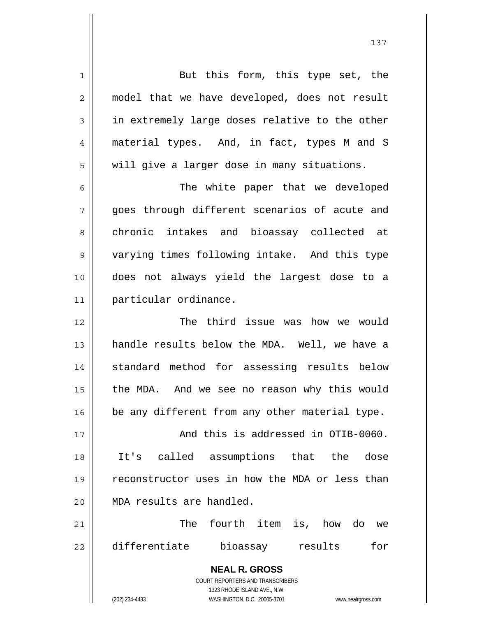**NEAL R. GROSS** COURT REPORTERS AND TRANSCRIBERS 1323 RHODE ISLAND AVE., N.W. (202) 234-4433 WASHINGTON, D.C. 20005-3701 www.nealrgross.com 1 2 3 4 5 6 7 8 9 10 11 12 13 14 15 16 17 18 19 20 21 22 But this form, this type set, the model that we have developed, does not result in extremely large doses relative to the other material types. And, in fact, types M and S will give a larger dose in many situations. The white paper that we developed goes through different scenarios of acute and chronic intakes and bioassay collected at varying times following intake. And this type does not always yield the largest dose to a particular ordinance. The third issue was how we would handle results below the MDA. Well, we have a standard method for assessing results below the MDA. And we see no reason why this would be any different from any other material type. And this is addressed in OTIB-0060. It's called assumptions that the dose reconstructor uses in how the MDA or less than MDA results are handled. The fourth item is, how do we differentiate bioassay results for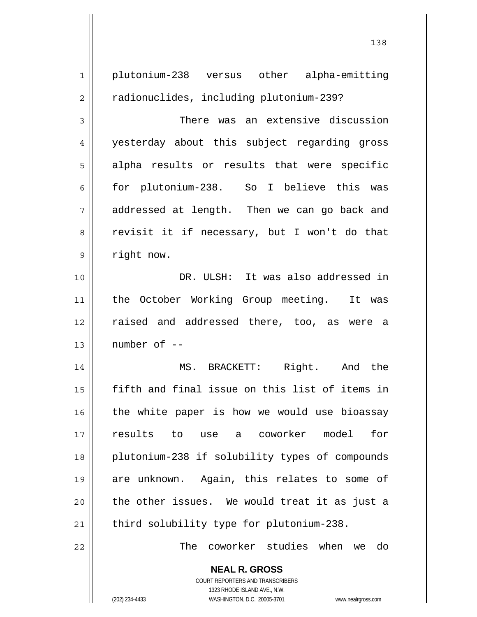**NEAL R. GROSS** 1 2 3 4 5 6 7 8 9 10 11 12 13 14 15 16 17 18 19 20 21 22 plutonium-238 versus other alpha-emitting radionuclides, including plutonium-239? There was an extensive discussion yesterday about this subject regarding gross alpha results or results that were specific for plutonium-238. So I believe this was addressed at length. Then we can go back and revisit it if necessary, but I won't do that right now. DR. ULSH: It was also addressed in the October Working Group meeting. It was raised and addressed there, too, as were a number of -- MS. BRACKETT: Right. And the fifth and final issue on this list of items in the white paper is how we would use bioassay results to use a coworker model for plutonium-238 if solubility types of compounds are unknown. Again, this relates to some of the other issues. We would treat it as just a third solubility type for plutonium-238. The coworker studies when we do

138

COURT REPORTERS AND TRANSCRIBERS 1323 RHODE ISLAND AVE., N.W.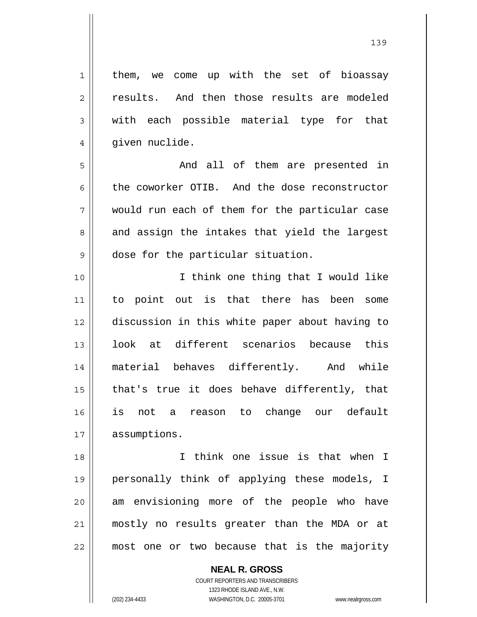them, we come up with the set of bioassay results. And then those results are modeled with each possible material type for that given nuclide.

 And all of them are presented in the coworker OTIB. And the dose reconstructor would run each of them for the particular case and assign the intakes that yield the largest dose for the particular situation.

10 11 12 13 14 15 16 17 I think one thing that I would like to point out is that there has been some discussion in this white paper about having to look at different scenarios because this material behaves differently. And while that's true it does behave differently, that is not a reason to change our default assumptions.

18 19 20 21 22 I think one issue is that when I personally think of applying these models, I am envisioning more of the people who have mostly no results greater than the MDA or at most one or two because that is the majority

> **NEAL R. GROSS** COURT REPORTERS AND TRANSCRIBERS 1323 RHODE ISLAND AVE., N.W. (202) 234-4433 WASHINGTON, D.C. 20005-3701 www.nealrgross.com

1

2

3

4

5

6

7

8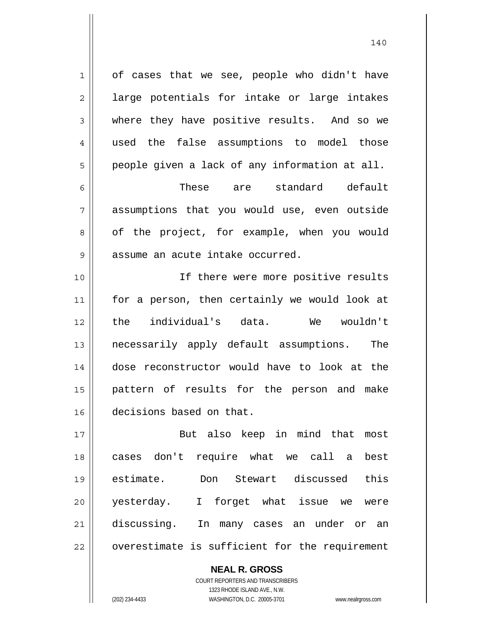1 2 3 4 5 6 7 8 9 10 of cases that we see, people who didn't have large potentials for intake or large intakes where they have positive results. And so we used the false assumptions to model those people given a lack of any information at all. These are standard default assumptions that you would use, even outside of the project, for example, when you would assume an acute intake occurred. If there were more positive results

140

11 12 13 14 15 16 for a person, then certainly we would look at the individual's data. We wouldn't necessarily apply default assumptions. The dose reconstructor would have to look at the pattern of results for the person and make decisions based on that.

17 18 19 20 21 22 But also keep in mind that most cases don't require what we call a best estimate. Don Stewart discussed this yesterday. I forget what issue we were discussing. In many cases an under or an overestimate is sufficient for the requirement

> COURT REPORTERS AND TRANSCRIBERS 1323 RHODE ISLAND AVE., N.W. (202) 234-4433 WASHINGTON, D.C. 20005-3701 www.nealrgross.com

**NEAL R. GROSS**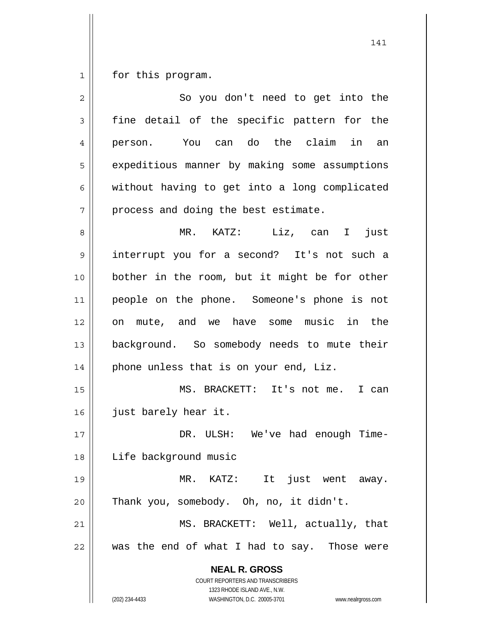1 for this program.

| $\overline{2}$ | So you don't need to get into the                                                                   |
|----------------|-----------------------------------------------------------------------------------------------------|
| 3              | fine detail of the specific pattern for the                                                         |
| 4              | You can do the claim<br>in<br>an<br>person.                                                         |
| 5              | expeditious manner by making some assumptions                                                       |
| 6              | without having to get into a long complicated                                                       |
| 7              | process and doing the best estimate.                                                                |
| 8              | $MR.$ $KATZ:$<br>Liz, can I<br>just                                                                 |
| $\mathsf 9$    | interrupt you for a second? It's not such a                                                         |
| 10             | bother in the room, but it might be for other                                                       |
| 11             | people on the phone. Someone's phone is not                                                         |
| 12             | on mute, and we have some music in the                                                              |
| 13             | background. So somebody needs to mute their                                                         |
| 14             | phone unless that is on your end, Liz.                                                              |
| 15             | MS. BRACKETT: It's not me.<br>I can                                                                 |
| 16             | just barely hear it.                                                                                |
| 17             | DR. ULSH: We've had enough Time-                                                                    |
| 18             | Life background music                                                                               |
| 19             | It just went away.<br>MR. KATZ:                                                                     |
| 20             | Thank you, somebody. Oh, no, it didn't.                                                             |
| 21             | MS. BRACKETT: Well, actually, that                                                                  |
| 22             | was the end of what I had to say. Those were                                                        |
|                | <b>NEAL R. GROSS</b><br><b>COURT REPORTERS AND TRANSCRIBERS</b>                                     |
|                | 1323 RHODE ISLAND AVE., N.W.<br>(202) 234-4433<br>WASHINGTON, D.C. 20005-3701<br>www.nealrgross.com |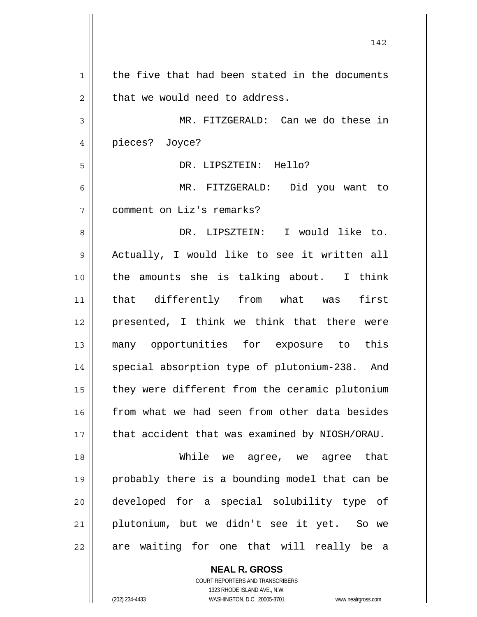1 2 3 4 5 6 7 8 9 10 11 12 13 14 15 16 17 18 19 20 21 22 the five that had been stated in the documents that we would need to address. MR. FITZGERALD: Can we do these in pieces? Joyce? DR. LIPSZTEIN: Hello? MR. FITZGERALD: Did you want to comment on Liz's remarks? DR. LIPSZTEIN: I would like to. Actually, I would like to see it written all the amounts she is talking about. I think that differently from what was first presented, I think we think that there were many opportunities for exposure to this special absorption type of plutonium-238. And they were different from the ceramic plutonium from what we had seen from other data besides that accident that was examined by NIOSH/ORAU. While we agree, we agree that probably there is a bounding model that can be developed for a special solubility type of plutonium, but we didn't see it yet. So we are waiting for one that will really be a

142

**NEAL R. GROSS** COURT REPORTERS AND TRANSCRIBERS 1323 RHODE ISLAND AVE., N.W. (202) 234-4433 WASHINGTON, D.C. 20005-3701 www.nealrgross.com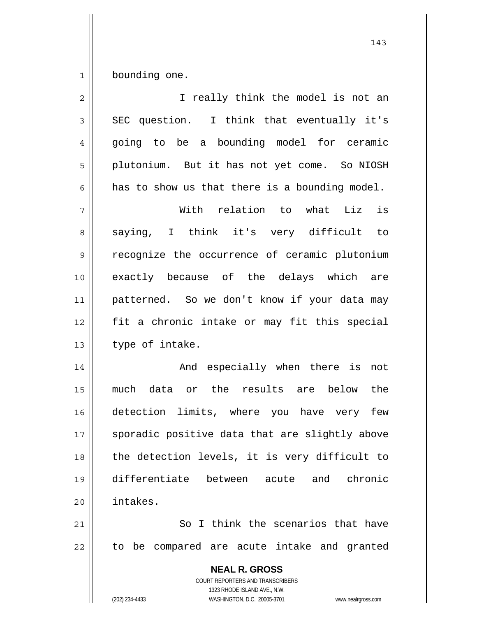1 bounding one.

| I really think the model is not an                                                                                                                              |
|-----------------------------------------------------------------------------------------------------------------------------------------------------------------|
| SEC question. I think that eventually it's                                                                                                                      |
| going to be a bounding model for ceramic                                                                                                                        |
| plutonium. But it has not yet come. So NIOSH                                                                                                                    |
| has to show us that there is a bounding model.                                                                                                                  |
| is<br>With relation to what Liz                                                                                                                                 |
| saying, I think it's very difficult to                                                                                                                          |
| recognize the occurrence of ceramic plutonium                                                                                                                   |
| exactly because of the delays which are                                                                                                                         |
| patterned. So we don't know if your data may                                                                                                                    |
| fit a chronic intake or may fit this special                                                                                                                    |
| type of intake.                                                                                                                                                 |
| And especially when there is<br>not                                                                                                                             |
| much data or the results are below the                                                                                                                          |
| detection limits, where you have very few                                                                                                                       |
| sporadic positive data that are slightly above                                                                                                                  |
| the detection levels, it is very difficult to                                                                                                                   |
| differentiate between acute and chronic                                                                                                                         |
| intakes.                                                                                                                                                        |
| So I think the scenarios that have                                                                                                                              |
| to be compared are acute intake and granted                                                                                                                     |
| <b>NEAL R. GROSS</b><br>COURT REPORTERS AND TRANSCRIBERS<br>1323 RHODE ISLAND AVE., N.W.<br>(202) 234-4433<br>WASHINGTON, D.C. 20005-3701<br>www.nealrgross.com |
|                                                                                                                                                                 |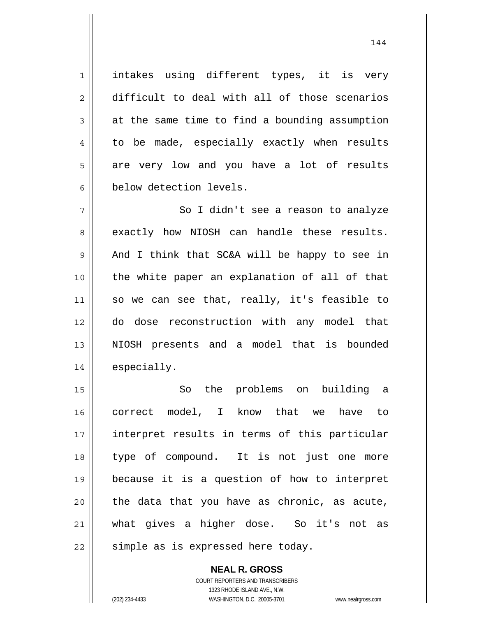intakes using different types, it is very difficult to deal with all of those scenarios at the same time to find a bounding assumption to be made, especially exactly when results are very low and you have a lot of results below detection levels.

1

2

3

4

5

6

144

7 8 9 10 11 12 13 14 So I didn't see a reason to analyze exactly how NIOSH can handle these results. And I think that SC&A will be happy to see in the white paper an explanation of all of that so we can see that, really, it's feasible to do dose reconstruction with any model that NIOSH presents and a model that is bounded especially.

15 16 17 18 19 20 21 22 So the problems on building a correct model, I know that we have to interpret results in terms of this particular type of compound. It is not just one more because it is a question of how to interpret the data that you have as chronic, as acute, what gives a higher dose. So it's not as simple as is expressed here today.

> **NEAL R. GROSS** COURT REPORTERS AND TRANSCRIBERS 1323 RHODE ISLAND AVE., N.W. (202) 234-4433 WASHINGTON, D.C. 20005-3701 www.nealrgross.com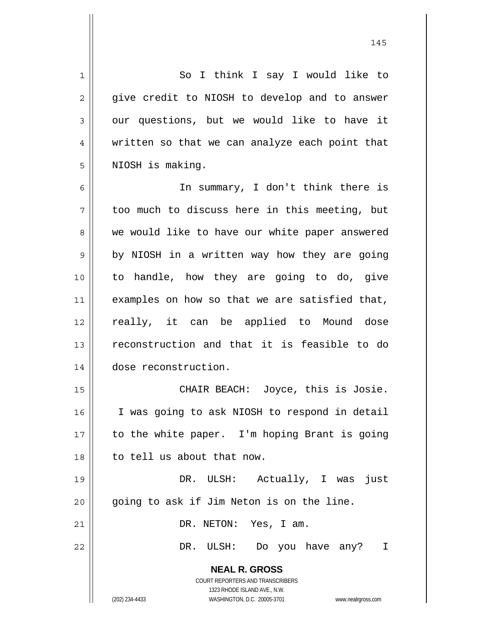**NEAL R. GROSS** COURT REPORTERS AND TRANSCRIBERS 1323 RHODE ISLAND AVE., N.W. 1 2 3 4 5 6 7 8 9 10 11 12 13 14 15 16 17 18 19 20 21 22 So I think I say I would like to give credit to NIOSH to develop and to answer our questions, but we would like to have it written so that we can analyze each point that NIOSH is making. In summary, I don't think there is too much to discuss here in this meeting, but we would like to have our white paper answered by NIOSH in a written way how they are going to handle, how they are going to do, give examples on how so that we are satisfied that, really, it can be applied to Mound dose reconstruction and that it is feasible to do dose reconstruction. CHAIR BEACH: Joyce, this is Josie. I was going to ask NIOSH to respond in detail to the white paper. I'm hoping Brant is going to tell us about that now. DR. ULSH: Actually, I was just going to ask if Jim Neton is on the line. DR. NETON: Yes, I am. DR. ULSH: Do you have any? I

145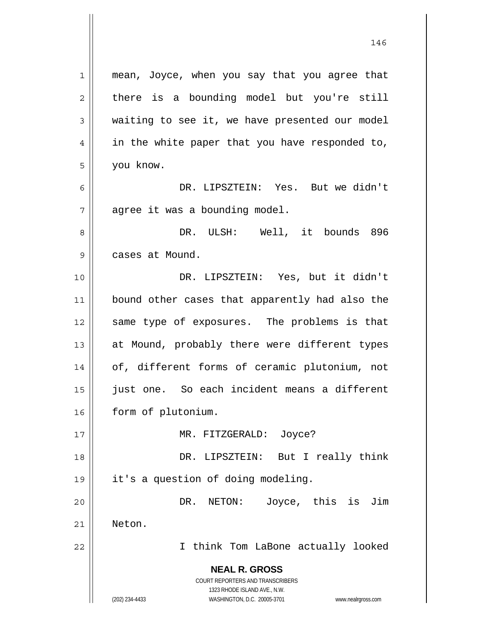**NEAL R. GROSS** COURT REPORTERS AND TRANSCRIBERS 1323 RHODE ISLAND AVE., N.W. (202) 234-4433 WASHINGTON, D.C. 20005-3701 www.nealrgross.com 1 2 3 4 5 6 7 8 9 10 11 12 13 14 15 16 17 18 19 20 21 22 mean, Joyce, when you say that you agree that there is a bounding model but you're still waiting to see it, we have presented our model in the white paper that you have responded to, you know. DR. LIPSZTEIN: Yes. But we didn't agree it was a bounding model. DR. ULSH: Well, it bounds 896 cases at Mound. DR. LIPSZTEIN: Yes, but it didn't bound other cases that apparently had also the same type of exposures. The problems is that at Mound, probably there were different types of, different forms of ceramic plutonium, not just one. So each incident means a different form of plutonium. MR. FITZGERALD: Joyce? DR. LIPSZTEIN: But I really think it's a question of doing modeling. DR. NETON: Joyce, this is Jim Neton. I think Tom LaBone actually looked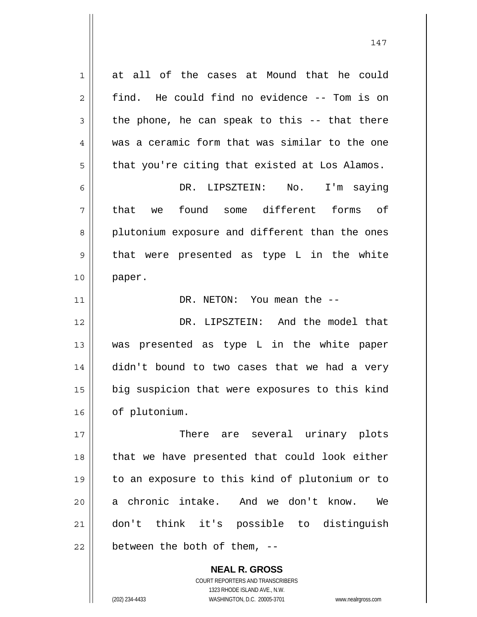1 2 3 4 5 6 7 8 9 10 11 12 13 14 15 16 17 18 19 20 21 22 at all of the cases at Mound that he could find. He could find no evidence -- Tom is on the phone, he can speak to this -- that there was a ceramic form that was similar to the one that you're citing that existed at Los Alamos. DR. LIPSZTEIN: No. I'm saying that we found some different forms of plutonium exposure and different than the ones that were presented as type L in the white paper. DR. NETON: You mean the -- DR. LIPSZTEIN: And the model that was presented as type L in the white paper didn't bound to two cases that we had a very big suspicion that were exposures to this kind of plutonium. There are several urinary plots that we have presented that could look either to an exposure to this kind of plutonium or to a chronic intake. And we don't know. We don't think it's possible to distinguish between the both of them, --

> COURT REPORTERS AND TRANSCRIBERS 1323 RHODE ISLAND AVE., N.W. (202) 234-4433 WASHINGTON, D.C. 20005-3701 www.nealrgross.com

**NEAL R. GROSS**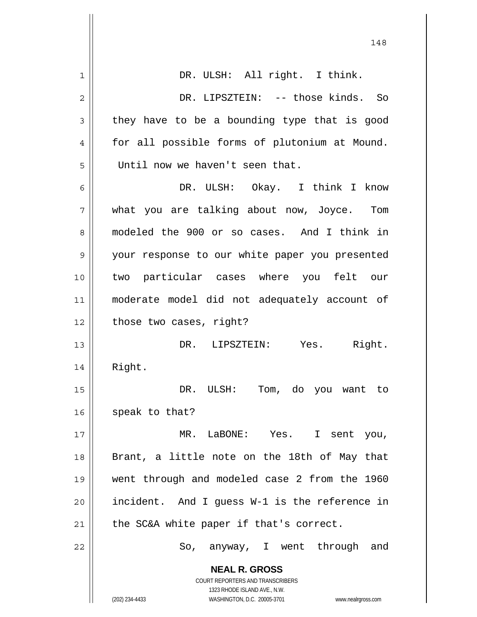|                | 148                                                                 |
|----------------|---------------------------------------------------------------------|
| $\mathbf 1$    | DR. ULSH: All right. I think.                                       |
| $\overline{c}$ | DR. LIPSZTEIN: -- those kinds. So                                   |
| 3              | they have to be a bounding type that is good                        |
| 4              | for all possible forms of plutonium at Mound.                       |
| 5              | Until now we haven't seen that.                                     |
| 6              | DR. ULSH: Okay. I think I know                                      |
| 7              | what you are talking about now, Joyce. Tom                          |
| 8              | modeled the 900 or so cases. And I think in                         |
| 9              | your response to our white paper you presented                      |
| 10             | two particular cases where you felt our                             |
| 11             | moderate model did not adequately account of                        |
| 12             | those two cases, right?                                             |
| 13             | Right.<br>DR. LIPSZTEIN: Yes.                                       |
| 14             | Right.                                                              |
| 15             | DR. ULSH: Tom, do you want to                                       |
| 16             | speak to that?                                                      |
| 17             | MR. LaBONE: Yes. I sent you,                                        |
| 18             | Brant, a little note on the 18th of May that                        |
| 19             | went through and modeled case 2 from the 1960                       |
| 20             | incident. And I guess W-1 is the reference in                       |
| 21             | the SC&A white paper if that's correct.                             |
| 22             | So, anyway, I went through and                                      |
|                | <b>NEAL R. GROSS</b><br>COURT REPORTERS AND TRANSCRIBERS            |
|                | 1323 RHODE ISLAND AVE., N.W.                                        |
|                | (202) 234-4433<br>WASHINGTON, D.C. 20005-3701<br>www.nealrgross.com |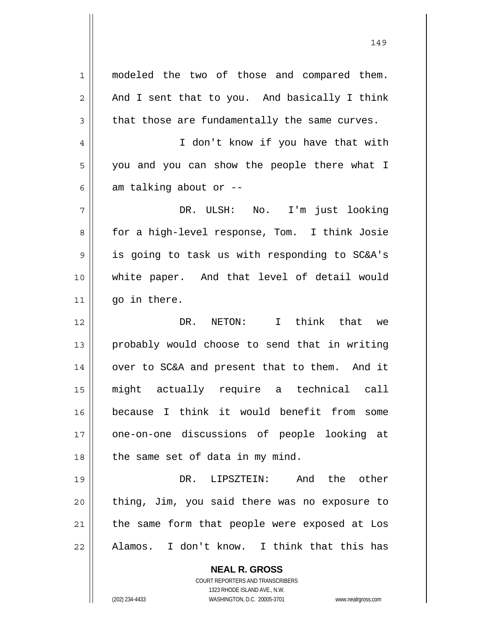**NEAL R. GROSS** COURT REPORTERS AND TRANSCRIBERS 1 2 3 4 5 6 7 8 9 10 11 12 13 14 15 16 17 18 19 20 21 22 modeled the two of those and compared them. And I sent that to you. And basically I think that those are fundamentally the same curves. I don't know if you have that with you and you can show the people there what I am talking about or -- DR. ULSH: No. I'm just looking for a high-level response, Tom. I think Josie is going to task us with responding to SC&A's white paper. And that level of detail would go in there. DR. NETON: I think that we probably would choose to send that in writing over to SC&A and present that to them. And it might actually require a technical call because I think it would benefit from some one-on-one discussions of people looking at the same set of data in my mind. DR. LIPSZTEIN: And the other thing, Jim, you said there was no exposure to the same form that people were exposed at Los Alamos. I don't know. I think that this has

149

1323 RHODE ISLAND AVE., N.W.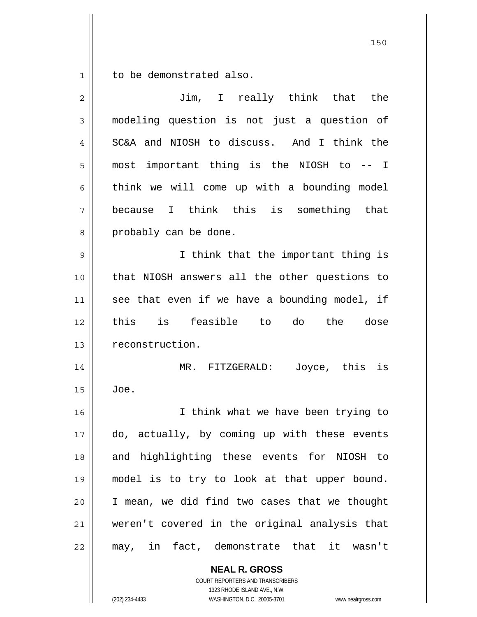1 to be demonstrated also.

| $\overline{2}$ | Jim, I really think that the                  |
|----------------|-----------------------------------------------|
| 3              | modeling question is not just a question of   |
| 4              | SC&A and NIOSH to discuss. And I think the    |
| 5              | most important thing is the NIOSH to -- I     |
| 6              | think we will come up with a bounding model   |
| 7              | because I think this is something that        |
| 8              | probably can be done.                         |
| $\mathsf 9$    | I think that the important thing is           |
| 10             | that NIOSH answers all the other questions to |
| 11             | see that even if we have a bounding model, if |
| 12             | this is feasible to do the dose               |
| 13             | reconstruction.                               |
| 14             | Joyce, this is<br>MR. FITZGERALD:             |
| 15             | Joe.                                          |
| 16             | I think what we have been trying to           |
| 17             | do, actually, by coming up with these events  |
| 18             | and highlighting these events for NIOSH to    |
| 19             | model is to try to look at that upper bound.  |
| 20             | I mean, we did find two cases that we thought |
| 21             | weren't covered in the original analysis that |
| 22             | may, in fact, demonstrate that it wasn't      |
|                | <b>NEAL R. GROSS</b>                          |

COURT REPORTERS AND TRANSCRIBERS 1323 RHODE ISLAND AVE., N.W.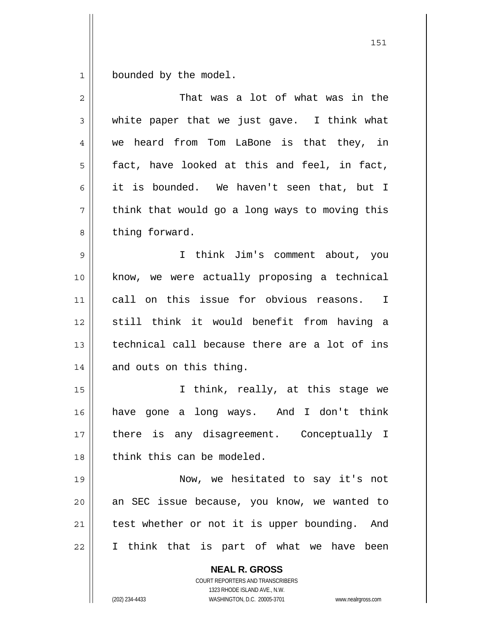1 bounded by the model.

| 2  | That was a lot of what was in the                                                                                                                                      |
|----|------------------------------------------------------------------------------------------------------------------------------------------------------------------------|
| 3  | white paper that we just gave. I think what                                                                                                                            |
| 4  | we heard from Tom LaBone is that they, in                                                                                                                              |
| 5  | fact, have looked at this and feel, in fact,                                                                                                                           |
| 6  | it is bounded. We haven't seen that, but I                                                                                                                             |
| 7  | think that would go a long ways to moving this                                                                                                                         |
| 8  | thing forward.                                                                                                                                                         |
| 9  | I think Jim's comment about, you                                                                                                                                       |
| 10 | know, we were actually proposing a technical                                                                                                                           |
| 11 | call on this issue for obvious reasons. I                                                                                                                              |
| 12 | still think it would benefit from having a                                                                                                                             |
| 13 | technical call because there are a lot of ins                                                                                                                          |
| 14 | and outs on this thing.                                                                                                                                                |
| 15 | I think, really, at this stage we                                                                                                                                      |
| 16 | have gone a long ways. And I don't think                                                                                                                               |
| 17 | there is any disagreement. Conceptually I                                                                                                                              |
| 18 | think this can be modeled.                                                                                                                                             |
| 19 | Now, we hesitated to say it's not                                                                                                                                      |
| 20 | an SEC issue because, you know, we wanted to                                                                                                                           |
| 21 | test whether or not it is upper bounding. And                                                                                                                          |
| 22 | I think that is part of what we have been                                                                                                                              |
|    | <b>NEAL R. GROSS</b><br><b>COURT REPORTERS AND TRANSCRIBERS</b><br>1323 RHODE ISLAND AVE., N.W.<br>(202) 234-4433<br>WASHINGTON, D.C. 20005-3701<br>www.nealrgross.com |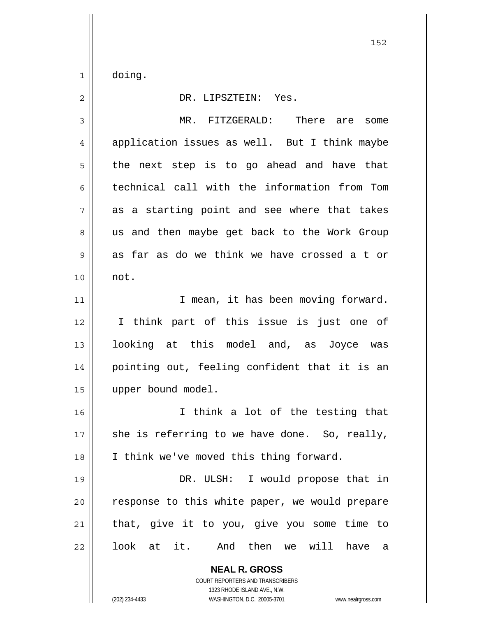$1$ doing.

| $\overline{2}$ | DR. LIPSZTEIN: Yes.                                                                                                                                             |
|----------------|-----------------------------------------------------------------------------------------------------------------------------------------------------------------|
| 3              | MR. FITZGERALD: There are<br>some                                                                                                                               |
| $\overline{4}$ | application issues as well. But I think maybe                                                                                                                   |
| 5              | the next step is to go ahead and have that                                                                                                                      |
| 6              | technical call with the information from Tom                                                                                                                    |
| 7              | as a starting point and see where that takes                                                                                                                    |
| 8              | us and then maybe get back to the Work Group                                                                                                                    |
| 9              | as far as do we think we have crossed a t or                                                                                                                    |
| 10             | not.                                                                                                                                                            |
| 11             | I mean, it has been moving forward.                                                                                                                             |
| 12             | I think part of this issue is just one of                                                                                                                       |
| 13             | looking at this model and, as Joyce was                                                                                                                         |
| 14             | pointing out, feeling confident that it is an                                                                                                                   |
| 15             | upper bound model.                                                                                                                                              |
| 16             | I think a lot of the testing that                                                                                                                               |
| 17             | she is referring to we have done. So, really,                                                                                                                   |
| 18             | I think we've moved this thing forward.                                                                                                                         |
| 19             | DR. ULSH: I would propose that in                                                                                                                               |
| 20             | response to this white paper, we would prepare                                                                                                                  |
| 21             | that, give it to you, give you some time to                                                                                                                     |
| 22             | look at it. And then we will<br>have<br>a                                                                                                                       |
|                | <b>NEAL R. GROSS</b><br>COURT REPORTERS AND TRANSCRIBERS<br>1323 RHODE ISLAND AVE., N.W.<br>WASHINGTON, D.C. 20005-3701<br>(202) 234-4433<br>www.nealrgross.com |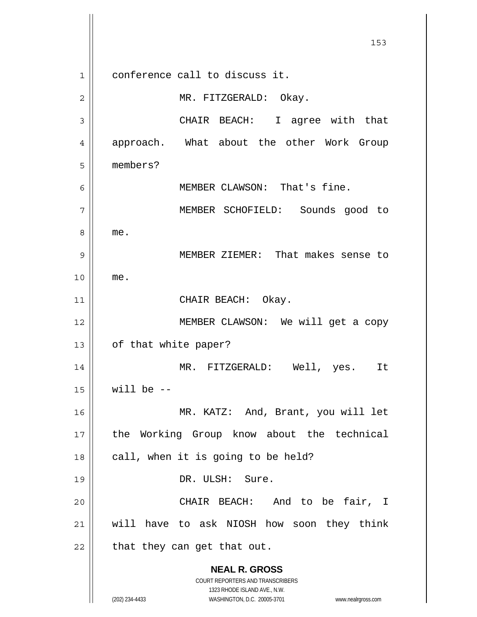**NEAL R. GROSS** COURT REPORTERS AND TRANSCRIBERS 1323 RHODE ISLAND AVE., N.W. (202) 234-4433 WASHINGTON, D.C. 20005-3701 www.nealrgross.com 153 1 2 3 4 5 6 7 8 9 10 11 12 13 14 15 16 17 18 19 20 21 22 conference call to discuss it. MR. FITZGERALD: Okay. CHAIR BEACH: I agree with that approach. What about the other Work Group members? MEMBER CLAWSON: That's fine. MEMBER SCHOFIELD: Sounds good to me. MEMBER ZIEMER: That makes sense to me. CHAIR BEACH: Okay. MEMBER CLAWSON: We will get a copy of that white paper? MR. FITZGERALD: Well, yes. It will be  $-$  MR. KATZ: And, Brant, you will let the Working Group know about the technical call, when it is going to be held? DR. ULSH: Sure. CHAIR BEACH: And to be fair, I will have to ask NIOSH how soon they think that they can get that out.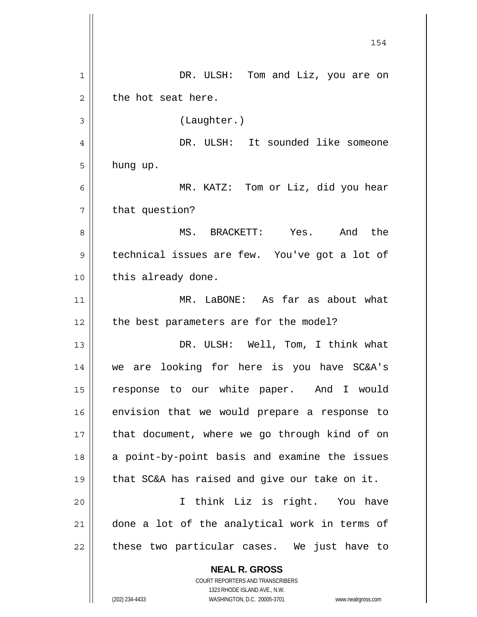**NEAL R. GROSS** COURT REPORTERS AND TRANSCRIBERS 154 1 2 3 4 5 6 7 8 9 10 11 12 13 14 15 16 17 18 19 20 21 22 DR. ULSH: Tom and Liz, you are on the hot seat here. (Laughter.) DR. ULSH: It sounded like someone hung up. MR. KATZ: Tom or Liz, did you hear that question? MS. BRACKETT: Yes. And the technical issues are few. You've got a lot of this already done. MR. LaBONE: As far as about what the best parameters are for the model? DR. ULSH: Well, Tom, I think what we are looking for here is you have SC&A's response to our white paper. And I would envision that we would prepare a response to that document, where we go through kind of on a point-by-point basis and examine the issues that SC&A has raised and give our take on it. I think Liz is right. You have done a lot of the analytical work in terms of these two particular cases. We just have to

1323 RHODE ISLAND AVE., N.W.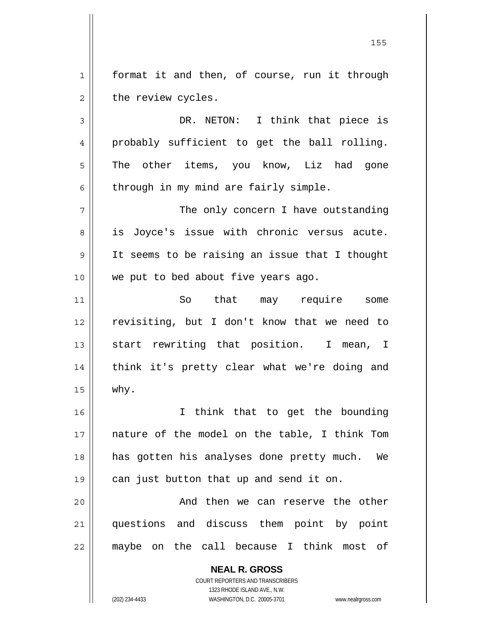1 2 format it and then, of course, run it through the review cycles.

3 4 5 6 DR. NETON: I think that piece is probably sufficient to get the ball rolling. The other items, you know, Liz had gone through in my mind are fairly simple.

7 8 9 10 The only concern I have outstanding is Joyce's issue with chronic versus acute. It seems to be raising an issue that I thought we put to bed about five years ago.

11 12 13 14 15 So that may require some revisiting, but I don't know that we need to start rewriting that position. I mean, I think it's pretty clear what we're doing and why.

16 17 18 19 I think that to get the bounding nature of the model on the table, I think Tom has gotten his analyses done pretty much. We can just button that up and send it on.

20 21 22 And then we can reserve the other questions and discuss them point by point maybe on the call because I think most of

> **NEAL R. GROSS** COURT REPORTERS AND TRANSCRIBERS 1323 RHODE ISLAND AVE., N.W. (202) 234-4433 WASHINGTON, D.C. 20005-3701 www.nealrgross.com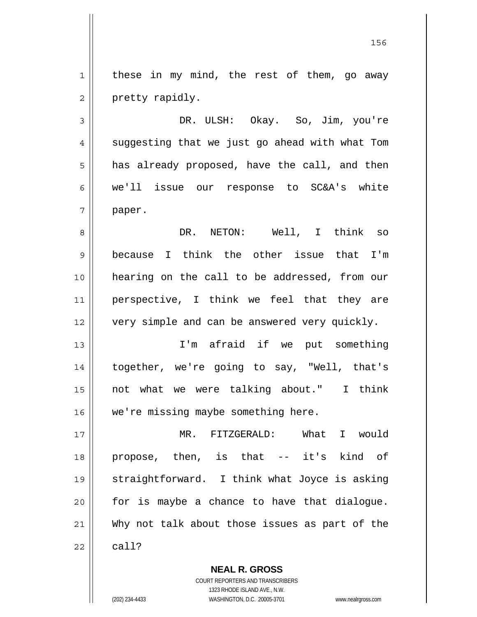1 2 these in my mind, the rest of them, go away pretty rapidly.

3 4 5 6 7 DR. ULSH: Okay. So, Jim, you're suggesting that we just go ahead with what Tom has already proposed, have the call, and then we'll issue our response to SC&A's white paper.

8 9 10 11 12 DR. NETON: Well, I think so because I think the other issue that I'm hearing on the call to be addressed, from our perspective, I think we feel that they are very simple and can be answered very quickly.

13 14 15 16 I'm afraid if we put something together, we're going to say, "Well, that's not what we were talking about." I think we're missing maybe something here.

17 18 19 20 21 22 MR. FITZGERALD: What I would propose, then, is that -- it's kind of straightforward. I think what Joyce is asking for is maybe a chance to have that dialogue. Why not talk about those issues as part of the call?

> COURT REPORTERS AND TRANSCRIBERS 1323 RHODE ISLAND AVE., N.W. (202) 234-4433 WASHINGTON, D.C. 20005-3701 www.nealrgross.com

**NEAL R. GROSS**

<u>156 - Animal Stephen Barbara, amerikan pendadaran pengaran pengaran pengaran pengaran pengaran pengaran penga</u>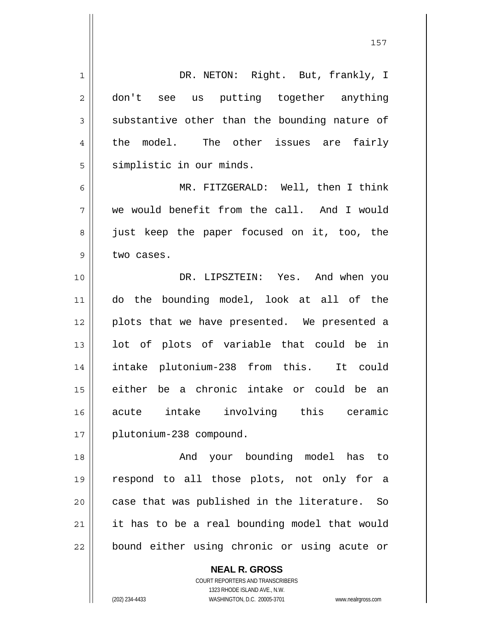1 2 3 4 5 6 7 8 9 10 11 12 13 14 15 16 17 18 19 20 21 22 DR. NETON: Right. But, frankly, I don't see us putting together anything substantive other than the bounding nature of the model. The other issues are fairly simplistic in our minds. MR. FITZGERALD: Well, then I think we would benefit from the call. And I would just keep the paper focused on it, too, the two cases. DR. LIPSZTEIN: Yes. And when you do the bounding model, look at all of the plots that we have presented. We presented a lot of plots of variable that could be in intake plutonium-238 from this. It could either be a chronic intake or could be an acute intake involving this ceramic plutonium-238 compound. And your bounding model has to respond to all those plots, not only for a case that was published in the literature. So it has to be a real bounding model that would bound either using chronic or using acute or

157

COURT REPORTERS AND TRANSCRIBERS 1323 RHODE ISLAND AVE., N.W. (202) 234-4433 WASHINGTON, D.C. 20005-3701 www.nealrgross.com

**NEAL R. GROSS**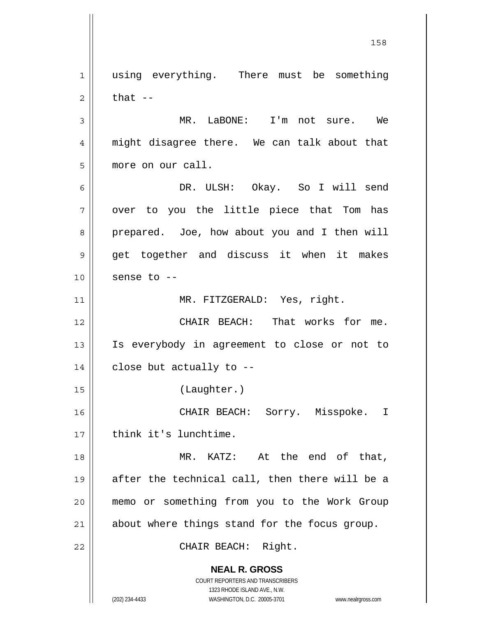**NEAL R. GROSS** COURT REPORTERS AND TRANSCRIBERS 1 2 3 4 5 6 7 8 9 10 11 12 13 14 15 16 17 18 19 20 21 22 using everything. There must be something that -- MR. LaBONE: I'm not sure. We might disagree there. We can talk about that more on our call. DR. ULSH: Okay. So I will send over to you the little piece that Tom has prepared. Joe, how about you and I then will get together and discuss it when it makes sense to -- MR. FITZGERALD: Yes, right. CHAIR BEACH: That works for me. Is everybody in agreement to close or not to close but actually to -- (Laughter.) CHAIR BEACH: Sorry. Misspoke. I think it's lunchtime. MR. KATZ: At the end of that, after the technical call, then there will be a memo or something from you to the Work Group about where things stand for the focus group. CHAIR BEACH: Right.

1323 RHODE ISLAND AVE., N.W.

158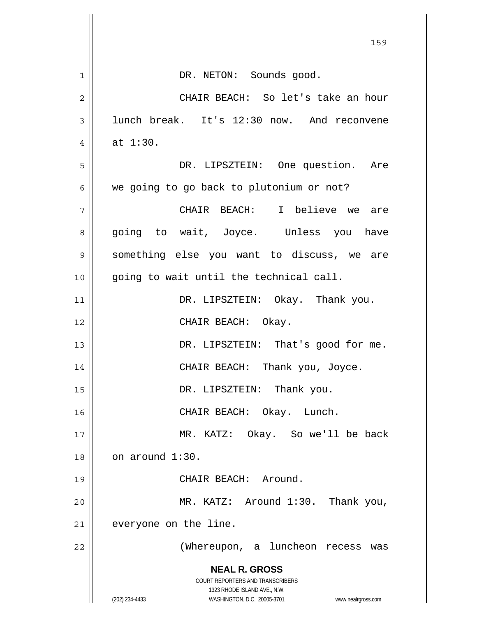|    | 159                                                                     |
|----|-------------------------------------------------------------------------|
| 1  | DR. NETON: Sounds good.                                                 |
| 2  | CHAIR BEACH: So let's take an hour                                      |
| 3  | lunch break. It's 12:30 now. And reconvene                              |
| 4  | at $1:30$ .                                                             |
| 5  | DR. LIPSZTEIN: One question. Are                                        |
| 6  | we going to go back to plutonium or not?                                |
| 7  | CHAIR BEACH: I believe we<br>are                                        |
| 8  | going to wait, Joyce. Unless you have                                   |
| 9  | something else you want to discuss, we are                              |
| 10 | going to wait until the technical call.                                 |
| 11 | DR. LIPSZTEIN: Okay. Thank you.                                         |
| 12 | CHAIR BEACH: Okay.                                                      |
| 13 | DR. LIPSZTEIN: That's good for me.                                      |
| 14 | CHAIR BEACH: Thank you, Joyce.                                          |
| 15 | DR. LIPSZTEIN: Thank you.                                               |
| 16 | CHAIR BEACH: Okay. Lunch.                                               |
| 17 | MR. KATZ: Okay. So we'll be back                                        |
| 18 | on around 1:30.                                                         |
| 19 | CHAIR BEACH: Around.                                                    |
| 20 | MR. KATZ: Around 1:30. Thank you,                                       |
| 21 | everyone on the line.                                                   |
| 22 | (Whereupon, a luncheon recess was                                       |
|    | <b>NEAL R. GROSS</b>                                                    |
|    | <b>COURT REPORTERS AND TRANSCRIBERS</b><br>1323 RHODE ISLAND AVE., N.W. |
|    | (202) 234-4433<br>WASHINGTON, D.C. 20005-3701<br>www.nealrgross.com     |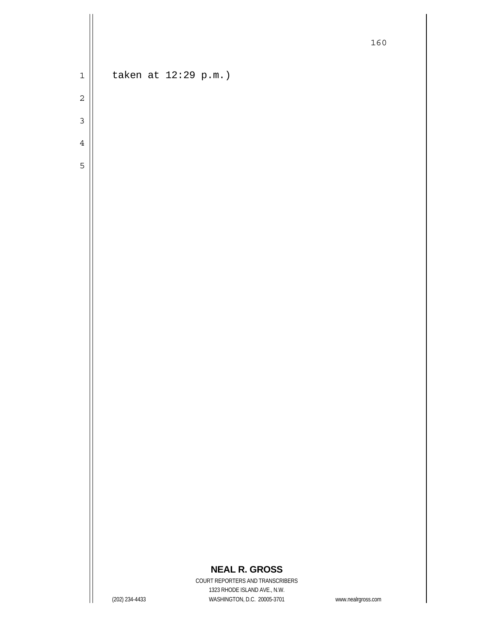1

taken at 12:29 p.m.)

- 3 4
- 5

## **NEAL R. GROSS**

COURT REPORTERS AND TRANSCRIBERS 1323 RHODE ISLAND AVE., N.W. (202) 234-4433 WASHINGTON, D.C. 20005-3701 www.nealrgross.com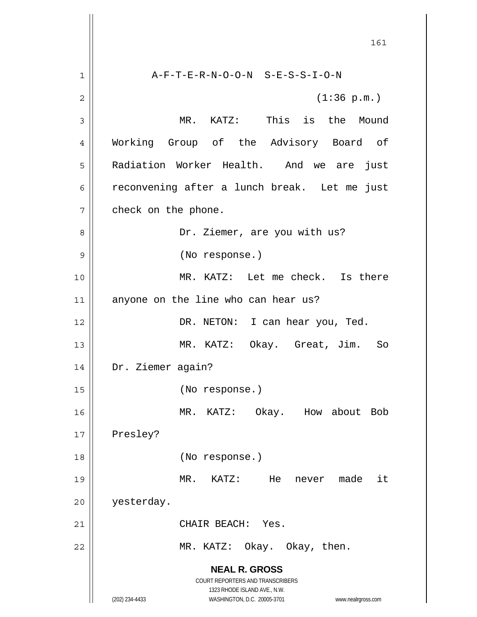**NEAL R. GROSS** COURT REPORTERS AND TRANSCRIBERS 1323 RHODE ISLAND AVE., N.W. (202) 234-4433 WASHINGTON, D.C. 20005-3701 www.nealrgross.com 161 1 2 3 4 5 6 7 8 9 10 11 12 13 14 15 16 17 18 19 20 21 22 A-F-T-E-R-N-O-O-N S-E-S-S-I-O-N (1:36 p.m.) MR. KATZ: This is the Mound Working Group of the Advisory Board of Radiation Worker Health. And we are just reconvening after a lunch break. Let me just check on the phone. Dr. Ziemer, are you with us? (No response.) MR. KATZ: Let me check. Is there anyone on the line who can hear us? DR. NETON: I can hear you, Ted. MR. KATZ: Okay. Great, Jim. So Dr. Ziemer again? (No response.) MR. KATZ: Okay. How about Bob Presley? (No response.) MR. KATZ: He never made it yesterday. CHAIR BEACH: Yes. MR. KATZ: Okay. Okay, then.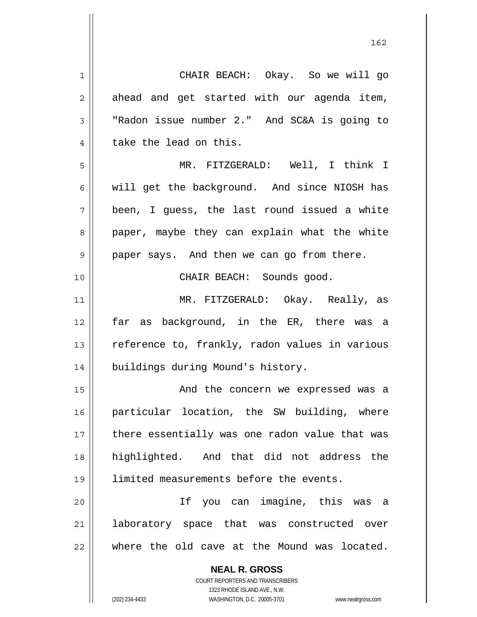**NEAL R. GROSS** COURT REPORTERS AND TRANSCRIBERS 1 2 3 4 5 6 7 8 9 10 11 12 13 14 15 16 17 18 19 20 21 22 CHAIR BEACH: Okay. So we will go ahead and get started with our agenda item, "Radon issue number 2." And SC&A is going to take the lead on this. MR. FITZGERALD: Well, I think I will get the background. And since NIOSH has been, I guess, the last round issued a white paper, maybe they can explain what the white paper says. And then we can go from there. CHAIR BEACH: Sounds good. MR. FITZGERALD: Okay. Really, as far as background, in the ER, there was a reference to, frankly, radon values in various buildings during Mound's history. And the concern we expressed was a particular location, the SW building, where there essentially was one radon value that was highlighted. And that did not address the limited measurements before the events. If you can imagine, this was a laboratory space that was constructed over where the old cave at the Mound was located.

<u>162</u>

1323 RHODE ISLAND AVE., N.W.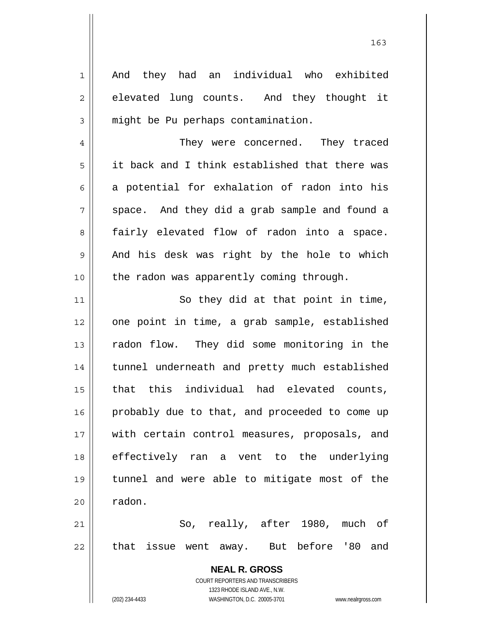**NEAL R. GROSS** COURT REPORTERS AND TRANSCRIBERS 1 2 3 4 5 6 7 8 9 10 11 12 13 14 15 16 17 18 19 20 21 22 And they had an individual who exhibited elevated lung counts. And they thought it might be Pu perhaps contamination. They were concerned. They traced it back and I think established that there was a potential for exhalation of radon into his space. And they did a grab sample and found a fairly elevated flow of radon into a space. And his desk was right by the hole to which the radon was apparently coming through. So they did at that point in time, one point in time, a grab sample, established radon flow. They did some monitoring in the tunnel underneath and pretty much established that this individual had elevated counts, probably due to that, and proceeded to come up with certain control measures, proposals, and effectively ran a vent to the underlying tunnel and were able to mitigate most of the radon. So, really, after 1980, much of that issue went away. But before '80 and

1323 RHODE ISLAND AVE., N.W.

(202) 234-4433 WASHINGTON, D.C. 20005-3701 www.nealrgross.com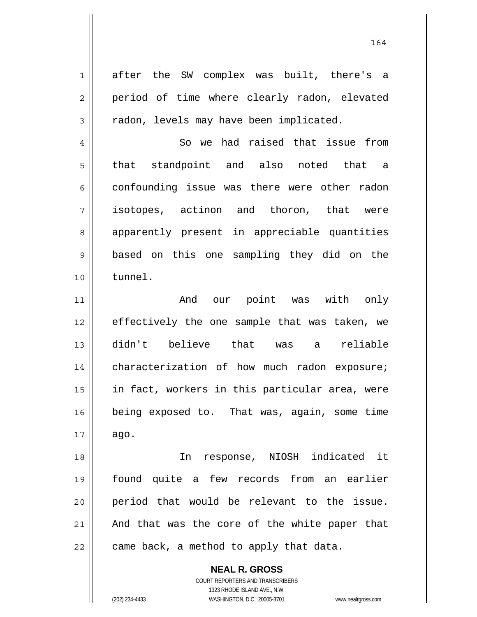after the SW complex was built, there's a period of time where clearly radon, elevated radon, levels may have been implicated.

4 5 6 7 8 9 10 So we had raised that issue from that standpoint and also noted that a confounding issue was there were other radon isotopes, actinon and thoron, that were apparently present in appreciable quantities based on this one sampling they did on the tunnel.

11 12 13 14 15 16 17 And our point was with only effectively the one sample that was taken, we didn't believe that was a reliable characterization of how much radon exposure; in fact, workers in this particular area, were being exposed to. That was, again, some time ago.

18 19 20 21 22 In response, NIOSH indicated it found quite a few records from an earlier period that would be relevant to the issue. And that was the core of the white paper that came back, a method to apply that data.

> **NEAL R. GROSS** COURT REPORTERS AND TRANSCRIBERS 1323 RHODE ISLAND AVE., N.W. (202) 234-4433 WASHINGTON, D.C. 20005-3701 www.nealrgross.com

1

2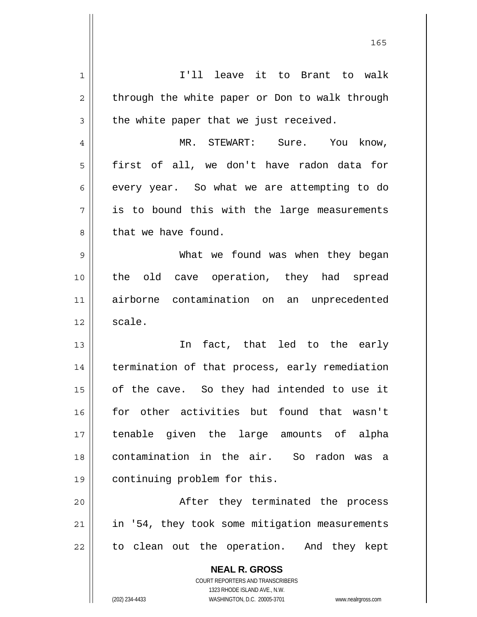| 1  | I'll leave it to Brant to walk                           |
|----|----------------------------------------------------------|
| 2  | through the white paper or Don to walk through           |
| 3  | the white paper that we just received.                   |
| 4  | MR. STEWART: Sure. You know,                             |
| 5  | first of all, we don't have radon data for               |
| 6  | every year. So what we are attempting to do              |
| 7  | is to bound this with the large measurements             |
| 8  | that we have found.                                      |
| 9  | What we found was when they began                        |
| 10 | the old cave operation, they had spread                  |
| 11 | airborne contamination on an unprecedented               |
| 12 | scale.                                                   |
| 13 | fact, that led to the early<br>In                        |
| 14 | termination of that process, early remediation           |
| 15 | of the cave. So they had intended to use it              |
| 16 | for other activities but found that wasn't               |
| 17 | tenable given the large amounts of alpha                 |
| 18 | contamination in the air. So radon was a                 |
| 19 | continuing problem for this.                             |
| 20 | After they terminated the process                        |
| 21 | in '54, they took some mitigation measurements           |
| 22 | to clean out the operation. And they kept                |
|    | <b>NEAL R. GROSS</b><br>COURT REPORTERS AND TRANSCRIBERS |

1323 RHODE ISLAND AVE., N.W.

 $\mathsf{I}$  $\prod_{i=1}^{n}$ 

(202) 234-4433 WASHINGTON, D.C. 20005-3701 www.nealrgross.com

<u>165</u>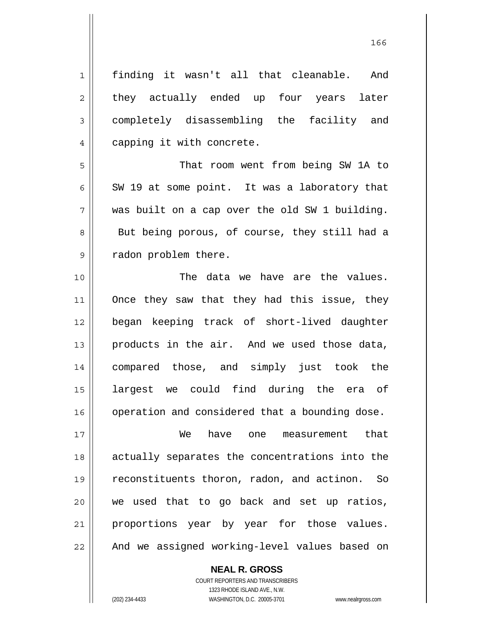1 2 3 4 5 6 7 8 9 10 11 12 13 14 15 16 17 18 19 20 21 22 finding it wasn't all that cleanable. And they actually ended up four years later completely disassembling the facility and capping it with concrete. That room went from being SW 1A to SW 19 at some point. It was a laboratory that was built on a cap over the old SW 1 building. But being porous, of course, they still had a radon problem there. The data we have are the values. Once they saw that they had this issue, they began keeping track of short-lived daughter products in the air. And we used those data, compared those, and simply just took the largest we could find during the era of operation and considered that a bounding dose. We have one measurement that actually separates the concentrations into the reconstituents thoron, radon, and actinon. So we used that to go back and set up ratios, proportions year by year for those values. And we assigned working-level values based on

**NEAL R. GROSS**

COURT REPORTERS AND TRANSCRIBERS 1323 RHODE ISLAND AVE., N.W. (202) 234-4433 WASHINGTON, D.C. 20005-3701 www.nealrgross.com

<u>166</u>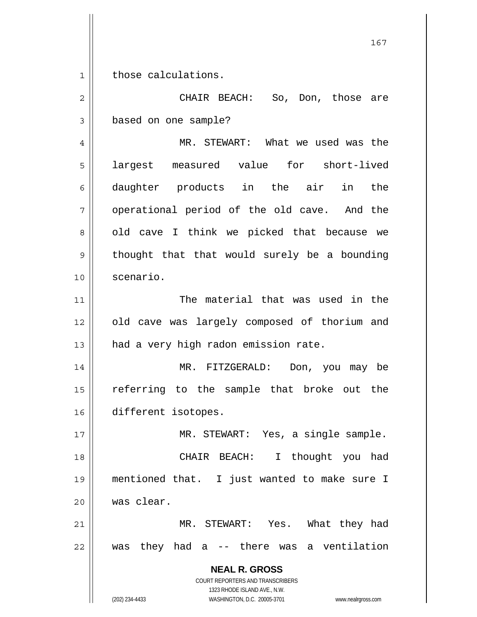1 those calculations.

**NEAL R. GROSS** COURT REPORTERS AND TRANSCRIBERS 2 3 4 5 6 7 8 9 10 11 12 13 14 15 16 17 18 19 20 21 22 CHAIR BEACH: So, Don, those are based on one sample? MR. STEWART: What we used was the largest measured value for short-lived daughter products in the air in the operational period of the old cave. And the old cave I think we picked that because we thought that that would surely be a bounding scenario. The material that was used in the old cave was largely composed of thorium and had a very high radon emission rate. MR. FITZGERALD: Don, you may be referring to the sample that broke out the different isotopes. MR. STEWART: Yes, a single sample. CHAIR BEACH: I thought you had mentioned that. I just wanted to make sure I was clear. MR. STEWART: Yes. What they had was they had a -- there was a ventilation

1323 RHODE ISLAND AVE., N.W.

(202) 234-4433 WASHINGTON, D.C. 20005-3701 www.nealrgross.com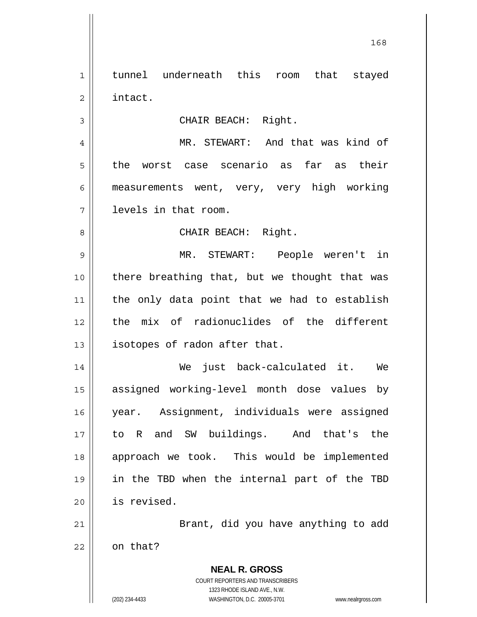1 2 3 4 5 6 7 8 9 10 11 12 13 14 15 16 17 18 19 tunnel underneath this room that stayed intact. CHAIR BEACH: Right. MR. STEWART: And that was kind of the worst case scenario as far as their measurements went, very, very high working levels in that room. CHAIR BEACH: Right. MR. STEWART: People weren't in there breathing that, but we thought that was the only data point that we had to establish the mix of radionuclides of the different isotopes of radon after that. We just back-calculated it. We assigned working-level month dose values by year. Assignment, individuals were assigned to R and SW buildings. And that's the approach we took. This would be implemented in the TBD when the internal part of the TBD

168

20 21

Brant, did you have anything to add

22 on that?

> **NEAL R. GROSS** COURT REPORTERS AND TRANSCRIBERS 1323 RHODE ISLAND AVE., N.W. (202) 234-4433 WASHINGTON, D.C. 20005-3701 www.nealrgross.com

is revised.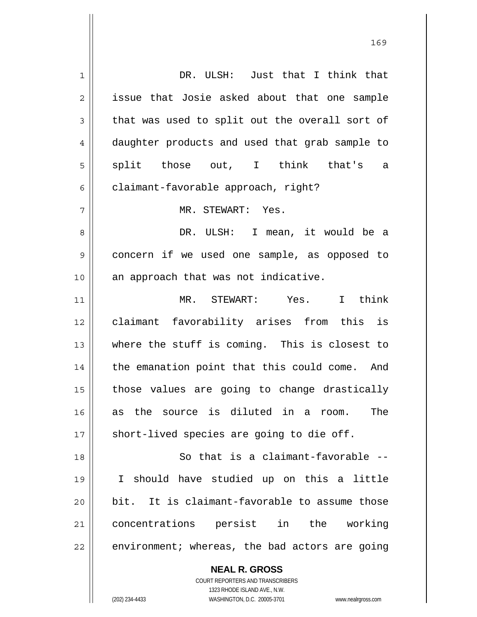**NEAL R. GROSS** 1 2 3 4 5 6 7 8 9 10 11 12 13 14 15 16 17 18 19 20 21 22 DR. ULSH: Just that I think that issue that Josie asked about that one sample that was used to split out the overall sort of daughter products and used that grab sample to split those out, I think that's a claimant-favorable approach, right? MR. STEWART: Yes. DR. ULSH: I mean, it would be a concern if we used one sample, as opposed to an approach that was not indicative. MR. STEWART: Yes. I think claimant favorability arises from this is where the stuff is coming. This is closest to the emanation point that this could come. And those values are going to change drastically as the source is diluted in a room. The short-lived species are going to die off. So that is a claimant-favorable -- I should have studied up on this a little bit. It is claimant-favorable to assume those concentrations persist in the working environment; whereas, the bad actors are going

> COURT REPORTERS AND TRANSCRIBERS 1323 RHODE ISLAND AVE., N.W.

(202) 234-4433 WASHINGTON, D.C. 20005-3701 www.nealrgross.com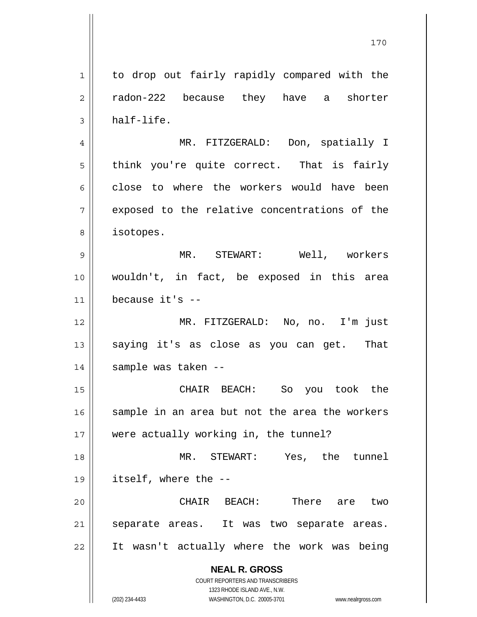**NEAL R. GROSS** COURT REPORTERS AND TRANSCRIBERS 1323 RHODE ISLAND AVE., N.W. 1 2 3 4 5 6 7 8 9 10 11 12 13 14 15 16 17 18 19 20 21 22 to drop out fairly rapidly compared with the radon-222 because they have a shorter half-life. MR. FITZGERALD: Don, spatially I think you're quite correct. That is fairly close to where the workers would have been exposed to the relative concentrations of the isotopes. MR. STEWART: Well, workers wouldn't, in fact, be exposed in this area because it's -- MR. FITZGERALD: No, no. I'm just saying it's as close as you can get. That sample was taken -- CHAIR BEACH: So you took the sample in an area but not the area the workers were actually working in, the tunnel? MR. STEWART: Yes, the tunnel itself, where the -- CHAIR BEACH: There are two separate areas. It was two separate areas. It wasn't actually where the work was being

170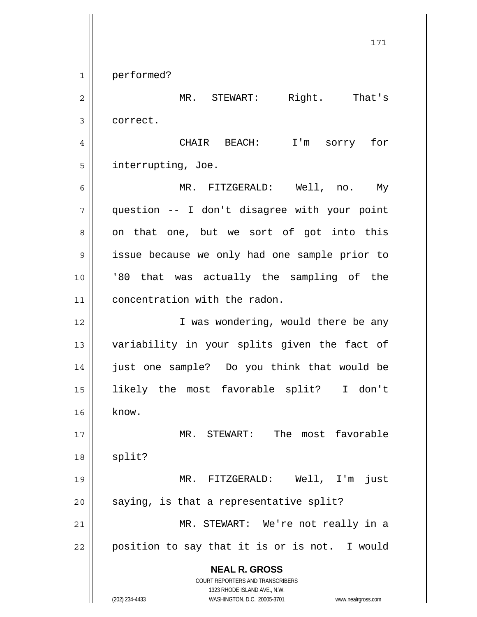**NEAL R. GROSS** COURT REPORTERS AND TRANSCRIBERS 1323 RHODE ISLAND AVE., N.W. 171 1 2 3 4 5 6 7 8 9 10 11 12 13 14 15 16 17 18 19 20 21 22 performed? MR. STEWART: Right. That's correct. CHAIR BEACH: I'm sorry for interrupting, Joe. MR. FITZGERALD: Well, no. My question -- I don't disagree with your point on that one, but we sort of got into this issue because we only had one sample prior to '80 that was actually the sampling of the concentration with the radon. I was wondering, would there be any variability in your splits given the fact of just one sample? Do you think that would be likely the most favorable split? I don't know. MR. STEWART: The most favorable split? MR. FITZGERALD: Well, I'm just saying, is that a representative split? MR. STEWART: We're not really in a position to say that it is or is not. I would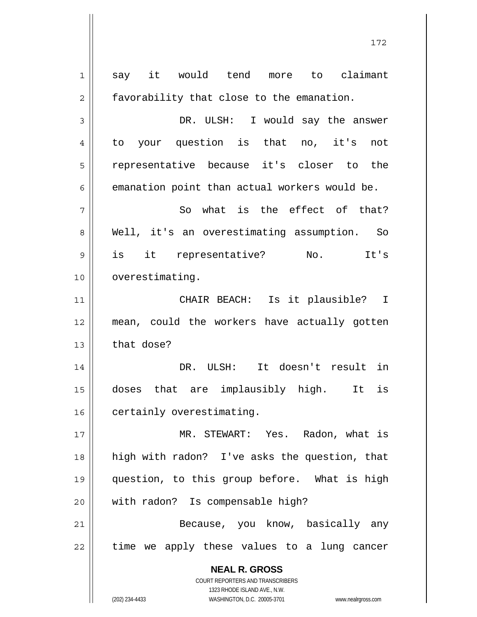**NEAL R. GROSS** COURT REPORTERS AND TRANSCRIBERS 1323 RHODE ISLAND AVE., N.W. (202) 234-4433 WASHINGTON, D.C. 20005-3701 www.nealrgross.com 1 2 3 4 5 6 7 8 9 10 11 12 13 14 15 16 17 18 19 20 21 22 say it would tend more to claimant favorability that close to the emanation. DR. ULSH: I would say the answer to your question is that no, it's not representative because it's closer to the emanation point than actual workers would be. So what is the effect of that? Well, it's an overestimating assumption. So is it representative? No. It's overestimating. CHAIR BEACH: Is it plausible? I mean, could the workers have actually gotten that dose? DR. ULSH: It doesn't result in doses that are implausibly high. It is certainly overestimating. MR. STEWART: Yes. Radon, what is high with radon? I've asks the question, that question, to this group before. What is high with radon? Is compensable high? Because, you know, basically any time we apply these values to a lung cancer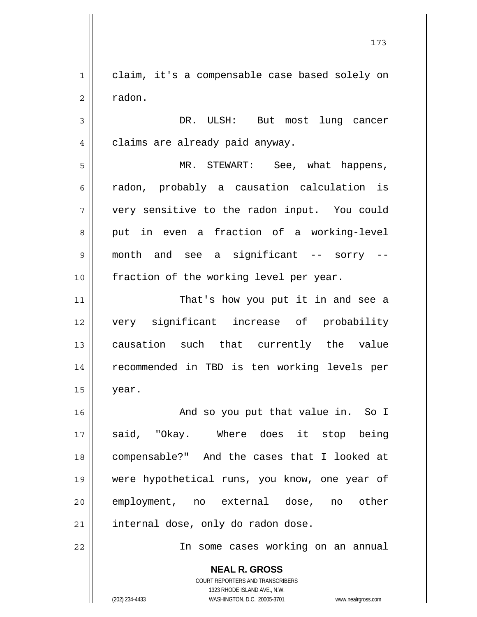1 2 claim, it's a compensable case based solely on radon.

3 4 DR. ULSH: But most lung cancer claims are already paid anyway.

5 6 7 8 9 10 MR. STEWART: See, what happens, radon, probably a causation calculation is very sensitive to the radon input. You could put in even a fraction of a working-level month and see a significant -- sorry - fraction of the working level per year.

11 12 13 14 15 That's how you put it in and see a very significant increase of probability causation such that currently the value recommended in TBD is ten working levels per year.

16 17 18 19 20 21 And so you put that value in. So I said, "Okay. Where does it stop being compensable?" And the cases that I looked at were hypothetical runs, you know, one year of employment, no external dose, no other internal dose, only do radon dose.

In some cases working on an annual

**NEAL R. GROSS** COURT REPORTERS AND TRANSCRIBERS 1323 RHODE ISLAND AVE., N.W. (202) 234-4433 WASHINGTON, D.C. 20005-3701 www.nealrgross.com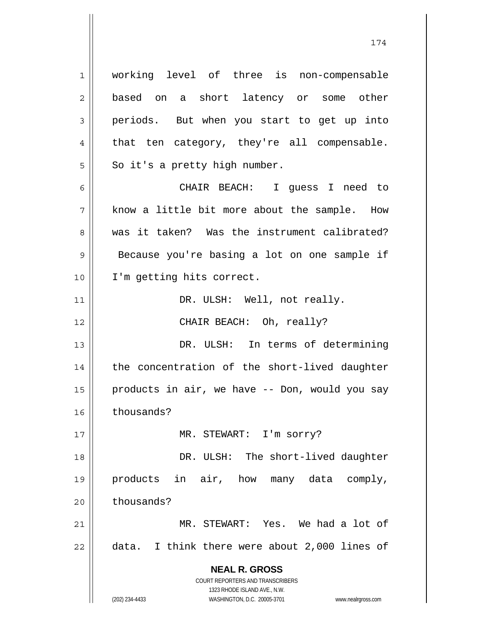**NEAL R. GROSS** COURT REPORTERS AND TRANSCRIBERS 1323 RHODE ISLAND AVE., N.W. 1 2 3 4 5 6 7 8 9 10 11 12 13 14 15 16 17 18 19 20 21 22 working level of three is non-compensable based on a short latency or some other periods. But when you start to get up into that ten category, they're all compensable. So it's a pretty high number. CHAIR BEACH: I guess I need to know a little bit more about the sample. How was it taken? Was the instrument calibrated? Because you're basing a lot on one sample if I'm getting hits correct. DR. ULSH: Well, not really. CHAIR BEACH: Oh, really? DR. ULSH: In terms of determining the concentration of the short-lived daughter products in air, we have -- Don, would you say thousands? MR. STEWART: I'm sorry? DR. ULSH: The short-lived daughter products in air, how many data comply, thousands? MR. STEWART: Yes. We had a lot of data. I think there were about 2,000 lines of

(202) 234-4433 WASHINGTON, D.C. 20005-3701 www.nealrgross.com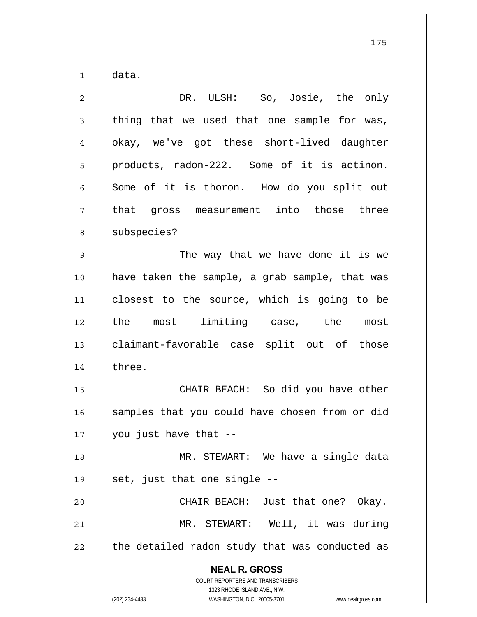1 data.

| $\overline{2}$ | DR. ULSH: So, Josie, the only                                                                                                                                   |
|----------------|-----------------------------------------------------------------------------------------------------------------------------------------------------------------|
| 3              | thing that we used that one sample for was,                                                                                                                     |
| 4              | okay, we've got these short-lived daughter                                                                                                                      |
| 5              | products, radon-222. Some of it is actinon.                                                                                                                     |
| 6              | Some of it is thoron. How do you split out                                                                                                                      |
| 7              | gross measurement into those three<br>that                                                                                                                      |
| 8              | subspecies?                                                                                                                                                     |
| $\mathsf 9$    | The way that we have done it is we                                                                                                                              |
| 10             | have taken the sample, a grab sample, that was                                                                                                                  |
| 11             | closest to the source, which is going to be                                                                                                                     |
| 12             | the most limiting case, the most                                                                                                                                |
| 13             | claimant-favorable case split out of those                                                                                                                      |
| 14             | three.                                                                                                                                                          |
| 15             | CHAIR BEACH: So did you have other                                                                                                                              |
| 16             | samples that you could have chosen from or did                                                                                                                  |
| 17             | you just have that --                                                                                                                                           |
| 18             | MR. STEWART: We have a single data                                                                                                                              |
| 19             | set, just that one single --                                                                                                                                    |
| 20             | CHAIR BEACH: Just that one? Okay.                                                                                                                               |
| 21             | MR. STEWART: Well, it was during                                                                                                                                |
| 22             | the detailed radon study that was conducted as                                                                                                                  |
|                | <b>NEAL R. GROSS</b><br>COURT REPORTERS AND TRANSCRIBERS<br>1323 RHODE ISLAND AVE., N.W.<br>(202) 234-4433<br>WASHINGTON, D.C. 20005-3701<br>www.nealrgross.com |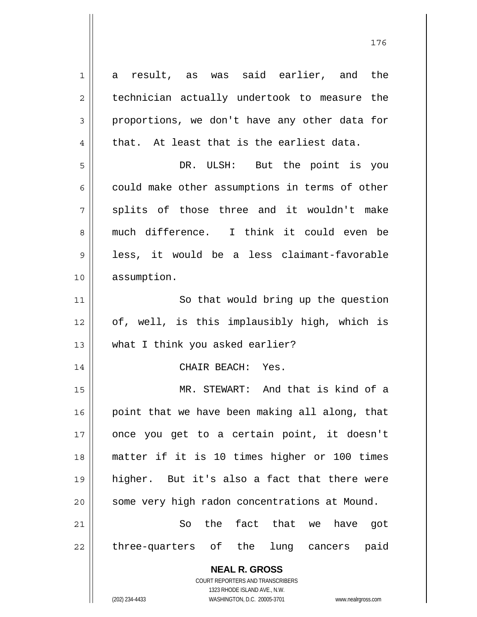**NEAL R. GROSS** COURT REPORTERS AND TRANSCRIBERS 1323 RHODE ISLAND AVE., N.W. 1 2 3 4 5 6 7 8 9 10 11 12 13 14 15 16 17 18 19 20 21 22 a result, as was said earlier, and the technician actually undertook to measure the proportions, we don't have any other data for that. At least that is the earliest data. DR. ULSH: But the point is you could make other assumptions in terms of other splits of those three and it wouldn't make much difference. I think it could even be less, it would be a less claimant-favorable assumption. So that would bring up the question of, well, is this implausibly high, which is what I think you asked earlier? CHAIR BEACH: Yes. MR. STEWART: And that is kind of a point that we have been making all along, that once you get to a certain point, it doesn't matter if it is 10 times higher or 100 times higher. But it's also a fact that there were some very high radon concentrations at Mound. So the fact that we have got three-quarters of the lung cancers paid

176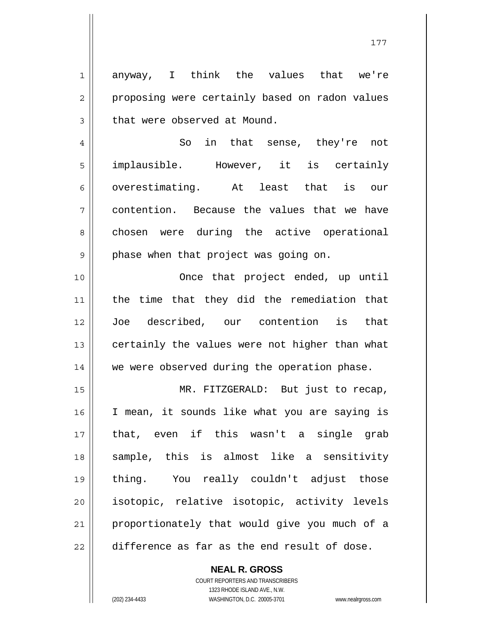anyway, I think the values that we're proposing were certainly based on radon values that were observed at Mound.

4 5 6 7 8 9 So in that sense, they're not implausible. However, it is certainly overestimating. At least that is our contention. Because the values that we have chosen were during the active operational phase when that project was going on.

 Once that project ended, up until the time that they did the remediation that Joe described, our contention is that certainly the values were not higher than what we were observed during the operation phase.

15 16 17 18 19 20 21 22 MR. FITZGERALD: But just to recap, I mean, it sounds like what you are saying is that, even if this wasn't a single grab sample, this is almost like a sensitivity thing. You really couldn't adjust those isotopic, relative isotopic, activity levels proportionately that would give you much of a difference as far as the end result of dose.

> COURT REPORTERS AND TRANSCRIBERS 1323 RHODE ISLAND AVE., N.W. (202) 234-4433 WASHINGTON, D.C. 20005-3701 www.nealrgross.com

**NEAL R. GROSS**

1

2

3

10

11

12

13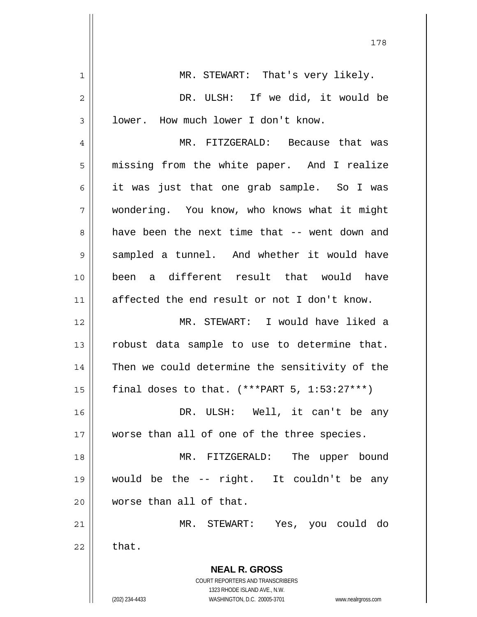| 1              | MR. STEWART: That's very likely.                                    |
|----------------|---------------------------------------------------------------------|
| $\overline{2}$ | DR. ULSH: If we did, it would be                                    |
| 3              | lower. How much lower I don't know.                                 |
| 4              | MR. FITZGERALD: Because that was                                    |
| 5              | missing from the white paper. And I realize                         |
| 6              | it was just that one grab sample. So I was                          |
| 7              | wondering. You know, who knows what it might                        |
| 8              | have been the next time that -- went down and                       |
| 9              | sampled a tunnel. And whether it would have                         |
| 10             | been a different result that would have                             |
| 11             | affected the end result or not I don't know.                        |
| 12             | MR. STEWART: I would have liked a                                   |
| 13             | robust data sample to use to determine that.                        |
| 14             | Then we could determine the sensitivity of the                      |
| 15             | final doses to that. $(***PART 5, 1:53:27***)$                      |
| 16             | DR. ULSH: Well, it can't be any                                     |
| 17             | worse than all of one of the three species.                         |
| 18             | MR. FITZGERALD: The upper bound                                     |
| 19             | would be the -- right. It couldn't be any                           |
| 20             | worse than all of that.                                             |
| 21             | MR. STEWART: Yes, you could do                                      |
| 22             | that.                                                               |
|                | <b>NEAL R. GROSS</b>                                                |
|                | COURT REPORTERS AND TRANSCRIBERS                                    |
|                | 1323 RHODE ISLAND AVE., N.W.                                        |
|                | (202) 234-4433<br>WASHINGTON, D.C. 20005-3701<br>www.nealrgross.com |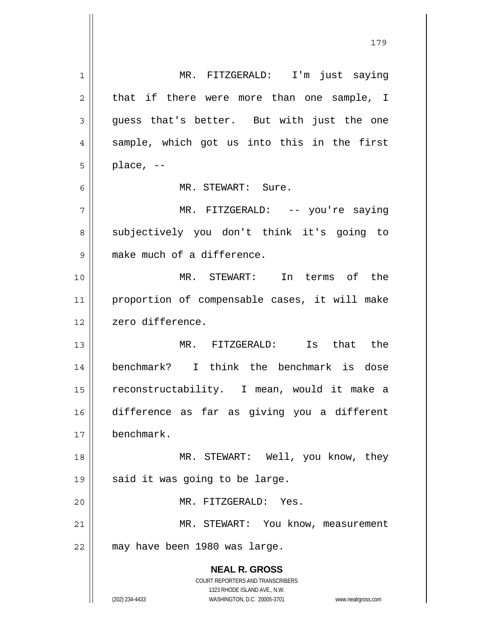| $\mathbf{1}$ | MR. FITZGERALD: I'm just saying                                         |
|--------------|-------------------------------------------------------------------------|
| 2            | that if there were more than one sample, I                              |
| 3            | guess that's better. But with just the one                              |
| 4            | sample, which got us into this in the first                             |
| 5            | place, $--$                                                             |
| 6            | MR. STEWART: Sure.                                                      |
| 7            | MR. FITZGERALD: -- you're saying                                        |
| 8            | subjectively you don't think it's going to                              |
| 9            | make much of a difference.                                              |
| 10           | MR. STEWART: In terms of the                                            |
| 11           | proportion of compensable cases, it will make                           |
| 12           | zero difference.                                                        |
| 13           | MR. FITZGERALD: Is that the                                             |
| 14           | benchmark? I think the benchmark is dose                                |
| 15           | reconstructability. I mean, would it make a                             |
| 16           | difference as far as giving you a different                             |
| 17           | benchmark.                                                              |
| 18           | MR. STEWART: Well, you know, they                                       |
| 19           | said it was going to be large.                                          |
| 20           | MR. FITZGERALD: Yes.                                                    |
| 21           | MR. STEWART: You know, measurement                                      |
| 22           | may have been 1980 was large.                                           |
|              | <b>NEAL R. GROSS</b>                                                    |
|              | <b>COURT REPORTERS AND TRANSCRIBERS</b><br>1323 RHODE ISLAND AVE., N.W. |
|              | (202) 234-4433<br>WASHINGTON, D.C. 20005-3701<br>www.nealrgross.com     |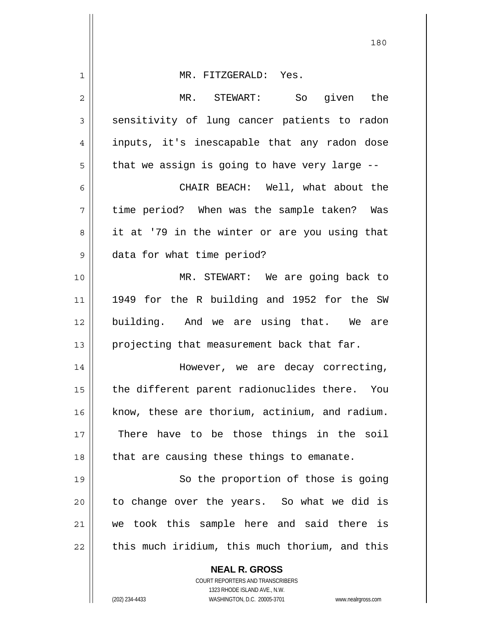| 1  | MR. FITZGERALD: Yes.                                                                                |
|----|-----------------------------------------------------------------------------------------------------|
| 2  | MR. STEWART:<br>So given the                                                                        |
| 3  | sensitivity of lung cancer patients to radon                                                        |
| 4  | inputs, it's inescapable that any radon dose                                                        |
| 5  | that we assign is going to have very large --                                                       |
| 6  | CHAIR BEACH: Well, what about the                                                                   |
| 7  | time period? When was the sample taken? Was                                                         |
| 8  | it at '79 in the winter or are you using that                                                       |
| 9  | data for what time period?                                                                          |
| 10 | MR. STEWART: We are going back to                                                                   |
| 11 | 1949 for the R building and 1952 for the SW                                                         |
| 12 | building. And we are using that. We are                                                             |
| 13 | projecting that measurement back that far.                                                          |
| 14 | However, we are decay correcting,                                                                   |
| 15 | the different parent radionuclides there. You                                                       |
| 16 | know, these are thorium, actinium, and radium.                                                      |
| 17 | There have to be those things in the soil                                                           |
| 18 | that are causing these things to emanate.                                                           |
| 19 | So the proportion of those is going                                                                 |
| 20 | to change over the years. So what we did is                                                         |
| 21 | we took this sample here and said there is                                                          |
| 22 | this much iridium, this much thorium, and this                                                      |
|    | <b>NEAL R. GROSS</b>                                                                                |
|    | COURT REPORTERS AND TRANSCRIBERS                                                                    |
|    | 1323 RHODE ISLAND AVE., N.W.<br>(202) 234-4433<br>WASHINGTON, D.C. 20005-3701<br>www.nealrgross.com |
|    |                                                                                                     |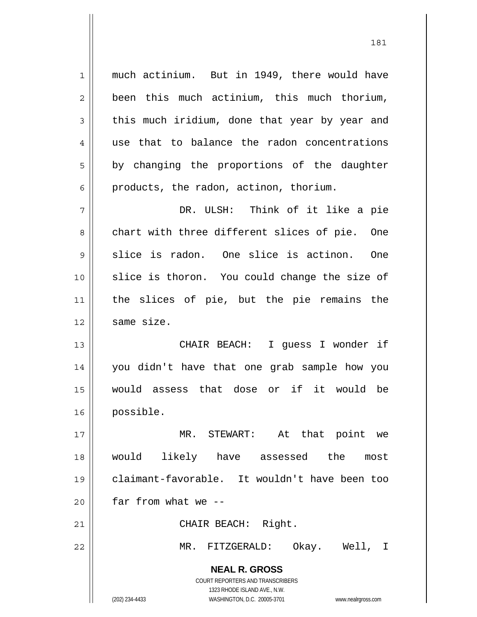**NEAL R. GROSS** COURT REPORTERS AND TRANSCRIBERS 1323 RHODE ISLAND AVE., N.W. 1 2 3 4 5 6 7 8 9 10 11 12 13 14 15 16 17 18 19 20 21 22 much actinium. But in 1949, there would have been this much actinium, this much thorium, this much iridium, done that year by year and use that to balance the radon concentrations by changing the proportions of the daughter products, the radon, actinon, thorium. DR. ULSH: Think of it like a pie chart with three different slices of pie. One slice is radon. One slice is actinon. One slice is thoron. You could change the size of the slices of pie, but the pie remains the same size. CHAIR BEACH: I guess I wonder if you didn't have that one grab sample how you would assess that dose or if it would be possible. MR. STEWART: At that point we would likely have assessed the most claimant-favorable. It wouldn't have been too far from what we -- CHAIR BEACH: Right. MR. FITZGERALD: Okay. Well, I

(202) 234-4433 WASHINGTON, D.C. 20005-3701 www.nealrgross.com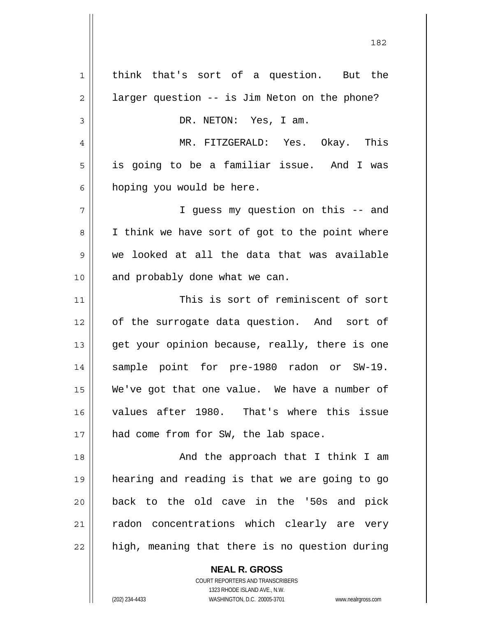1 2 3 4 5 6 7 8 9 10 11 12 13 14 15 16 17 18 19 20 21 22 think that's sort of a question. But the larger question -- is Jim Neton on the phone? DR. NETON: Yes, I am. MR. FITZGERALD: Yes. Okay. This is going to be a familiar issue. And I was hoping you would be here. I guess my question on this -- and I think we have sort of got to the point where we looked at all the data that was available and probably done what we can. This is sort of reminiscent of sort of the surrogate data question. And sort of get your opinion because, really, there is one sample point for pre-1980 radon or SW-19. We've got that one value. We have a number of values after 1980. That's where this issue had come from for SW, the lab space. And the approach that I think I am hearing and reading is that we are going to go back to the old cave in the '50s and pick radon concentrations which clearly are very high, meaning that there is no question during

182

COURT REPORTERS AND TRANSCRIBERS 1323 RHODE ISLAND AVE., N.W. (202) 234-4433 WASHINGTON, D.C. 20005-3701 www.nealrgross.com

**NEAL R. GROSS**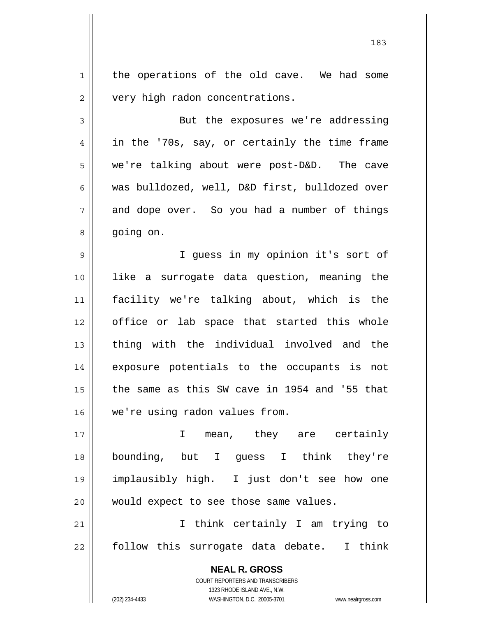1 2 the operations of the old cave. We had some very high radon concentrations.

3 4 5 6 7 8 But the exposures we're addressing in the '70s, say, or certainly the time frame we're talking about were post-D&D. The cave was bulldozed, well, D&D first, bulldozed over and dope over. So you had a number of things going on.

9 10 11 12 13 14 15 16 I guess in my opinion it's sort of like a surrogate data question, meaning the facility we're talking about, which is the office or lab space that started this whole thing with the individual involved and the exposure potentials to the occupants is not the same as this SW cave in 1954 and '55 that we're using radon values from.

17 18 19 20 I mean, they are certainly bounding, but I guess I think they're implausibly high. I just don't see how one would expect to see those same values.

21 22 I think certainly I am trying to follow this surrogate data debate. I think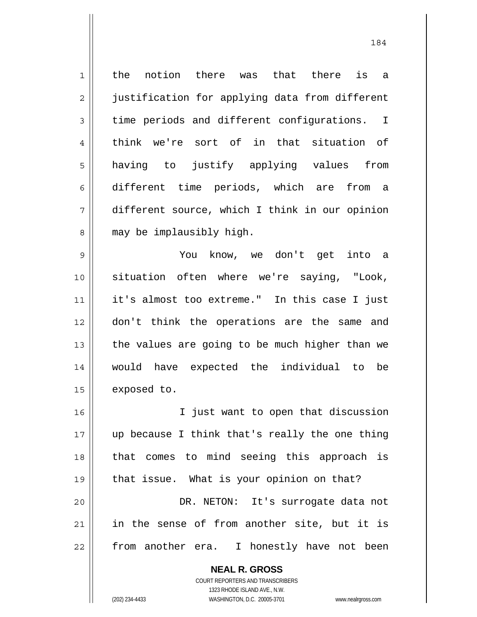1 2 3 4 5 6 7 8 the notion there was that there is a justification for applying data from different time periods and different configurations. I think we're sort of in that situation of having to justify applying values from different time periods, which are from a different source, which I think in our opinion may be implausibly high.

9 10 11 12 13 14 15 You know, we don't get into a situation often where we're saying, "Look, it's almost too extreme." In this case I just don't think the operations are the same and the values are going to be much higher than we would have expected the individual to be exposed to.

16 17 18 19 20 21 22 I just want to open that discussion up because I think that's really the one thing that comes to mind seeing this approach is that issue. What is your opinion on that? DR. NETON: It's surrogate data not in the sense of from another site, but it is from another era. I honestly have not been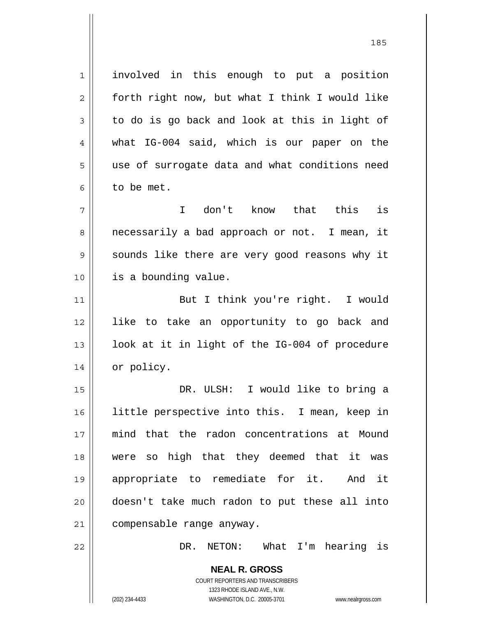1 7 involved in this enough to put a position forth right now, but what I think I would like to do is go back and look at this in light of what IG-004 said, which is our paper on the use of surrogate data and what conditions need to be met.

2

3

4

5

6

8

9

10

22

 I don't know that this is necessarily a bad approach or not. I mean, it sounds like there are very good reasons why it is a bounding value.

11 12 13 14 But I think you're right. I would like to take an opportunity to go back and look at it in light of the IG-004 of procedure or policy.

15 16 17 18 19 20 21 DR. ULSH: I would like to bring a little perspective into this. I mean, keep in mind that the radon concentrations at Mound were so high that they deemed that it was appropriate to remediate for it. And it doesn't take much radon to put these all into compensable range anyway.

DR. NETON: What I'm hearing is

COURT REPORTERS AND TRANSCRIBERS 1323 RHODE ISLAND AVE., N.W. (202) 234-4433 WASHINGTON, D.C. 20005-3701 www.nealrgross.com

<u>185</u>

**NEAL R. GROSS**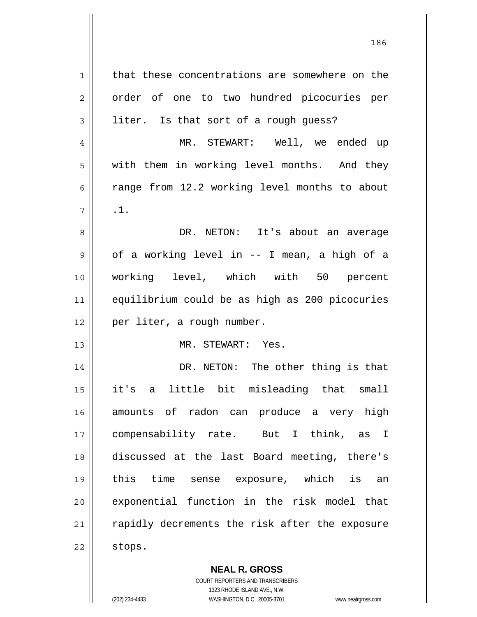| 1  | that these concentrations are somewhere on the |
|----|------------------------------------------------|
| 2  | order of one to two hundred picocuries per     |
| 3  | liter. Is that sort of a rough guess?          |
| 4  | MR. STEWART: Well, we ended up                 |
| 5  | with them in working level months. And they    |
| 6  | range from 12.2 working level months to about  |
| 7  | .1.                                            |
| 8  | DR. NETON: It's about an average               |
| 9  | of a working level in -- I mean, a high of a   |
| 10 | working level, which with 50 percent           |
| 11 | equilibrium could be as high as 200 picocuries |
| 12 | per liter, a rough number.                     |
| 13 | MR. STEWART: Yes.                              |
| 14 | DR. NETON: The other thing is that             |
| 15 | little bit misleading that small<br>it's<br>a  |
| 16 | amounts of radon can produce a very high       |
| 17 | compensability rate. But I think, as I         |
| 18 | discussed at the last Board meeting, there's   |
| 19 | this time sense exposure, which is an          |
| 20 | exponential function in the risk model that    |
| 21 | rapidly decrements the risk after the exposure |
| 22 | stops.                                         |

**NEAL R. GROSS** COURT REPORTERS AND TRANSCRIBERS

1323 RHODE ISLAND AVE., N.W.

(202) 234-4433 WASHINGTON, D.C. 20005-3701 www.nealrgross.com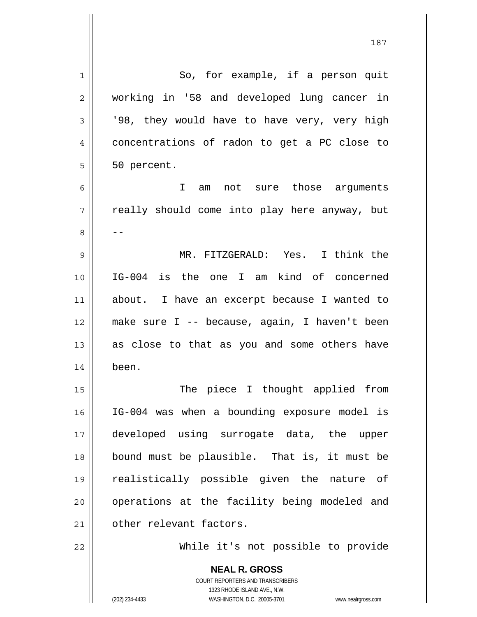| $\mathbf 1$ | So, for example, if a person quit                                                               |
|-------------|-------------------------------------------------------------------------------------------------|
| 2           | working in '58 and developed lung cancer in                                                     |
| 3           | '98, they would have to have very, very high                                                    |
| 4           | concentrations of radon to get a PC close to                                                    |
| 5           | 50 percent.                                                                                     |
| 6           | I<br>am not sure those arguments                                                                |
| 7           | really should come into play here anyway, but                                                   |
| 8           |                                                                                                 |
| 9           | MR. FITZGERALD: Yes. I think the                                                                |
| 10          | IG-004 is the one I am kind of concerned                                                        |
| 11          | about. I have an excerpt because I wanted to                                                    |
| 12          | make sure I -- because, again, I haven't been                                                   |
| 13          | as close to that as you and some others have                                                    |
| 14          | been.                                                                                           |
| 15          | The piece I thought applied from                                                                |
| 16          | IG-004 was when a bounding exposure model is                                                    |
| 17          | developed using surrogate data, the upper                                                       |
| 18          | bound must be plausible. That is, it must be                                                    |
| 19          | realistically possible given the nature of                                                      |
| 20          | operations at the facility being modeled and                                                    |
| 21          | other relevant factors.                                                                         |
| 22          | While it's not possible to provide                                                              |
|             | <b>NEAL R. GROSS</b><br><b>COURT REPORTERS AND TRANSCRIBERS</b><br>1323 RHODE ISLAND AVE., N.W. |
|             | (202) 234-4433<br>WASHINGTON, D.C. 20005-3701<br>www.nealrgross.com                             |

187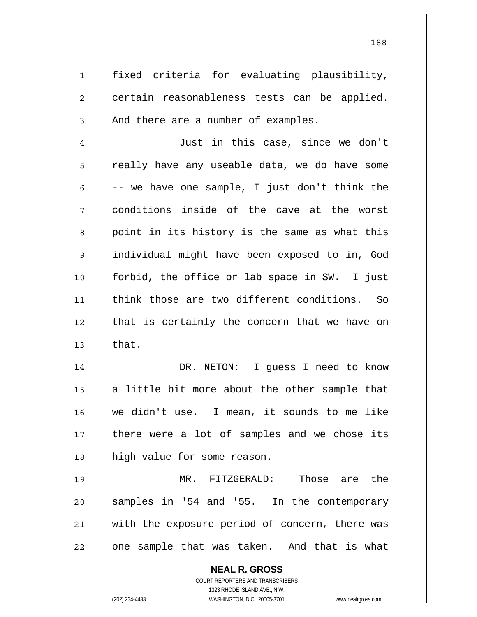1 2 3 4 5 6 7 8 9 10 11 12 13 14 15 fixed criteria for evaluating plausibility, certain reasonableness tests can be applied. And there are a number of examples. Just in this case, since we don't really have any useable data, we do have some -- we have one sample, I just don't think the conditions inside of the cave at the worst point in its history is the same as what this individual might have been exposed to in, God forbid, the office or lab space in SW. I just think those are two different conditions. So that is certainly the concern that we have on that. DR. NETON: I guess I need to know

16 17 18 a little bit more about the other sample that we didn't use. I mean, it sounds to me like there were a lot of samples and we chose its high value for some reason.

19 20 21 22 MR. FITZGERALD: Those are the samples in '54 and '55. In the contemporary with the exposure period of concern, there was one sample that was taken. And that is what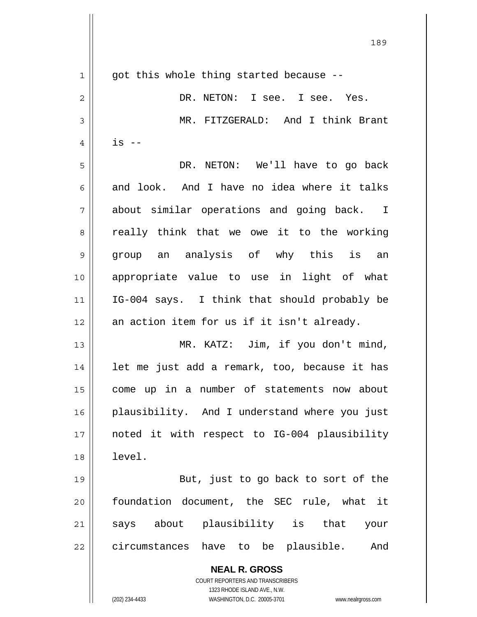| $\mathbf 1$    | got this whole thing started because --                                                             |
|----------------|-----------------------------------------------------------------------------------------------------|
| $\overline{c}$ | DR. NETON: I see. I see. Yes.                                                                       |
| 3              | MR. FITZGERALD: And I think Brant                                                                   |
| 4              | $is$ --                                                                                             |
| 5              | DR. NETON: We'll have to go back                                                                    |
| 6              | and look. And I have no idea where it talks                                                         |
| 7              | about similar operations and going back. I                                                          |
| 8              | really think that we owe it to the working                                                          |
| $\mathsf 9$    | group an analysis of why this is an                                                                 |
| 10             | appropriate value to use in light of what                                                           |
| 11             | IG-004 says. I think that should probably be                                                        |
| 12             | an action item for us if it isn't already.                                                          |
| 13             | MR. KATZ: Jim, if you don't mind,                                                                   |
| 14             | let me just add a remark, too, because it has                                                       |
| 15             | come up in a number of statements now about                                                         |
| 16             | plausibility. And I understand where you just                                                       |
| 17             | noted it with respect to IG-004 plausibility                                                        |
| 18             | level.                                                                                              |
| 19             | But, just to go back to sort of the                                                                 |
| 20             | foundation document, the SEC rule, what it                                                          |
| 21             | says about plausibility is that your                                                                |
| 22             | circumstances have to be plausible. And                                                             |
|                | <b>NEAL R. GROSS</b>                                                                                |
|                | <b>COURT REPORTERS AND TRANSCRIBERS</b>                                                             |
|                | 1323 RHODE ISLAND AVE., N.W.<br>(202) 234-4433<br>WASHINGTON, D.C. 20005-3701<br>www.nealrgross.com |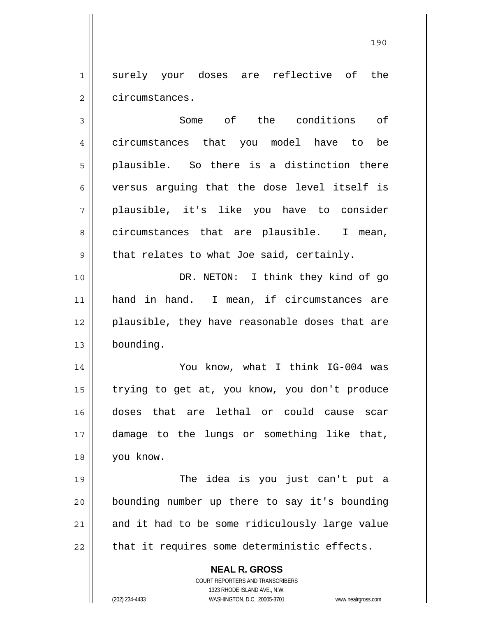1 2 surely your doses are reflective of the circumstances.

**NEAL R. GROSS** 3 4 5 6 7 8 9 10 11 12 13 14 15 16 17 18 19 20 21 22 Some of the conditions of circumstances that you model have to be plausible. So there is a distinction there versus arguing that the dose level itself is plausible, it's like you have to consider circumstances that are plausible. I mean, that relates to what Joe said, certainly. DR. NETON: I think they kind of go hand in hand. I mean, if circumstances are plausible, they have reasonable doses that are bounding. You know, what I think IG-004 was trying to get at, you know, you don't produce doses that are lethal or could cause scar damage to the lungs or something like that, you know. The idea is you just can't put a bounding number up there to say it's bounding and it had to be some ridiculously large value that it requires some deterministic effects.

> COURT REPORTERS AND TRANSCRIBERS 1323 RHODE ISLAND AVE., N.W.

(202) 234-4433 WASHINGTON, D.C. 20005-3701 www.nealrgross.com

<u>190</u>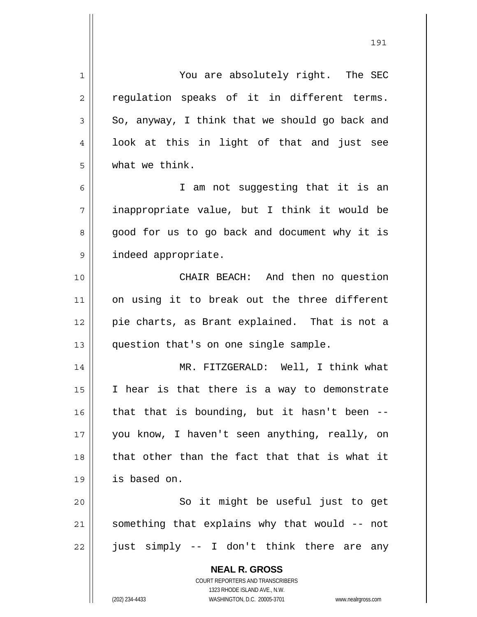**NEAL R. GROSS** COURT REPORTERS AND TRANSCRIBERS 1323 RHODE ISLAND AVE., N.W. 1 2 3 4 5 6 7 8 9 10 11 12 13 14 15 16 17 18 19 20 21 22 You are absolutely right. The SEC regulation speaks of it in different terms. So, anyway, I think that we should go back and look at this in light of that and just see what we think. I am not suggesting that it is an inappropriate value, but I think it would be good for us to go back and document why it is indeed appropriate. CHAIR BEACH: And then no question on using it to break out the three different pie charts, as Brant explained. That is not a question that's on one single sample. MR. FITZGERALD: Well, I think what I hear is that there is a way to demonstrate that that is bounding, but it hasn't been - you know, I haven't seen anything, really, on that other than the fact that that is what it is based on. So it might be useful just to get something that explains why that would -- not just simply -- I don't think there are any

(202) 234-4433 WASHINGTON, D.C. 20005-3701 www.nealrgross.com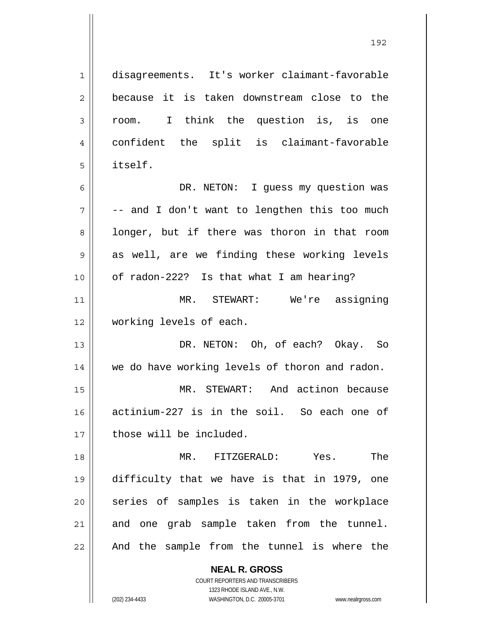**NEAL R. GROSS** 1 2 3 4 5 6 7 8 9 10 11 12 13 14 15 16 17 18 19 20 21 22 disagreements. It's worker claimant-favorable because it is taken downstream close to the room. I think the question is, is one confident the split is claimant-favorable itself. DR. NETON: I quess my question was -- and I don't want to lengthen this too much longer, but if there was thoron in that room as well, are we finding these working levels of radon-222? Is that what I am hearing? MR. STEWART: We're assigning working levels of each. DR. NETON: Oh, of each? Okay. So we do have working levels of thoron and radon. MR. STEWART: And actinon because actinium-227 is in the soil. So each one of those will be included. MR. FITZGERALD: Yes. The difficulty that we have is that in 1979, one series of samples is taken in the workplace and one grab sample taken from the tunnel. And the sample from the tunnel is where the

> COURT REPORTERS AND TRANSCRIBERS 1323 RHODE ISLAND AVE., N.W.

(202) 234-4433 WASHINGTON, D.C. 20005-3701 www.nealrgross.com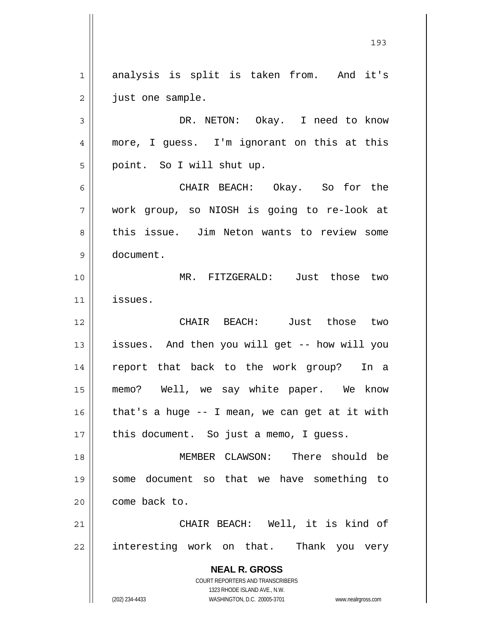**NEAL R. GROSS** COURT REPORTERS AND TRANSCRIBERS 1 2 3 4 5 6 7 8 9 10 11 12 13 14 15 16 17 18 19 20 21 22 analysis is split is taken from. And it's just one sample. DR. NETON: Okay. I need to know more, I guess. I'm ignorant on this at this point. So I will shut up. CHAIR BEACH: Okay. So for the work group, so NIOSH is going to re-look at this issue. Jim Neton wants to review some document. MR. FITZGERALD: Just those two issues. CHAIR BEACH: Just those two issues. And then you will get -- how will you report that back to the work group? In a memo? Well, we say white paper. We know that's a huge -- I mean, we can get at it with this document. So just a memo, I guess. MEMBER CLAWSON: There should be some document so that we have something to come back to. CHAIR BEACH: Well, it is kind of interesting work on that. Thank you very

193

1323 RHODE ISLAND AVE., N.W.

(202) 234-4433 WASHINGTON, D.C. 20005-3701 www.nealrgross.com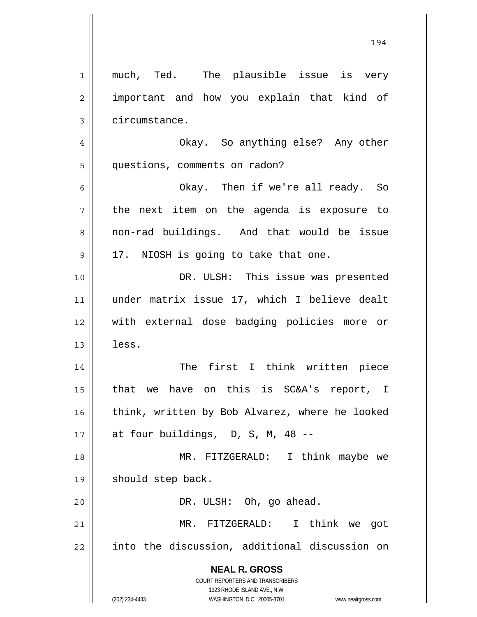| 1              | much, Ted. The plausible issue is very                              |
|----------------|---------------------------------------------------------------------|
| $\overline{2}$ | important and how you explain that kind of                          |
| 3              | circumstance.                                                       |
| 4              | Okay. So anything else? Any other                                   |
| 5              | questions, comments on radon?                                       |
| 6              | Okay. Then if we're all ready. So                                   |
| 7              | the next item on the agenda is exposure to                          |
| 8              | non-rad buildings. And that would be issue                          |
| $\mathsf 9$    | 17. NIOSH is going to take that one.                                |
| 10             | DR. ULSH: This issue was presented                                  |
| 11             | under matrix issue 17, which I believe dealt                        |
| 12             | with external dose badging policies more or                         |
| 13             | less.                                                               |
| 14             | The first I think written piece                                     |
| 15             | that we have on this is SC&A's report, I                            |
| 16             | think, written by Bob Alvarez, where he looked                      |
| 17             | at four buildings, D, S, M, 48 --                                   |
| 18             | MR. FITZGERALD: I think maybe we                                    |
| 19             | should step back.                                                   |
| 20             | DR. ULSH: Oh, go ahead.                                             |
| 21             | MR. FITZGERALD: I think we got                                      |
| 22             | into the discussion, additional discussion on                       |
|                | <b>NEAL R. GROSS</b>                                                |
|                | COURT REPORTERS AND TRANSCRIBERS<br>1323 RHODE ISLAND AVE., N.W.    |
|                | (202) 234-4433<br>WASHINGTON, D.C. 20005-3701<br>www.nealrgross.com |

 $\mathsf{I}$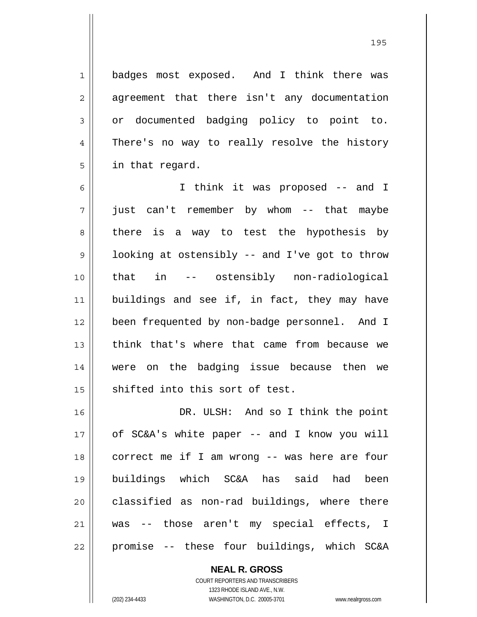1 2 3 4 5 badges most exposed. And I think there was agreement that there isn't any documentation or documented badging policy to point to. There's no way to really resolve the history in that regard.

<u>195</u>

6 7 8 9 10 11 12 13 14 15 I think it was proposed -- and I just can't remember by whom -- that maybe there is a way to test the hypothesis by looking at ostensibly -- and I've got to throw that in -- ostensibly non-radiological buildings and see if, in fact, they may have been frequented by non-badge personnel. And I think that's where that came from because we were on the badging issue because then we shifted into this sort of test.

16 17 18 19 20 21 22 DR. ULSH: And so I think the point of SC&A's white paper -- and I know you will correct me if I am wrong -- was here are four buildings which SC&A has said had been classified as non-rad buildings, where there was -- those aren't my special effects, I promise -- these four buildings, which SC&A

**NEAL R. GROSS**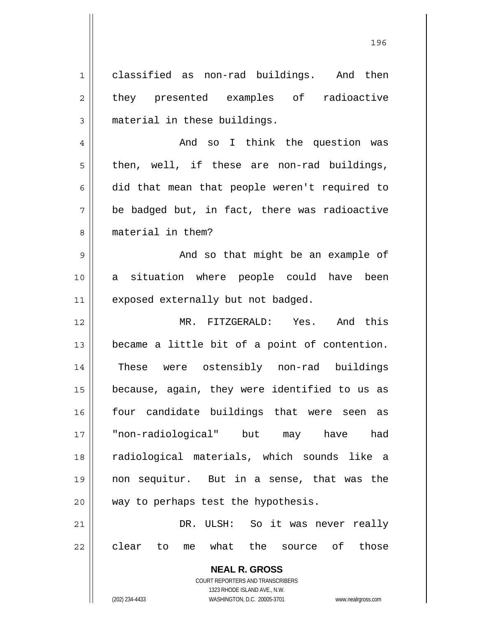1 2 3 classified as non-rad buildings. And then they presented examples of radioactive material in these buildings.

4 5 6 7 8 And so I think the question was then, well, if these are non-rad buildings, did that mean that people weren't required to be badged but, in fact, there was radioactive material in them?

9 10 11 And so that might be an example of a situation where people could have been exposed externally but not badged.

12 13 14 15 16 17 18 19 20 21 MR. FITZGERALD: Yes. And this became a little bit of a point of contention. These were ostensibly non-rad buildings because, again, they were identified to us as four candidate buildings that were seen as "non-radiological" but may have had radiological materials, which sounds like a non sequitur. But in a sense, that was the way to perhaps test the hypothesis. DR. ULSH: So it was never really

22 clear to me what the source of those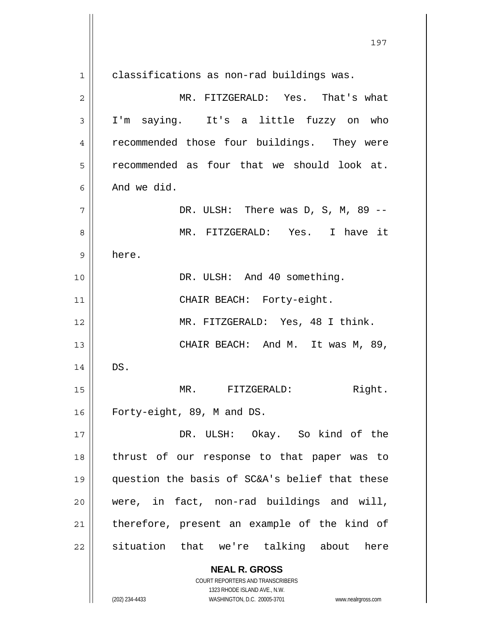**NEAL R. GROSS** COURT REPORTERS AND TRANSCRIBERS 1 2 3 4 5 6 7 8 9 10 11 12 13 14 15 16 17 18 19 20 21 22 classifications as non-rad buildings was. MR. FITZGERALD: Yes. That's what I'm saying. It's a little fuzzy on who recommended those four buildings. They were recommended as four that we should look at. And we did. DR. ULSH: There was D, S, M, 89 -- MR. FITZGERALD: Yes. I have it here. DR. ULSH: And 40 something. CHAIR BEACH: Forty-eight. MR. FITZGERALD: Yes, 48 I think. CHAIR BEACH: And M. It was M, 89, DS. MR. FITZGERALD: Right. Forty-eight, 89, M and DS. DR. ULSH: Okay. So kind of the thrust of our response to that paper was to question the basis of SC&A's belief that these were, in fact, non-rad buildings and will, therefore, present an example of the kind of situation that we're talking about here

1323 RHODE ISLAND AVE., N.W.

197

(202) 234-4433 WASHINGTON, D.C. 20005-3701 www.nealrgross.com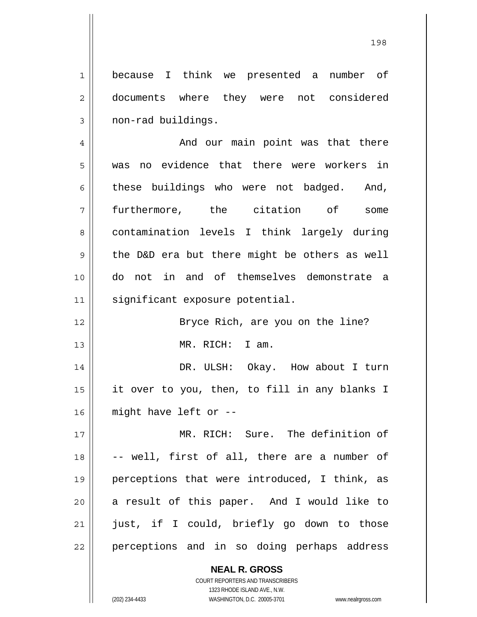1 2 3 because I think we presented a number of documents where they were not considered non-rad buildings.

4 5 6 7 8 9 10 11 And our main point was that there was no evidence that there were workers in these buildings who were not badged. And, furthermore, the citation of some contamination levels I think largely during the D&D era but there might be others as well do not in and of themselves demonstrate a significant exposure potential.

> Bryce Rich, are you on the line? MR. RICH: I am.

14 15 16 DR. ULSH: Okay. How about I turn it over to you, then, to fill in any blanks I might have left or --

12

13

17 18 19 20 21 22 MR. RICH: Sure. The definition of -- well, first of all, there are a number of perceptions that were introduced, I think, as a result of this paper. And I would like to just, if I could, briefly go down to those perceptions and in so doing perhaps address

> COURT REPORTERS AND TRANSCRIBERS 1323 RHODE ISLAND AVE., N.W. (202) 234-4433 WASHINGTON, D.C. 20005-3701 www.nealrgross.com

**NEAL R. GROSS**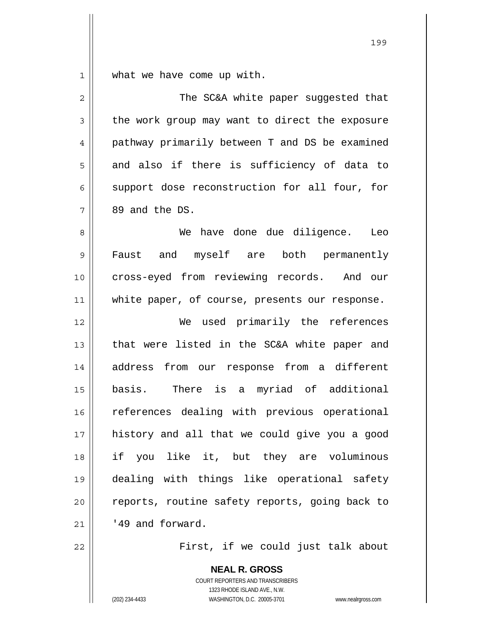$\begin{array}{c|c|c|c|c} 1 & 1 & 1 \end{array}$ what we have come up with.

| $\overline{2}$ | The SC&A white paper suggested that            |
|----------------|------------------------------------------------|
| 3              | the work group may want to direct the exposure |
| $\overline{4}$ | pathway primarily between T and DS be examined |
| 5              | and also if there is sufficiency of data to    |
| 6              | support dose reconstruction for all four, for  |
| 7              | 89 and the DS.                                 |
| 8              | We have done due diligence.<br>Leo             |
| $\mathsf 9$    | Faust and myself are both permanently          |
| 10             | cross-eyed from reviewing records. And our     |
| 11             | white paper, of course, presents our response. |
| 12             | We used primarily the references               |
| 13             | that were listed in the SC&A white paper and   |
| 14             | from our response from a different<br>address  |
| 15             | basis. There is a myriad of additional         |
| 16             | references dealing with previous operational   |
| 17             | history and all that we could give you a good  |
| 18             | if you like it, but they are voluminous        |
| 19             | dealing with things like operational safety    |
| 20             | reports, routine safety reports, going back to |
| 21             | '49 and forward.                               |
| 22             | First, if we could just talk about             |

**NEAL R. GROSS** COURT REPORTERS AND TRANSCRIBERS 1323 RHODE ISLAND AVE., N.W. (202) 234-4433 WASHINGTON, D.C. 20005-3701 www.nealrgross.com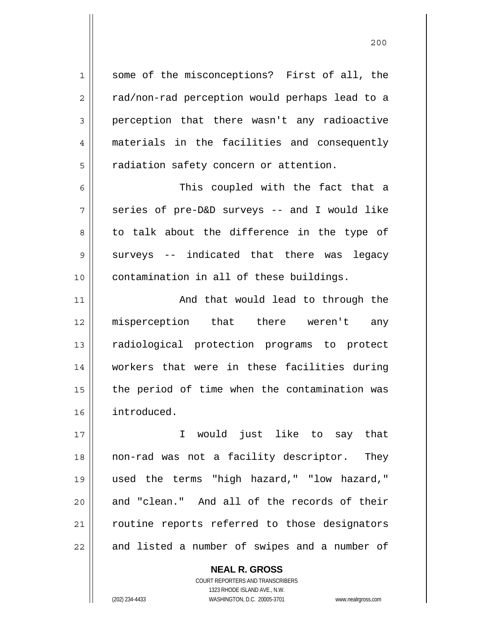some of the misconceptions? First of all, the rad/non-rad perception would perhaps lead to a perception that there wasn't any radioactive materials in the facilities and consequently radiation safety concern or attention.

6 7 8 9 10 This coupled with the fact that a series of pre-D&D surveys -- and I would like to talk about the difference in the type of surveys -- indicated that there was legacy contamination in all of these buildings.

11 12 13 14 15 16 And that would lead to through the misperception that there weren't any radiological protection programs to protect workers that were in these facilities during the period of time when the contamination was introduced.

17 18 19 20 21 22 I would just like to say that non-rad was not a facility descriptor. They used the terms "high hazard," "low hazard," and "clean." And all of the records of their routine reports referred to those designators and listed a number of swipes and a number of

> COURT REPORTERS AND TRANSCRIBERS 1323 RHODE ISLAND AVE., N.W. (202) 234-4433 WASHINGTON, D.C. 20005-3701 www.nealrgross.com

**NEAL R. GROSS**

1

2

3

4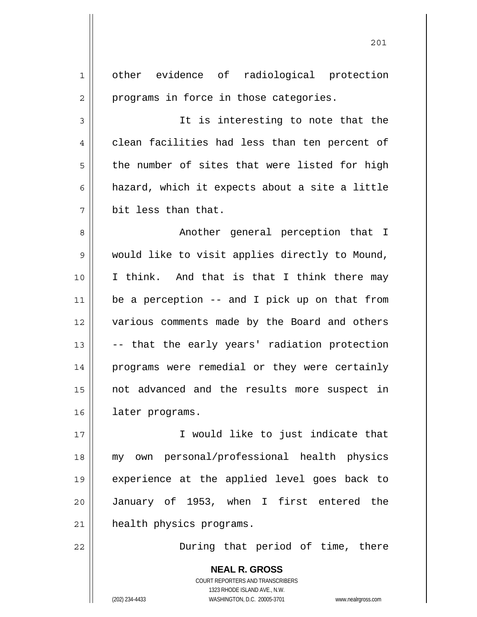| 1              | other evidence of radiological protection                                                                                                                       |
|----------------|-----------------------------------------------------------------------------------------------------------------------------------------------------------------|
| $\overline{c}$ | programs in force in those categories.                                                                                                                          |
| 3              | It is interesting to note that the                                                                                                                              |
| 4              | clean facilities had less than ten percent of                                                                                                                   |
| 5              | the number of sites that were listed for high                                                                                                                   |
| 6              | hazard, which it expects about a site a little                                                                                                                  |
| 7              | bit less than that.                                                                                                                                             |
| 8              | Another general perception that I                                                                                                                               |
| 9              | would like to visit applies directly to Mound,                                                                                                                  |
| 10             | I think. And that is that I think there may                                                                                                                     |
| 11             | be a perception -- and I pick up on that from                                                                                                                   |
| 12             | various comments made by the Board and others                                                                                                                   |
| 13             | -- that the early years' radiation protection                                                                                                                   |
| 14             | programs were remedial or they were certainly                                                                                                                   |
| 15             | not advanced and the results more suspect in                                                                                                                    |
| 16             | later programs.                                                                                                                                                 |
| 17             | I would like to just indicate that                                                                                                                              |
| 18             | my own personal/professional health physics                                                                                                                     |
| 19             | experience at the applied level goes back to                                                                                                                    |
| 20             | January of 1953, when I first entered the                                                                                                                       |
| 21             | health physics programs.                                                                                                                                        |
| 22             | During that period of time, there                                                                                                                               |
|                | <b>NEAL R. GROSS</b><br>COURT REPORTERS AND TRANSCRIBERS<br>1323 RHODE ISLAND AVE., N.W.<br>WASHINGTON, D.C. 20005-3701<br>(202) 234-4433<br>www.nealrgross.com |

201

 $\mathsf{I}$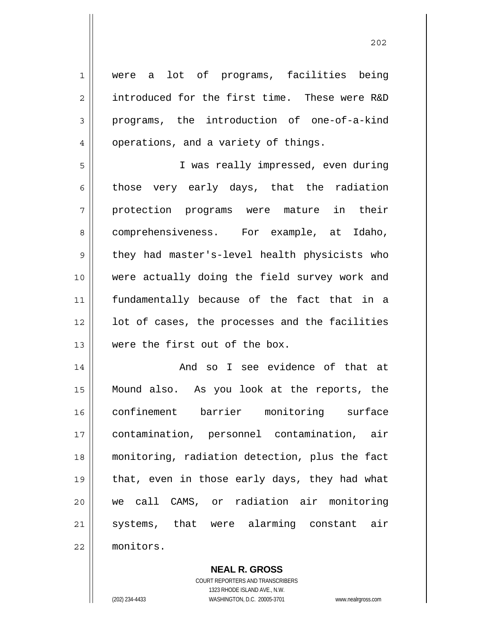1 2 3 4 5 6 7 8 9 10 11 12 13 14 15 16 17 18 19 20 21 22 were a lot of programs, facilities being introduced for the first time. These were R&D programs, the introduction of one-of-a-kind operations, and a variety of things. I was really impressed, even during those very early days, that the radiation protection programs were mature in their comprehensiveness. For example, at Idaho, they had master's-level health physicists who were actually doing the field survey work and fundamentally because of the fact that in a lot of cases, the processes and the facilities were the first out of the box. And so I see evidence of that at Mound also. As you look at the reports, the confinement barrier monitoring surface contamination, personnel contamination, air monitoring, radiation detection, plus the fact that, even in those early days, they had what we call CAMS, or radiation air monitoring systems, that were alarming constant air monitors.

> **NEAL R. GROSS** COURT REPORTERS AND TRANSCRIBERS 1323 RHODE ISLAND AVE., N.W.

(202) 234-4433 WASHINGTON, D.C. 20005-3701 www.nealrgross.com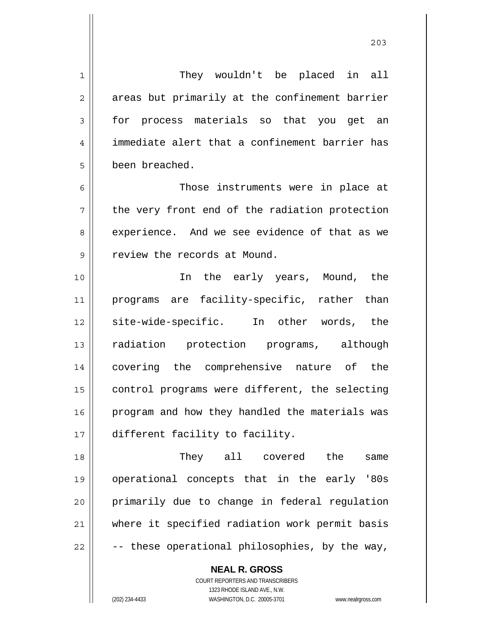1 2 3 4 5 6 7 8 9 10 11 12 13 14 15 16 17 18 19 20 21 They wouldn't be placed in all areas but primarily at the confinement barrier for process materials so that you get an immediate alert that a confinement barrier has been breached. Those instruments were in place at the very front end of the radiation protection experience. And we see evidence of that as we review the records at Mound. In the early years, Mound, the programs are facility-specific, rather than site-wide-specific. In other words, the radiation protection programs, although covering the comprehensive nature of the control programs were different, the selecting program and how they handled the materials was different facility to facility. They all covered the same operational concepts that in the early '80s primarily due to change in federal regulation where it specified radiation work permit basis

**NEAL R. GROSS**

COURT REPORTERS AND TRANSCRIBERS 1323 RHODE ISLAND AVE., N.W.

-- these operational philosophies, by the way,

22

(202) 234-4433 WASHINGTON, D.C. 20005-3701 www.nealrgross.com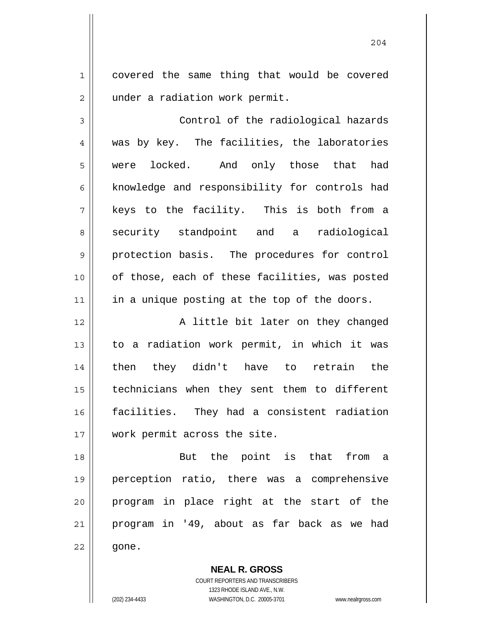1 2 covered the same thing that would be covered under a radiation work permit.

3 4 5 6 7 8 9 10 11 Control of the radiological hazards was by key. The facilities, the laboratories were locked. And only those that had knowledge and responsibility for controls had keys to the facility. This is both from a security standpoint and a radiological protection basis. The procedures for control of those, each of these facilities, was posted in a unique posting at the top of the doors.

12 13 14 15 16 17 A little bit later on they changed to a radiation work permit, in which it was then they didn't have to retrain the technicians when they sent them to different facilities. They had a consistent radiation work permit across the site.

18 19 20 21 22 But the point is that from a perception ratio, there was a comprehensive program in place right at the start of the program in '49, about as far back as we had gone.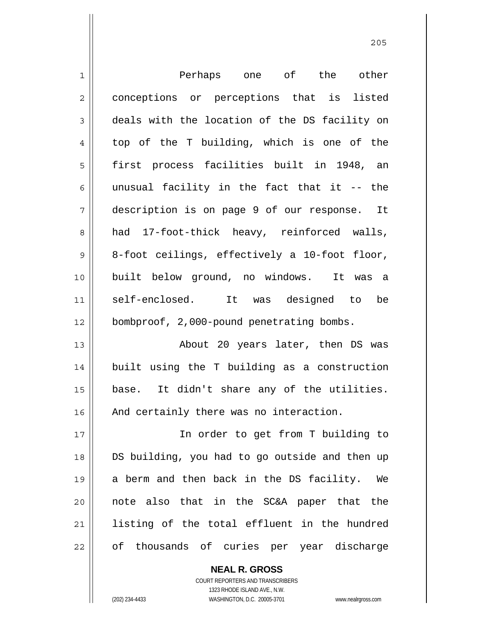| $\mathbf 1$    | Perhaps one of the other                       |
|----------------|------------------------------------------------|
| $\overline{2}$ | conceptions or perceptions that is listed      |
| $\mathfrak{Z}$ | deals with the location of the DS facility on  |
| $\overline{4}$ | top of the T building, which is one of the     |
| 5              | first process facilities built in 1948, an     |
| 6              | unusual facility in the fact that it -- the    |
| 7              | description is on page 9 of our response. It   |
| 8              | had 17-foot-thick heavy, reinforced walls,     |
| $\mathsf 9$    | 8-foot ceilings, effectively a 10-foot floor,  |
| 10             | built below ground, no windows. It was a       |
| 11             | self-enclosed.<br>It was designed to<br>be     |
| 12             | bombproof, 2,000-pound penetrating bombs.      |
| 13             | About 20 years later, then DS was              |
| 14             | built using the T building as a construction   |
| 15             | base. It didn't share any of the utilities.    |
| 16             | And certainly there was no interaction.        |
| 17             | In order to get from T building to             |
| 18             | DS building, you had to go outside and then up |
| 19             | a berm and then back in the DS facility. We    |
| 20             | note also that in the SC&A paper that the      |
| 21             | listing of the total effluent in the hundred   |
| 22             | of thousands of curies per year discharge      |

<u>205</u>

COURT REPORTERS AND TRANSCRIBERS 1323 RHODE ISLAND AVE., N.W. (202) 234-4433 WASHINGTON, D.C. 20005-3701 www.nealrgross.com

**NEAL R. GROSS**

 $\mathsf{II}$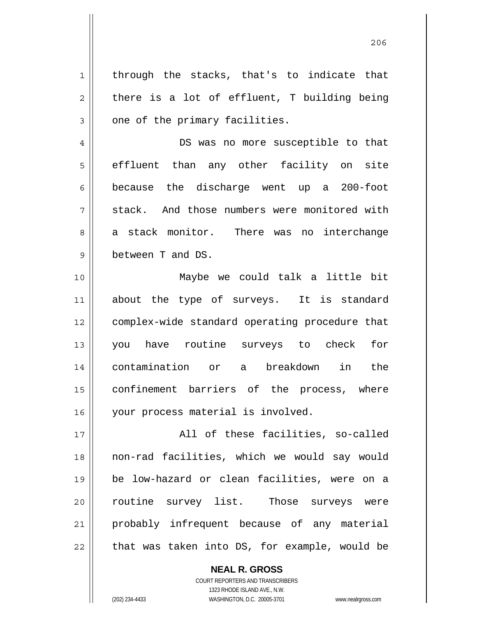1 2 3 through the stacks, that's to indicate that there is a lot of effluent, T building being one of the primary facilities.

7 DS was no more susceptible to that effluent than any other facility on site because the discharge went up a 200-foot stack. And those numbers were monitored with a stack monitor. There was no interchange between T and DS.

10 11 12 13 14 15 16 Maybe we could talk a little bit about the type of surveys. It is standard complex-wide standard operating procedure that you have routine surveys to check for contamination or a breakdown in the confinement barriers of the process, where your process material is involved.

17 18 19 20 21 22 All of these facilities, so-called non-rad facilities, which we would say would be low-hazard or clean facilities, were on a routine survey list. Those surveys were probably infrequent because of any material that was taken into DS, for example, would be

> **NEAL R. GROSS** COURT REPORTERS AND TRANSCRIBERS 1323 RHODE ISLAND AVE., N.W. (202) 234-4433 WASHINGTON, D.C. 20005-3701 www.nealrgross.com

4

5

6

8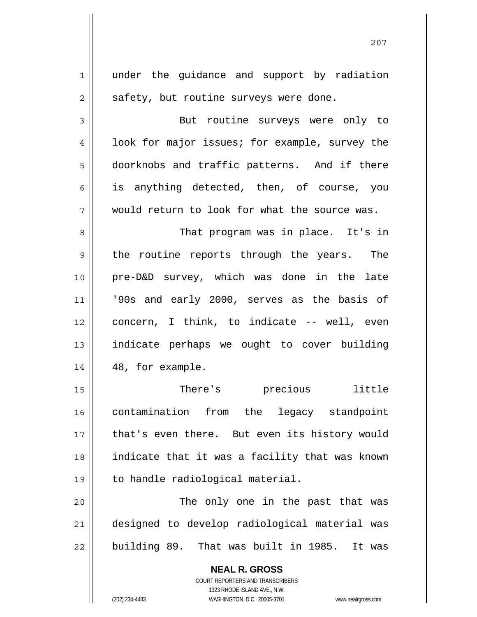| $\mathbf 1$    | under the guidance and support by radiation    |
|----------------|------------------------------------------------|
| $\overline{2}$ | safety, but routine surveys were done.         |
| 3              | But routine surveys were only to               |
| 4              | look for major issues; for example, survey the |
| 5              | doorknobs and traffic patterns. And if there   |
| 6              | is anything detected, then, of course, you     |
| 7              | would return to look for what the source was.  |
| 8              | That program was in place. It's in             |
| 9              | the routine reports through the years. The     |
| 10             | pre-D&D survey, which was done in the late     |
| 11             | '90s and early 2000, serves as the basis of    |
| 12             | concern, I think, to indicate -- well, even    |
| 13             | indicate perhaps we ought to cover building    |
| 14             | 48, for example.                               |
| 15             | There's precious<br>little                     |
| 16             | contamination from the legacy standpoint       |
| 17             | that's even there. But even its history would  |
| 18             | indicate that it was a facility that was known |
| 19             | to handle radiological material.               |
| 20             | The only one in the past that was              |
| 21             | designed to develop radiological material was  |
| 22             | building 89. That was built in 1985.<br>It was |
|                | <b>NEAL R. GROSS</b>                           |

COURT REPORTERS AND TRANSCRIBERS 1323 RHODE ISLAND AVE., N.W.

 $\mathsf{II}$ 

(202) 234-4433 WASHINGTON, D.C. 20005-3701 www.nealrgross.com

<u>207</u>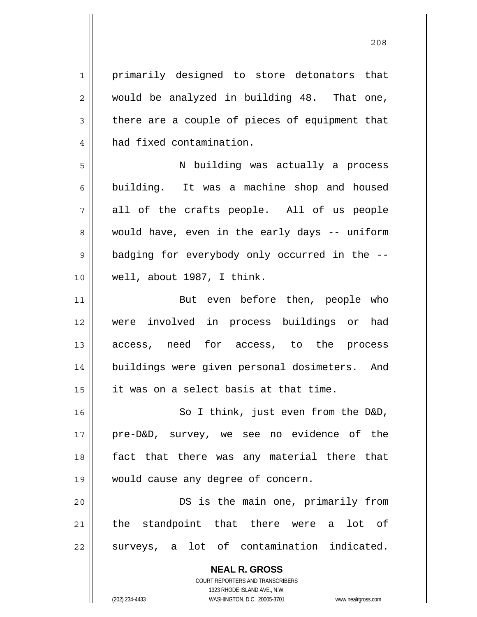1 2 3 4 5 6 7 8 9 10 11 12 13 14 15 16 17 18 19 20 21 22 primarily designed to store detonators that would be analyzed in building 48. That one, there are a couple of pieces of equipment that had fixed contamination. N building was actually a process building. It was a machine shop and housed all of the crafts people. All of us people would have, even in the early days -- uniform badging for everybody only occurred in the - well, about 1987, I think. But even before then, people who were involved in process buildings or had access, need for access, to the process buildings were given personal dosimeters. And it was on a select basis at that time. So I think, just even from the D&D, pre-D&D, survey, we see no evidence of the fact that there was any material there that would cause any degree of concern. DS is the main one, primarily from the standpoint that there were a lot of surveys, a lot of contamination indicated.

<u>208</u>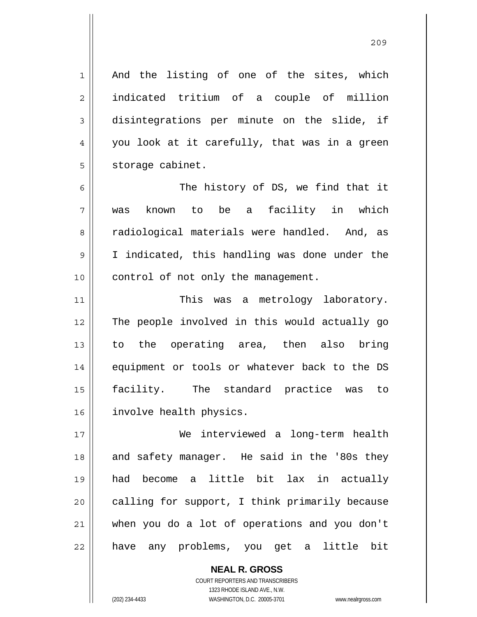<u>209</u>

1 2 3 4 5 And the listing of one of the sites, which indicated tritium of a couple of million disintegrations per minute on the slide, if you look at it carefully, that was in a green storage cabinet.

6 7 8 9 10 The history of DS, we find that it was known to be a facility in which radiological materials were handled. And, as I indicated, this handling was done under the control of not only the management.

11 12 13 14 15 16 This was a metrology laboratory. The people involved in this would actually go to the operating area, then also bring equipment or tools or whatever back to the DS facility. The standard practice was to involve health physics.

17 18 19 20 21 22 We interviewed a long-term health and safety manager. He said in the '80s they had become a little bit lax in actually calling for support, I think primarily because when you do a lot of operations and you don't have any problems, you get a little bit

> COURT REPORTERS AND TRANSCRIBERS 1323 RHODE ISLAND AVE., N.W. (202) 234-4433 WASHINGTON, D.C. 20005-3701 www.nealrgross.com

**NEAL R. GROSS**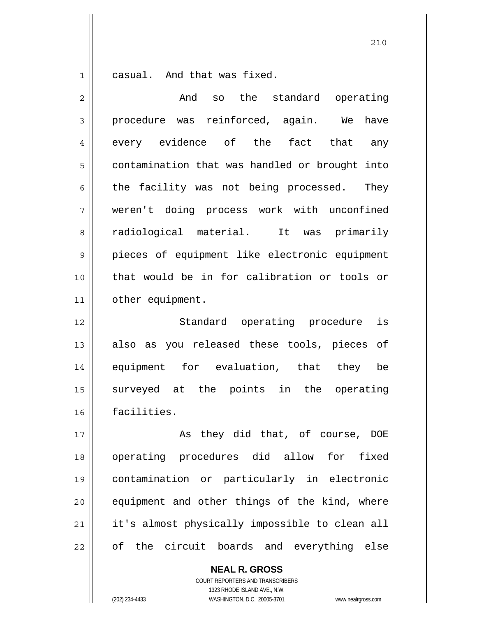1 casual. And that was fixed.

| $\overline{2}$ | And<br>the<br>standard operating<br>SO         |
|----------------|------------------------------------------------|
| 3              | procedure was reinforced, again. We<br>have    |
| 4              | every evidence of the fact that any            |
| 5              | contamination that was handled or brought into |
| 6              | the facility was not being processed. They     |
| 7              | weren't doing process work with unconfined     |
| 8              | radiological material.<br>It was primarily     |
| 9              | pieces of equipment like electronic equipment  |
| 10             | that would be in for calibration or tools or   |
| 11             | other equipment.                               |
| 12             | Standard operating procedure<br>is             |
| 13             | also as you released these tools, pieces of    |
| 14             | equipment for evaluation, that they be         |
| 15             | surveyed at the points in the operating        |
| 16             | facilities.                                    |
| 17             | they did that, of course, DOE<br>As            |
| 18             | operating procedures did allow for fixed       |
| 19             | contamination or particularly in electronic    |
| 20             | equipment and other things of the kind, where  |
| 21             | it's almost physically impossible to clean all |
| 22             | of the circuit boards and everything else      |

**NEAL R. GROSS**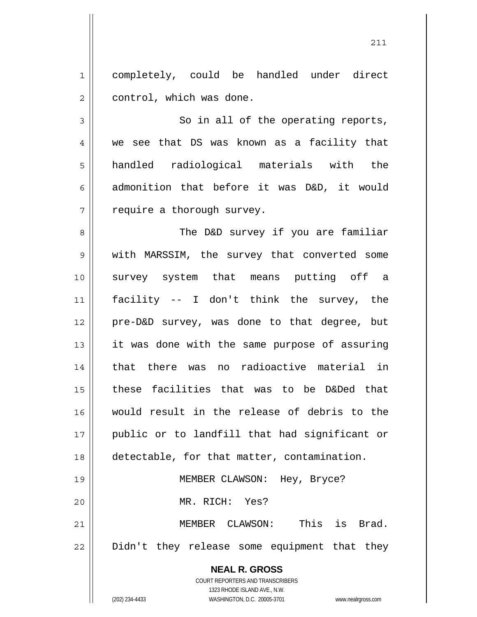1 2 completely, could be handled under direct control, which was done.

3 4 5 6 7 So in all of the operating reports, we see that DS was known as a facility that handled radiological materials with the admonition that before it was D&D, it would require a thorough survey.

8 9 10 11 12 13 14 15 16 17 18 19 The D&D survey if you are familiar with MARSSIM, the survey that converted some survey system that means putting off a facility -- I don't think the survey, the pre-D&D survey, was done to that degree, but it was done with the same purpose of assuring that there was no radioactive material in these facilities that was to be D&Ded that would result in the release of debris to the public or to landfill that had significant or detectable, for that matter, contamination. MEMBER CLAWSON: Hey, Bryce?

MR. RICH: Yes?

21 22 MEMBER CLAWSON: This is Brad. Didn't they release some equipment that they

> **NEAL R. GROSS** COURT REPORTERS AND TRANSCRIBERS 1323 RHODE ISLAND AVE., N.W. (202) 234-4433 WASHINGTON, D.C. 20005-3701 www.nealrgross.com

20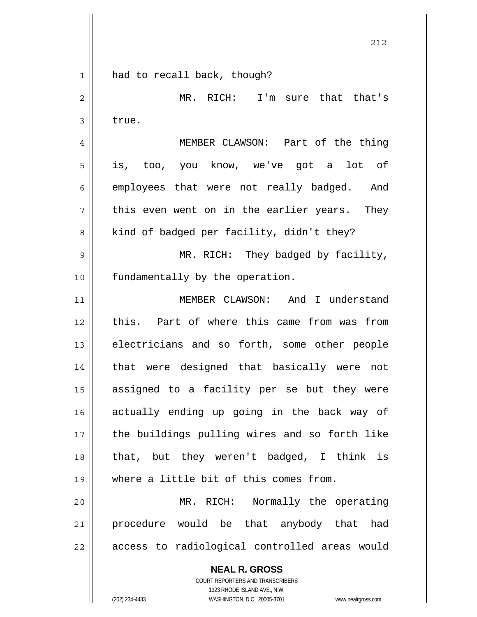1 2 3 4 5 6 7 8 9 10 11 12 13 14 15 16 17 18 19 20 21 22 had to recall back, though? MR. RICH: I'm sure that that's true. MEMBER CLAWSON: Part of the thing is, too, you know, we've got a lot of employees that were not really badged. And this even went on in the earlier years. They kind of badged per facility, didn't they? MR. RICH: They badged by facility, fundamentally by the operation. MEMBER CLAWSON: And I understand this. Part of where this came from was from electricians and so forth, some other people that were designed that basically were not assigned to a facility per se but they were actually ending up going in the back way of the buildings pulling wires and so forth like that, but they weren't badged, I think is where a little bit of this comes from. MR. RICH: Normally the operating procedure would be that anybody that had access to radiological controlled areas would

> **NEAL R. GROSS** COURT REPORTERS AND TRANSCRIBERS 1323 RHODE ISLAND AVE., N.W.

(202) 234-4433 WASHINGTON, D.C. 20005-3701 www.nealrgross.com

<u>212</u>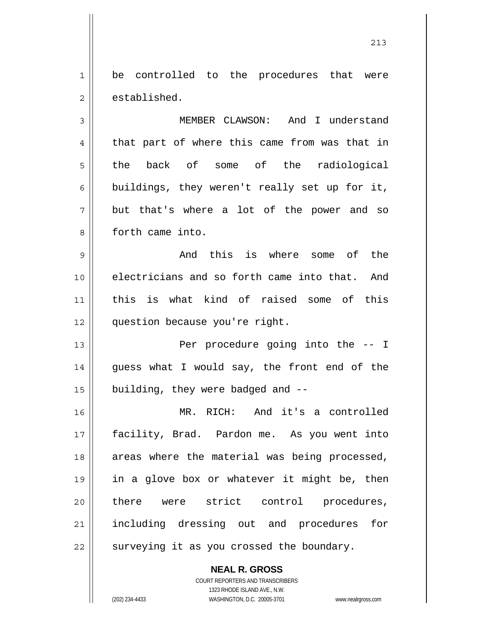1 2 be controlled to the procedures that were established.

3 4 5 6 7 8 MEMBER CLAWSON: And I understand that part of where this came from was that in the back of some of the radiological buildings, they weren't really set up for it, but that's where a lot of the power and so forth came into.

9 10 11 12 And this is where some of the electricians and so forth came into that. And this is what kind of raised some of this question because you're right.

13 14 15 Per procedure going into the -- I guess what I would say, the front end of the building, they were badged and --

16 17 18 19 20 21 22 MR. RICH: And it's a controlled facility, Brad. Pardon me. As you went into areas where the material was being processed, in a glove box or whatever it might be, then there were strict control procedures, including dressing out and procedures for surveying it as you crossed the boundary.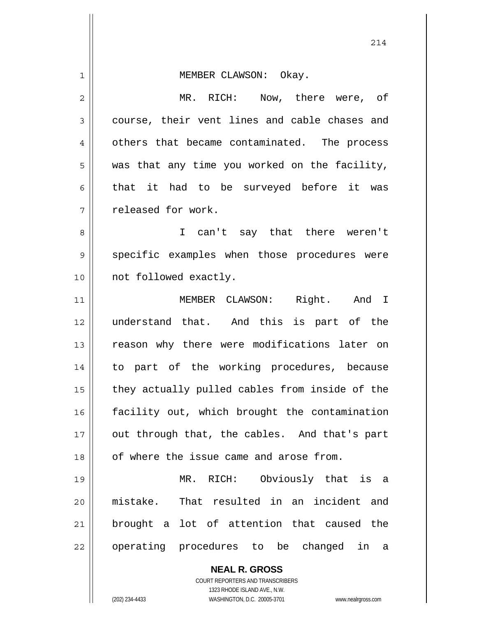| 1  | MEMBER CLAWSON: Okay.                                                                               |
|----|-----------------------------------------------------------------------------------------------------|
| 2  | MR. RICH: Now, there were, of                                                                       |
| 3  | course, their vent lines and cable chases and                                                       |
| 4  | others that became contaminated. The process                                                        |
| 5  | was that any time you worked on the facility,                                                       |
| 6  | that it had to be surveyed before it was                                                            |
| 7  | released for work.                                                                                  |
| 8  | I can't say that there weren't                                                                      |
| 9  | specific examples when those procedures were                                                        |
| 10 | not followed exactly.                                                                               |
| 11 | MEMBER CLAWSON: Right. And I                                                                        |
| 12 | understand that. And this is part of the                                                            |
| 13 | reason why there were modifications later on                                                        |
| 14 | to part of the working procedures, because                                                          |
| 15 | they actually pulled cables from inside of the                                                      |
| 16 | facility out, which brought the contamination                                                       |
| 17 | out through that, the cables. And that's part                                                       |
| 18 | of where the issue came and arose from.                                                             |
| 19 | MR. RICH: Obviously that is a                                                                       |
| 20 | mistake. That resulted in an incident and                                                           |
| 21 | brought a lot of attention that caused the                                                          |
| 22 | operating procedures to be changed in a                                                             |
|    | <b>NEAL R. GROSS</b>                                                                                |
|    | COURT REPORTERS AND TRANSCRIBERS                                                                    |
|    | 1323 RHODE ISLAND AVE., N.W.<br>(202) 234-4433<br>WASHINGTON, D.C. 20005-3701<br>www.nealrgross.com |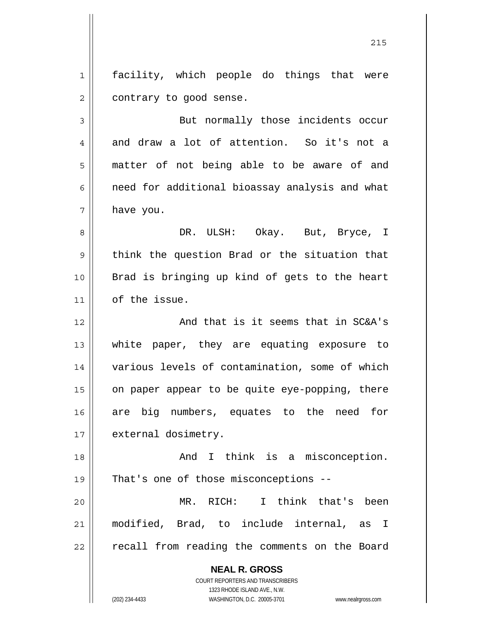1 2 facility, which people do things that were contrary to good sense.

3 4 5 6 7 But normally those incidents occur and draw a lot of attention. So it's not a matter of not being able to be aware of and need for additional bioassay analysis and what have you.

8 9 10 11 DR. ULSH: Okay. But, Bryce, I think the question Brad or the situation that Brad is bringing up kind of gets to the heart of the issue.

12 13 14 15 16 17 And that is it seems that in SC&A's white paper, they are equating exposure to various levels of contamination, some of which on paper appear to be quite eye-popping, there are big numbers, equates to the need for external dosimetry.

18 19 20 21 22 And I think is a misconception. That's one of those misconceptions -- MR. RICH: I think that's been modified, Brad, to include internal, as I recall from reading the comments on the Board

**NEAL R. GROSS**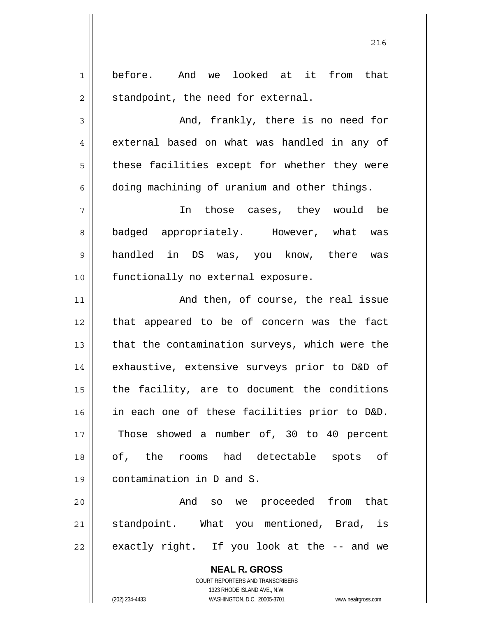1 2 before. And we looked at it from that standpoint, the need for external.

3

4

5

6

<u>216</u>

 And, frankly, there is no need for external based on what was handled in any of these facilities except for whether they were doing machining of uranium and other things.

7 8 9 10 In those cases, they would be badged appropriately. However, what was handled in DS was, you know, there was functionally no external exposure.

11 12 13 14 15 16 17 18 19 And then, of course, the real issue that appeared to be of concern was the fact that the contamination surveys, which were the exhaustive, extensive surveys prior to D&D of the facility, are to document the conditions in each one of these facilities prior to D&D. Those showed a number of, 30 to 40 percent of, the rooms had detectable spots of contamination in D and S.

20 21 22 And so we proceeded from that standpoint. What you mentioned, Brad, is exactly right. If you look at the -- and we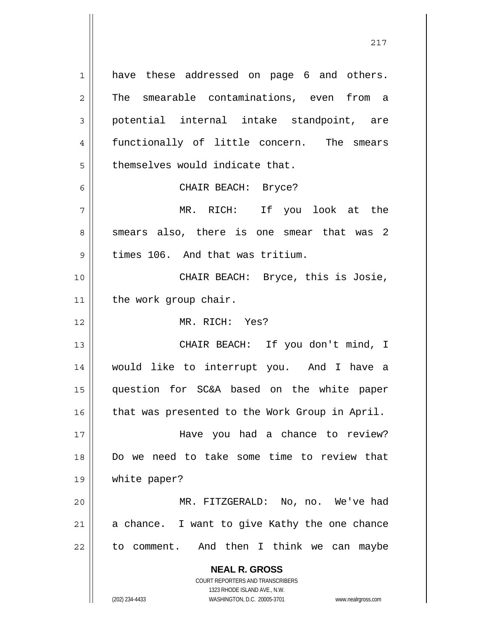**NEAL R. GROSS** COURT REPORTERS AND TRANSCRIBERS 1 2 3 4 5 6 7 8 9 10 11 12 13 14 15 16 17 18 19 20 21 22 have these addressed on page 6 and others. The smearable contaminations, even from a potential internal intake standpoint, are functionally of little concern. The smears themselves would indicate that. CHAIR BEACH: Bryce? MR. RICH: If you look at the smears also, there is one smear that was 2 times 106. And that was tritium. CHAIR BEACH: Bryce, this is Josie, the work group chair. MR. RICH: Yes? CHAIR BEACH: If you don't mind, I would like to interrupt you. And I have a question for SC&A based on the white paper that was presented to the Work Group in April. Have you had a chance to review? Do we need to take some time to review that white paper? MR. FITZGERALD: No, no. We've had a chance. I want to give Kathy the one chance to comment. And then I think we can maybe

1323 RHODE ISLAND AVE., N.W.

(202) 234-4433 WASHINGTON, D.C. 20005-3701 www.nealrgross.com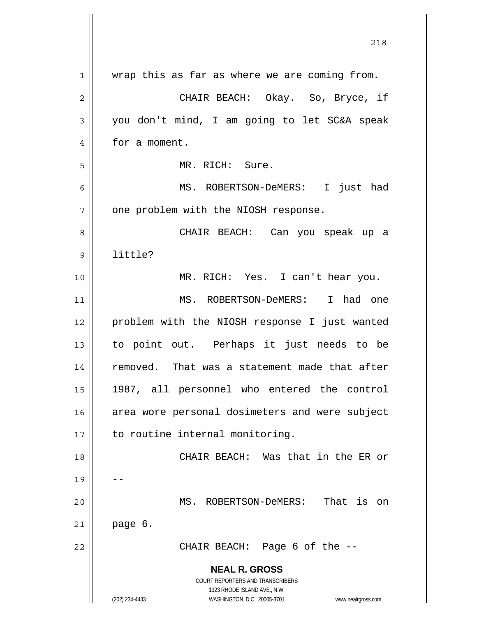|                | 218                                                                                                 |
|----------------|-----------------------------------------------------------------------------------------------------|
|                |                                                                                                     |
| 1              | wrap this as far as where we are coming from.                                                       |
| $\overline{2}$ | CHAIR BEACH: Okay. So, Bryce, if                                                                    |
| 3              | you don't mind, I am going to let SC&A speak                                                        |
| 4              | for a moment.                                                                                       |
| 5              | MR. RICH: Sure.                                                                                     |
| 6              | MS. ROBERTSON-DeMERS: I just had                                                                    |
| 7              | one problem with the NIOSH response.                                                                |
| 8              | CHAIR BEACH: Can you speak up a                                                                     |
| 9              | little?                                                                                             |
| 10             | MR. RICH: Yes. I can't hear you.                                                                    |
| 11             | MS. ROBERTSON-DeMERS: I had one                                                                     |
| 12             | problem with the NIOSH response I just wanted                                                       |
| 13             | to point out. Perhaps it just needs to be                                                           |
| 14             | removed. That was a statement made that after                                                       |
| 15             | 1987, all personnel who entered the control                                                         |
| 16             | area wore personal dosimeters and were subject                                                      |
| 17             | to routine internal monitoring.                                                                     |
| 18             | CHAIR BEACH: Was that in the ER or                                                                  |
| 19             |                                                                                                     |
| 20             | MS. ROBERTSON-DeMERS: That is on                                                                    |
| 21             | page 6.                                                                                             |
| 22             | CHAIR BEACH: Page 6 of the --                                                                       |
|                | <b>NEAL R. GROSS</b>                                                                                |
|                | COURT REPORTERS AND TRANSCRIBERS                                                                    |
|                | 1323 RHODE ISLAND AVE., N.W.<br>(202) 234-4433<br>WASHINGTON, D.C. 20005-3701<br>www.nealrgross.com |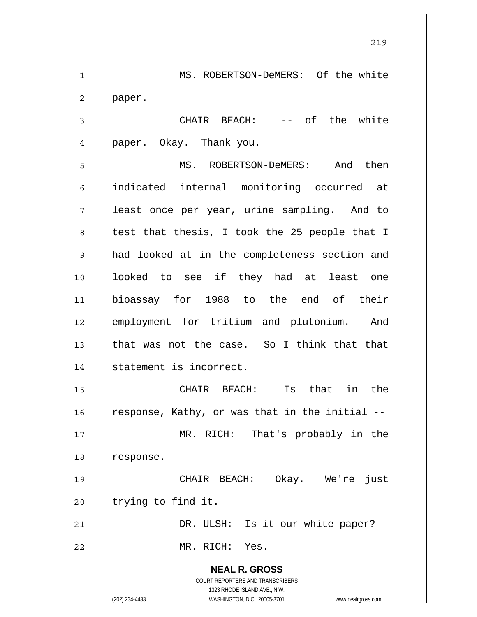**NEAL R. GROSS** COURT REPORTERS AND TRANSCRIBERS 1323 RHODE ISLAND AVE., N.W. (202) 234-4433 WASHINGTON, D.C. 20005-3701 www.nealrgross.com 1 2 3 4 5 6 7 8 9 10 11 12 13 14 15 16 17 18 19 20 21 22 MS. ROBERTSON-DeMERS: Of the white paper. CHAIR BEACH: -- of the white paper. Okay. Thank you. MS. ROBERTSON-DeMERS: And then indicated internal monitoring occurred at least once per year, urine sampling. And to test that thesis, I took the 25 people that I had looked at in the completeness section and looked to see if they had at least one bioassay for 1988 to the end of their employment for tritium and plutonium. And that was not the case. So I think that that statement is incorrect. CHAIR BEACH: Is that in the response, Kathy, or was that in the initial -- MR. RICH: That's probably in the response. CHAIR BEACH: Okay. We're just trying to find it. DR. ULSH: Is it our white paper? MR. RICH: Yes.

<u>219</u>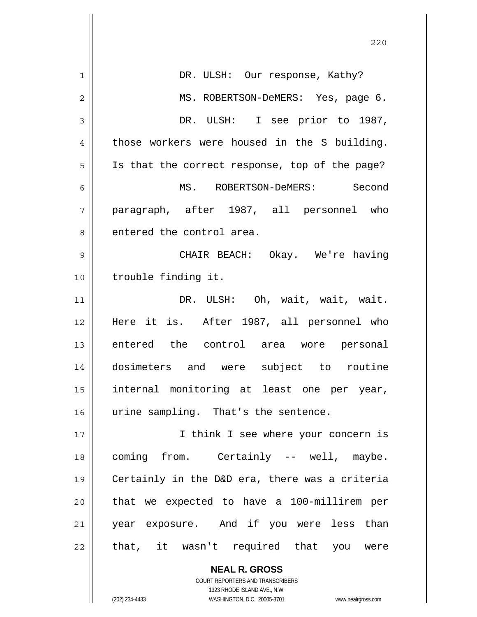|              | 220                                            |
|--------------|------------------------------------------------|
| 1            | DR. ULSH: Our response, Kathy?                 |
| $\mathbf{2}$ | MS. ROBERTSON-DeMERS: Yes, page 6.             |
| 3            | DR. ULSH: I see prior to 1987,                 |
| 4            | those workers were housed in the S building.   |
| 5            | Is that the correct response, top of the page? |
| 6            | MS. ROBERTSON-DeMERS: Second                   |
| 7            | paragraph, after 1987, all personnel who       |
| 8            | entered the control area.                      |
|              |                                                |
| 9            | CHAIR BEACH: Okay. We're having                |
| 10           | trouble finding it.                            |
| 11           | DR. ULSH: Oh, wait, wait, wait.                |
| 12           | Here it is. After 1987, all personnel who      |
| 13           | entered the control area wore personal         |
| 14           | dosimeters and were subject to routine         |
| 15           | internal monitoring at least one per year,     |
| 16           | urine sampling. That's the sentence.           |
| 17           | I think I see where your concern is            |
| 18           | coming from. Certainly -- well, maybe.         |
| 19           | Certainly in the D&D era, there was a criteria |
| 20           | that we expected to have a 100-millirem per    |
| 21           | year exposure. And if you were less than       |
| 22           | that, it wasn't required that you were         |
|              | <b>NEAL R. GROSS</b>                           |
|              |                                                |

COURT REPORTERS AND TRANSCRIBERS 1323 RHODE ISLAND AVE., N.W.

 $\mathsf{II}$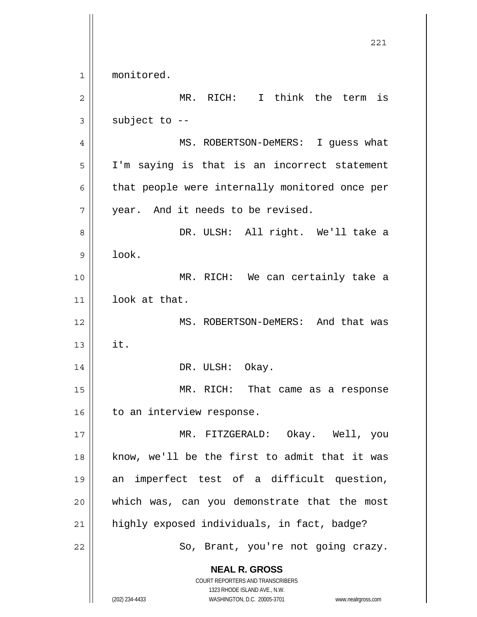**NEAL R. GROSS** COURT REPORTERS AND TRANSCRIBERS 1323 RHODE ISLAND AVE., N.W. 221 1 2 3 4 5 6 7 8 9 10 11 12 13 14 15 16 17 18 19 20 21 22 monitored. MR. RICH: I think the term is subject to -- MS. ROBERTSON-DeMERS: I guess what I'm saying is that is an incorrect statement that people were internally monitored once per year. And it needs to be revised. DR. ULSH: All right. We'll take a look. MR. RICH: We can certainly take a look at that. MS. ROBERTSON-DeMERS: And that was it. DR. ULSH: Okay. MR. RICH: That came as a response to an interview response. MR. FITZGERALD: Okay. Well, you know, we'll be the first to admit that it was an imperfect test of a difficult question, which was, can you demonstrate that the most highly exposed individuals, in fact, badge? So, Brant, you're not going crazy.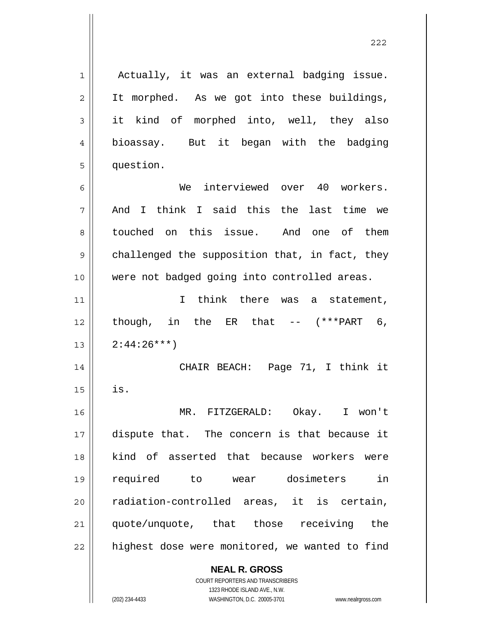**NEAL R. GROSS** 1 2 3 4 5 6 7 8 9 10 11 12 13 14 15 16 17 18 19 20 21 22 Actually, it was an external badging issue. It morphed. As we got into these buildings, it kind of morphed into, well, they also bioassay. But it began with the badging question. We interviewed over 40 workers. And I think I said this the last time we touched on this issue. And one of them challenged the supposition that, in fact, they were not badged going into controlled areas. I think there was a statement, though, in the ER that  $- (***PART 6,$  $2:44:26***$  CHAIR BEACH: Page 71, I think it is. MR. FITZGERALD: Okay. I won't dispute that. The concern is that because it kind of asserted that because workers were required to wear dosimeters in radiation-controlled areas, it is certain, quote/unquote, that those receiving the highest dose were monitored, we wanted to find

<u>222</u>

COURT REPORTERS AND TRANSCRIBERS 1323 RHODE ISLAND AVE., N.W. (202) 234-4433 WASHINGTON, D.C. 20005-3701 www.nealrgross.com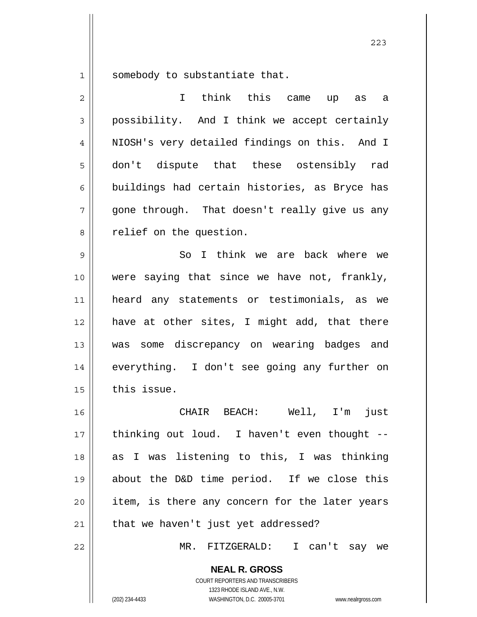1 somebody to substantiate that.

| $\overline{2}$ | I think this came up<br>as<br>a                |
|----------------|------------------------------------------------|
| 3              | possibility. And I think we accept certainly   |
| 4              | NIOSH's very detailed findings on this. And I  |
| 5              | don't dispute that these ostensibly rad        |
| 6              | buildings had certain histories, as Bryce has  |
| 7              | gone through. That doesn't really give us any  |
| 8              | relief on the question.                        |
| 9              | So I think we are back where we                |
| 10             | were saying that since we have not, frankly,   |
| 11             | heard any statements or testimonials, as we    |
| 12             | have at other sites, I might add, that there   |
| 13             | was some discrepancy on wearing badges and     |
| 14             | everything. I don't see going any further on   |
| 15             | this issue.                                    |
| 16             | CHAIR BEACH:<br>Well, I'm<br>just              |
| 17             | thinking out loud. I haven't even thought --   |
| 18             | as I was listening to this, I was thinking     |
| 19             | about the D&D time period. If we close this    |
| 20             | item, is there any concern for the later years |
| 21             | that we haven't just yet addressed?            |
| 22             | MR. FITZGERALD: I can't say we                 |
|                | <b>NEAL R. GROSS</b>                           |

COURT REPORTERS AND TRANSCRIBERS 1323 RHODE ISLAND AVE., N.W.

(202) 234-4433 WASHINGTON, D.C. 20005-3701 www.nealrgross.com

<u>223</u>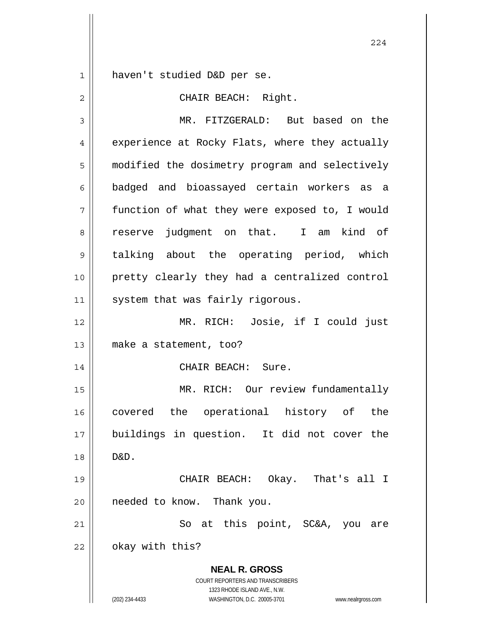$\begin{array}{c|c} 1 & \text{ } \end{array}$ haven't studied D&D per se.

| $\overline{2}$ | CHAIR BEACH: Right.                                                                                                                                             |
|----------------|-----------------------------------------------------------------------------------------------------------------------------------------------------------------|
| 3              | MR. FITZGERALD: But based on the                                                                                                                                |
| 4              | experience at Rocky Flats, where they actually                                                                                                                  |
| 5              | modified the dosimetry program and selectively                                                                                                                  |
| 6              | badged and bioassayed certain workers as a                                                                                                                      |
| 7              | function of what they were exposed to, I would                                                                                                                  |
| 8              | reserve judgment on that. I am kind of                                                                                                                          |
| 9              | talking about the operating period, which                                                                                                                       |
| 10             | pretty clearly they had a centralized control                                                                                                                   |
| 11             | system that was fairly rigorous.                                                                                                                                |
| 12             | MR. RICH: Josie, if I could just                                                                                                                                |
| 13             | make a statement, too?                                                                                                                                          |
| 14             | CHAIR BEACH: Sure.                                                                                                                                              |
| 15             | MR. RICH: Our review fundamentally                                                                                                                              |
| 16             | covered the operational history of the                                                                                                                          |
| 17             | buildings in question. It did not cover the                                                                                                                     |
| 18             | D&D.                                                                                                                                                            |
| 19             | CHAIR BEACH: Okay. That's all I                                                                                                                                 |
| 20             | needed to know. Thank you.                                                                                                                                      |
| 21             | So at this point, SC&A, you<br>are                                                                                                                              |
| 22             | okay with this?                                                                                                                                                 |
|                | <b>NEAL R. GROSS</b><br>COURT REPORTERS AND TRANSCRIBERS<br>1323 RHODE ISLAND AVE., N.W.<br>(202) 234-4433<br>WASHINGTON, D.C. 20005-3701<br>www.nealrgross.com |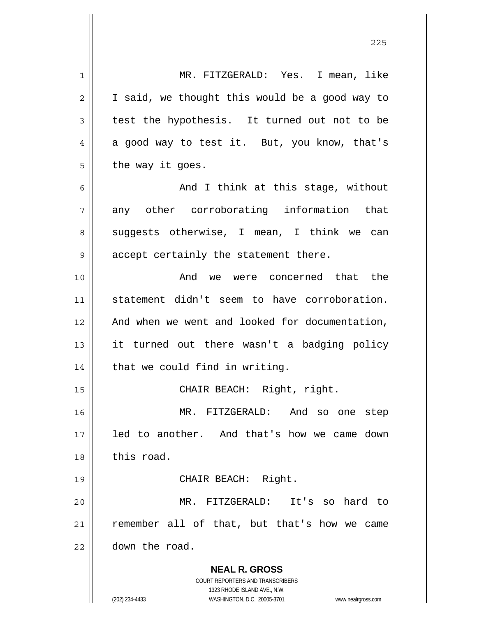| 1  | MR. FITZGERALD: Yes. I mean, like                                   |
|----|---------------------------------------------------------------------|
| 2  | I said, we thought this would be a good way to                      |
| 3  | test the hypothesis. It turned out not to be                        |
| 4  | a good way to test it. But, you know, that's                        |
| 5  | the way it goes.                                                    |
| 6  | And I think at this stage, without                                  |
| 7  | any other corroborating information that                            |
| 8  | suggests otherwise, I mean, I think we can                          |
| 9  | accept certainly the statement there.                               |
| 10 | And we were concerned that the                                      |
| 11 | statement didn't seem to have corroboration.                        |
| 12 | And when we went and looked for documentation,                      |
| 13 | it turned out there wasn't a badging policy                         |
| 14 | that we could find in writing.                                      |
| 15 | CHAIR BEACH: Right, right.                                          |
| 16 | MR. FITZGERALD: And so one<br>step                                  |
| 17 | led to another. And that's how we came down                         |
| 18 | this road.                                                          |
| 19 | CHAIR BEACH: Right.                                                 |
| 20 | MR. FITZGERALD: It's so hard to                                     |
| 21 | remember all of that, but that's how we came                        |
| 22 | down the road.                                                      |
|    | <b>NEAL R. GROSS</b>                                                |
|    | COURT REPORTERS AND TRANSCRIBERS                                    |
|    | 1323 RHODE ISLAND AVE., N.W.                                        |
|    | (202) 234-4433<br>WASHINGTON, D.C. 20005-3701<br>www.nealrgross.com |

<u>225</u>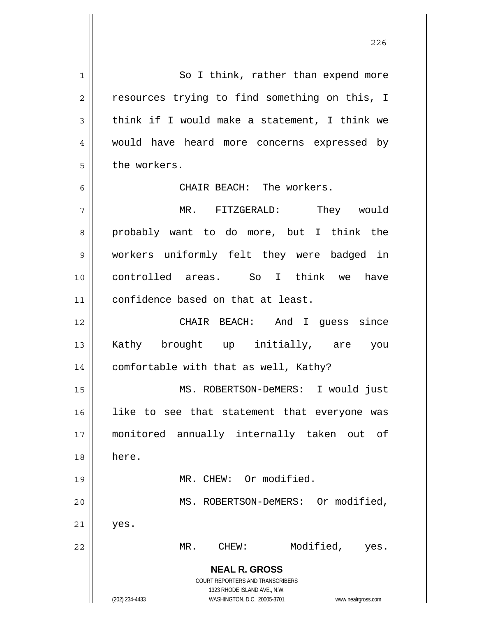**NEAL R. GROSS** COURT REPORTERS AND TRANSCRIBERS 1323 RHODE ISLAND AVE., N.W. (202) 234-4433 WASHINGTON, D.C. 20005-3701 www.nealrgross.com 1 2 3 4 5 6 7 8 9 10 11 12 13 14 15 16 17 18 19 20 21 22 So I think, rather than expend more resources trying to find something on this, I think if I would make a statement, I think we would have heard more concerns expressed by the workers. CHAIR BEACH: The workers. MR. FITZGERALD: They would probably want to do more, but I think the workers uniformly felt they were badged in controlled areas. So I think we have confidence based on that at least. CHAIR BEACH: And I guess since Kathy brought up initially, are you comfortable with that as well, Kathy? MS. ROBERTSON-DeMERS: I would just like to see that statement that everyone was monitored annually internally taken out of here. MR. CHEW: Or modified. MS. ROBERTSON-DeMERS: Or modified, yes. MR. CHEW: Modified, yes.

<u>226</u>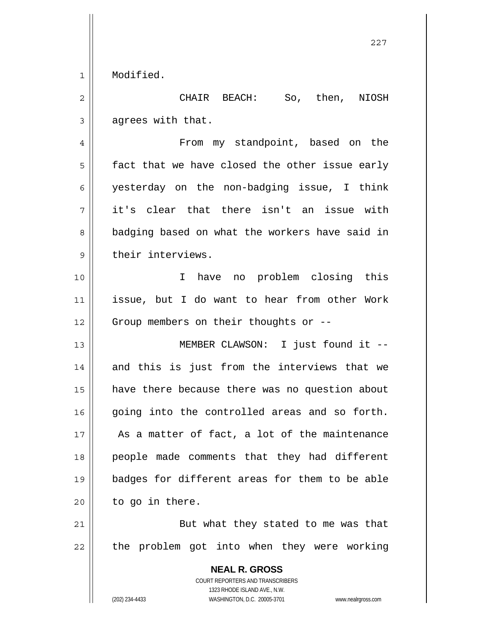1 Modified.

**NEAL R. GROSS** 2 3 4 5 6 7 8 9 10 11 12 13 14 15 16 17 18 19 20 21 22 CHAIR BEACH: So, then, NIOSH agrees with that. From my standpoint, based on the fact that we have closed the other issue early yesterday on the non-badging issue, I think it's clear that there isn't an issue with badging based on what the workers have said in their interviews. I have no problem closing this issue, but I do want to hear from other Work Group members on their thoughts or -- MEMBER CLAWSON: I just found it - and this is just from the interviews that we have there because there was no question about going into the controlled areas and so forth. As a matter of fact, a lot of the maintenance people made comments that they had different badges for different areas for them to be able to go in there. But what they stated to me was that the problem got into when they were working

> COURT REPORTERS AND TRANSCRIBERS 1323 RHODE ISLAND AVE., N.W.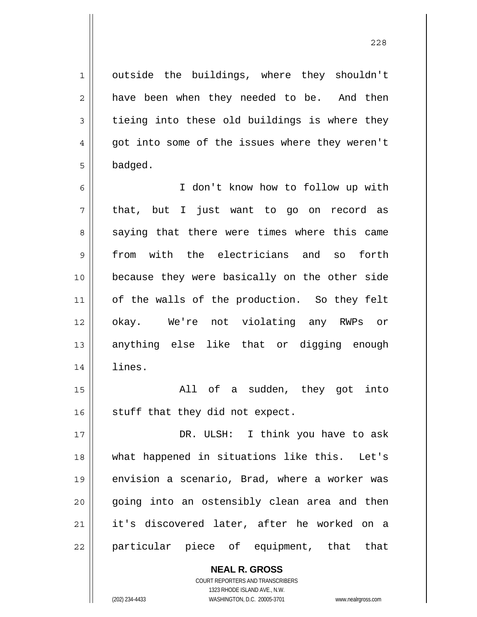outside the buildings, where they shouldn't have been when they needed to be. And then tieing into these old buildings is where they got into some of the issues where they weren't badged.

6 7 8 9 10 11 12 13 14 I don't know how to follow up with that, but I just want to go on record as saying that there were times where this came from with the electricians and so forth because they were basically on the other side of the walls of the production. So they felt okay. We're not violating any RWPs or anything else like that or digging enough lines.

15 16 All of a sudden, they got into stuff that they did not expect.

17 18 19 20 21 22 DR. ULSH: I think you have to ask what happened in situations like this. Let's envision a scenario, Brad, where a worker was going into an ostensibly clean area and then it's discovered later, after he worked on a particular piece of equipment, that that

> **NEAL R. GROSS** COURT REPORTERS AND TRANSCRIBERS 1323 RHODE ISLAND AVE., N.W. (202) 234-4433 WASHINGTON, D.C. 20005-3701 www.nealrgross.com

1

2

3

4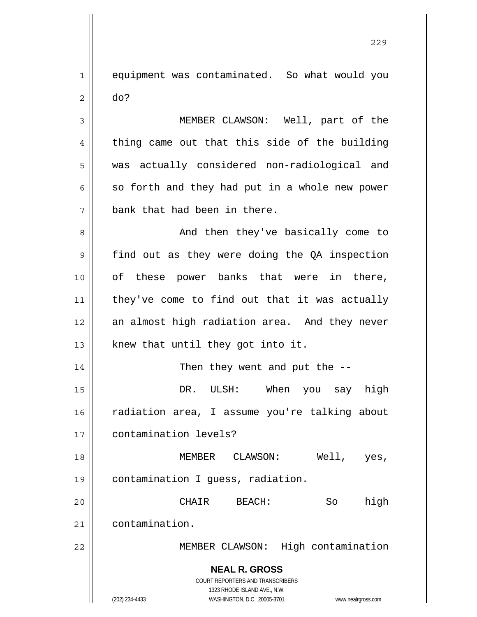1 2 equipment was contaminated. So what would you do?

3 4 5 6 7 MEMBER CLAWSON: Well, part of the thing came out that this side of the building was actually considered non-radiological and so forth and they had put in a whole new power bank that had been in there.

8 9 10 11 12 13 And then they've basically come to find out as they were doing the QA inspection of these power banks that were in there, they've come to find out that it was actually an almost high radiation area. And they never knew that until they got into it.

14 15 16 17 Then they went and put the -- DR. ULSH: When you say high radiation area, I assume you're talking about contamination levels?

18 19 MEMBER CLAWSON: Well, yes, contamination I guess, radiation.

20 21 CHAIR BEACH: So high contamination.

MEMBER CLAWSON: High contamination

**NEAL R. GROSS** COURT REPORTERS AND TRANSCRIBERS

1323 RHODE ISLAND AVE., N.W.

22

(202) 234-4433 WASHINGTON, D.C. 20005-3701 www.nealrgross.com

<u>229</u>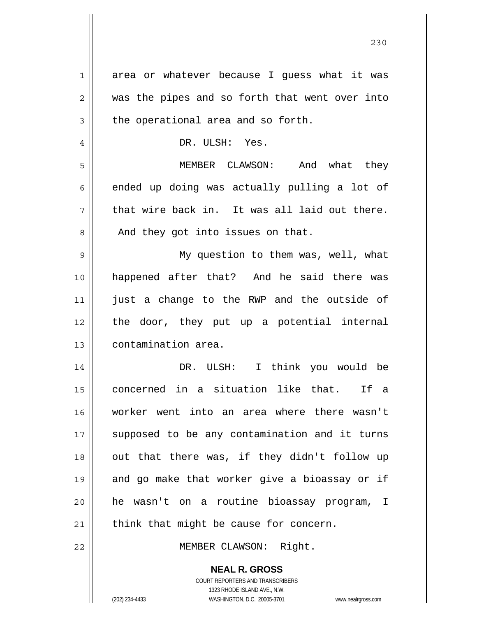| 1  | area or whatever because I guess what it was                                                    |
|----|-------------------------------------------------------------------------------------------------|
| 2  | was the pipes and so forth that went over into                                                  |
| 3  | the operational area and so forth.                                                              |
| 4  | DR. ULSH: Yes.                                                                                  |
| 5  | MEMBER CLAWSON: And what they                                                                   |
| 6  | ended up doing was actually pulling a lot of                                                    |
| 7  | that wire back in. It was all laid out there.                                                   |
| 8  | And they got into issues on that.                                                               |
| 9  | My question to them was, well, what                                                             |
| 10 | happened after that? And he said there was                                                      |
| 11 | just a change to the RWP and the outside of                                                     |
| 12 | the door, they put up a potential internal                                                      |
| 13 | contamination area.                                                                             |
| 14 | I think you would be<br>DR. ULSH:                                                               |
| 15 | in a situation like that. If<br>concerned<br>a                                                  |
| 16 | worker went into an area where there wasn't                                                     |
| 17 | supposed to be any contamination and it turns                                                   |
| 18 | out that there was, if they didn't follow up                                                    |
| 19 | and go make that worker give a bioassay or if                                                   |
| 20 | he wasn't on a routine bioassay program, I                                                      |
| 21 | think that might be cause for concern.                                                          |
| 22 | MEMBER CLAWSON: Right.                                                                          |
|    | <b>NEAL R. GROSS</b><br><b>COURT REPORTERS AND TRANSCRIBERS</b><br>1323 RHODE ISLAND AVE., N.W. |
|    | (202) 234-4433<br>WASHINGTON, D.C. 20005-3701<br>www.nealrgross.com                             |

<u>230</u>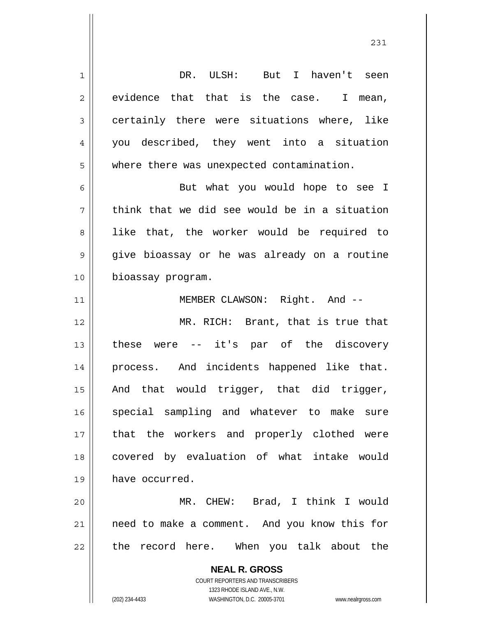**NEAL R. GROSS** COURT REPORTERS AND TRANSCRIBERS 1323 RHODE ISLAND AVE., N.W. 1 2 3 4 5 6 7 8 9 10 11 12 13 14 15 16 17 18 19 20 21 22 DR. ULSH: But I haven't seen evidence that that is the case. I mean, certainly there were situations where, like you described, they went into a situation where there was unexpected contamination. But what you would hope to see I think that we did see would be in a situation like that, the worker would be required to give bioassay or he was already on a routine bioassay program. MEMBER CLAWSON: Right. And -- MR. RICH: Brant, that is true that these were -- it's par of the discovery process. And incidents happened like that. And that would trigger, that did trigger, special sampling and whatever to make sure that the workers and properly clothed were covered by evaluation of what intake would have occurred. MR. CHEW: Brad, I think I would need to make a comment. And you know this for the record here. When you talk about the

(202) 234-4433 WASHINGTON, D.C. 20005-3701 www.nealrgross.com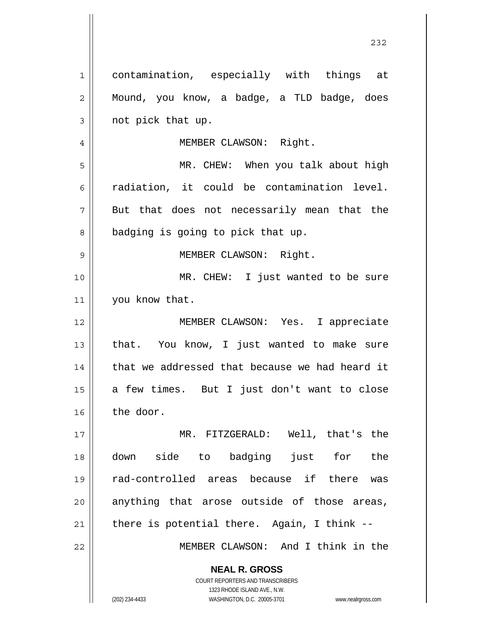**NEAL R. GROSS** COURT REPORTERS AND TRANSCRIBERS 1323 RHODE ISLAND AVE., N.W. 1 2 3 4 5 6 7 8 9 10 11 12 13 14 15 16 17 18 19 20 21 22 contamination, especially with things at Mound, you know, a badge, a TLD badge, does not pick that up. MEMBER CLAWSON: Right. MR. CHEW: When you talk about high radiation, it could be contamination level. But that does not necessarily mean that the badging is going to pick that up. MEMBER CLAWSON: Right. MR. CHEW: I just wanted to be sure you know that. MEMBER CLAWSON: Yes. I appreciate that. You know, I just wanted to make sure that we addressed that because we had heard it a few times. But I just don't want to close the door. MR. FITZGERALD: Well, that's the down side to badging just for the rad-controlled areas because if there was anything that arose outside of those areas, there is potential there. Again, I think -- MEMBER CLAWSON: And I think in the

<u>232</u>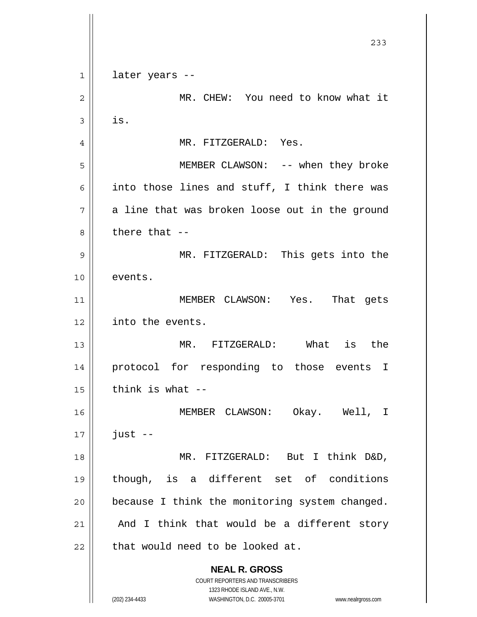**NEAL R. GROSS** COURT REPORTERS AND TRANSCRIBERS 1323 RHODE ISLAND AVE., N.W. (202) 234-4433 WASHINGTON, D.C. 20005-3701 www.nealrgross.com 233 1 2 3 4 5 6 7 8 9 10 11 12 13 14 15 16 17 18 19 20 21 22 later years -- MR. CHEW: You need to know what it is. MR. FITZGERALD: Yes. MEMBER CLAWSON: -- when they broke into those lines and stuff, I think there was a line that was broken loose out in the ground there that -- MR. FITZGERALD: This gets into the events. MEMBER CLAWSON: Yes. That gets into the events. MR. FITZGERALD: What is the protocol for responding to those events I think is what -- MEMBER CLAWSON: Okay. Well, I just -- MR. FITZGERALD: But I think D&D, though, is a different set of conditions because I think the monitoring system changed. And I think that would be a different story that would need to be looked at.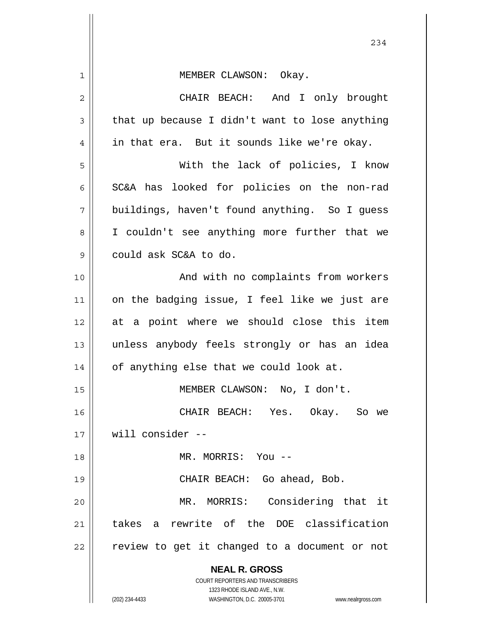|                | 234                                                                 |
|----------------|---------------------------------------------------------------------|
| $\mathbf{1}$   | MEMBER CLAWSON: Okay.                                               |
| $\overline{c}$ | CHAIR BEACH: And I only brought                                     |
| 3              | that up because I didn't want to lose anything                      |
| $\overline{4}$ | in that era. But it sounds like we're okay.                         |
| 5              | With the lack of policies, I know                                   |
| 6              | SC&A has looked for policies on the non-rad                         |
| 7              | buildings, haven't found anything. So I guess                       |
| 8              | I couldn't see anything more further that we                        |
| $\mathcal{G}$  | could ask SC&A to do.                                               |
| 10             | And with no complaints from workers                                 |
| 11             | on the badging issue, I feel like we just are                       |
| 12             | at a point where we should close this item                          |
| 13             | unless anybody feels strongly or has an idea                        |
| 14             | of anything else that we could look at.                             |
| 15             | MEMBER CLAWSON: No, I don't.                                        |
| 16             | CHAIR BEACH: Yes. Okay. So we                                       |
| 17             | will consider --                                                    |
| 18             | MR. MORRIS: You --                                                  |
| 19             | CHAIR BEACH: Go ahead, Bob.                                         |
| 20             | MR. MORRIS: Considering that it                                     |
| 21             | takes a rewrite of the DOE classification                           |
| 22             | review to get it changed to a document or not                       |
|                | <b>NEAL R. GROSS</b>                                                |
|                | COURT REPORTERS AND TRANSCRIBERS<br>1323 RHODE ISLAND AVE., N.W.    |
|                | (202) 234-4433<br>WASHINGTON, D.C. 20005-3701<br>www.nealrgross.com |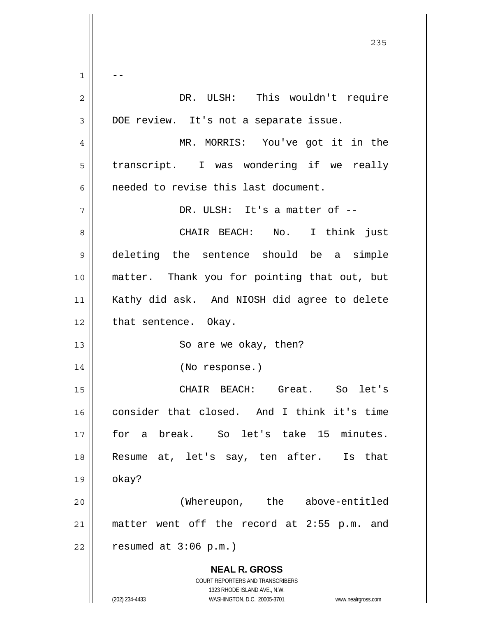**NEAL R. GROSS** COURT REPORTERS AND TRANSCRIBERS 1323 RHODE ISLAND AVE., N.W. (202) 234-4433 WASHINGTON, D.C. 20005-3701 www.nealrgross.com <u>235</u> 1 2 3 4 5 6 7 8 9 10 11 12 13 14 15 16 17 18 19 20 21 22 -- DR. ULSH: This wouldn't require DOE review. It's not a separate issue. MR. MORRIS: You've got it in the transcript. I was wondering if we really needed to revise this last document. DR. ULSH: It's a matter of -- CHAIR BEACH: No. I think just deleting the sentence should be a simple matter. Thank you for pointing that out, but Kathy did ask. And NIOSH did agree to delete that sentence. Okay. So are we okay, then? (No response.) CHAIR BEACH: Great. So let's consider that closed. And I think it's time for a break. So let's take 15 minutes. Resume at, let's say, ten after. Is that okay? (Whereupon, the above-entitled matter went off the record at 2:55 p.m. and resumed at 3:06 p.m.)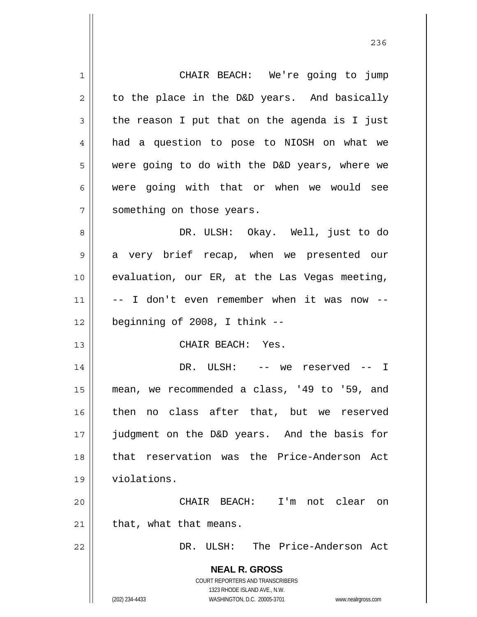**NEAL R. GROSS** COURT REPORTERS AND TRANSCRIBERS 1323 RHODE ISLAND AVE., N.W. (202) 234-4433 WASHINGTON, D.C. 20005-3701 www.nealrgross.com 1 2 3 4 5 6 7 8 9 10 11 12 13 14 15 16 17 18 19 20 21 22 CHAIR BEACH: We're going to jump to the place in the D&D years. And basically the reason I put that on the agenda is I just had a question to pose to NIOSH on what we were going to do with the D&D years, where we were going with that or when we would see something on those years. DR. ULSH: Okay. Well, just to do a very brief recap, when we presented our evaluation, our ER, at the Las Vegas meeting, -- I don't even remember when it was now - beginning of 2008, I think -- CHAIR BEACH: Yes. DR. ULSH: -- we reserved -- I mean, we recommended a class, '49 to '59, and then no class after that, but we reserved judgment on the D&D years. And the basis for that reservation was the Price-Anderson Act violations. CHAIR BEACH: I'm not clear on that, what that means. DR. ULSH: The Price-Anderson Act

<u>236</u>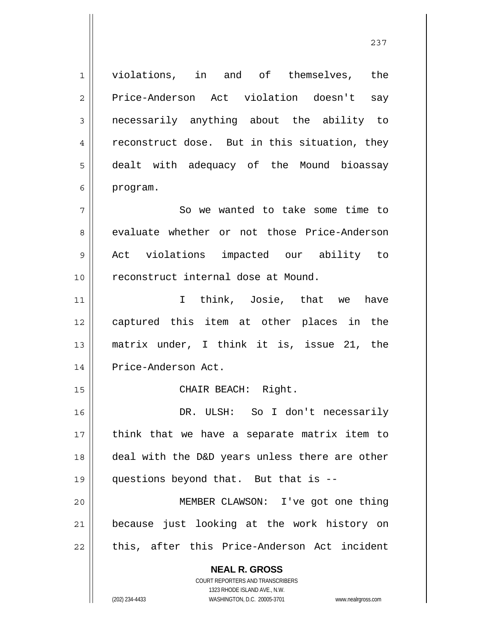**NEAL R. GROSS** 1 2 3 4 5 6 7 8 9 10 11 12 13 14 15 16 17 18 19 20 21 22 violations, in and of themselves, the Price-Anderson Act violation doesn't say necessarily anything about the ability to reconstruct dose. But in this situation, they dealt with adequacy of the Mound bioassay program. So we wanted to take some time to evaluate whether or not those Price-Anderson Act violations impacted our ability to reconstruct internal dose at Mound. I think, Josie, that we have captured this item at other places in the matrix under, I think it is, issue 21, the Price-Anderson Act. CHAIR BEACH: Right. DR. ULSH: So I don't necessarily think that we have a separate matrix item to deal with the D&D years unless there are other questions beyond that. But that is -- MEMBER CLAWSON: I've got one thing because just looking at the work history on this, after this Price-Anderson Act incident

237

COURT REPORTERS AND TRANSCRIBERS 1323 RHODE ISLAND AVE., N.W.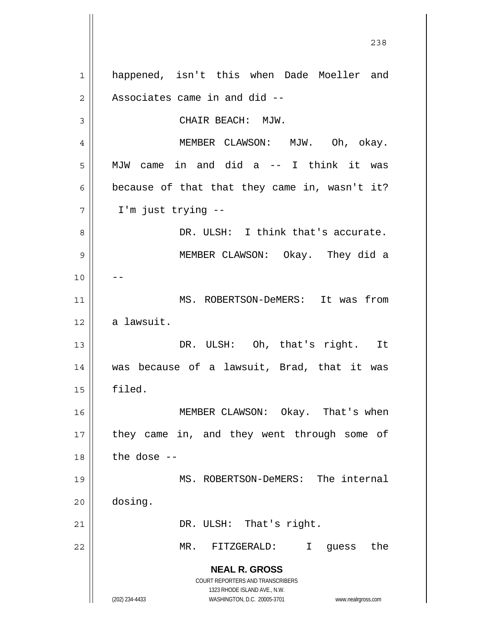**NEAL R. GROSS** COURT REPORTERS AND TRANSCRIBERS 1323 RHODE ISLAND AVE., N.W. (202) 234-4433 WASHINGTON, D.C. 20005-3701 www.nealrgross.com 1 2 3 4 5 6 7 8 9 10 11 12 13 14 15 16 17 18 19 20 21 22 happened, isn't this when Dade Moeller and Associates came in and did -- CHAIR BEACH: MJW. MEMBER CLAWSON: MJW. Oh, okay. MJW came in and did a -- I think it was because of that that they came in, wasn't it? I'm just trying -- DR. ULSH: I think that's accurate. MEMBER CLAWSON: Okay. They did a -- MS. ROBERTSON-DeMERS: It was from a lawsuit. DR. ULSH: Oh, that's right. It was because of a lawsuit, Brad, that it was filed. MEMBER CLAWSON: Okay. That's when they came in, and they went through some of the dose -- MS. ROBERTSON-DeMERS: The internal dosing. DR. ULSH: That's right. MR. FITZGERALD: I guess the

<u>238</u>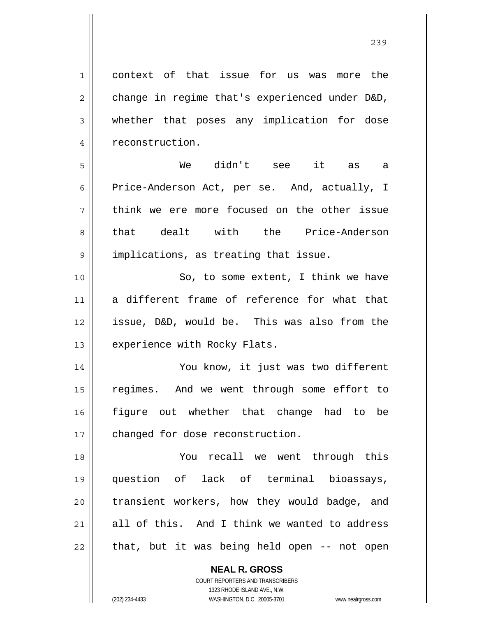context of that issue for us was more the change in regime that's experienced under D&D, whether that poses any implication for dose reconstruction.

5 6 7 8 9 We didn't see it as a Price-Anderson Act, per se. And, actually, I think we ere more focused on the other issue that dealt with the Price-Anderson implications, as treating that issue.

10 11 12 13 So, to some extent, I think we have a different frame of reference for what that issue, D&D, would be. This was also from the experience with Rocky Flats.

14 15 16 17 You know, it just was two different regimes. And we went through some effort to figure out whether that change had to be changed for dose reconstruction.

18 19 20 21 22 You recall we went through this question of lack of terminal bioassays, transient workers, how they would badge, and all of this. And I think we wanted to address that, but it was being held open -- not open

> **NEAL R. GROSS** COURT REPORTERS AND TRANSCRIBERS 1323 RHODE ISLAND AVE., N.W. (202) 234-4433 WASHINGTON, D.C. 20005-3701 www.nealrgross.com

1

2

3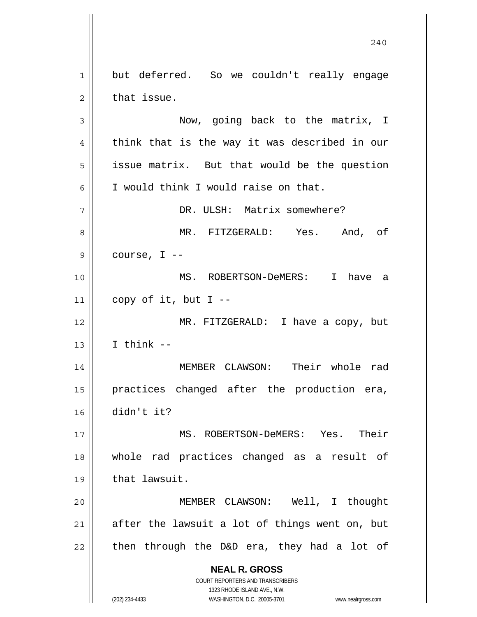1 2 3 4 5 6 7 but deferred. So we couldn't really engage that issue. Now, going back to the matrix, I think that is the way it was described in our issue matrix. But that would be the question I would think I would raise on that. DR. ULSH: Matrix somewhere?

8 9 MR. FITZGERALD: Yes. And, of course, I --

10 11 MS. ROBERTSON-DeMERS: I have a copy of it, but  $I$  --

12 13 MR. FITZGERALD: I have a copy, but I think --

14 15 16 MEMBER CLAWSON: Their whole rad practices changed after the production era, didn't it?

17 18 19 MS. ROBERTSON-DeMERS: Yes. Their whole rad practices changed as a result of that lawsuit.

20 21 22 MEMBER CLAWSON: Well, I thought after the lawsuit a lot of things went on, but then through the D&D era, they had a lot of

> **NEAL R. GROSS** COURT REPORTERS AND TRANSCRIBERS

1323 RHODE ISLAND AVE., N.W. (202) 234-4433 WASHINGTON, D.C. 20005-3701 www.nealrgross.com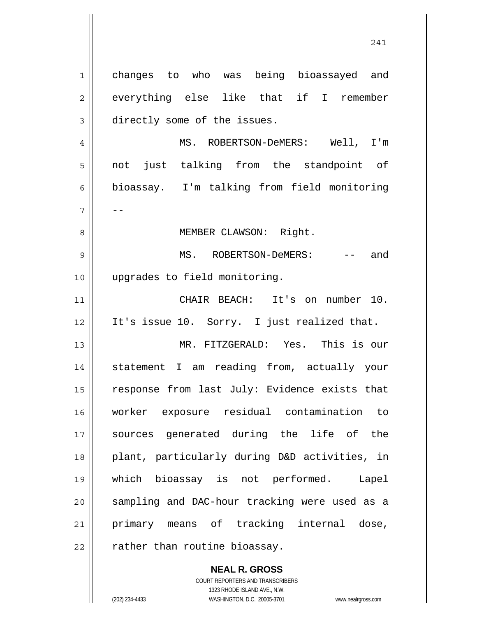changes to who was being bioassayed and everything else like that if I remember directly some of the issues. MS. ROBERTSON-DeMERS: Well, I'm not just talking from the standpoint of bioassay. I'm talking from field monitoring -- MEMBER CLAWSON: Right. MS. ROBERTSON-DeMERS: -- and upgrades to field monitoring. CHAIR BEACH: It's on number 10. It's issue 10. Sorry. I just realized that. MR. FITZGERALD: Yes. This is our statement I am reading from, actually your response from last July: Evidence exists that worker exposure residual contamination to sources generated during the life of the plant, particularly during D&D activities, in which bioassay is not performed. Lapel sampling and DAC-hour tracking were used as a primary means of tracking internal dose,

22

1

2

3

4

5

6

7

8

9

10

11

12

13

14

15

16

17

18

19

20

21

**NEAL R. GROSS** COURT REPORTERS AND TRANSCRIBERS

rather than routine bioassay.

1323 RHODE ISLAND AVE., N.W.

(202) 234-4433 WASHINGTON, D.C. 20005-3701 www.nealrgross.com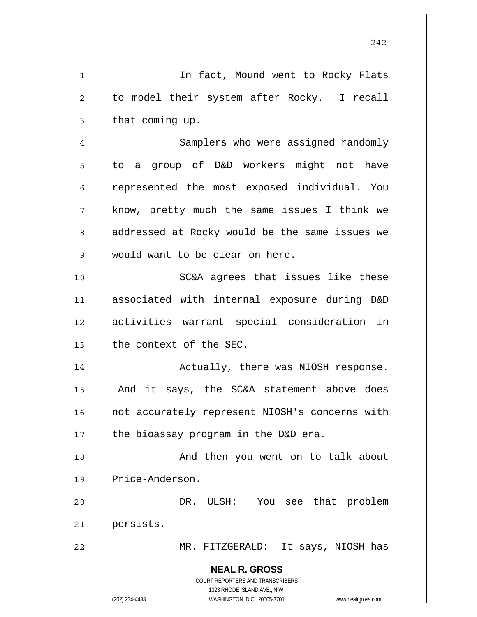|    | 242                                                                 |
|----|---------------------------------------------------------------------|
| 1  | In fact, Mound went to Rocky Flats                                  |
| 2  | to model their system after Rocky. I recall                         |
| 3  | that coming up.                                                     |
| 4  | Samplers who were assigned randomly                                 |
| 5  | to a group of D&D workers might not have                            |
| 6  | represented the most exposed individual. You                        |
| 7  | know, pretty much the same issues I think we                        |
| 8  | addressed at Rocky would be the same issues we                      |
| 9  | would want to be clear on here.                                     |
| 10 | SC&A agrees that issues like these                                  |
| 11 | associated with internal exposure during D&D                        |
| 12 | activities warrant special consideration in                         |
| 13 | the context of the SEC.                                             |
| 14 | Actually, there was NIOSH response.                                 |
| 15 | And it says, the SC&A statement above does                          |
| 16 | not accurately represent NIOSH's concerns with                      |
| 17 | the bioassay program in the D&D era.                                |
| 18 | And then you went on to talk about                                  |
| 19 | Price-Anderson.                                                     |
| 20 | DR. ULSH: You see that problem                                      |
| 21 | persists.                                                           |
| 22 | MR. FITZGERALD: It says, NIOSH has                                  |
|    | <b>NEAL R. GROSS</b>                                                |
|    | COURT REPORTERS AND TRANSCRIBERS<br>1323 RHODE ISLAND AVE., N.W.    |
|    | (202) 234-4433<br>WASHINGTON, D.C. 20005-3701<br>www.nealrgross.com |

 $\mathbf{\mathcal{H}}$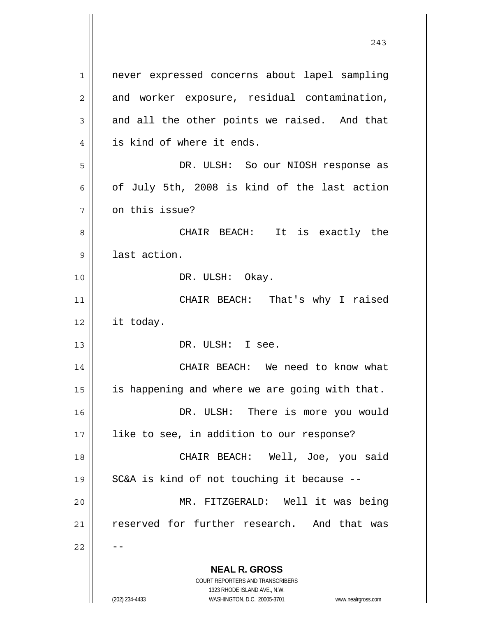**NEAL R. GROSS** COURT REPORTERS AND TRANSCRIBERS 1 2 3 4 5 6 7 8 9 10 11 12 13 14 15 16 17 18 19 20 21 22 never expressed concerns about lapel sampling and worker exposure, residual contamination, and all the other points we raised. And that is kind of where it ends. DR. ULSH: So our NIOSH response as of July 5th, 2008 is kind of the last action on this issue? CHAIR BEACH: It is exactly the last action. DR. ULSH: Okay. CHAIR BEACH: That's why I raised it today. DR. ULSH: I see. CHAIR BEACH: We need to know what is happening and where we are going with that. DR. ULSH: There is more you would like to see, in addition to our response? CHAIR BEACH: Well, Joe, you said SC&A is kind of not touching it because -- MR. FITZGERALD: Well it was being reserved for further research. And that was --

243

1323 RHODE ISLAND AVE., N.W.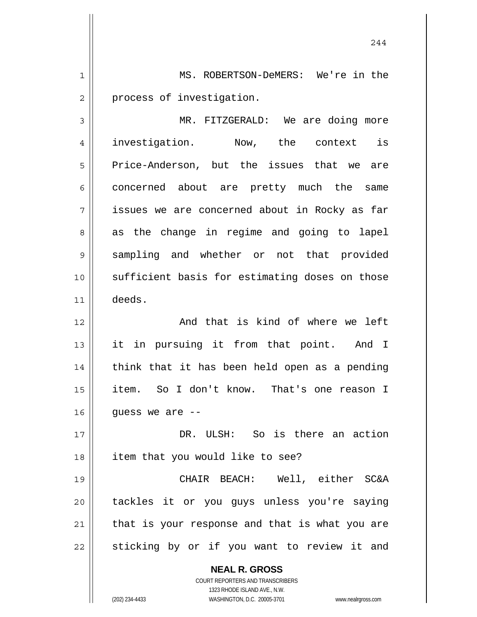1 2 MS. ROBERTSON-DeMERS: We're in the process of investigation.

3 4 5 6 7 8 9 10 11 MR. FITZGERALD: We are doing more investigation. Now, the context is Price-Anderson, but the issues that we are concerned about are pretty much the same issues we are concerned about in Rocky as far as the change in regime and going to lapel sampling and whether or not that provided sufficient basis for estimating doses on those deeds.

12 13 14 15 16 And that is kind of where we left it in pursuing it from that point. And I think that it has been held open as a pending item. So I don't know. That's one reason I guess we are --

17 18 DR. ULSH: So is there an action item that you would like to see?

19 20 21 22 CHAIR BEACH: Well, either SC&A tackles it or you guys unless you're saying that is your response and that is what you are sticking by or if you want to review it and

> **NEAL R. GROSS** COURT REPORTERS AND TRANSCRIBERS 1323 RHODE ISLAND AVE., N.W. (202) 234-4433 WASHINGTON, D.C. 20005-3701 www.nealrgross.com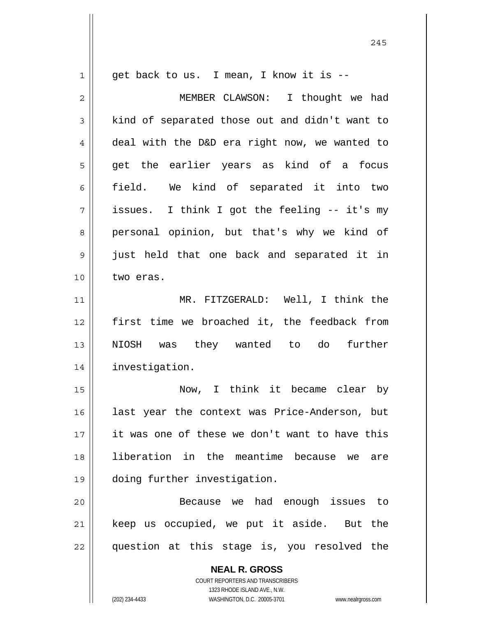**NEAL R. GROSS** COURT REPORTERS AND TRANSCRIBERS 1 2 3 4 5 6 7 8 9 10 11 12 13 14 15 16 17 18 19 20 21 22 get back to us. I mean, I know it is -- MEMBER CLAWSON: I thought we had kind of separated those out and didn't want to deal with the D&D era right now, we wanted to get the earlier years as kind of a focus field. We kind of separated it into two issues. I think I got the feeling -- it's my personal opinion, but that's why we kind of just held that one back and separated it in two eras. MR. FITZGERALD: Well, I think the first time we broached it, the feedback from NIOSH was they wanted to do further investigation. Now, I think it became clear by last year the context was Price-Anderson, but it was one of these we don't want to have this liberation in the meantime because we are doing further investigation. Because we had enough issues to keep us occupied, we put it aside. But the question at this stage is, you resolved the

1323 RHODE ISLAND AVE., N.W.

(202) 234-4433 WASHINGTON, D.C. 20005-3701 www.nealrgross.com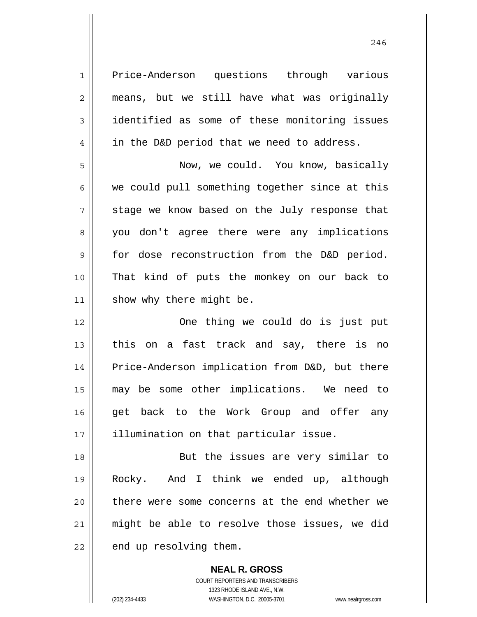| $\mathbf{1}$   | Price-Anderson questions through various       |
|----------------|------------------------------------------------|
| $\overline{2}$ | means, but we still have what was originally   |
| 3              | identified as some of these monitoring issues  |
| $\overline{4}$ | in the D&D period that we need to address.     |
| 5              | Now, we could. You know, basically             |
| 6              | we could pull something together since at this |
| 7              | stage we know based on the July response that  |
| 8              | you don't agree there were any implications    |
| 9              | for dose reconstruction from the D&D period.   |
| 10             | That kind of puts the monkey on our back to    |
| 11             | show why there might be.                       |
| 12             | One thing we could do is just put              |
| 13             | on a fast track and say, there is no<br>this   |
| 14             | Price-Anderson implication from D&D, but there |
| 15             | may be some other implications. We need to     |
| 16             | get back to the Work Group and offer any       |
| 17             | illumination on that particular issue.         |
| 18             | But the issues are very similar to             |
| 19             |                                                |
|                | And I think we ended up, although<br>Rocky.    |
| 20             | there were some concerns at the end whether we |
| 21             | might be able to resolve those issues, we did  |

**NEAL R. GROSS** COURT REPORTERS AND TRANSCRIBERS 1323 RHODE ISLAND AVE., N.W. (202) 234-4433 WASHINGTON, D.C. 20005-3701 www.nealrgross.com

 $\mathsf{II}$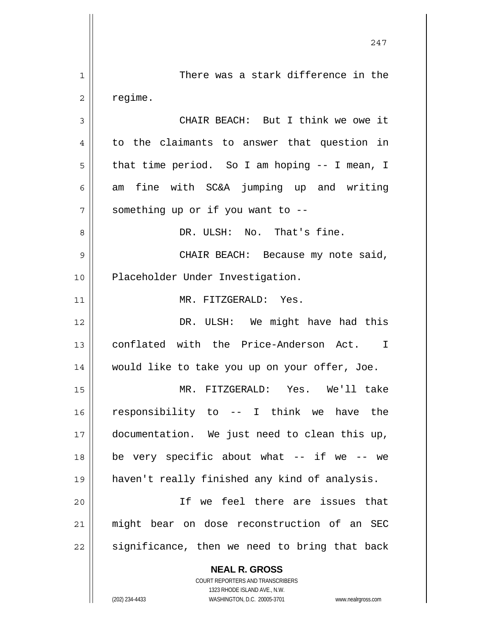**NEAL R. GROSS** COURT REPORTERS AND TRANSCRIBERS 1323 RHODE ISLAND AVE., N.W. (202) 234-4433 WASHINGTON, D.C. 20005-3701 www.nealrgross.com 247 1 2 3 4 5 6 7 8 9 10 11 12 13 14 15 16 17 18 19 20 21 22 There was a stark difference in the regime. CHAIR BEACH: But I think we owe it to the claimants to answer that question in that time period. So I am hoping -- I mean, I am fine with SC&A jumping up and writing something up or if you want to -- DR. ULSH: No. That's fine. CHAIR BEACH: Because my note said, Placeholder Under Investigation. MR. FITZGERALD: Yes. DR. ULSH: We might have had this conflated with the Price-Anderson Act. I would like to take you up on your offer, Joe. MR. FITZGERALD: Yes. We'll take responsibility to -- I think we have the documentation. We just need to clean this up, be very specific about what  $--$  if we  $--$  we haven't really finished any kind of analysis. If we feel there are issues that might bear on dose reconstruction of an SEC significance, then we need to bring that back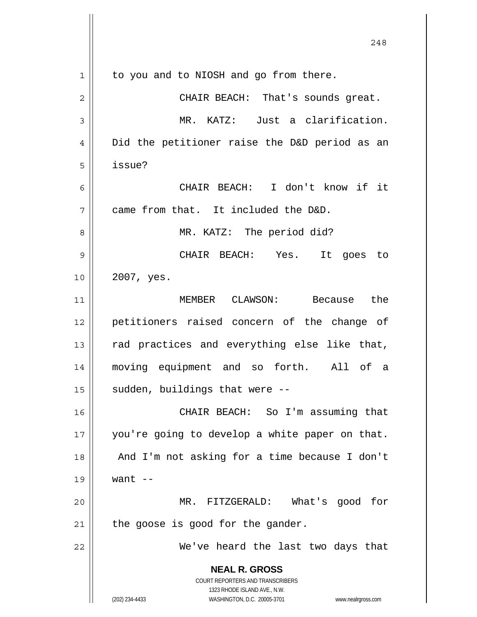|             | 248                                                                                                 |
|-------------|-----------------------------------------------------------------------------------------------------|
| $\mathbf 1$ | to you and to NIOSH and go from there.                                                              |
| 2           | CHAIR BEACH: That's sounds great.                                                                   |
| 3           | MR. KATZ: Just a clarification.                                                                     |
| 4           | Did the petitioner raise the D&D period as an                                                       |
| 5           | issue?                                                                                              |
| 6           | CHAIR BEACH: I don't know if it                                                                     |
| 7           | came from that. It included the D&D.                                                                |
| 8           | MR. KATZ: The period did?                                                                           |
| 9           | CHAIR BEACH: Yes.<br>It goes to                                                                     |
| 10          | 2007, yes.                                                                                          |
| 11          | the<br>MEMBER CLAWSON: Because                                                                      |
| 12          | petitioners raised concern of the change of                                                         |
| 13          | rad practices and everything else like that,                                                        |
| 14          | moving equipment and so forth. All of a                                                             |
| 15          | sudden, buildings that were --                                                                      |
| 16          | CHAIR BEACH: So I'm assuming that                                                                   |
| 17          | you're going to develop a white paper on that.                                                      |
| 18          | And I'm not asking for a time because I don't                                                       |
| 19          | want $--$                                                                                           |
| 20          | MR. FITZGERALD: What's good for                                                                     |
| 21          | the goose is good for the gander.                                                                   |
| 22          | We've heard the last two days that                                                                  |
|             | <b>NEAL R. GROSS</b><br>COURT REPORTERS AND TRANSCRIBERS                                            |
|             | 1323 RHODE ISLAND AVE., N.W.<br>(202) 234-4433<br>WASHINGTON, D.C. 20005-3701<br>www.nealrgross.com |
|             |                                                                                                     |

 $\overline{\phantom{a}}$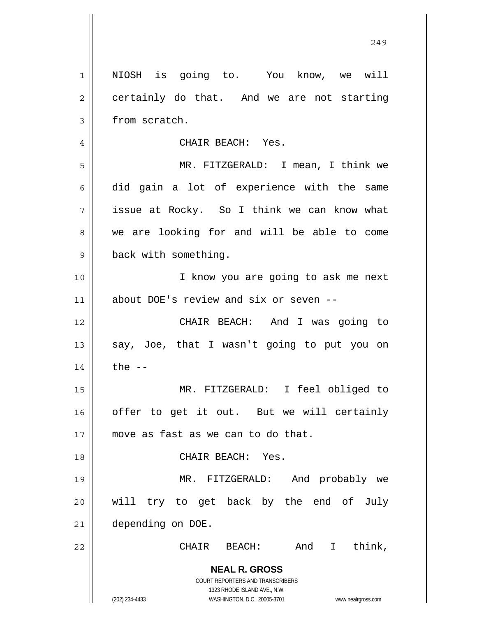**NEAL R. GROSS** COURT REPORTERS AND TRANSCRIBERS 1323 RHODE ISLAND AVE., N.W. (202) 234-4433 WASHINGTON, D.C. 20005-3701 www.nealrgross.com 1 2 3 4 5 6 7 8 9 10 11 12 13 14 15 16 17 18 19 20 21 22 NIOSH is going to. You know, we will certainly do that. And we are not starting from scratch. CHAIR BEACH: Yes. MR. FITZGERALD: I mean, I think we did gain a lot of experience with the same issue at Rocky. So I think we can know what we are looking for and will be able to come back with something. I know you are going to ask me next about DOE's review and six or seven -- CHAIR BEACH: And I was going to say, Joe, that I wasn't going to put you on the  $--$  MR. FITZGERALD: I feel obliged to offer to get it out. But we will certainly move as fast as we can to do that. CHAIR BEACH: Yes. MR. FITZGERALD: And probably we will try to get back by the end of July depending on DOE. CHAIR BEACH: And I think,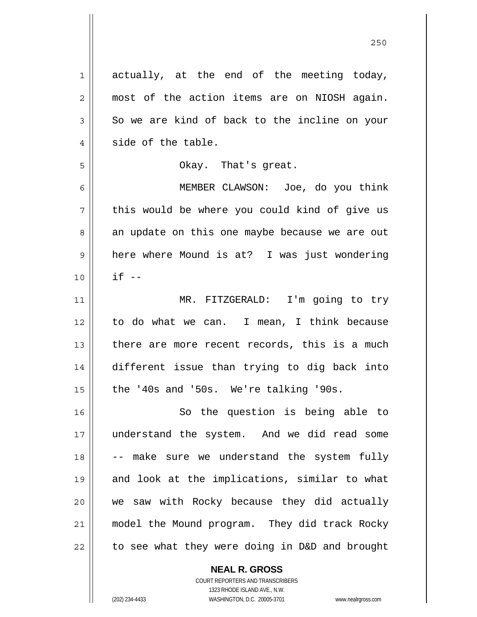| $\mathbf 1$    | actually, at the end of the meeting today,     |
|----------------|------------------------------------------------|
| $\overline{2}$ | most of the action items are on NIOSH again.   |
| 3              | So we are kind of back to the incline on your  |
| $\overline{4}$ | side of the table.                             |
| 5              | Okay. That's great.                            |
| 6              | MEMBER CLAWSON: Joe, do you think              |
| 7              | this would be where you could kind of give us  |
| 8              | an update on this one maybe because we are out |
| 9              | here where Mound is at? I was just wondering   |
| 10             | $if --$                                        |
| 11             | MR. FITZGERALD: I'm going to try               |
| 12             | to do what we can. I mean, I think because     |
| 13             | there are more recent records, this is a much  |
| 14             | different issue than trying to dig back into   |
| 15             | the '40s and '50s. We're talking '90s.         |
| 16             | So the question is being able to               |
| 17             | understand the system. And we did read some    |
| 18             | -- make sure we understand the system fully    |
| 19             | and look at the implications, similar to what  |
| 20             | we saw with Rocky because they did actually    |
| 21             | model the Mound program. They did track Rocky  |
| 22             | to see what they were doing in D&D and brought |

**NEAL R. GROSS** COURT REPORTERS AND TRANSCRIBERS

1323 RHODE ISLAND AVE., N.W.

 $\mathsf{II}$ 

(202) 234-4433 WASHINGTON, D.C. 20005-3701 www.nealrgross.com

<u>250</u>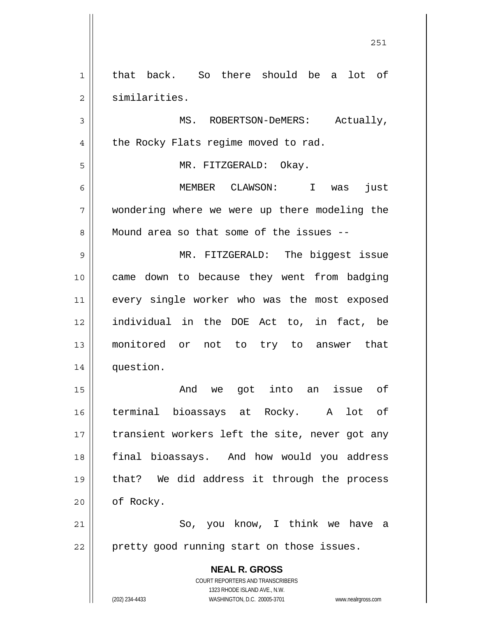**NEAL R. GROSS** COURT REPORTERS AND TRANSCRIBERS 1323 RHODE ISLAND AVE., N.W. (202) 234-4433 WASHINGTON, D.C. 20005-3701 www.nealrgross.com 1 2 3 4 5 6 7 8 9 10 11 12 13 14 15 16 17 18 19 20 21 22 that back. So there should be a lot of similarities. MS. ROBERTSON-DeMERS: Actually, the Rocky Flats regime moved to rad. MR. FITZGERALD: Okay. MEMBER CLAWSON: I was just wondering where we were up there modeling the Mound area so that some of the issues -- MR. FITZGERALD: The biggest issue came down to because they went from badging every single worker who was the most exposed individual in the DOE Act to, in fact, be monitored or not to try to answer that question. And we got into an issue of terminal bioassays at Rocky. A lot of transient workers left the site, never got any final bioassays. And how would you address that? We did address it through the process of Rocky. So, you know, I think we have a pretty good running start on those issues.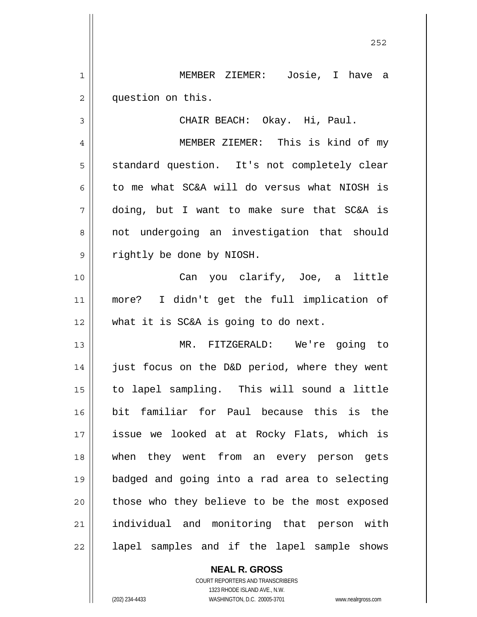1 2 MEMBER ZIEMER: Josie, I have a question on this.

CHAIR BEACH: Okay. Hi, Paul.

 MEMBER ZIEMER: This is kind of my standard question. It's not completely clear to me what SC&A will do versus what NIOSH is doing, but I want to make sure that SC&A is not undergoing an investigation that should rightly be done by NIOSH.

10 11 12 Can you clarify, Joe, a little more? I didn't get the full implication of what it is SC&A is going to do next.

13 14 15 16 17 18 19 20 21 22 MR. FITZGERALD: We're going to just focus on the D&D period, where they went to lapel sampling. This will sound a little bit familiar for Paul because this is the issue we looked at at Rocky Flats, which is when they went from an every person gets badged and going into a rad area to selecting those who they believe to be the most exposed individual and monitoring that person with lapel samples and if the lapel sample shows

> **NEAL R. GROSS** COURT REPORTERS AND TRANSCRIBERS 1323 RHODE ISLAND AVE., N.W.

3

4

5

6

7

8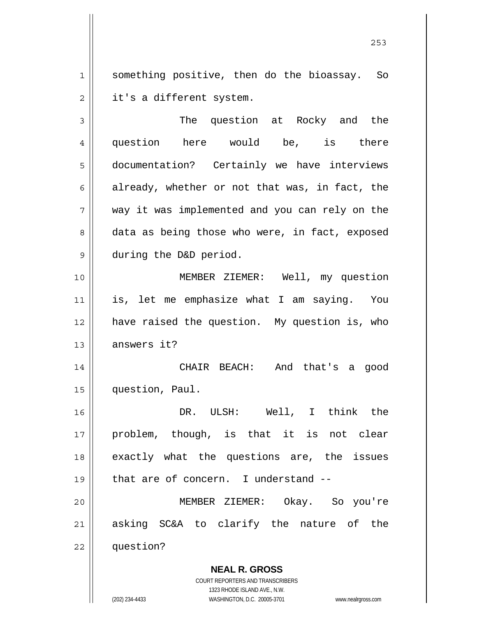1 2 something positive, then do the bioassay. So it's a different system.

3 4 5 6 7 8 9 10 11 12 13 14 15 16 The question at Rocky and the question here would be, is there documentation? Certainly we have interviews already, whether or not that was, in fact, the way it was implemented and you can rely on the data as being those who were, in fact, exposed during the D&D period. MEMBER ZIEMER: Well, my question is, let me emphasize what I am saying. You have raised the question. My question is, who answers it? CHAIR BEACH: And that's a good question, Paul. DR. ULSH: Well, I think the

17 18 19 20 21 problem, though, is that it is not clear exactly what the questions are, the issues that are of concern. I understand -- MEMBER ZIEMER: Okay. So you're asking SC&A to clarify the nature of the

22 question?

**NEAL R. GROSS**

COURT REPORTERS AND TRANSCRIBERS 1323 RHODE ISLAND AVE., N.W. (202) 234-4433 WASHINGTON, D.C. 20005-3701 www.nealrgross.com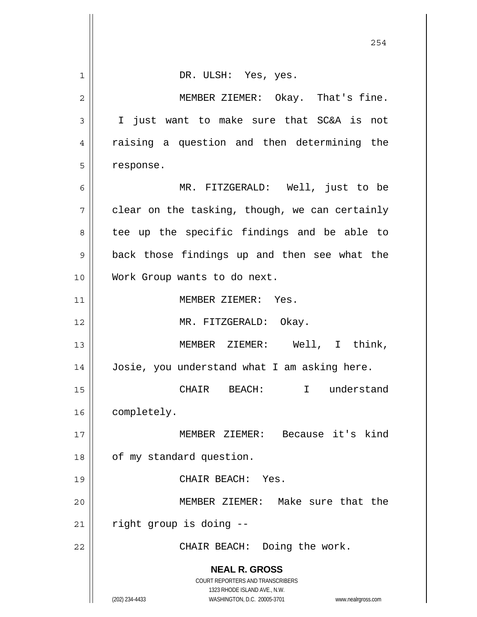|                | 254                                                                 |
|----------------|---------------------------------------------------------------------|
| 1              | DR. ULSH: Yes, yes.                                                 |
| $\overline{2}$ | MEMBER ZIEMER: Okay. That's fine.                                   |
| 3              | I just want to make sure that SC&A is not                           |
| 4              | raising a question and then determining the                         |
| 5              | response.                                                           |
| 6              | MR. FITZGERALD: Well, just to be                                    |
| 7              | clear on the tasking, though, we can certainly                      |
| 8              | tee up the specific findings and be able to                         |
| 9              | back those findings up and then see what the                        |
| 10             | Work Group wants to do next.                                        |
| 11             | MEMBER ZIEMER: Yes.                                                 |
| 12             | MR. FITZGERALD: Okay.                                               |
| 13             | MEMBER ZIEMER: Well, I think,                                       |
| 14             | Josie, you understand what I am asking here.                        |
| 15             | CHAIR BEACH:<br>I understand                                        |
| 16             | completely.                                                         |
| 17             | MEMBER ZIEMER: Because it's kind                                    |
| 18             | of my standard question.                                            |
| 19             | CHAIR BEACH: Yes.                                                   |
| 20             | MEMBER ZIEMER: Make sure that the                                   |
| 21             | right group is doing --                                             |
| 22             | CHAIR BEACH: Doing the work.                                        |
|                | <b>NEAL R. GROSS</b><br>COURT REPORTERS AND TRANSCRIBERS            |
|                | 1323 RHODE ISLAND AVE., N.W.                                        |
|                | (202) 234-4433<br>WASHINGTON, D.C. 20005-3701<br>www.nealrgross.com |

 $\mathbb{I}$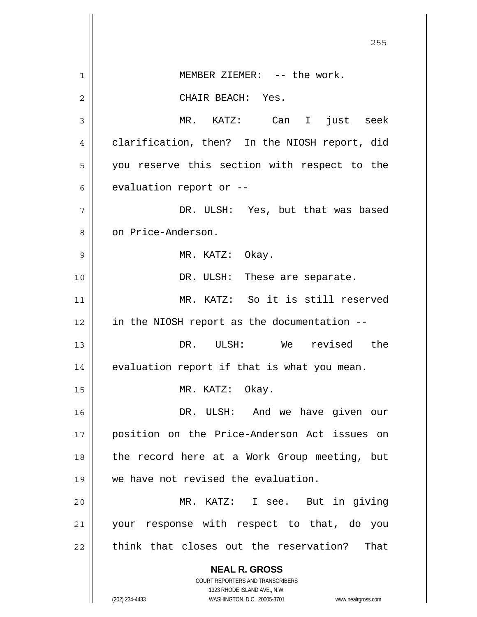|                | 255                                                                     |
|----------------|-------------------------------------------------------------------------|
| 1              | MEMBER ZIEMER: -- the work.                                             |
| $\overline{2}$ | CHAIR BEACH: Yes.                                                       |
| 3              | MR. KATZ: Can I just seek                                               |
| 4              | clarification, then? In the NIOSH report, did                           |
| 5              | you reserve this section with respect to the                            |
| 6              | evaluation report or --                                                 |
| 7              | DR. ULSH: Yes, but that was based                                       |
| 8              | on Price-Anderson.                                                      |
| 9              | MR. KATZ: Okay.                                                         |
| 10             | DR. ULSH: These are separate.                                           |
| 11             | MR. KATZ: So it is still reserved                                       |
| 12             | in the NIOSH report as the documentation --                             |
| 13             | DR. ULSH: We revised the                                                |
| 14             | evaluation report if that is what you mean.                             |
| 15             | MR. KATZ: Okay.                                                         |
| 16             | DR. ULSH:<br>And we have given our                                      |
| 17             | position on the Price-Anderson Act issues on                            |
| 18             | the record here at a Work Group meeting, but                            |
| 19             | we have not revised the evaluation.                                     |
| 20             | MR. KATZ: I see.<br>But in giving                                       |
| 21             | your response with respect to that, do you                              |
| 22             | think that closes out the reservation?<br>That                          |
|                | <b>NEAL R. GROSS</b>                                                    |
|                | <b>COURT REPORTERS AND TRANSCRIBERS</b><br>1323 RHODE ISLAND AVE., N.W. |
|                | (202) 234-4433<br>WASHINGTON, D.C. 20005-3701<br>www.nealrgross.com     |

 $\overline{\phantom{a}}$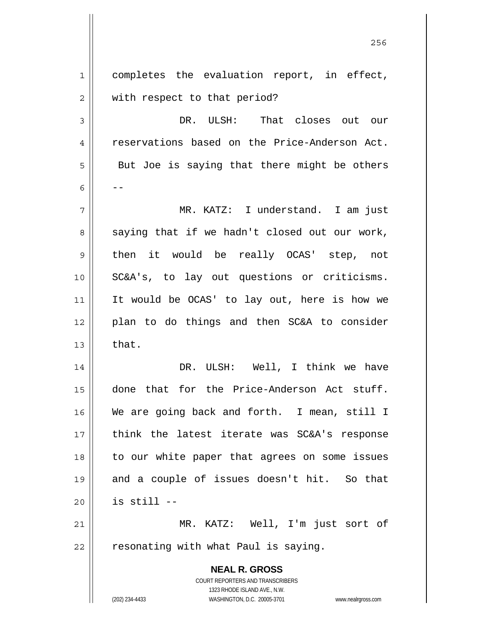**NEAL R. GROSS** 1 2 3 4 5 6 7 8 9 10 11 12 13 14 15 16 17 18 19 20 21 22 completes the evaluation report, in effect, with respect to that period? DR. ULSH: That closes out our reservations based on the Price-Anderson Act. But Joe is saying that there might be others -- MR. KATZ: I understand. I am just saying that if we hadn't closed out our work, then it would be really OCAS' step, not SC&A's, to lay out questions or criticisms. It would be OCAS' to lay out, here is how we plan to do things and then SC&A to consider that. DR. ULSH: Well, I think we have done that for the Price-Anderson Act stuff. We are going back and forth. I mean, still I think the latest iterate was SC&A's response to our white paper that agrees on some issues and a couple of issues doesn't hit. So that is still -- MR. KATZ: Well, I'm just sort of resonating with what Paul is saying.

<u>256 میں اس کا 17 مئی میں اس کا 17 مئی میں اس کا 17 مئی میں اس کا 17 مئی میں اس کا 17 مئی میں اس کا 256 مئی می</u>

COURT REPORTERS AND TRANSCRIBERS 1323 RHODE ISLAND AVE., N.W.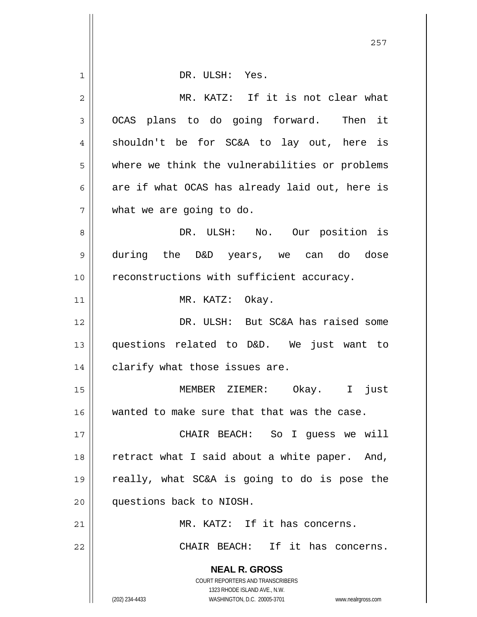|    | 257                                                                 |
|----|---------------------------------------------------------------------|
| 1  | DR. ULSH: Yes.                                                      |
| 2  | MR. KATZ: If it is not clear what                                   |
| 3  | OCAS plans to do going forward. Then it                             |
| 4  | shouldn't be for SC&A to lay out, here is                           |
| 5  | where we think the vulnerabilities or problems                      |
| 6  | are if what OCAS has already laid out, here is                      |
| 7  | what we are going to do.                                            |
| 8  | DR. ULSH: No. Our position is                                       |
| 9  | during the D&D years, we can do dose                                |
| 10 | reconstructions with sufficient accuracy.                           |
| 11 | MR. KATZ: Okay.                                                     |
| 12 | DR. ULSH: But SC&A has raised some                                  |
| 13 | questions related to D&D. We just want to                           |
| 14 | clarify what those issues are.                                      |
| 15 | MEMBER ZIEMER: Okay. I just                                         |
| 16 | wanted to make sure that that was the case.                         |
| 17 | CHAIR BEACH: So I guess we will                                     |
| 18 | retract what I said about a white paper. And,                       |
| 19 | really, what SC&A is going to do is pose the                        |
| 20 | questions back to NIOSH.                                            |
| 21 | MR. KATZ: If it has concerns.                                       |
| 22 | CHAIR BEACH: If it has concerns.                                    |
|    | <b>NEAL R. GROSS</b><br>COURT REPORTERS AND TRANSCRIBERS            |
|    | 1323 RHODE ISLAND AVE., N.W.                                        |
|    | (202) 234-4433<br>WASHINGTON, D.C. 20005-3701<br>www.nealrgross.com |

 $\overline{\phantom{a}}$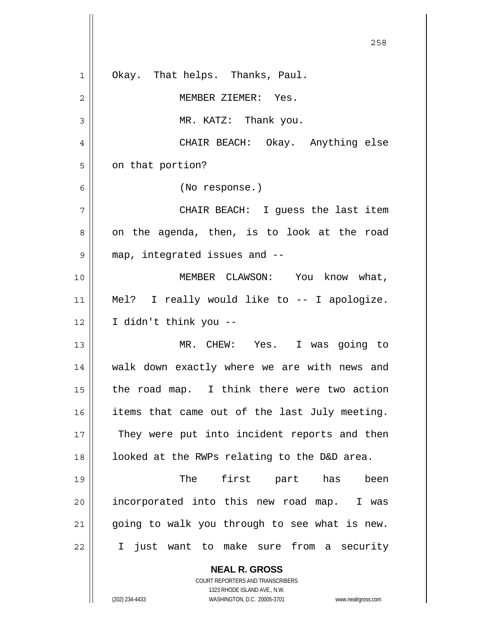|    | 258                                                                 |
|----|---------------------------------------------------------------------|
| 1  | Okay. That helps. Thanks, Paul.                                     |
| 2  | MEMBER ZIEMER: Yes.                                                 |
| 3  | MR. KATZ: Thank you.                                                |
| 4  | CHAIR BEACH: Okay. Anything else                                    |
| 5  | on that portion?                                                    |
| 6  | (No response.)                                                      |
| 7  | CHAIR BEACH: I guess the last item                                  |
| 8  | on the agenda, then, is to look at the road                         |
| 9  | map, integrated issues and --                                       |
| 10 | MEMBER CLAWSON: You know what,                                      |
| 11 | Mel? I really would like to -- I apologize.                         |
| 12 | I didn't think you --                                               |
| 13 | MR. CHEW: Yes. I was going to                                       |
| 14 | walk down exactly where we are with news and                        |
| 15 | the road map. I think there were two action                         |
| 16 | items that came out of the last July meeting.                       |
| 17 | They were put into incident reports and then                        |
| 18 | looked at the RWPs relating to the D&D area.                        |
| 19 | first part has<br>The<br>been                                       |
| 20 | incorporated into this new road map.<br>I was                       |
| 21 | going to walk you through to see what is new.                       |
| 22 | just want to make sure from a security<br>$\mathbf I$               |
|    | <b>NEAL R. GROSS</b>                                                |
|    | COURT REPORTERS AND TRANSCRIBERS<br>1323 RHODE ISLAND AVE., N.W.    |
|    | (202) 234-4433<br>WASHINGTON, D.C. 20005-3701<br>www.nealrgross.com |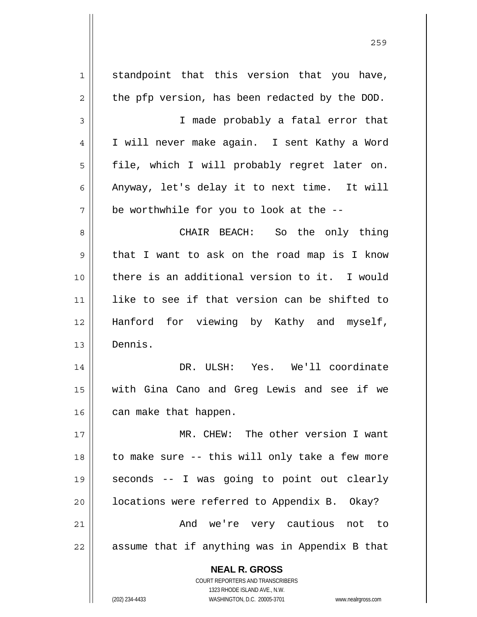| 1  | standpoint that this version that you have,                                                         |
|----|-----------------------------------------------------------------------------------------------------|
| 2  | the pfp version, has been redacted by the DOD.                                                      |
| 3  | I made probably a fatal error that                                                                  |
| 4  | I will never make again. I sent Kathy a Word                                                        |
| 5  | file, which I will probably regret later on.                                                        |
| 6  | Anyway, let's delay it to next time. It will                                                        |
| 7  | be worthwhile for you to look at the --                                                             |
| 8  | CHAIR BEACH: So the only thing                                                                      |
| 9  | that I want to ask on the road map is I know                                                        |
| 10 | there is an additional version to it. I would                                                       |
| 11 | like to see if that version can be shifted to                                                       |
| 12 | Hanford for viewing by Kathy and myself,                                                            |
| 13 | Dennis.                                                                                             |
| 14 | DR. ULSH: Yes. We'll coordinate                                                                     |
| 15 | with Gina Cano and Greg Lewis and see if we                                                         |
| 16 | can make that happen.                                                                               |
| 17 | MR. CHEW: The other version I want                                                                  |
| 18 | to make sure -- this will only take a few more                                                      |
| 19 | seconds -- I was going to point out clearly                                                         |
| 20 | locations were referred to Appendix B. Okay?                                                        |
| 21 | And we're very cautious not to                                                                      |
| 22 | assume that if anything was in Appendix B that                                                      |
|    |                                                                                                     |
|    | <b>NEAL R. GROSS</b>                                                                                |
|    | COURT REPORTERS AND TRANSCRIBERS                                                                    |
|    | 1323 RHODE ISLAND AVE., N.W.<br>(202) 234-4433<br>WASHINGTON, D.C. 20005-3701<br>www.nealrgross.com |

<u>259 میں اس کا اعتبار اور اس کا اعتبار اور اس کا اعتبار اور اس کا اعتبار اور اس کا اعتبار اور اس کا اعتبار اور ا</u>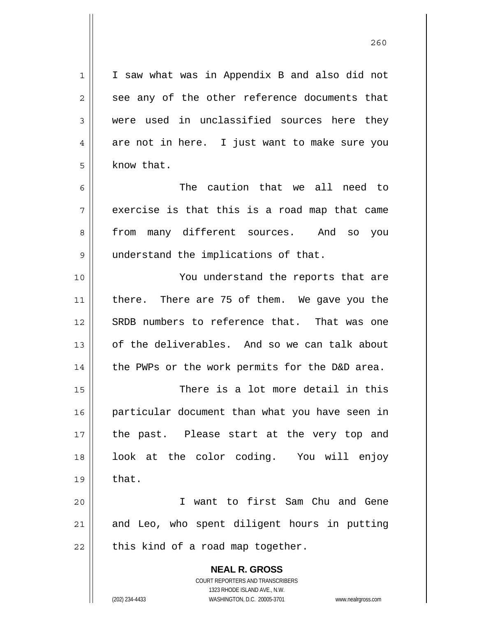I saw what was in Appendix B and also did not see any of the other reference documents that were used in unclassified sources here they are not in here. I just want to make sure you know that.

7 The caution that we all need to exercise is that this is a road map that came from many different sources. And so you understand the implications of that.

10 11 12 13 14 You understand the reports that are there. There are 75 of them. We gave you the SRDB numbers to reference that. That was one of the deliverables. And so we can talk about the PWPs or the work permits for the D&D area.

15 16 17 18 19 There is a lot more detail in this particular document than what you have seen in the past. Please start at the very top and look at the color coding. You will enjoy that.

20 21 22 I want to first Sam Chu and Gene and Leo, who spent diligent hours in putting this kind of a road map together.

> **NEAL R. GROSS** COURT REPORTERS AND TRANSCRIBERS 1323 RHODE ISLAND AVE., N.W. (202) 234-4433 WASHINGTON, D.C. 20005-3701 www.nealrgross.com

1

2

3

4

5

6

8

9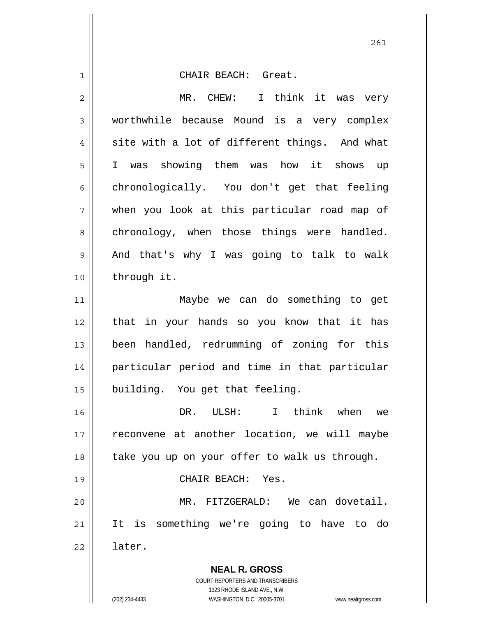**NEAL R. GROSS** COURT REPORTERS AND TRANSCRIBERS 1 2 3 4 5 6 7 8 9 10 11 12 13 14 15 16 17 18 19 20 21 22 CHAIR BEACH: Great. MR. CHEW: I think it was very worthwhile because Mound is a very complex site with a lot of different things. And what I was showing them was how it shows up chronologically. You don't get that feeling when you look at this particular road map of chronology, when those things were handled. And that's why I was going to talk to walk through it. Maybe we can do something to get that in your hands so you know that it has been handled, redrumming of zoning for this particular period and time in that particular building. You get that feeling. DR. ULSH: I think when we reconvene at another location, we will maybe take you up on your offer to walk us through. CHAIR BEACH: Yes. MR. FITZGERALD: We can dovetail. It is something we're going to have to do later.

1323 RHODE ISLAND AVE., N.W.

(202) 234-4433 WASHINGTON, D.C. 20005-3701 www.nealrgross.com

261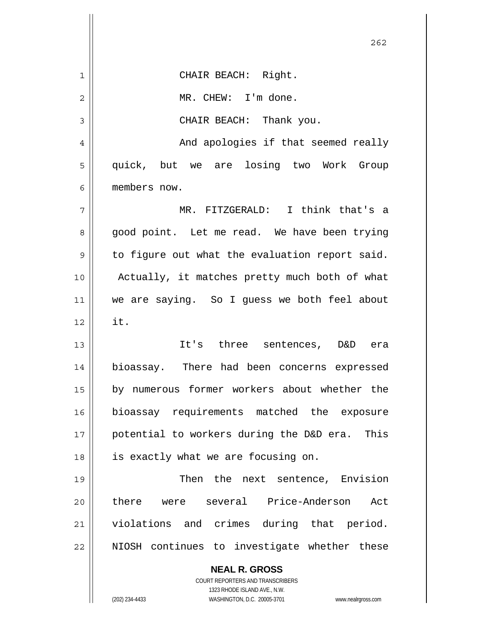|                | 262                                                                                                 |
|----------------|-----------------------------------------------------------------------------------------------------|
| 1              | CHAIR BEACH: Right.                                                                                 |
| $\overline{2}$ | MR. CHEW: I'm done.                                                                                 |
| 3              | CHAIR BEACH: Thank you.                                                                             |
| 4              | And apologies if that seemed really                                                                 |
| 5              | quick, but we are losing two Work Group                                                             |
| 6              | members now.                                                                                        |
| 7              | MR. FITZGERALD: I think that's a                                                                    |
| 8              | good point. Let me read. We have been trying                                                        |
| 9              | to figure out what the evaluation report said.                                                      |
| 10             | Actually, it matches pretty much both of what                                                       |
| 11             | we are saying. So I guess we both feel about                                                        |
| 12             | it.                                                                                                 |
| 13             | It's three sentences, D&D era                                                                       |
| 14             | bioassay. There had been concerns expressed                                                         |
| 15             | by numerous former workers about whether the                                                        |
| 16             | bioassay requirements matched the exposure                                                          |
| 17             | potential to workers during the D&D era. This                                                       |
| 18             | is exactly what we are focusing on.                                                                 |
| 19             | Then the next sentence, Envision                                                                    |
| 20             | there were several Price-Anderson<br>Act                                                            |
| 21             | violations and crimes during that period.                                                           |
| 22             | NIOSH continues to investigate whether these                                                        |
|                | <b>NEAL R. GROSS</b>                                                                                |
|                | COURT REPORTERS AND TRANSCRIBERS                                                                    |
|                | 1323 RHODE ISLAND AVE., N.W.<br>(202) 234-4433<br>WASHINGTON, D.C. 20005-3701<br>www.nealrgross.com |

 $\mathsf{I}$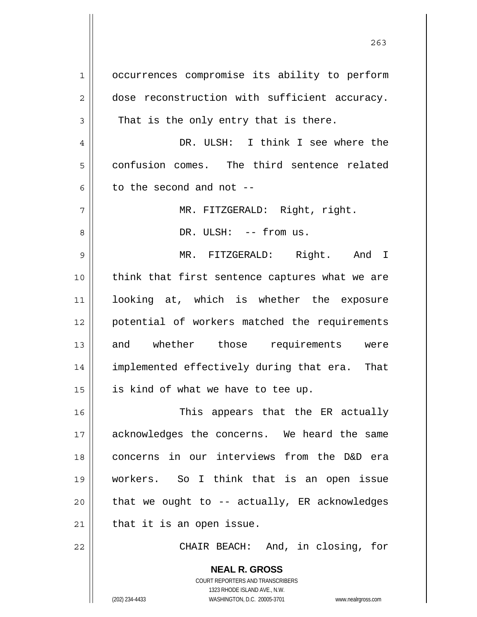1 2 3 4 5 6 7 8 9 10 11 12 13 14 15 16 17 18 19 20 21 occurrences compromise its ability to perform dose reconstruction with sufficient accuracy. That is the only entry that is there. DR. ULSH: I think I see where the confusion comes. The third sentence related to the second and not -- MR. FITZGERALD: Right, right. DR. ULSH: -- from us. MR. FITZGERALD: Right. And I think that first sentence captures what we are looking at, which is whether the exposure potential of workers matched the requirements and whether those requirements were implemented effectively during that era. That is kind of what we have to tee up. This appears that the ER actually acknowledges the concerns. We heard the same concerns in our interviews from the D&D era workers. So I think that is an open issue that we ought to -- actually, ER acknowledges that it is an open issue.

CHAIR BEACH: And, in closing, for

**NEAL R. GROSS** COURT REPORTERS AND TRANSCRIBERS 1323 RHODE ISLAND AVE., N.W. (202) 234-4433 WASHINGTON, D.C. 20005-3701 www.nealrgross.com

22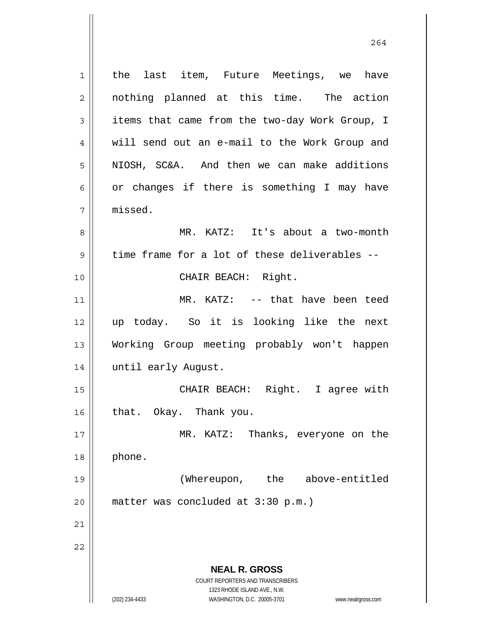**NEAL R. GROSS** COURT REPORTERS AND TRANSCRIBERS 1323 RHODE ISLAND AVE., N.W. (202) 234-4433 WASHINGTON, D.C. 20005-3701 www.nealrgross.com 1 2 3 4 5 6 7 8 9 10 11 12 13 14 15 16 17 18 19 20 21 22 the last item, Future Meetings, we have nothing planned at this time. The action items that came from the two-day Work Group, I will send out an e-mail to the Work Group and NIOSH, SC&A. And then we can make additions or changes if there is something I may have missed. MR. KATZ: It's about a two-month time frame for a lot of these deliverables -- CHAIR BEACH: Right. MR. KATZ: -- that have been teed up today. So it is looking like the next Working Group meeting probably won't happen until early August. CHAIR BEACH: Right. I agree with that. Okay. Thank you. MR. KATZ: Thanks, everyone on the phone. (Whereupon, the above-entitled matter was concluded at 3:30 p.m.)